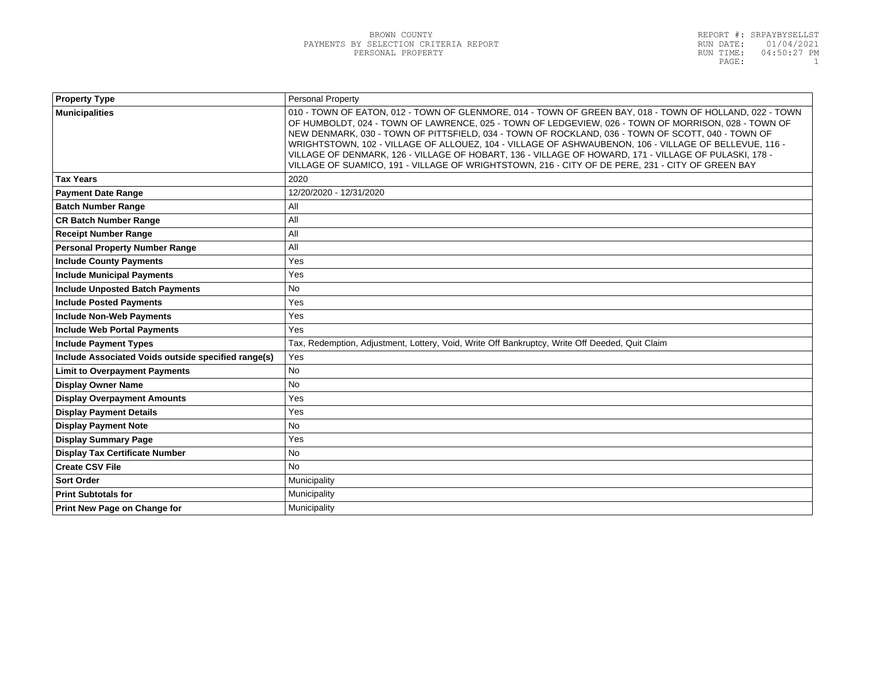| <b>Property Type</b>                                | Personal Property                                                                                                                                                                                                                                                                                                                                                                                                                                                                                                                                                                                                                         |  |
|-----------------------------------------------------|-------------------------------------------------------------------------------------------------------------------------------------------------------------------------------------------------------------------------------------------------------------------------------------------------------------------------------------------------------------------------------------------------------------------------------------------------------------------------------------------------------------------------------------------------------------------------------------------------------------------------------------------|--|
| <b>Municipalities</b>                               | 010 - TOWN OF EATON, 012 - TOWN OF GLENMORE, 014 - TOWN OF GREEN BAY, 018 - TOWN OF HOLLAND, 022 - TOWN<br>OF HUMBOLDT, 024 - TOWN OF LAWRENCE, 025 - TOWN OF LEDGEVIEW, 026 - TOWN OF MORRISON, 028 - TOWN OF<br>NEW DENMARK, 030 - TOWN OF PITTSFIELD, 034 - TOWN OF ROCKLAND, 036 - TOWN OF SCOTT, 040 - TOWN OF<br>WRIGHTSTOWN, 102 - VILLAGE OF ALLOUEZ, 104 - VILLAGE OF ASHWAUBENON, 106 - VILLAGE OF BELLEVUE, 116 -<br>VILLAGE OF DENMARK, 126 - VILLAGE OF HOBART, 136 - VILLAGE OF HOWARD, 171 - VILLAGE OF PULASKI, 178 -<br>VILLAGE OF SUAMICO, 191 - VILLAGE OF WRIGHTSTOWN, 216 - CITY OF DE PERE, 231 - CITY OF GREEN BAY |  |
| <b>Tax Years</b>                                    | 2020                                                                                                                                                                                                                                                                                                                                                                                                                                                                                                                                                                                                                                      |  |
| <b>Payment Date Range</b>                           | 12/20/2020 - 12/31/2020                                                                                                                                                                                                                                                                                                                                                                                                                                                                                                                                                                                                                   |  |
| <b>Batch Number Range</b>                           | All                                                                                                                                                                                                                                                                                                                                                                                                                                                                                                                                                                                                                                       |  |
| <b>CR Batch Number Range</b>                        | All                                                                                                                                                                                                                                                                                                                                                                                                                                                                                                                                                                                                                                       |  |
| <b>Receipt Number Range</b>                         | All                                                                                                                                                                                                                                                                                                                                                                                                                                                                                                                                                                                                                                       |  |
| <b>Personal Property Number Range</b>               | All                                                                                                                                                                                                                                                                                                                                                                                                                                                                                                                                                                                                                                       |  |
| <b>Include County Payments</b>                      | Yes                                                                                                                                                                                                                                                                                                                                                                                                                                                                                                                                                                                                                                       |  |
| <b>Include Municipal Payments</b>                   | Yes                                                                                                                                                                                                                                                                                                                                                                                                                                                                                                                                                                                                                                       |  |
| <b>Include Unposted Batch Payments</b>              | <b>No</b>                                                                                                                                                                                                                                                                                                                                                                                                                                                                                                                                                                                                                                 |  |
| <b>Include Posted Payments</b>                      | Yes                                                                                                                                                                                                                                                                                                                                                                                                                                                                                                                                                                                                                                       |  |
| <b>Include Non-Web Payments</b>                     | Yes                                                                                                                                                                                                                                                                                                                                                                                                                                                                                                                                                                                                                                       |  |
| <b>Include Web Portal Payments</b>                  | Yes                                                                                                                                                                                                                                                                                                                                                                                                                                                                                                                                                                                                                                       |  |
| <b>Include Payment Types</b>                        | Tax, Redemption, Adjustment, Lottery, Void, Write Off Bankruptcy, Write Off Deeded, Quit Claim                                                                                                                                                                                                                                                                                                                                                                                                                                                                                                                                            |  |
| Include Associated Voids outside specified range(s) | Yes                                                                                                                                                                                                                                                                                                                                                                                                                                                                                                                                                                                                                                       |  |
| <b>Limit to Overpayment Payments</b>                | No                                                                                                                                                                                                                                                                                                                                                                                                                                                                                                                                                                                                                                        |  |
| <b>Display Owner Name</b>                           | <b>No</b>                                                                                                                                                                                                                                                                                                                                                                                                                                                                                                                                                                                                                                 |  |
| <b>Display Overpayment Amounts</b>                  | Yes                                                                                                                                                                                                                                                                                                                                                                                                                                                                                                                                                                                                                                       |  |
| <b>Display Payment Details</b>                      | Yes                                                                                                                                                                                                                                                                                                                                                                                                                                                                                                                                                                                                                                       |  |
| <b>Display Payment Note</b>                         | <b>No</b>                                                                                                                                                                                                                                                                                                                                                                                                                                                                                                                                                                                                                                 |  |
| <b>Display Summary Page</b>                         | Yes                                                                                                                                                                                                                                                                                                                                                                                                                                                                                                                                                                                                                                       |  |
| <b>Display Tax Certificate Number</b>               | <b>No</b>                                                                                                                                                                                                                                                                                                                                                                                                                                                                                                                                                                                                                                 |  |
| <b>Create CSV File</b>                              | <b>No</b>                                                                                                                                                                                                                                                                                                                                                                                                                                                                                                                                                                                                                                 |  |
| <b>Sort Order</b>                                   | Municipality                                                                                                                                                                                                                                                                                                                                                                                                                                                                                                                                                                                                                              |  |
| <b>Print Subtotals for</b>                          | Municipality                                                                                                                                                                                                                                                                                                                                                                                                                                                                                                                                                                                                                              |  |
| Print New Page on Change for                        | Municipality                                                                                                                                                                                                                                                                                                                                                                                                                                                                                                                                                                                                                              |  |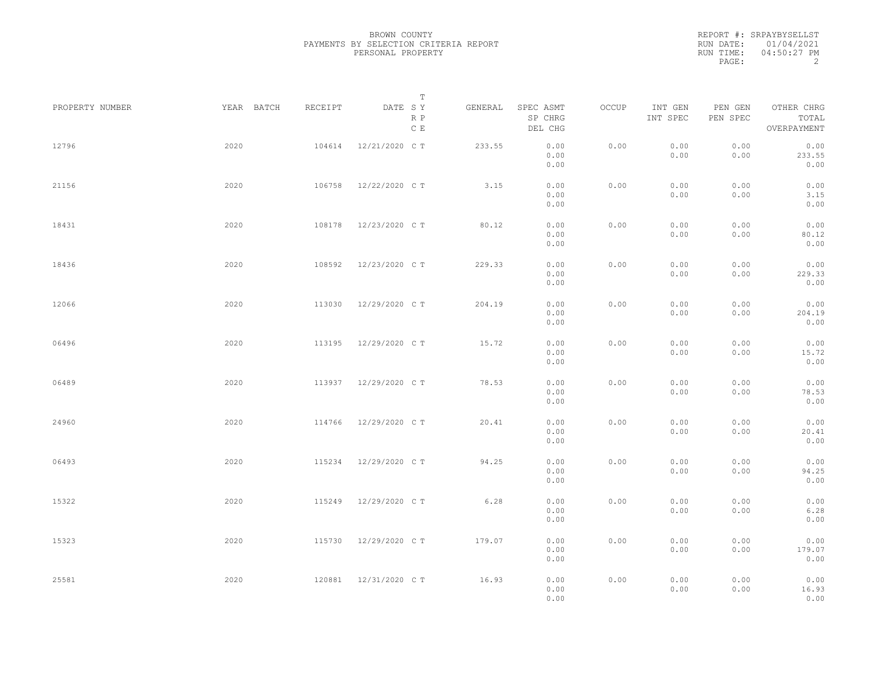|           | REPORT #: SRPAYBYSELLST |
|-----------|-------------------------|
|           | RUN DATE: 01/04/2021    |
| RUN TIME: | $04:50:27$ PM           |
| PAGE:     |                         |

|                 |            |         | T                     |         |                                 |       |                     |                     |                                    |  |
|-----------------|------------|---------|-----------------------|---------|---------------------------------|-------|---------------------|---------------------|------------------------------------|--|
| PROPERTY NUMBER | YEAR BATCH | RECEIPT | DATE SY<br>R P<br>C E | GENERAL | SPEC ASMT<br>SP CHRG<br>DEL CHG | OCCUP | INT GEN<br>INT SPEC | PEN GEN<br>PEN SPEC | OTHER CHRG<br>TOTAL<br>OVERPAYMENT |  |
| 12796           | 2020       | 104614  | 12/21/2020 C T        | 233.55  | 0.00<br>0.00<br>0.00            | 0.00  | 0.00<br>0.00        | 0.00<br>0.00        | 0.00<br>233.55<br>0.00             |  |
| 21156           | 2020       | 106758  | 12/22/2020 C T        | 3.15    | 0.00<br>0.00<br>0.00            | 0.00  | 0.00<br>0.00        | 0.00<br>0.00        | 0.00<br>3.15<br>0.00               |  |
| 18431           | 2020       | 108178  | 12/23/2020 C T        | 80.12   | 0.00<br>0.00<br>0.00            | 0.00  | 0.00<br>0.00        | 0.00<br>0.00        | 0.00<br>80.12<br>0.00              |  |
| 18436           | 2020       | 108592  | 12/23/2020 C T        | 229.33  | 0.00<br>0.00<br>0.00            | 0.00  | 0.00<br>0.00        | 0.00<br>0.00        | 0.00<br>229.33<br>0.00             |  |
| 12066           | 2020       | 113030  | 12/29/2020 C T        | 204.19  | 0.00<br>0.00<br>0.00            | 0.00  | 0.00<br>0.00        | 0.00<br>0.00        | 0.00<br>204.19<br>0.00             |  |
| 06496           | 2020       | 113195  | 12/29/2020 C T        | 15.72   | 0.00<br>0.00<br>0.00            | 0.00  | 0.00<br>0.00        | 0.00<br>0.00        | 0.00<br>15.72<br>0.00              |  |
| 06489           | 2020       | 113937  | 12/29/2020 C T        | 78.53   | 0.00<br>0.00<br>0.00            | 0.00  | 0.00<br>0.00        | 0.00<br>0.00        | 0.00<br>78.53<br>0.00              |  |
| 24960           | 2020       | 114766  | 12/29/2020 C T        | 20.41   | 0.00<br>0.00<br>0.00            | 0.00  | 0.00<br>0.00        | 0.00<br>0.00        | 0.00<br>20.41<br>0.00              |  |
| 06493           | 2020       | 115234  | 12/29/2020 C T        | 94.25   | 0.00<br>0.00<br>0.00            | 0.00  | 0.00<br>0.00        | 0.00<br>0.00        | 0.00<br>94.25<br>0.00              |  |
| 15322           | 2020       | 115249  | 12/29/2020 C T        | 6.28    | 0.00<br>0.00<br>0.00            | 0.00  | 0.00<br>0.00        | 0.00<br>0.00        | 0.00<br>6.28<br>0.00               |  |
| 15323           | 2020       | 115730  | 12/29/2020 C T        | 179.07  | 0.00<br>0.00<br>0.00            | 0.00  | 0.00<br>0.00        | 0.00<br>0.00        | 0.00<br>179.07<br>0.00             |  |
| 25581           | 2020       | 120881  | 12/31/2020 C T        | 16.93   | 0.00<br>0.00<br>0.00            | 0.00  | 0.00<br>0.00        | 0.00<br>0.00        | 0.00<br>16.93<br>0.00              |  |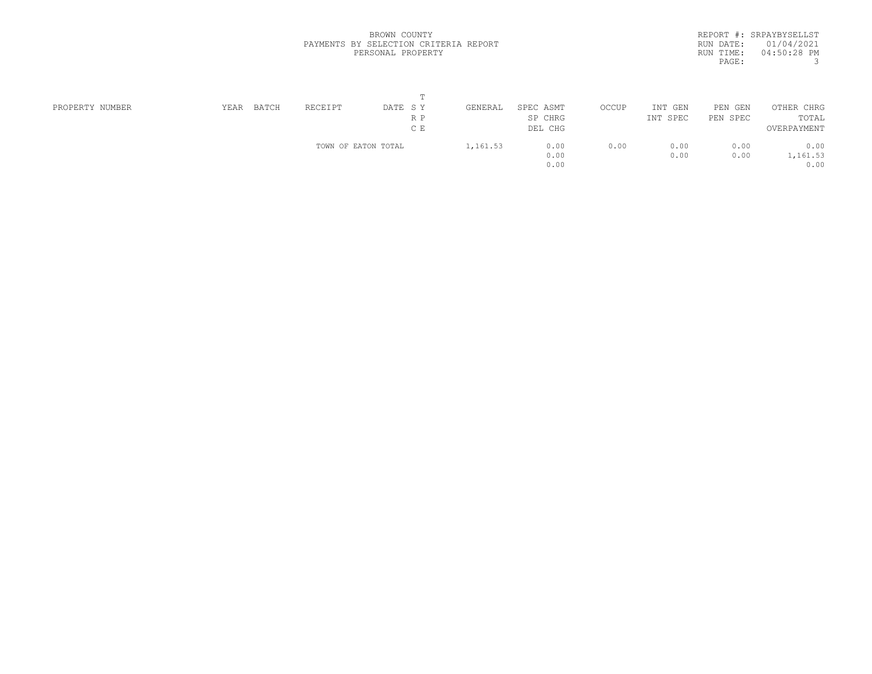| REPORT #: SRPAYBYSELLST |
|-------------------------|
| RUN DATE: 01/04/2021    |
| $04:50:28$ PM           |
| 3                       |
|                         |

| PROPERTY NUMBER | YEAR | <b>BATCH</b> | RECEIPT             | DATE SY | GENERAL  | SPEC ASMT | OCCUP | INT<br>GEN | PEN GEN  | OTHER CHRG  |  |
|-----------------|------|--------------|---------------------|---------|----------|-----------|-------|------------|----------|-------------|--|
|                 |      |              |                     | R P     |          | SP CHRG   |       | INT SPEC   | PEN SPEC | TOTAL       |  |
|                 |      |              |                     | C E     |          | DEL CHG   |       |            |          | OVERPAYMENT |  |
|                 |      |              | TOWN OF EATON TOTAL |         | 1,161.53 | 0.00      | 0.00  | 0.00       | 0.00     | 0.00        |  |
|                 |      |              |                     |         |          | 0.00      |       | 0.00       | 0.00     | 1,161.53    |  |
|                 |      |              |                     |         |          | 0.00      |       |            |          | 0.00        |  |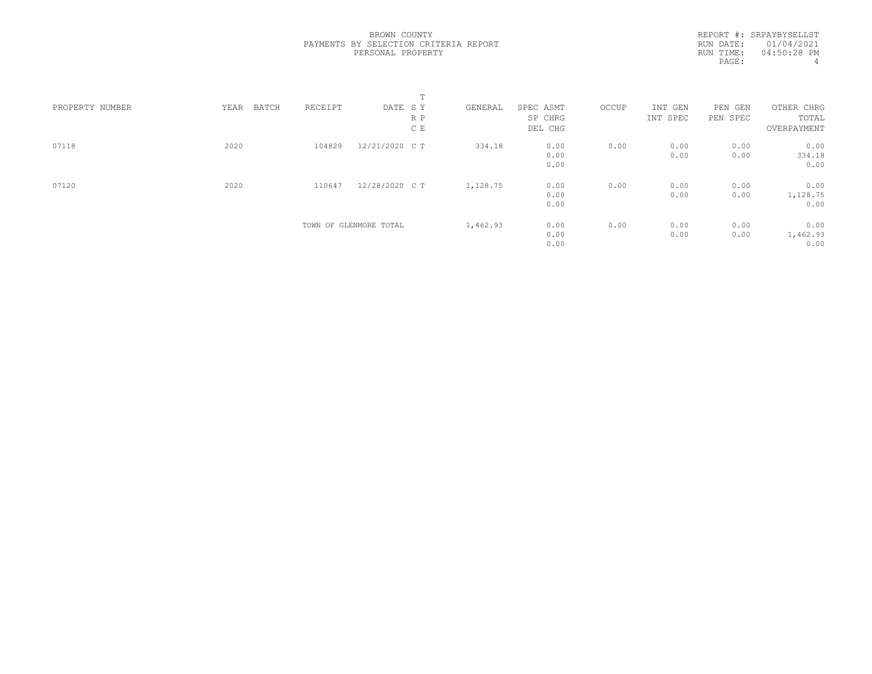REPORT #: SRPAYBYSELLST RUN DATE: 01/04/2021 RUN TIME: 04:50:28 PM PAGE: 4

|                 |               |         |                        | m.  |          |           |       |          |          |             |  |
|-----------------|---------------|---------|------------------------|-----|----------|-----------|-------|----------|----------|-------------|--|
| PROPERTY NUMBER | YEAR<br>BATCH | RECEIPT | DATE SY                |     | GENERAL  | SPEC ASMT | OCCUP | INT GEN  | PEN GEN  | OTHER CHRG  |  |
|                 |               |         |                        | R P |          | SP CHRG   |       | INT SPEC | PEN SPEC | TOTAL       |  |
|                 |               |         |                        | C E |          | DEL CHG   |       |          |          | OVERPAYMENT |  |
| 07118           | 2020          | 104829  | 12/21/2020 C T         |     | 334.18   | 0.00      | 0.00  | 0.00     | 0.00     | 0.00        |  |
|                 |               |         |                        |     |          | 0.00      |       | 0.00     | 0.00     | 334.18      |  |
|                 |               |         |                        |     |          | 0.00      |       |          |          | 0.00        |  |
| 07120           | 2020          | 110647  | 12/28/2020 C T         |     | 1,128.75 | 0.00      | 0.00  | 0.00     | 0.00     | 0.00        |  |
|                 |               |         |                        |     |          | 0.00      |       | 0.00     | 0.00     | 1,128.75    |  |
|                 |               |         |                        |     |          | 0.00      |       |          |          | 0.00        |  |
|                 |               |         | TOWN OF GLENMORE TOTAL |     | 1,462.93 | 0.00      | 0.00  | 0.00     | 0.00     | 0.00        |  |
|                 |               |         |                        |     |          | 0.00      |       | 0.00     | 0.00     | 1,462.93    |  |
|                 |               |         |                        |     |          | 0.00      |       |          |          | 0.00        |  |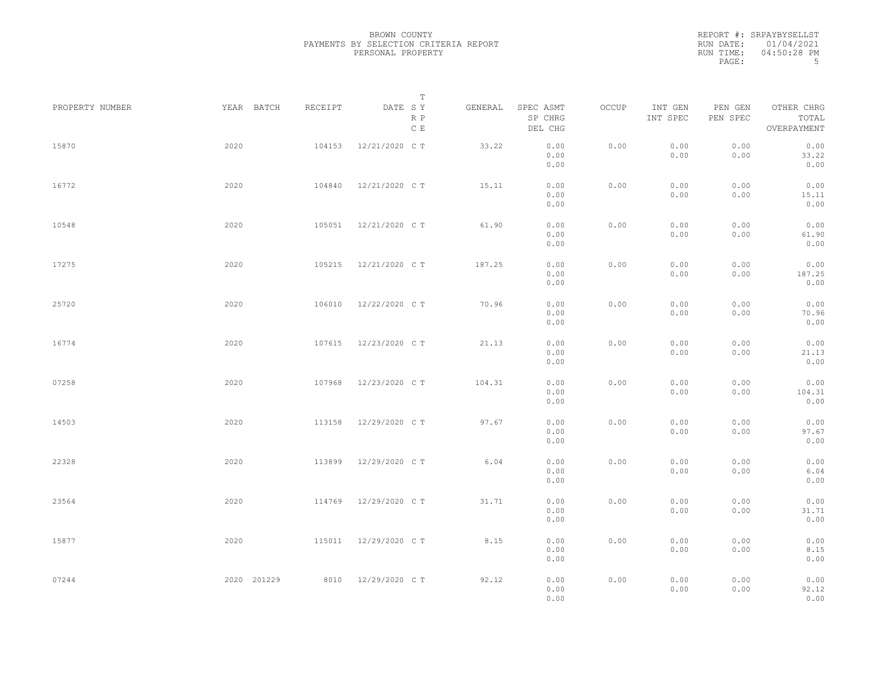|           | REPORT #: SRPAYBYSELLST |
|-----------|-------------------------|
|           | RUN DATE: 01/04/2021    |
| RUN TIME: | $04:50:28$ PM           |
| PAGE:     | .5                      |

|                 |             |         | $\mathbb T$           |         |                                 |       |                     |                     |                                    |
|-----------------|-------------|---------|-----------------------|---------|---------------------------------|-------|---------------------|---------------------|------------------------------------|
| PROPERTY NUMBER | YEAR BATCH  | RECEIPT | DATE SY<br>R P<br>C E | GENERAL | SPEC ASMT<br>SP CHRG<br>DEL CHG | OCCUP | INT GEN<br>INT SPEC | PEN GEN<br>PEN SPEC | OTHER CHRG<br>TOTAL<br>OVERPAYMENT |
| 15870           | 2020        | 104153  | 12/21/2020 C T        | 33.22   | 0.00<br>0.00<br>0.00            | 0.00  | 0.00<br>0.00        | 0.00<br>0.00        | 0.00<br>33.22<br>0.00              |
| 16772           | 2020        | 104840  | 12/21/2020 C T        | 15.11   | 0.00<br>0.00<br>0.00            | 0.00  | 0.00<br>0.00        | 0.00<br>0.00        | 0.00<br>15.11<br>0.00              |
| 10548           | 2020        | 105051  | 12/21/2020 C T        | 61.90   | 0.00<br>0.00<br>0.00            | 0.00  | 0.00<br>0.00        | 0.00<br>0.00        | 0.00<br>61.90<br>0.00              |
| 17275           | 2020        | 105215  | 12/21/2020 C T        | 187.25  | 0.00<br>0.00<br>0.00            | 0.00  | 0.00<br>0.00        | 0.00<br>0.00        | 0.00<br>187.25<br>0.00             |
| 25720           | 2020        | 106010  | 12/22/2020 C T        | 70.96   | 0.00<br>0.00<br>0.00            | 0.00  | 0.00<br>0.00        | 0.00<br>0.00        | 0.00<br>70.96<br>0.00              |
| 16774           | 2020        | 107615  | 12/23/2020 C T        | 21.13   | 0.00<br>0.00<br>0.00            | 0.00  | 0.00<br>0.00        | 0.00<br>0.00        | 0.00<br>21.13<br>0.00              |
| 07258           | 2020        | 107968  | 12/23/2020 C T        | 104.31  | 0.00<br>0.00<br>0.00            | 0.00  | 0.00<br>0.00        | 0.00<br>0.00        | 0.00<br>104.31<br>0.00             |
| 14503           | 2020        | 113158  | 12/29/2020 C T        | 97.67   | 0.00<br>0.00<br>0.00            | 0.00  | 0.00<br>0.00        | 0.00<br>0.00        | 0.00<br>97.67<br>0.00              |
| 22328           | 2020        | 113899  | 12/29/2020 C T        | 6.04    | 0.00<br>0.00<br>0.00            | 0.00  | 0.00<br>0.00        | 0.00<br>0.00        | 0.00<br>6.04<br>0.00               |
| 23564           | 2020        | 114769  | 12/29/2020 C T        | 31.71   | 0.00<br>0.00<br>0.00            | 0.00  | 0.00<br>0.00        | 0.00<br>0.00        | 0.00<br>31.71<br>0.00              |
| 15877           | 2020        | 115011  | 12/29/2020 C T        | 8.15    | 0.00<br>0.00<br>0.00            | 0.00  | 0.00<br>0.00        | 0.00<br>0.00        | 0.00<br>8.15<br>0.00               |
| 07244           | 2020 201229 |         | 8010 12/29/2020 CT    | 92.12   | 0.00<br>0.00<br>0.00            | 0.00  | 0.00<br>0.00        | 0.00<br>0.00        | 0.00<br>92.12<br>0.00              |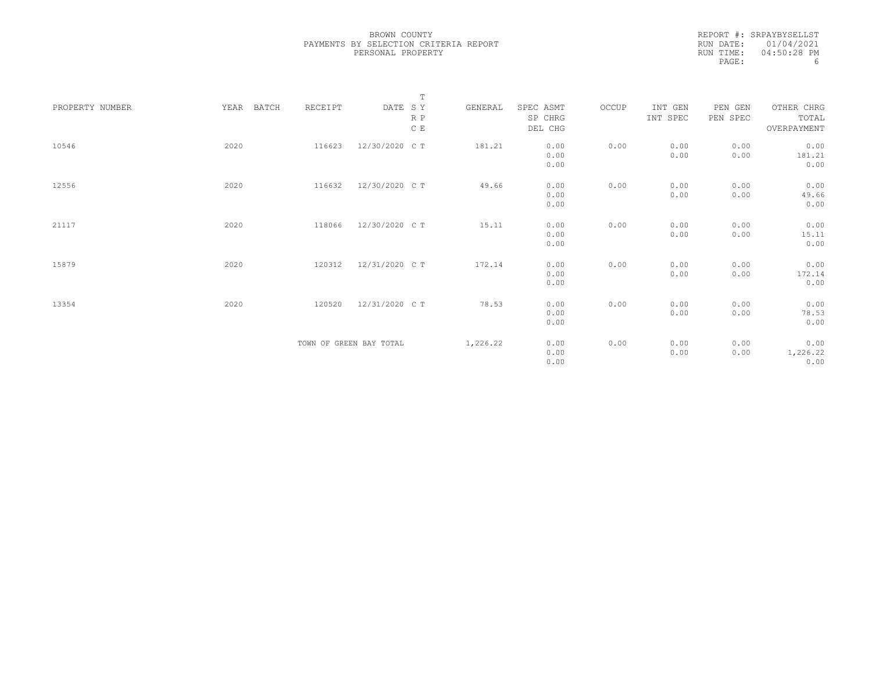REPORT #: SRPAYBYSELLST RUN DATE: 01/04/2021 RUN TIME: 04:50:28 PM<br>PAGE: 6 PAGE:

|                 |               |         | $\mathbb T$                     |          |                                 |       |                     |                     |                                    |
|-----------------|---------------|---------|---------------------------------|----------|---------------------------------|-------|---------------------|---------------------|------------------------------------|
| PROPERTY NUMBER | YEAR<br>BATCH | RECEIPT | DATE SY<br>R P<br>$\mathbb C$ E | GENERAL  | SPEC ASMT<br>SP CHRG<br>DEL CHG | OCCUP | INT GEN<br>INT SPEC | PEN GEN<br>PEN SPEC | OTHER CHRG<br>TOTAL<br>OVERPAYMENT |
| 10546           | 2020          | 116623  | 12/30/2020 C T                  | 181.21   | 0.00<br>0.00<br>0.00            | 0.00  | 0.00<br>0.00        | 0.00<br>0.00        | 0.00<br>181.21<br>0.00             |
| 12556           | 2020          | 116632  | 12/30/2020 C T                  | 49.66    | 0.00<br>0.00<br>0.00            | 0.00  | 0.00<br>0.00        | 0.00<br>0.00        | 0.00<br>49.66<br>0.00              |
| 21117           | 2020          | 118066  | 12/30/2020 C T                  | 15.11    | 0.00<br>0.00<br>0.00            | 0.00  | 0.00<br>0.00        | 0.00<br>0.00        | 0.00<br>15.11<br>0.00              |
| 15879           | 2020          | 120312  | 12/31/2020 C T                  | 172.14   | 0.00<br>0.00<br>0.00            | 0.00  | 0.00<br>0.00        | 0.00<br>0.00        | 0.00<br>172.14<br>0.00             |
| 13354           | 2020          | 120520  | 12/31/2020 C T                  | 78.53    | 0.00<br>0.00<br>0.00            | 0.00  | 0.00<br>0.00        | 0.00<br>0.00        | 0.00<br>78.53<br>0.00              |
|                 |               |         | TOWN OF GREEN BAY TOTAL         | 1,226.22 | 0.00<br>0.00<br>0.00            | 0.00  | 0.00<br>0.00        | 0.00<br>0.00        | 0.00<br>1,226.22<br>0.00           |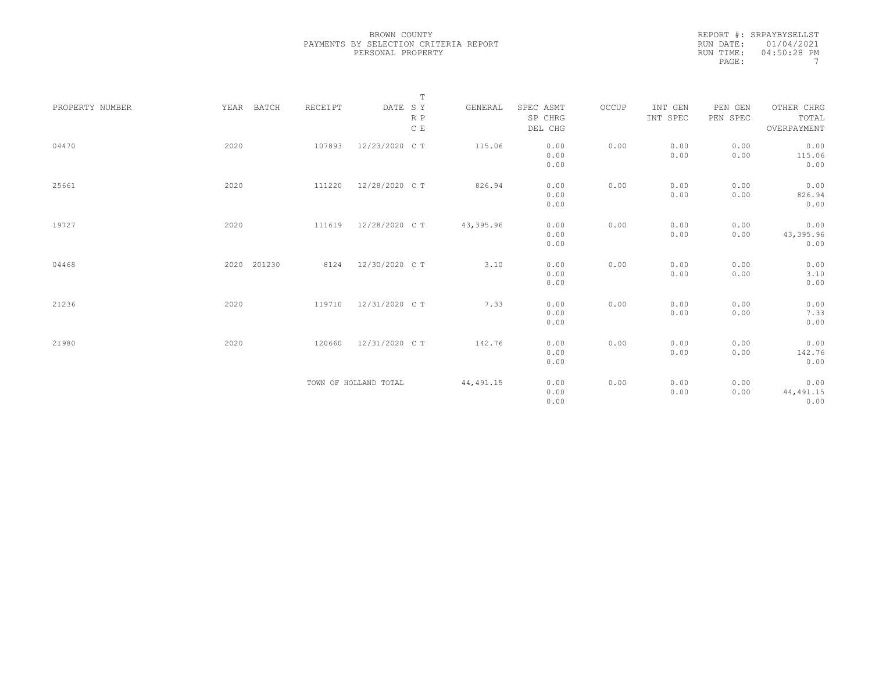REPORT #: SRPAYBYSELLST RUN DATE: 01/04/2021 RUN TIME: 04:50:28 PM PAGE: 7

| PROPERTY NUMBER | YEAR BATCH  | RECEIPT | $\mathbb T$<br>DATE SY | GENERAL    | SPEC ASMT | OCCUP | INT GEN  | PEN GEN  | OTHER CHRG  |
|-----------------|-------------|---------|------------------------|------------|-----------|-------|----------|----------|-------------|
|                 |             |         | R P                    |            | SP CHRG   |       | INT SPEC | PEN SPEC | TOTAL       |
|                 |             |         | $\,$ C $\,$ E          |            | DEL CHG   |       |          |          | OVERPAYMENT |
| 04470           | 2020        | 107893  | 12/23/2020 C T         | 115.06     | 0.00      | 0.00  | 0.00     | 0.00     | 0.00        |
|                 |             |         |                        |            | 0.00      |       | 0.00     | 0.00     | 115.06      |
|                 |             |         |                        |            | 0.00      |       |          |          | 0.00        |
| 25661           | 2020        | 111220  | 12/28/2020 C T         | 826.94     | 0.00      | 0.00  | 0.00     | 0.00     | 0.00        |
|                 |             |         |                        |            | 0.00      |       | 0.00     | 0.00     | 826.94      |
|                 |             |         |                        |            | 0.00      |       |          |          | 0.00        |
| 19727           | 2020        | 111619  | 12/28/2020 C T         | 43,395.96  | 0.00      | 0.00  | 0.00     | 0.00     | 0.00        |
|                 |             |         |                        |            | 0.00      |       | 0.00     | 0.00     | 43,395.96   |
|                 |             |         |                        |            | 0.00      |       |          |          | 0.00        |
| 04468           | 2020 201230 | 8124    | 12/30/2020 C T         | 3.10       | 0.00      | 0.00  | 0.00     | 0.00     | 0.00        |
|                 |             |         |                        |            | 0.00      |       | 0.00     | 0.00     | 3.10        |
|                 |             |         |                        |            | 0.00      |       |          |          | 0.00        |
| 21236           | 2020        | 119710  | 12/31/2020 C T         | 7.33       | 0.00      | 0.00  | 0.00     | 0.00     | 0.00        |
|                 |             |         |                        |            | 0.00      |       | 0.00     | 0.00     | 7.33        |
|                 |             |         |                        |            | 0.00      |       |          |          | 0.00        |
| 21980           | 2020        | 120660  | 12/31/2020 C T         | 142.76     | 0.00      | 0.00  | 0.00     | 0.00     | 0.00        |
|                 |             |         |                        |            | 0.00      |       | 0.00     | 0.00     | 142.76      |
|                 |             |         |                        |            | 0.00      |       |          |          | 0.00        |
|                 |             |         | TOWN OF HOLLAND TOTAL  | 44, 491.15 | 0.00      | 0.00  | 0.00     | 0.00     | 0.00        |
|                 |             |         |                        |            | 0.00      |       | 0.00     | 0.00     | 44, 491.15  |
|                 |             |         |                        |            | 0.00      |       |          |          | 0.00        |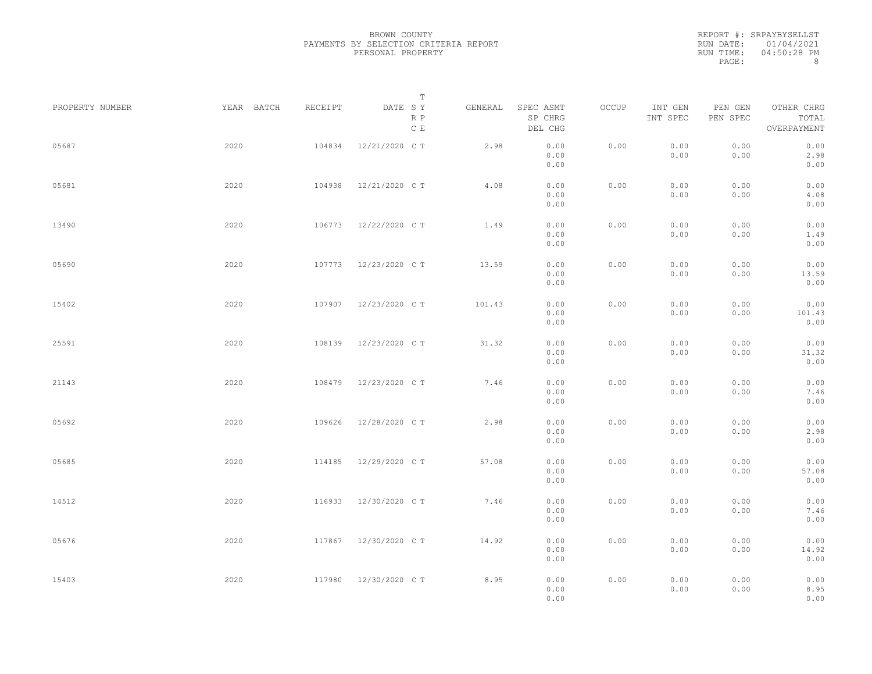|           | REPORT #: SRPAYBYSELLST |
|-----------|-------------------------|
|           | RUN DATE: 01/04/2021    |
| RUN TIME: | 04:50:28 PM             |
| PAGE:     | 8                       |

|                 |            |         | $\mathbb T$           |         |                                 |       |                     |                     |                                    |
|-----------------|------------|---------|-----------------------|---------|---------------------------------|-------|---------------------|---------------------|------------------------------------|
| PROPERTY NUMBER | YEAR BATCH | RECEIPT | DATE SY<br>R P<br>C E | GENERAL | SPEC ASMT<br>SP CHRG<br>DEL CHG | OCCUP | INT GEN<br>INT SPEC | PEN GEN<br>PEN SPEC | OTHER CHRG<br>TOTAL<br>OVERPAYMENT |
| 05687           | 2020       | 104834  | 12/21/2020 C T        | 2.98    | 0.00<br>0.00<br>0.00            | 0.00  | 0.00<br>0.00        | 0.00<br>0.00        | 0.00<br>2.98<br>0.00               |
| 05681           | 2020       | 104938  | 12/21/2020 C T        | 4.08    | 0.00<br>0.00<br>0.00            | 0.00  | 0.00<br>0.00        | 0.00<br>0.00        | 0.00<br>4.08<br>0.00               |
| 13490           | 2020       | 106773  | 12/22/2020 C T        | 1.49    | 0.00<br>0.00<br>0.00            | 0.00  | 0.00<br>0.00        | 0.00<br>0.00        | 0.00<br>1.49<br>0.00               |
| 05690           | 2020       |         | 107773 12/23/2020 CT  | 13.59   | 0.00<br>0.00<br>0.00            | 0.00  | 0.00<br>0.00        | 0.00<br>0.00        | 0.00<br>13.59<br>0.00              |
| 15402           | 2020       | 107907  | 12/23/2020 C T        | 101.43  | 0.00<br>0.00<br>0.00            | 0.00  | 0.00<br>0.00        | 0.00<br>0.00        | 0.00<br>101.43<br>0.00             |
| 25591           | 2020       | 108139  | 12/23/2020 C T        | 31.32   | 0.00<br>0.00<br>0.00            | 0.00  | 0.00<br>0.00        | 0.00<br>0.00        | 0.00<br>31.32<br>0.00              |
| 21143           | 2020       | 108479  | 12/23/2020 C T        | 7.46    | 0.00<br>0.00<br>0.00            | 0.00  | 0.00<br>0.00        | 0.00<br>0.00        | 0.00<br>7.46<br>0.00               |
| 05692           | 2020       | 109626  | 12/28/2020 C T        | 2.98    | 0.00<br>0.00<br>0.00            | 0.00  | 0.00<br>0.00        | 0.00<br>0.00        | 0.00<br>2.98<br>0.00               |
| 05685           | 2020       | 114185  | 12/29/2020 C T        | 57.08   | 0.00<br>0.00<br>0.00            | 0.00  | 0.00<br>0.00        | 0.00<br>0.00        | 0.00<br>57.08<br>0.00              |
| 14512           | 2020       | 116933  | 12/30/2020 C T        | 7.46    | 0.00<br>0.00<br>0.00            | 0.00  | 0.00<br>0.00        | 0.00<br>0.00        | 0.00<br>7.46<br>0.00               |
| 05676           | 2020       | 117867  | 12/30/2020 C T        | 14.92   | 0.00<br>0.00<br>0.00            | 0.00  | 0.00<br>0.00        | 0.00<br>0.00        | 0.00<br>14.92<br>0.00              |
| 15403           | 2020       | 117980  | 12/30/2020 C T        | 8.95    | 0.00<br>0.00<br>0.00            | 0.00  | 0.00<br>0.00        | 0.00<br>0.00        | 0.00<br>8.95<br>0.00               |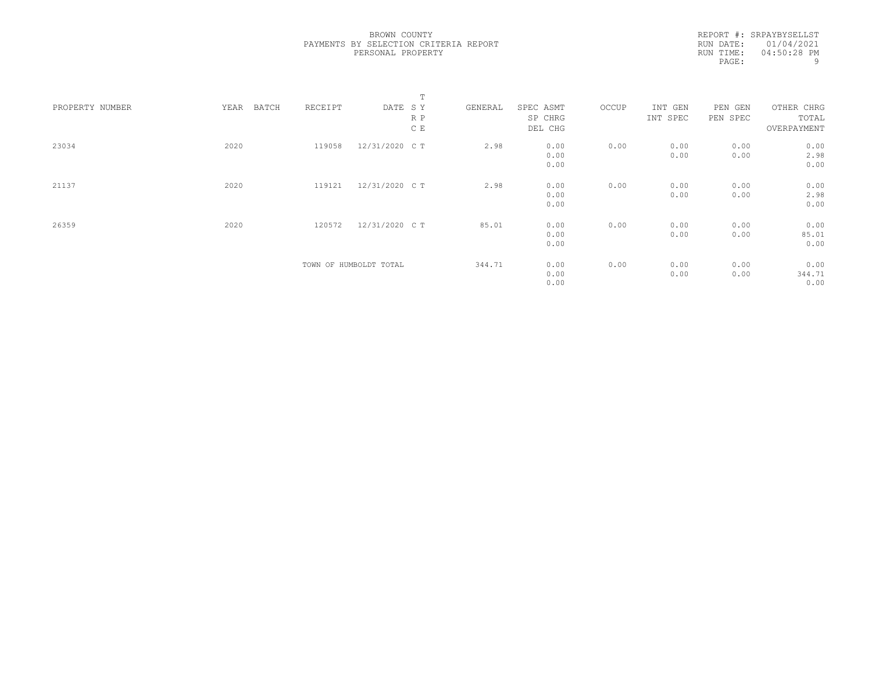REPORT #: SRPAYBYSELLST RUN DATE: 01/04/2021 RUN TIME: 04:50:28 PM<br>PAGE: 9 PAGE:

|                 |               |         |                        | T   |         |           |       |          |          |             |  |
|-----------------|---------------|---------|------------------------|-----|---------|-----------|-------|----------|----------|-------------|--|
| PROPERTY NUMBER | YEAR<br>BATCH | RECEIPT | DATE SY                |     | GENERAL | SPEC ASMT | OCCUP | INT GEN  | PEN GEN  | OTHER CHRG  |  |
|                 |               |         |                        | R P |         | SP CHRG   |       | INT SPEC | PEN SPEC | TOTAL       |  |
|                 |               |         |                        | C E |         | DEL CHG   |       |          |          | OVERPAYMENT |  |
| 23034           | 2020          | 119058  | 12/31/2020 C T         |     | 2.98    | 0.00      | 0.00  | 0.00     | 0.00     | 0.00        |  |
|                 |               |         |                        |     |         | 0.00      |       | 0.00     | 0.00     | 2.98        |  |
|                 |               |         |                        |     |         | 0.00      |       |          |          | 0.00        |  |
| 21137           | 2020          | 119121  | 12/31/2020 C T         |     | 2.98    | 0.00      | 0.00  | 0.00     | 0.00     | 0.00        |  |
|                 |               |         |                        |     |         | 0.00      |       | 0.00     | 0.00     | 2.98        |  |
|                 |               |         |                        |     |         | 0.00      |       |          |          | 0.00        |  |
| 26359           | 2020          | 120572  | 12/31/2020 C T         |     | 85.01   | 0.00      | 0.00  | 0.00     | 0.00     | 0.00        |  |
|                 |               |         |                        |     |         | 0.00      |       | 0.00     | 0.00     | 85.01       |  |
|                 |               |         |                        |     |         | 0.00      |       |          |          | 0.00        |  |
|                 |               |         | TOWN OF HUMBOLDT TOTAL |     | 344.71  | 0.00      | 0.00  | 0.00     | 0.00     | 0.00        |  |
|                 |               |         |                        |     |         | 0.00      |       | 0.00     | 0.00     | 344.71      |  |
|                 |               |         |                        |     |         | 0.00      |       |          |          | 0.00        |  |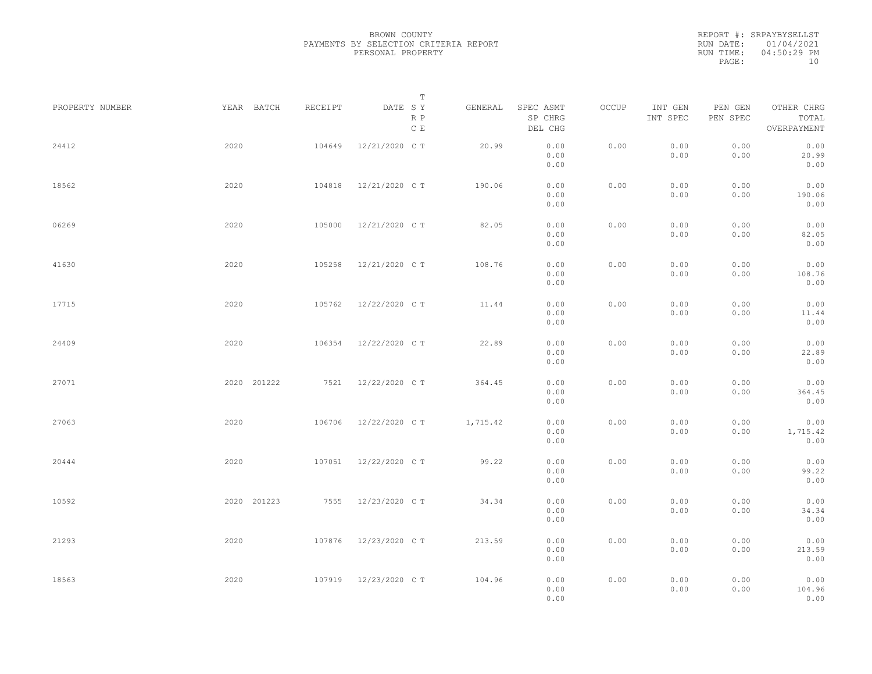|           | REPORT #: SRPAYBYSELLST |
|-----------|-------------------------|
|           | RUN DATE: 01/04/2021    |
| RUN TIME: | 04:50:29 PM             |
| PAGE:     | 10                      |

|                 |             |         | T                               |          |                                 |       |                     |                     |                                    |  |
|-----------------|-------------|---------|---------------------------------|----------|---------------------------------|-------|---------------------|---------------------|------------------------------------|--|
| PROPERTY NUMBER | YEAR BATCH  | RECEIPT | DATE SY<br>R P<br>$\,$ C $\,$ E | GENERAL  | SPEC ASMT<br>SP CHRG<br>DEL CHG | OCCUP | INT GEN<br>INT SPEC | PEN GEN<br>PEN SPEC | OTHER CHRG<br>TOTAL<br>OVERPAYMENT |  |
| 24412           | 2020        | 104649  | 12/21/2020 C T                  | 20.99    | 0.00<br>0.00<br>0.00            | 0.00  | 0.00<br>0.00        | 0.00<br>0.00        | 0.00<br>20.99<br>0.00              |  |
| 18562           | 2020        | 104818  | 12/21/2020 C T                  | 190.06   | 0.00<br>0.00<br>0.00            | 0.00  | 0.00<br>0.00        | 0.00<br>0.00        | 0.00<br>190.06<br>0.00             |  |
| 06269           | 2020        | 105000  | 12/21/2020 C T                  | 82.05    | 0.00<br>0.00<br>0.00            | 0.00  | 0.00<br>0.00        | 0.00<br>0.00        | 0.00<br>82.05<br>0.00              |  |
| 41630           | 2020        | 105258  | 12/21/2020 C T                  | 108.76   | 0.00<br>0.00<br>0.00            | 0.00  | 0.00<br>0.00        | 0.00<br>0.00        | 0.00<br>108.76<br>0.00             |  |
| 17715           | 2020        | 105762  | 12/22/2020 C T                  | 11.44    | 0.00<br>0.00<br>0.00            | 0.00  | 0.00<br>0.00        | 0.00<br>0.00        | 0.00<br>11.44<br>0.00              |  |
| 24409           | 2020        | 106354  | 12/22/2020 C T                  | 22.89    | 0.00<br>0.00<br>0.00            | 0.00  | 0.00<br>0.00        | 0.00<br>0.00        | 0.00<br>22.89<br>0.00              |  |
| 27071           | 2020 201222 | 7521    | 12/22/2020 C T                  | 364.45   | 0.00<br>0.00<br>0.00            | 0.00  | 0.00<br>0.00        | 0.00<br>0.00        | 0.00<br>364.45<br>0.00             |  |
| 27063           | 2020        | 106706  | 12/22/2020 C T                  | 1,715.42 | 0.00<br>0.00<br>0.00            | 0.00  | 0.00<br>0.00        | 0.00<br>0.00        | 0.00<br>1,715.42<br>0.00           |  |
| 20444           | 2020        | 107051  | 12/22/2020 C T                  | 99.22    | 0.00<br>0.00<br>0.00            | 0.00  | 0.00<br>0.00        | 0.00<br>0.00        | 0.00<br>99.22<br>0.00              |  |
| 10592           | 2020 201223 | 7555    | 12/23/2020 C T                  | 34.34    | 0.00<br>0.00<br>0.00            | 0.00  | 0.00<br>0.00        | 0.00<br>0.00        | 0.00<br>34.34<br>0.00              |  |
| 21293           | 2020        | 107876  | 12/23/2020 C T                  | 213.59   | 0.00<br>0.00<br>0.00            | 0.00  | 0.00<br>0.00        | 0.00<br>0.00        | 0.00<br>213.59<br>0.00             |  |
| 18563           | 2020        |         | 107919 12/23/2020 CT            | 104.96   | 0.00<br>0.00<br>0.00            | 0.00  | 0.00<br>0.00        | 0.00<br>0.00        | 0.00<br>104.96<br>0.00             |  |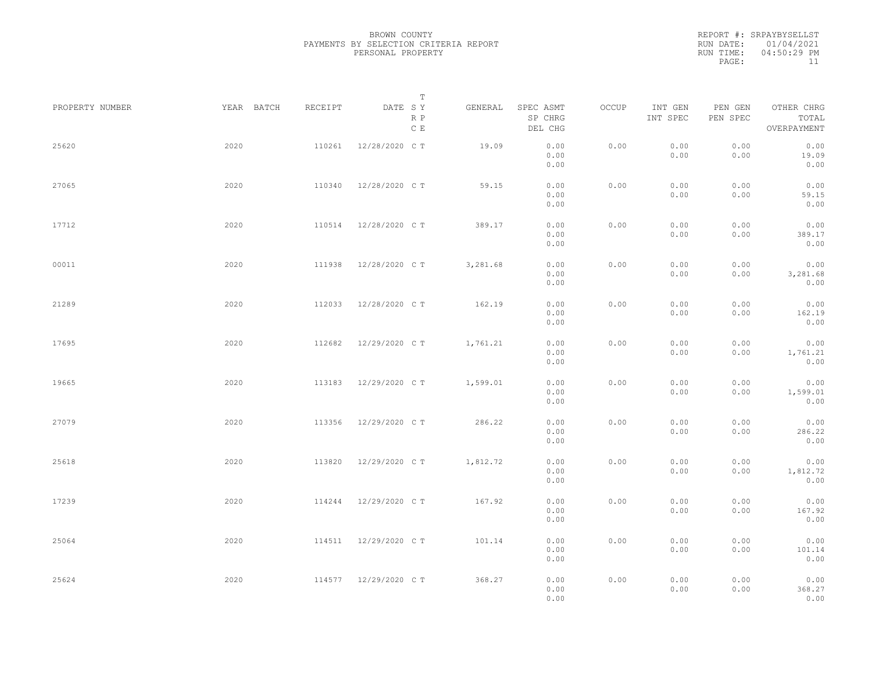|           | REPORT #: SRPAYBYSELLST |
|-----------|-------------------------|
|           | RUN DATE: 01/04/2021    |
| RUN TIME: | 04:50:29 PM             |
| PAGE:     | 11                      |

|                 |            |         | $\mathbb T$                     |          |                                 |       |                     |                     |                                    |  |
|-----------------|------------|---------|---------------------------------|----------|---------------------------------|-------|---------------------|---------------------|------------------------------------|--|
| PROPERTY NUMBER | YEAR BATCH | RECEIPT | DATE SY<br>R P<br>$\,$ C $\,$ E | GENERAL  | SPEC ASMT<br>SP CHRG<br>DEL CHG | OCCUP | INT GEN<br>INT SPEC | PEN GEN<br>PEN SPEC | OTHER CHRG<br>TOTAL<br>OVERPAYMENT |  |
| 25620           | 2020       | 110261  | 12/28/2020 C T                  | 19.09    | 0.00<br>0.00<br>0.00            | 0.00  | 0.00<br>0.00        | 0.00<br>0.00        | 0.00<br>19.09<br>0.00              |  |
| 27065           | 2020       | 110340  | 12/28/2020 C T                  | 59.15    | 0.00<br>0.00<br>0.00            | 0.00  | 0.00<br>0.00        | 0.00<br>0.00        | 0.00<br>59.15<br>0.00              |  |
| 17712           | 2020       | 110514  | 12/28/2020 C T                  | 389.17   | 0.00<br>0.00<br>0.00            | 0.00  | 0.00<br>0.00        | 0.00<br>0.00        | 0.00<br>389.17<br>0.00             |  |
| 00011           | 2020       | 111938  | 12/28/2020 C T                  | 3,281.68 | 0.00<br>0.00<br>0.00            | 0.00  | 0.00<br>0.00        | 0.00<br>0.00        | 0.00<br>3,281.68<br>0.00           |  |
| 21289           | 2020       | 112033  | 12/28/2020 C T                  | 162.19   | 0.00<br>0.00<br>0.00            | 0.00  | 0.00<br>0.00        | 0.00<br>0.00        | 0.00<br>162.19<br>0.00             |  |
| 17695           | 2020       | 112682  | 12/29/2020 C T                  | 1,761.21 | 0.00<br>0.00<br>0.00            | 0.00  | 0.00<br>0.00        | 0.00<br>0.00        | 0.00<br>1,761.21<br>0.00           |  |
| 19665           | 2020       | 113183  | 12/29/2020 C T                  | 1,599.01 | 0.00<br>0.00<br>0.00            | 0.00  | 0.00<br>0.00        | 0.00<br>0.00        | 0.00<br>1,599.01<br>0.00           |  |
| 27079           | 2020       | 113356  | 12/29/2020 C T                  | 286.22   | 0.00<br>0.00<br>0.00            | 0.00  | 0.00<br>0.00        | 0.00<br>0.00        | 0.00<br>286.22<br>0.00             |  |
| 25618           | 2020       | 113820  | 12/29/2020 C T                  | 1,812.72 | 0.00<br>0.00<br>0.00            | 0.00  | 0.00<br>0.00        | 0.00<br>0.00        | 0.00<br>1,812.72<br>0.00           |  |
| 17239           | 2020       | 114244  | 12/29/2020 C T                  | 167.92   | 0.00<br>0.00<br>0.00            | 0.00  | 0.00<br>0.00        | 0.00<br>0.00        | 0.00<br>167.92<br>0.00             |  |
| 25064           | 2020       |         | 114511 12/29/2020 CT            | 101.14   | 0.00<br>0.00<br>0.00            | 0.00  | 0.00<br>0.00        | 0.00<br>0.00        | 0.00<br>101.14<br>0.00             |  |
| 25624           | 2020       |         | 114577 12/29/2020 CT            | 368.27   | 0.00<br>0.00<br>0.00            | 0.00  | 0.00<br>0.00        | 0.00<br>0.00        | 0.00<br>368.27<br>0.00             |  |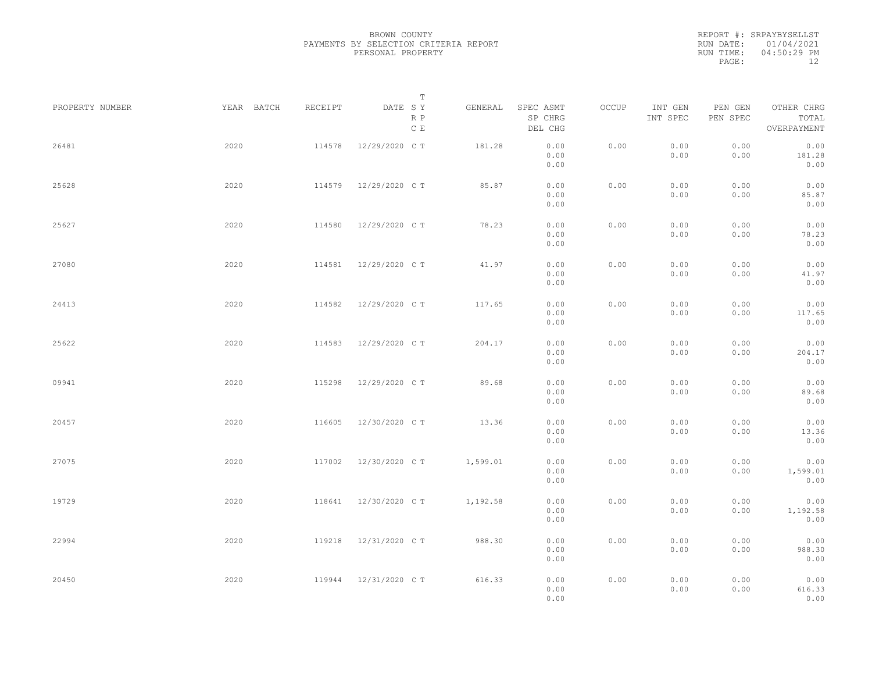|           | REPORT #: SRPAYBYSELLST |
|-----------|-------------------------|
|           | RUN DATE: 01/04/2021    |
| RUN TIME: | $04:50:29$ PM           |
| PAGE:     | 12                      |

|                 |            |         | $\mathbb T$           |          |                                 |       |                     |                     |                                    |  |
|-----------------|------------|---------|-----------------------|----------|---------------------------------|-------|---------------------|---------------------|------------------------------------|--|
| PROPERTY NUMBER | YEAR BATCH | RECEIPT | DATE SY<br>R P<br>C E | GENERAL  | SPEC ASMT<br>SP CHRG<br>DEL CHG | OCCUP | INT GEN<br>INT SPEC | PEN GEN<br>PEN SPEC | OTHER CHRG<br>TOTAL<br>OVERPAYMENT |  |
| 26481           | 2020       | 114578  | 12/29/2020 C T        | 181.28   | 0.00<br>0.00<br>0.00            | 0.00  | 0.00<br>0.00        | 0.00<br>0.00        | 0.00<br>181.28<br>0.00             |  |
| 25628           | 2020       | 114579  | 12/29/2020 C T        | 85.87    | 0.00<br>0.00<br>0.00            | 0.00  | 0.00<br>0.00        | 0.00<br>0.00        | 0.00<br>85.87<br>0.00              |  |
| 25627           | 2020       | 114580  | 12/29/2020 C T        | 78.23    | 0.00<br>0.00<br>0.00            | 0.00  | 0.00<br>0.00        | 0.00<br>0.00        | 0.00<br>78.23<br>0.00              |  |
| 27080           | 2020       | 114581  | 12/29/2020 C T        | 41.97    | 0.00<br>0.00<br>0.00            | 0.00  | 0.00<br>0.00        | 0.00<br>0.00        | 0.00<br>41.97<br>0.00              |  |
| 24413           | 2020       | 114582  | 12/29/2020 C T        | 117.65   | 0.00<br>0.00<br>0.00            | 0.00  | 0.00<br>0.00        | 0.00<br>0.00        | 0.00<br>117.65<br>0.00             |  |
| 25622           | 2020       | 114583  | 12/29/2020 C T        | 204.17   | 0.00<br>0.00<br>0.00            | 0.00  | 0.00<br>0.00        | 0.00<br>0.00        | 0.00<br>204.17<br>0.00             |  |
| 09941           | 2020       | 115298  | 12/29/2020 C T        | 89.68    | 0.00<br>0.00<br>0.00            | 0.00  | 0.00<br>0.00        | 0.00<br>0.00        | 0.00<br>89.68<br>0.00              |  |
| 20457           | 2020       | 116605  | 12/30/2020 C T        | 13.36    | 0.00<br>0.00<br>0.00            | 0.00  | 0.00<br>0.00        | 0.00<br>0.00        | 0.00<br>13.36<br>0.00              |  |
| 27075           | 2020       | 117002  | 12/30/2020 C T        | 1,599.01 | 0.00<br>0.00<br>0.00            | 0.00  | 0.00<br>0.00        | 0.00<br>0.00        | 0.00<br>1,599.01<br>0.00           |  |
| 19729           | 2020       | 118641  | 12/30/2020 C T        | 1,192.58 | 0.00<br>0.00<br>0.00            | 0.00  | 0.00<br>0.00        | 0.00<br>0.00        | 0.00<br>1,192.58<br>0.00           |  |
| 22994           | 2020       | 119218  | 12/31/2020 C T        | 988.30   | 0.00<br>0.00<br>0.00            | 0.00  | 0.00<br>0.00        | 0.00<br>0.00        | 0.00<br>988.30<br>0.00             |  |
| 20450           | 2020       |         | 119944 12/31/2020 CT  | 616.33   | 0.00<br>0.00<br>0.00            | 0.00  | 0.00<br>0.00        | 0.00<br>0.00        | 0.00<br>616.33<br>0.00             |  |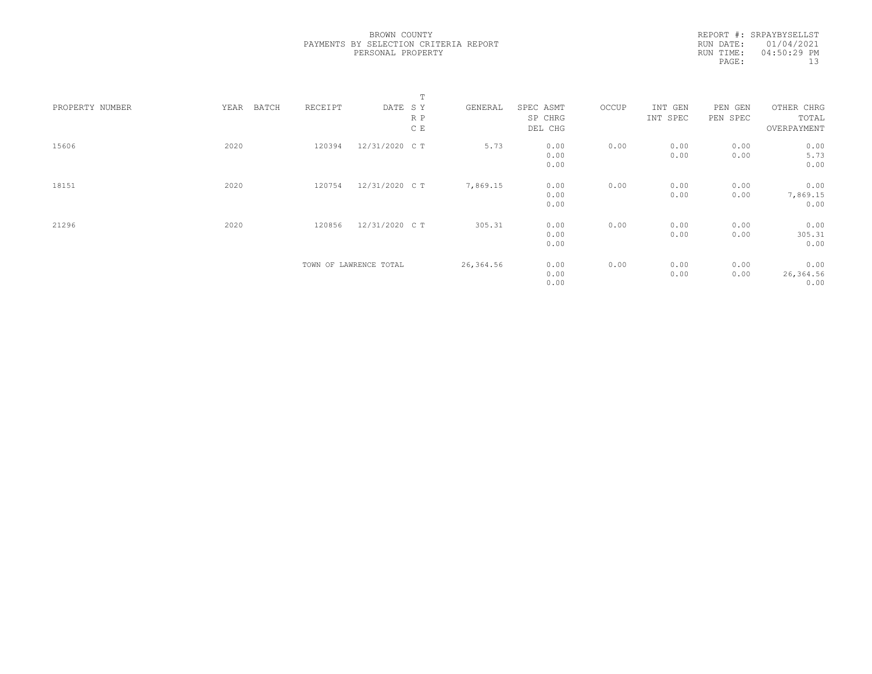REPORT #: SRPAYBYSELLST RUN DATE: 01/04/2021 RUN TIME: 04:50:29 PM PAGE: 13

|                 |      |       |         |                        | T   |           |           |       |          |          |             |  |
|-----------------|------|-------|---------|------------------------|-----|-----------|-----------|-------|----------|----------|-------------|--|
| PROPERTY NUMBER | YEAR | BATCH | RECEIPT | DATE SY                |     | GENERAL   | SPEC ASMT | OCCUP | INT GEN  | PEN GEN  | OTHER CHRG  |  |
|                 |      |       |         |                        | R P |           | SP CHRG   |       | INT SPEC | PEN SPEC | TOTAL       |  |
|                 |      |       |         |                        | C E |           | DEL CHG   |       |          |          | OVERPAYMENT |  |
| 15606           | 2020 |       | 120394  | 12/31/2020 C T         |     | 5.73      | 0.00      | 0.00  | 0.00     | 0.00     | 0.00        |  |
|                 |      |       |         |                        |     |           | 0.00      |       | 0.00     | 0.00     | 5.73        |  |
|                 |      |       |         |                        |     |           | 0.00      |       |          |          | 0.00        |  |
| 18151           | 2020 |       | 120754  | 12/31/2020 C T         |     | 7,869.15  | 0.00      | 0.00  | 0.00     | 0.00     | 0.00        |  |
|                 |      |       |         |                        |     |           | 0.00      |       | 0.00     | 0.00     | 7,869.15    |  |
|                 |      |       |         |                        |     |           | 0.00      |       |          |          | 0.00        |  |
| 21296           | 2020 |       | 120856  | 12/31/2020 CT          |     | 305.31    | 0.00      | 0.00  | 0.00     | 0.00     | 0.00        |  |
|                 |      |       |         |                        |     |           | 0.00      |       | 0.00     | 0.00     | 305.31      |  |
|                 |      |       |         |                        |     |           | 0.00      |       |          |          | 0.00        |  |
|                 |      |       |         | TOWN OF LAWRENCE TOTAL |     | 26,364.56 | 0.00      | 0.00  | 0.00     | 0.00     | 0.00        |  |
|                 |      |       |         |                        |     |           | 0.00      |       | 0.00     | 0.00     | 26,364.56   |  |
|                 |      |       |         |                        |     |           | 0.00      |       |          |          | 0.00        |  |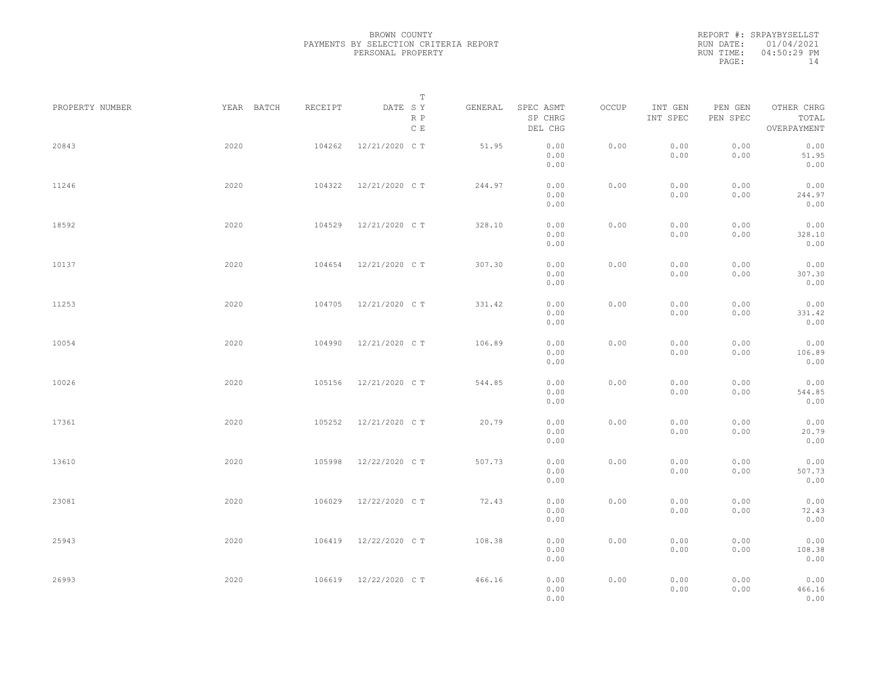|           | REPORT #: SRPAYBYSELLST |
|-----------|-------------------------|
|           | RUN DATE: 01/04/2021    |
| RUN TIME: | $04:50:29$ PM           |
| PAGE:     | 14                      |

|                 |            |         | Т                               |         |                                 |       |                     |                     |                                    |  |
|-----------------|------------|---------|---------------------------------|---------|---------------------------------|-------|---------------------|---------------------|------------------------------------|--|
| PROPERTY NUMBER | YEAR BATCH | RECEIPT | DATE SY<br>R P<br>$\,$ C $\,$ E | GENERAL | SPEC ASMT<br>SP CHRG<br>DEL CHG | OCCUP | INT GEN<br>INT SPEC | PEN GEN<br>PEN SPEC | OTHER CHRG<br>TOTAL<br>OVERPAYMENT |  |
| 20843           | 2020       | 104262  | 12/21/2020 C T                  | 51.95   | 0.00<br>0.00<br>0.00            | 0.00  | 0.00<br>0.00        | 0.00<br>0.00        | 0.00<br>51.95<br>0.00              |  |
| 11246           | 2020       | 104322  | 12/21/2020 C T                  | 244.97  | 0.00<br>0.00<br>0.00            | 0.00  | 0.00<br>0.00        | 0.00<br>0.00        | 0.00<br>244.97<br>0.00             |  |
| 18592           | 2020       | 104529  | 12/21/2020 C T                  | 328.10  | 0.00<br>0.00<br>0.00            | 0.00  | 0.00<br>0.00        | 0.00<br>0.00        | 0.00<br>328.10<br>0.00             |  |
| 10137           | 2020       | 104654  | 12/21/2020 C T                  | 307.30  | 0.00<br>0.00<br>0.00            | 0.00  | 0.00<br>0.00        | 0.00<br>0.00        | 0.00<br>307.30<br>0.00             |  |
| 11253           | 2020       | 104705  | 12/21/2020 C T                  | 331.42  | 0.00<br>0.00<br>0.00            | 0.00  | 0.00<br>0.00        | 0.00<br>0.00        | 0.00<br>331.42<br>0.00             |  |
| 10054           | 2020       | 104990  | 12/21/2020 C T                  | 106.89  | 0.00<br>0.00<br>0.00            | 0.00  | 0.00<br>0.00        | 0.00<br>0.00        | 0.00<br>106.89<br>0.00             |  |
| 10026           | 2020       | 105156  | 12/21/2020 C T                  | 544.85  | 0.00<br>0.00<br>0.00            | 0.00  | 0.00<br>0.00        | 0.00<br>0.00        | 0.00<br>544.85<br>0.00             |  |
| 17361           | 2020       | 105252  | 12/21/2020 C T                  | 20.79   | 0.00<br>0.00<br>0.00            | 0.00  | 0.00<br>0.00        | 0.00<br>0.00        | 0.00<br>20.79<br>0.00              |  |
| 13610           | 2020       | 105998  | 12/22/2020 C T                  | 507.73  | 0.00<br>0.00                    | 0.00  | 0.00<br>0.00        | 0.00<br>0.00        | 0.00<br>507.73                     |  |
| 23081           | 2020       | 106029  | 12/22/2020 C T                  | 72.43   | 0.00<br>0.00<br>0.00            | 0.00  | 0.00<br>0.00        | 0.00<br>0.00        | 0.00<br>0.00<br>72.43<br>0.00      |  |
| 25943           | 2020       | 106419  | 12/22/2020 C T                  | 108.38  | 0.00<br>0.00<br>0.00            | 0.00  | 0.00<br>0.00        | 0.00<br>0.00        | 0.00<br>108.38                     |  |
| 26993           | 2020       | 106619  | 12/22/2020 C T                  | 466.16  | 0.00<br>0.00<br>0.00<br>0.00    | 0.00  | 0.00<br>0.00        | 0.00<br>0.00        | 0.00<br>0.00<br>466.16<br>0.00     |  |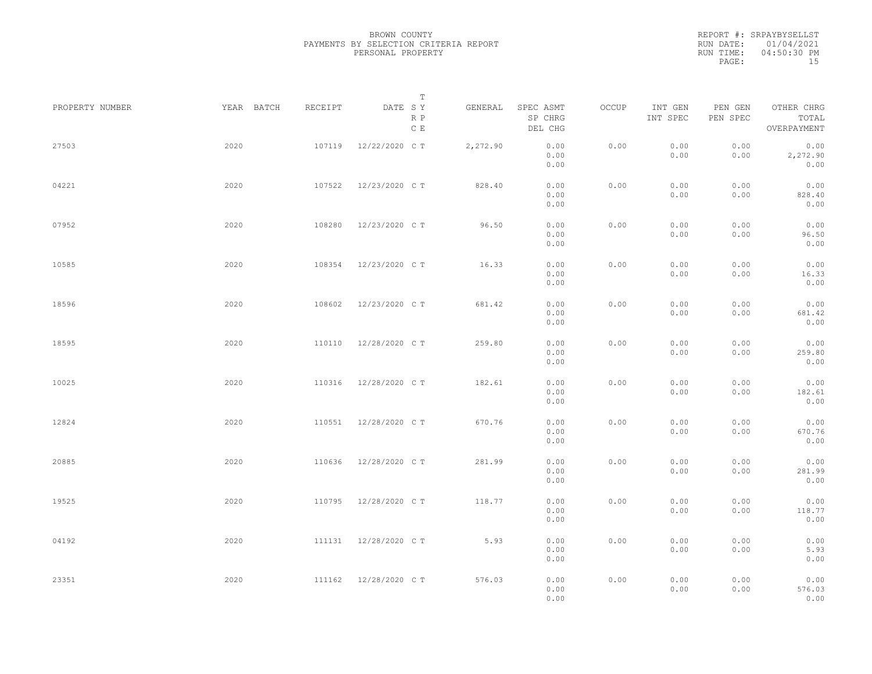|           | REPORT #: SRPAYBYSELLST |
|-----------|-------------------------|
|           | RUN DATE: 01/04/2021    |
| RUN TIME: | 04:50:30 PM             |
| PAGE:     | 15                      |

|                 |            |         | T                     |          |                                 |       |                     |                     |                                    |  |
|-----------------|------------|---------|-----------------------|----------|---------------------------------|-------|---------------------|---------------------|------------------------------------|--|
| PROPERTY NUMBER | YEAR BATCH | RECEIPT | DATE SY<br>R P<br>C E | GENERAL  | SPEC ASMT<br>SP CHRG<br>DEL CHG | OCCUP | INT GEN<br>INT SPEC | PEN GEN<br>PEN SPEC | OTHER CHRG<br>TOTAL<br>OVERPAYMENT |  |
| 27503           | 2020       | 107119  | 12/22/2020 C T        | 2,272.90 | 0.00<br>0.00<br>0.00            | 0.00  | 0.00<br>0.00        | 0.00<br>0.00        | 0.00<br>2,272.90<br>0.00           |  |
| 04221           | 2020       | 107522  | 12/23/2020 C T        | 828.40   | 0.00<br>0.00<br>0.00            | 0.00  | 0.00<br>0.00        | 0.00<br>0.00        | 0.00<br>828.40<br>0.00             |  |
| 07952           | 2020       | 108280  | 12/23/2020 C T        | 96.50    | 0.00<br>0.00<br>0.00            | 0.00  | 0.00<br>0.00        | 0.00<br>0.00        | 0.00<br>96.50<br>0.00              |  |
| 10585           | 2020       | 108354  | 12/23/2020 C T        | 16.33    | 0.00<br>0.00<br>0.00            | 0.00  | 0.00<br>0.00        | 0.00<br>0.00        | 0.00<br>16.33<br>0.00              |  |
| 18596           | 2020       | 108602  | 12/23/2020 C T        | 681.42   | 0.00<br>0.00<br>0.00            | 0.00  | 0.00<br>0.00        | 0.00<br>0.00        | 0.00<br>681.42<br>0.00             |  |
| 18595           | 2020       | 110110  | 12/28/2020 C T        | 259.80   | 0.00<br>0.00<br>0.00            | 0.00  | 0.00<br>0.00        | 0.00<br>0.00        | 0.00<br>259.80<br>0.00             |  |
| 10025           | 2020       | 110316  | 12/28/2020 C T        | 182.61   | 0.00<br>0.00<br>0.00            | 0.00  | 0.00<br>0.00        | 0.00<br>0.00        | 0.00<br>182.61<br>0.00             |  |
| 12824           | 2020       | 110551  | 12/28/2020 C T        | 670.76   | 0.00<br>0.00<br>0.00            | 0.00  | 0.00<br>0.00        | 0.00<br>0.00        | 0.00<br>670.76<br>0.00             |  |
| 20885           | 2020       | 110636  | 12/28/2020 C T        | 281.99   | 0.00<br>0.00                    | 0.00  | 0.00<br>0.00        | 0.00<br>0.00        | 0.00<br>281.99                     |  |
| 19525           | 2020       | 110795  | 12/28/2020 C T        | 118.77   | 0.00<br>0.00<br>0.00<br>0.00    | 0.00  | 0.00<br>0.00        | 0.00<br>0.00        | 0.00<br>0.00<br>118.77<br>0.00     |  |
| 04192           | 2020       |         | 111131 12/28/2020 CT  | 5.93     | 0.00<br>0.00<br>0.00            | 0.00  | 0.00<br>0.00        | 0.00<br>0.00        | 0.00<br>5.93<br>0.00               |  |
| 23351           | 2020       |         | 111162 12/28/2020 CT  | 576.03   | 0.00<br>0.00<br>0.00            | 0.00  | 0.00<br>0.00        | 0.00<br>0.00        | 0.00<br>576.03<br>0.00             |  |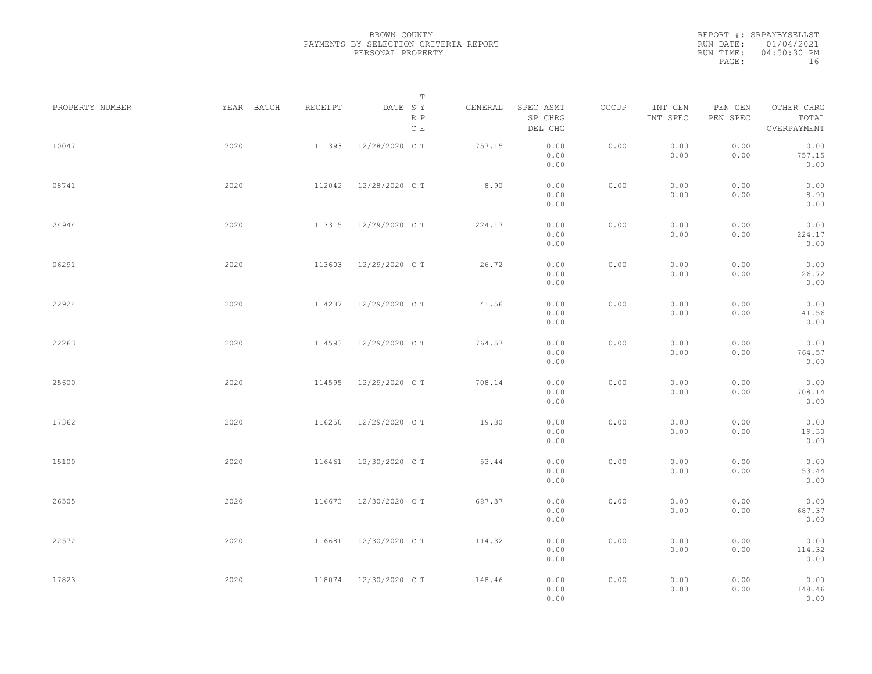|           | REPORT #: SRPAYBYSELLST |
|-----------|-------------------------|
|           | RUN DATE: 01/04/2021    |
| RUN TIME: | 04:50:30 PM             |
| PAGE:     | 16                      |

|                 |            |         | T                               |         |                                 |       |                     |                     |                                    |  |
|-----------------|------------|---------|---------------------------------|---------|---------------------------------|-------|---------------------|---------------------|------------------------------------|--|
| PROPERTY NUMBER | YEAR BATCH | RECEIPT | DATE SY<br>R P<br>$\,$ C $\,$ E | GENERAL | SPEC ASMT<br>SP CHRG<br>DEL CHG | OCCUP | INT GEN<br>INT SPEC | PEN GEN<br>PEN SPEC | OTHER CHRG<br>TOTAL<br>OVERPAYMENT |  |
| 10047           | 2020       | 111393  | 12/28/2020 C T                  | 757.15  | 0.00<br>0.00<br>0.00            | 0.00  | 0.00<br>0.00        | 0.00<br>0.00        | 0.00<br>757.15<br>0.00             |  |
| 08741           | 2020       | 112042  | 12/28/2020 C T                  | 8.90    | 0.00<br>0.00<br>0.00            | 0.00  | 0.00<br>0.00        | 0.00<br>0.00        | 0.00<br>8.90<br>0.00               |  |
| 24944           | 2020       | 113315  | 12/29/2020 C T                  | 224.17  | 0.00<br>0.00<br>0.00            | 0.00  | 0.00<br>0.00        | 0.00<br>0.00        | 0.00<br>224.17<br>0.00             |  |
| 06291           | 2020       | 113603  | 12/29/2020 C T                  | 26.72   | 0.00<br>0.00<br>0.00            | 0.00  | 0.00<br>0.00        | 0.00<br>0.00        | 0.00<br>26.72<br>0.00              |  |
| 22924           | 2020       | 114237  | 12/29/2020 C T                  | 41.56   | 0.00<br>0.00<br>0.00            | 0.00  | 0.00<br>0.00        | 0.00<br>0.00        | 0.00<br>41.56<br>0.00              |  |
| 22263           | 2020       | 114593  | 12/29/2020 C T                  | 764.57  | 0.00<br>0.00<br>0.00            | 0.00  | 0.00<br>0.00        | 0.00<br>0.00        | 0.00<br>764.57<br>0.00             |  |
| 25600           | 2020       | 114595  | 12/29/2020 C T                  | 708.14  | 0.00<br>0.00<br>0.00            | 0.00  | 0.00<br>0.00        | 0.00<br>0.00        | 0.00<br>708.14<br>0.00             |  |
| 17362           | 2020       | 116250  | 12/29/2020 C T                  | 19.30   | 0.00<br>0.00<br>0.00            | 0.00  | 0.00<br>0.00        | 0.00<br>0.00        | 0.00<br>19.30<br>0.00              |  |
| 15100           | 2020       | 116461  | 12/30/2020 C T                  | 53.44   | 0.00<br>0.00<br>0.00            | 0.00  | 0.00<br>0.00        | 0.00<br>0.00        | 0.00<br>53.44<br>0.00              |  |
| 26505           | 2020       | 116673  | 12/30/2020 C T                  | 687.37  | 0.00<br>0.00<br>0.00            | 0.00  | 0.00<br>0.00        | 0.00<br>0.00        | 0.00<br>687.37<br>0.00             |  |
| 22572           | 2020       | 116681  | 12/30/2020 C T                  | 114.32  | 0.00<br>0.00<br>0.00            | 0.00  | 0.00<br>0.00        | 0.00<br>0.00        | 0.00<br>114.32<br>0.00             |  |
| 17823           | 2020       | 118074  | 12/30/2020 C T                  | 148.46  | 0.00<br>0.00<br>0.00            | 0.00  | 0.00<br>0.00        | 0.00<br>0.00        | 0.00<br>148.46<br>0.00             |  |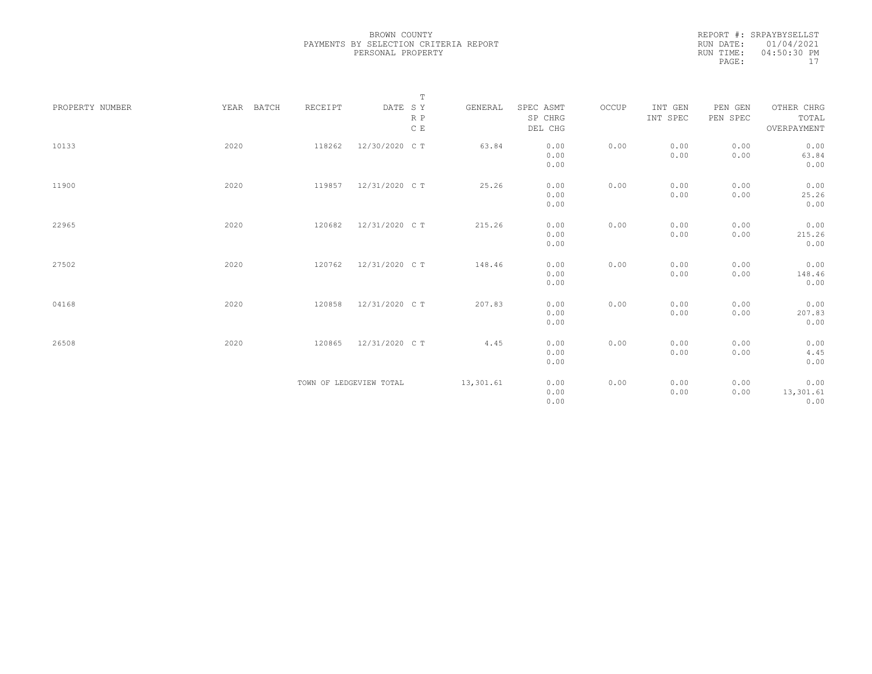| REPORT #: SRPAYBYSELLST |
|-------------------------|
| RUN DATE: 01/04/2021    |
| $04:50:30$ PM           |
| 17                      |
|                         |

| PROPERTY NUMBER | YEAR BATCH | RECEIPT | $\mathbb T$<br>DATE SY<br>R P<br>$\,$ C $\,$ E | GENERAL   | SPEC ASMT<br>SP CHRG<br>DEL CHG | OCCUP | INT GEN<br>INT SPEC | PEN GEN<br>PEN SPEC | OTHER CHRG<br>TOTAL<br>OVERPAYMENT |
|-----------------|------------|---------|------------------------------------------------|-----------|---------------------------------|-------|---------------------|---------------------|------------------------------------|
| 10133           | 2020       | 118262  | 12/30/2020 C T                                 | 63.84     | 0.00<br>0.00<br>0.00            | 0.00  | 0.00<br>0.00        | 0.00<br>0.00        | 0.00<br>63.84<br>0.00              |
| 11900           | 2020       | 119857  | 12/31/2020 C T                                 | 25.26     | 0.00<br>0.00<br>0.00            | 0.00  | 0.00<br>0.00        | 0.00<br>0.00        | 0.00<br>25.26<br>0.00              |
| 22965           | 2020       | 120682  | 12/31/2020 C T                                 | 215.26    | 0.00<br>0.00<br>0.00            | 0.00  | 0.00<br>0.00        | 0.00<br>0.00        | 0.00<br>215.26<br>0.00             |
| 27502           | 2020       | 120762  | 12/31/2020 C T                                 | 148.46    | 0.00<br>0.00<br>0.00            | 0.00  | 0.00<br>0.00        | 0.00<br>0.00        | 0.00<br>148.46<br>0.00             |
| 04168           | 2020       | 120858  | 12/31/2020 C T                                 | 207.83    | 0.00<br>0.00<br>0.00            | 0.00  | 0.00<br>0.00        | 0.00<br>0.00        | 0.00<br>207.83<br>0.00             |
| 26508           | 2020       | 120865  | 12/31/2020 C T                                 | 4.45      | 0.00<br>0.00<br>0.00            | 0.00  | 0.00<br>0.00        | 0.00<br>0.00        | 0.00<br>4.45<br>0.00               |
|                 |            |         | TOWN OF LEDGEVIEW TOTAL                        | 13,301.61 | 0.00<br>0.00<br>0.00            | 0.00  | 0.00<br>0.00        | 0.00<br>0.00        | 0.00<br>13,301.61<br>0.00          |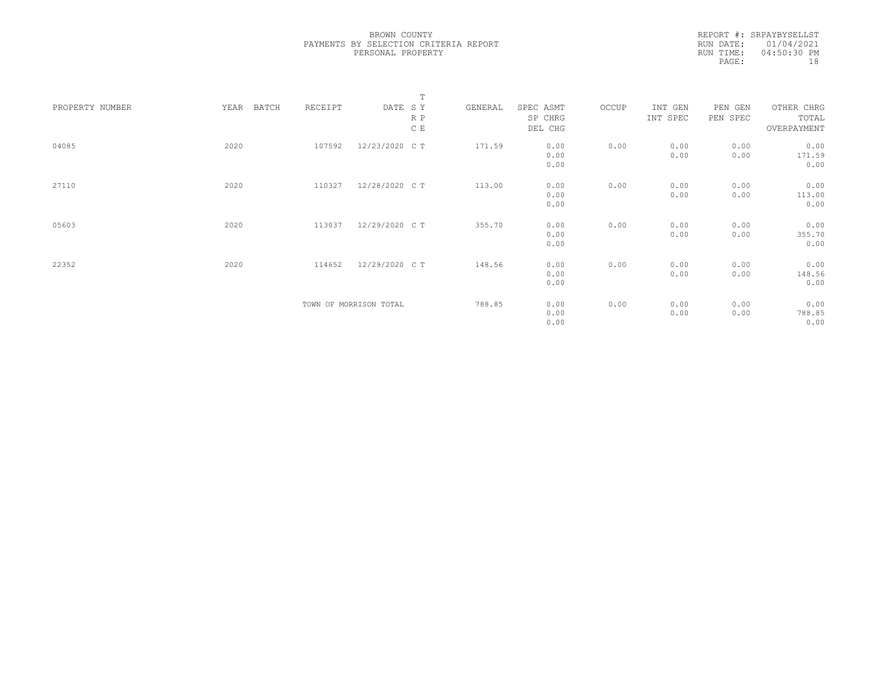REPORT #: SRPAYBYSELLST RUN DATE: 01/04/2021 RUN TIME: 04:50:30 PM PAGE: 18

|                 |      |       |         |                        | $\mathbb T$ |         |           |       |          |          |             |  |
|-----------------|------|-------|---------|------------------------|-------------|---------|-----------|-------|----------|----------|-------------|--|
| PROPERTY NUMBER | YEAR | BATCH | RECEIPT | DATE SY                |             | GENERAL | SPEC ASMT | OCCUP | INT GEN  | PEN GEN  | OTHER CHRG  |  |
|                 |      |       |         |                        | R P         |         | SP CHRG   |       | INT SPEC | PEN SPEC | TOTAL       |  |
|                 |      |       |         |                        | C E         |         | DEL CHG   |       |          |          | OVERPAYMENT |  |
|                 |      |       |         |                        |             |         |           |       |          |          |             |  |
| 04085           | 2020 |       | 107592  | 12/23/2020 C T         |             | 171.59  | 0.00      | 0.00  | 0.00     | 0.00     | 0.00        |  |
|                 |      |       |         |                        |             |         | 0.00      |       | 0.00     | 0.00     | 171.59      |  |
|                 |      |       |         |                        |             |         | 0.00      |       |          |          | 0.00        |  |
|                 |      |       |         |                        |             |         |           |       |          |          |             |  |
| 27110           | 2020 |       | 110327  | 12/28/2020 C T         |             | 113.00  | 0.00      | 0.00  | 0.00     | 0.00     | 0.00        |  |
|                 |      |       |         |                        |             |         | 0.00      |       | 0.00     | 0.00     | 113.00      |  |
|                 |      |       |         |                        |             |         | 0.00      |       |          |          | 0.00        |  |
|                 |      |       |         |                        |             |         |           |       |          |          |             |  |
| 05603           | 2020 |       | 113037  | 12/29/2020 C T         |             | 355.70  | 0.00      | 0.00  | 0.00     | 0.00     | 0.00        |  |
|                 |      |       |         |                        |             |         | 0.00      |       | 0.00     | 0.00     | 355.70      |  |
|                 |      |       |         |                        |             |         | 0.00      |       |          |          | 0.00        |  |
|                 |      |       |         |                        |             |         |           |       |          |          |             |  |
| 22352           | 2020 |       | 114652  | 12/29/2020 C T         |             | 148.56  | 0.00      | 0.00  | 0.00     | 0.00     | 0.00        |  |
|                 |      |       |         |                        |             |         | 0.00      |       | 0.00     | 0.00     | 148.56      |  |
|                 |      |       |         |                        |             |         | 0.00      |       |          |          | 0.00        |  |
|                 |      |       |         |                        |             |         |           |       |          |          |             |  |
|                 |      |       |         | TOWN OF MORRISON TOTAL |             | 788.85  | 0.00      | 0.00  | 0.00     | 0.00     | 0.00        |  |
|                 |      |       |         |                        |             |         | 0.00      |       | 0.00     | 0.00     | 788.85      |  |
|                 |      |       |         |                        |             |         | 0.00      |       |          |          | 0.00        |  |
|                 |      |       |         |                        |             |         |           |       |          |          |             |  |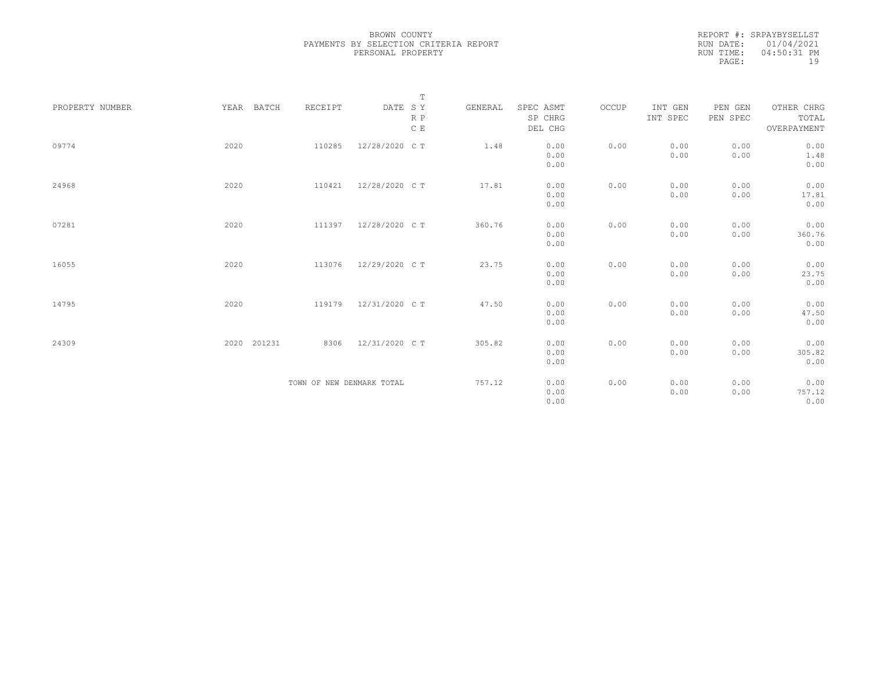| REPORT #: SRPAYBYSELLST |
|-------------------------|
| RUN DATE: 01/04/2021    |
| $04:50:31$ PM           |
| 1 Q                     |
|                         |

| PROPERTY NUMBER | YEAR BATCH  | RECEIPT                   | $\mathbb T$<br>DATE SY<br>R P<br>C E | GENERAL | SPEC ASMT<br>SP CHRG<br>DEL CHG | OCCUP | INT GEN<br>INT SPEC | PEN GEN<br>PEN SPEC | OTHER CHRG<br>TOTAL<br>OVERPAYMENT |
|-----------------|-------------|---------------------------|--------------------------------------|---------|---------------------------------|-------|---------------------|---------------------|------------------------------------|
| 09774           | 2020        | 110285                    | 12/28/2020 C T                       | 1.48    | 0.00<br>0.00<br>0.00            | 0.00  | 0.00<br>0.00        | 0.00<br>0.00        | 0.00<br>1.48<br>0.00               |
| 24968           | 2020        | 110421                    | 12/28/2020 C T                       | 17.81   | 0.00<br>0.00<br>0.00            | 0.00  | 0.00<br>0.00        | 0.00<br>0.00        | 0.00<br>17.81<br>0.00              |
| 07281           | 2020        | 111397                    | 12/28/2020 C T                       | 360.76  | 0.00<br>0.00<br>0.00            | 0.00  | 0.00<br>0.00        | 0.00<br>0.00        | 0.00<br>360.76<br>0.00             |
| 16055           | 2020        | 113076                    | 12/29/2020 C T                       | 23.75   | 0.00<br>0.00<br>0.00            | 0.00  | 0.00<br>0.00        | 0.00<br>0.00        | 0.00<br>23.75<br>0.00              |
| 14795           | 2020        |                           | 119179 12/31/2020 CT                 | 47.50   | 0.00<br>0.00<br>0.00            | 0.00  | 0.00<br>0.00        | 0.00<br>0.00        | 0.00<br>47.50<br>0.00              |
| 24309           | 2020 201231 | 8306                      | 12/31/2020 C T                       | 305.82  | 0.00<br>0.00<br>0.00            | 0.00  | 0.00<br>0.00        | 0.00<br>0.00        | 0.00<br>305.82<br>0.00             |
|                 |             | TOWN OF NEW DENMARK TOTAL |                                      | 757.12  | 0.00<br>0.00<br>0.00            | 0.00  | 0.00<br>0.00        | 0.00<br>0.00        | 0.00<br>757.12<br>0.00             |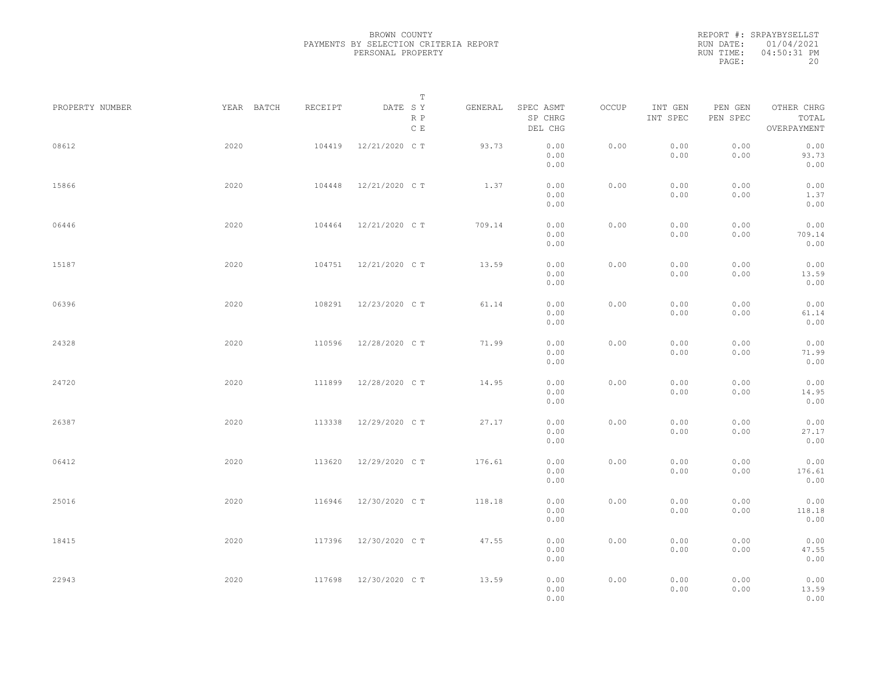|           | REPORT #: SRPAYBYSELLST |
|-----------|-------------------------|
|           | RUN DATE: 01/04/2021    |
| RUN TIME: | 04:50:31 PM             |
| PAGE:     | 20                      |

|                 |            |         | T                     |         |                                 |       |                     |                     |                                    |  |
|-----------------|------------|---------|-----------------------|---------|---------------------------------|-------|---------------------|---------------------|------------------------------------|--|
| PROPERTY NUMBER | YEAR BATCH | RECEIPT | DATE SY<br>R P<br>C E | GENERAL | SPEC ASMT<br>SP CHRG<br>DEL CHG | OCCUP | INT GEN<br>INT SPEC | PEN GEN<br>PEN SPEC | OTHER CHRG<br>TOTAL<br>OVERPAYMENT |  |
| 08612           | 2020       | 104419  | 12/21/2020 C T        | 93.73   | 0.00<br>0.00<br>0.00            | 0.00  | 0.00<br>0.00        | 0.00<br>0.00        | 0.00<br>93.73<br>0.00              |  |
| 15866           | 2020       | 104448  | 12/21/2020 C T        | 1.37    | 0.00<br>0.00<br>0.00            | 0.00  | 0.00<br>0.00        | 0.00<br>0.00        | 0.00<br>1.37<br>0.00               |  |
| 06446           | 2020       | 104464  | 12/21/2020 C T        | 709.14  | 0.00<br>0.00<br>0.00            | 0.00  | 0.00<br>0.00        | 0.00<br>0.00        | 0.00<br>709.14<br>0.00             |  |
| 15187           | 2020       | 104751  | 12/21/2020 C T        | 13.59   | 0.00<br>0.00<br>0.00            | 0.00  | 0.00<br>0.00        | 0.00<br>0.00        | 0.00<br>13.59<br>0.00              |  |
| 06396           | 2020       | 108291  | 12/23/2020 C T        | 61.14   | 0.00<br>0.00<br>0.00            | 0.00  | 0.00<br>0.00        | 0.00<br>0.00        | 0.00<br>61.14<br>0.00              |  |
| 24328           | 2020       | 110596  | 12/28/2020 C T        | 71.99   | 0.00<br>0.00<br>0.00            | 0.00  | 0.00<br>0.00        | 0.00<br>0.00        | 0.00<br>71.99<br>0.00              |  |
| 24720           | 2020       | 111899  | 12/28/2020 C T        | 14.95   | 0.00<br>0.00<br>0.00            | 0.00  | 0.00<br>0.00        | 0.00<br>0.00        | 0.00<br>14.95<br>0.00              |  |
| 26387           | 2020       | 113338  | 12/29/2020 C T        | 27.17   | 0.00<br>0.00<br>0.00            | 0.00  | 0.00<br>0.00        | 0.00<br>0.00        | 0.00<br>27.17<br>0.00              |  |
| 06412           | 2020       | 113620  | 12/29/2020 C T        | 176.61  | 0.00<br>0.00<br>0.00            | 0.00  | 0.00<br>0.00        | 0.00<br>0.00        | 0.00<br>176.61<br>0.00             |  |
| 25016           | 2020       | 116946  | 12/30/2020 C T        | 118.18  | 0.00<br>0.00<br>0.00            | 0.00  | 0.00<br>0.00        | 0.00<br>0.00        | 0.00<br>118.18<br>0.00             |  |
| 18415           | 2020       |         | 117396 12/30/2020 CT  | 47.55   | 0.00<br>0.00<br>0.00            | 0.00  | 0.00<br>0.00        | 0.00<br>0.00        | 0.00<br>47.55<br>0.00              |  |
| 22943           | 2020       | 117698  | 12/30/2020 C T        | 13.59   | 0.00<br>0.00<br>0.00            | 0.00  | 0.00<br>0.00        | 0.00<br>0.00        | 0.00<br>13.59<br>0.00              |  |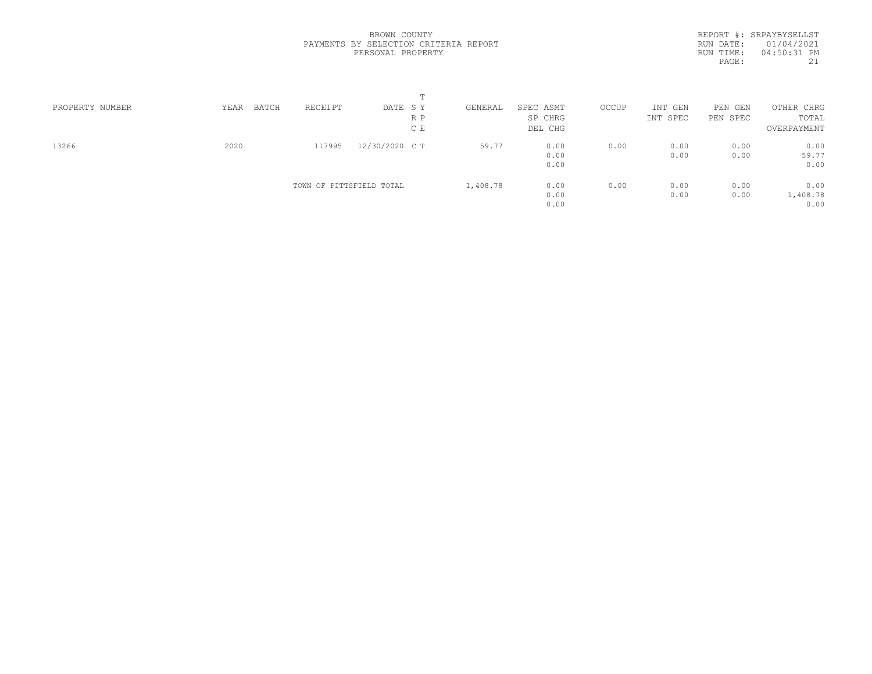REPORT #: SRPAYBYSELLST RUN DATE: 01/04/2021 RUN TIME: 04:50:31 PM PAGE: 21

| PROPERTY NUMBER | BATCH<br>YEAR | RECEIPT                  | DATE SY        | GENERAL  | SPEC ASMT | OCCUP | INT GEN  | PEN GEN  | OTHER CHRG  |  |
|-----------------|---------------|--------------------------|----------------|----------|-----------|-------|----------|----------|-------------|--|
|                 |               |                          | R P            |          | SP CHRG   |       | INT SPEC | PEN SPEC | TOTAL       |  |
|                 |               |                          | C E            |          | DEL CHG   |       |          |          | OVERPAYMENT |  |
| 13266           | 2020          | 117995                   | 12/30/2020 C T | 59.77    | 0.00      | 0.00  | 0.00     | 0.00     | 0.00        |  |
|                 |               |                          |                |          | 0.00      |       | 0.00     | 0.00     | 59.77       |  |
|                 |               |                          |                |          | 0.00      |       |          |          | 0.00        |  |
|                 |               | TOWN OF PITTSFIELD TOTAL |                | 1,408.78 | 0.00      | 0.00  | 0.00     | 0.00     | 0.00        |  |
|                 |               |                          |                |          | 0.00      |       | 0.00     | 0.00     | 1,408.78    |  |
|                 |               |                          |                |          | 0.00      |       |          |          | 0.00        |  |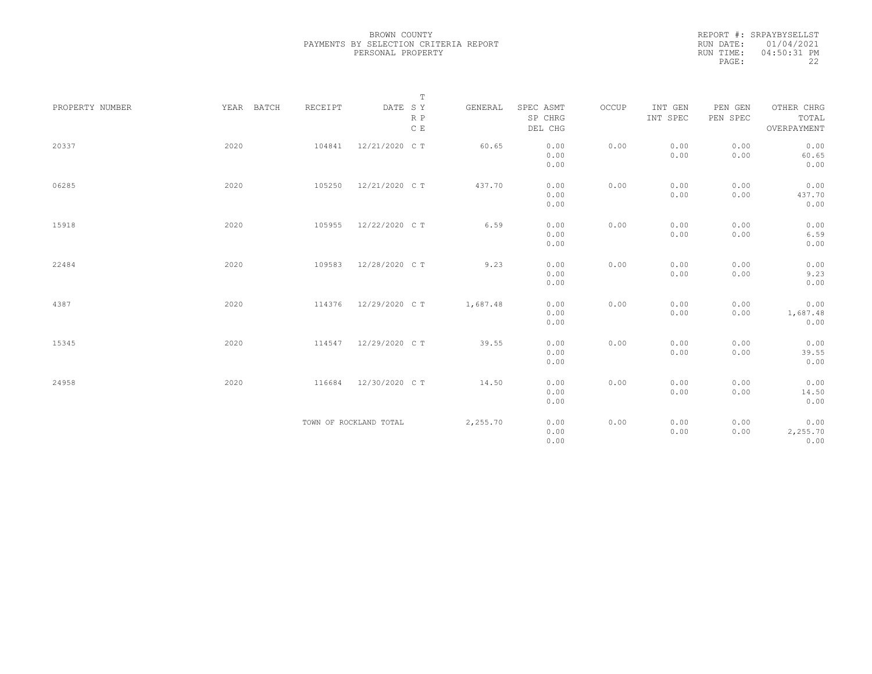| REPORT #: SRPAYBYSELLST |
|-------------------------|
| RUN DATE: 01/04/2021    |
| $04:50:31$ PM           |
| フフ                      |
|                         |

|                 |            |         | $\mathbb T$                                                                 |          |                      |       |                     |                     |                     |
|-----------------|------------|---------|-----------------------------------------------------------------------------|----------|----------------------|-------|---------------------|---------------------|---------------------|
| PROPERTY NUMBER | YEAR BATCH | RECEIPT | $\begin{tabular}{lllll} \bf{DATE} & \tt S & \tt Y \end{tabular}$<br>$R$ $P$ | GENERAL  | SPEC ASMT<br>SP CHRG | OCCUP | INT GEN<br>INT SPEC | PEN GEN<br>PEN SPEC | OTHER CHRG<br>TOTAL |
|                 |            |         | C E                                                                         |          | DEL CHG              |       |                     |                     | OVERPAYMENT         |
| 20337           | 2020       | 104841  | 12/21/2020 C T                                                              | 60.65    | 0.00                 | 0.00  | 0.00                | 0.00                | 0.00                |
|                 |            |         |                                                                             |          | 0.00                 |       | 0.00                | 0.00                | 60.65               |
|                 |            |         |                                                                             |          | 0.00                 |       |                     |                     | 0.00                |
| 06285           | 2020       | 105250  | 12/21/2020 C T                                                              | 437.70   | 0.00                 | 0.00  | 0.00                | 0.00                | 0.00                |
|                 |            |         |                                                                             |          | 0.00                 |       | 0.00                | 0.00                | 437.70              |
|                 |            |         |                                                                             |          | 0.00                 |       |                     |                     | 0.00                |
| 15918           | 2020       | 105955  | 12/22/2020 C T                                                              | 6.59     | 0.00                 | 0.00  | 0.00                | 0.00                | 0.00                |
|                 |            |         |                                                                             |          | 0.00                 |       | 0.00                | 0.00                | 6.59                |
|                 |            |         |                                                                             |          | 0.00                 |       |                     |                     | 0.00                |
| 22484           | 2020       | 109583  | 12/28/2020 C T                                                              | 9.23     | 0.00                 | 0.00  | 0.00                | 0.00                | 0.00                |
|                 |            |         |                                                                             |          | 0.00                 |       | 0.00                | 0.00                | 9.23                |
|                 |            |         |                                                                             |          | 0.00                 |       |                     |                     | 0.00                |
| 4387            | 2020       | 114376  | 12/29/2020 C T                                                              | 1,687.48 | 0.00                 | 0.00  | 0.00                | 0.00                | 0.00                |
|                 |            |         |                                                                             |          | 0.00                 |       | 0.00                | 0.00                | 1,687.48            |
|                 |            |         |                                                                             |          | 0.00                 |       |                     |                     | 0.00                |
| 15345           | 2020       | 114547  | 12/29/2020 C T                                                              | 39.55    | 0.00                 | 0.00  | 0.00                | 0.00                | 0.00                |
|                 |            |         |                                                                             |          | 0.00                 |       | 0.00                | 0.00                | 39.55               |
|                 |            |         |                                                                             |          | 0.00                 |       |                     |                     | 0.00                |
| 24958           | 2020       | 116684  | 12/30/2020 C T                                                              | 14.50    | 0.00                 | 0.00  | 0.00                | 0.00                | 0.00                |
|                 |            |         |                                                                             |          | 0.00                 |       | 0.00                | 0.00                | 14.50               |
|                 |            |         |                                                                             |          | 0.00                 |       |                     |                     | 0.00                |
|                 |            |         | TOWN OF ROCKLAND TOTAL                                                      | 2,255.70 | 0.00                 | 0.00  | 0.00                | 0.00                | 0.00                |
|                 |            |         |                                                                             |          | 0.00                 |       | 0.00                | 0.00                | 2,255.70            |
|                 |            |         |                                                                             |          | 0.00                 |       |                     |                     | 0.00                |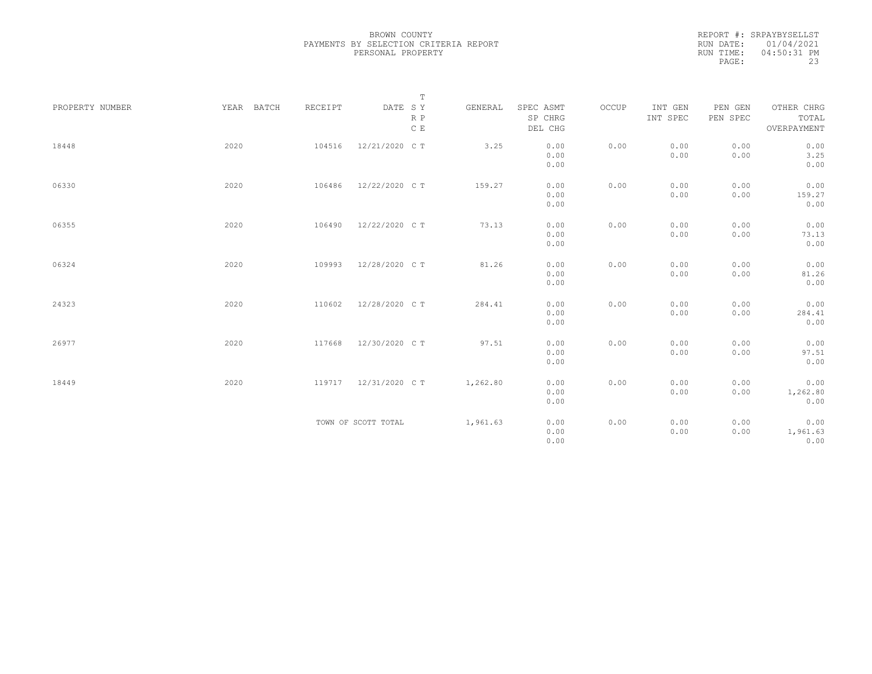|           | REPORT #: SRPAYBYSELLST |
|-----------|-------------------------|
|           | RUN DATE: 01/04/2021    |
| RUN TIME: | $04:50:31$ PM           |
| PAGE:     | 23                      |

|                 |            |         | $\mathbb T$         |          |                      |       |                     |                     |                     |
|-----------------|------------|---------|---------------------|----------|----------------------|-------|---------------------|---------------------|---------------------|
| PROPERTY NUMBER | YEAR BATCH | RECEIPT | DATE SY<br>$R$ $P$  | GENERAL  | SPEC ASMT<br>SP CHRG | OCCUP | INT GEN<br>INT SPEC | PEN GEN<br>PEN SPEC | OTHER CHRG<br>TOTAL |
|                 |            |         | C E                 |          | DEL CHG              |       |                     |                     | OVERPAYMENT         |
| 18448           | 2020       | 104516  | 12/21/2020 C T      | 3.25     | 0.00                 | 0.00  | 0.00                | 0.00                | 0.00                |
|                 |            |         |                     |          | 0.00                 |       | 0.00                | 0.00                | 3.25                |
|                 |            |         |                     |          | 0.00                 |       |                     |                     | 0.00                |
| 06330           | 2020       | 106486  | 12/22/2020 C T      | 159.27   | 0.00                 | 0.00  | 0.00                | 0.00                | 0.00                |
|                 |            |         |                     |          | 0.00                 |       | 0.00                | 0.00                | 159.27              |
|                 |            |         |                     |          | 0.00                 |       |                     |                     | 0.00                |
| 06355           | 2020       | 106490  | 12/22/2020 C T      | 73.13    | 0.00                 | 0.00  | 0.00                | 0.00                | 0.00                |
|                 |            |         |                     |          | 0.00                 |       | 0.00                | 0.00                | 73.13               |
|                 |            |         |                     |          | 0.00                 |       |                     |                     | 0.00                |
| 06324           | 2020       | 109993  | 12/28/2020 C T      | 81.26    | 0.00                 | 0.00  | 0.00                | 0.00                | 0.00                |
|                 |            |         |                     |          | 0.00                 |       | 0.00                | 0.00                | 81.26               |
|                 |            |         |                     |          | 0.00                 |       |                     |                     | 0.00                |
| 24323           | 2020       | 110602  | 12/28/2020 C T      | 284.41   | 0.00                 | 0.00  | 0.00                | 0.00                | 0.00                |
|                 |            |         |                     |          | 0.00                 |       | 0.00                | 0.00                | 284.41              |
|                 |            |         |                     |          | 0.00                 |       |                     |                     | 0.00                |
| 26977           | 2020       | 117668  | 12/30/2020 C T      | 97.51    | 0.00                 | 0.00  | 0.00                | 0.00                | 0.00                |
|                 |            |         |                     |          | 0.00                 |       | 0.00                | 0.00                | 97.51               |
|                 |            |         |                     |          | 0.00                 |       |                     |                     | 0.00                |
| 18449           | 2020       | 119717  | 12/31/2020 C T      | 1,262.80 | 0.00                 | 0.00  | 0.00                | 0.00                | 0.00                |
|                 |            |         |                     |          | 0.00                 |       | 0.00                | 0.00                | 1,262.80            |
|                 |            |         |                     |          | 0.00                 |       |                     |                     | 0.00                |
|                 |            |         | TOWN OF SCOTT TOTAL | 1,961.63 | 0.00                 | 0.00  | 0.00                | 0.00                | 0.00                |
|                 |            |         |                     |          | 0.00                 |       | 0.00                | 0.00                | 1,961.63            |
|                 |            |         |                     |          | 0.00                 |       |                     |                     | 0.00                |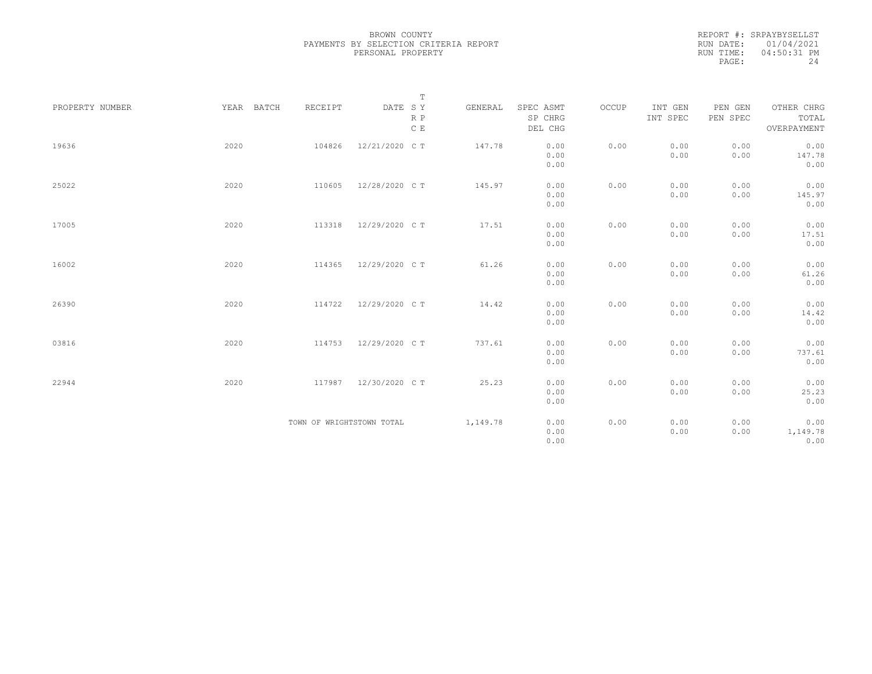| REPORT #: SRPAYBYSELLST |
|-------------------------|
| RUN DATE: 01/04/2021    |
| $04:50:31$ PM           |
| 24                      |
|                         |

|                 |            |                           | $\mathbb T$                                                                 |          |                      |       |                     |                     |                     |
|-----------------|------------|---------------------------|-----------------------------------------------------------------------------|----------|----------------------|-------|---------------------|---------------------|---------------------|
| PROPERTY NUMBER | YEAR BATCH | RECEIPT                   | $\begin{tabular}{lllll} \bf{DATE} & \tt S & \tt Y \end{tabular}$<br>$R$ $P$ | GENERAL  | SPEC ASMT<br>SP CHRG | OCCUP | INT GEN<br>INT SPEC | PEN GEN<br>PEN SPEC | OTHER CHRG<br>TOTAL |
|                 |            |                           | C E                                                                         |          | DEL CHG              |       |                     |                     | OVERPAYMENT         |
| 19636           | 2020       | 104826                    | 12/21/2020 C T                                                              | 147.78   | 0.00                 | 0.00  | 0.00                | 0.00                | 0.00                |
|                 |            |                           |                                                                             |          | 0.00                 |       | 0.00                | 0.00                | 147.78              |
|                 |            |                           |                                                                             |          | 0.00                 |       |                     |                     | 0.00                |
| 25022           | 2020       | 110605                    | 12/28/2020 C T                                                              | 145.97   | 0.00                 | 0.00  | 0.00                | 0.00                | 0.00                |
|                 |            |                           |                                                                             |          | 0.00                 |       | 0.00                | 0.00                | 145.97              |
|                 |            |                           |                                                                             |          | 0.00                 |       |                     |                     | 0.00                |
| 17005           | 2020       | 113318                    | 12/29/2020 C T                                                              | 17.51    | 0.00                 | 0.00  | 0.00                | 0.00                | 0.00                |
|                 |            |                           |                                                                             |          | 0.00                 |       | 0.00                | 0.00                | 17.51               |
|                 |            |                           |                                                                             |          | 0.00                 |       |                     |                     | 0.00                |
| 16002           | 2020       | 114365                    | 12/29/2020 C T                                                              | 61.26    | 0.00                 | 0.00  | 0.00                | 0.00                | 0.00                |
|                 |            |                           |                                                                             |          | 0.00                 |       | 0.00                | 0.00                | 61.26               |
|                 |            |                           |                                                                             |          | 0.00                 |       |                     |                     | 0.00                |
| 26390           | 2020       | 114722                    | 12/29/2020 C T                                                              | 14.42    | 0.00                 | 0.00  | 0.00                | 0.00                | 0.00                |
|                 |            |                           |                                                                             |          | 0.00                 |       | 0.00                | 0.00                | 14.42               |
|                 |            |                           |                                                                             |          | 0.00                 |       |                     |                     | 0.00                |
| 03816           | 2020       | 114753                    | 12/29/2020 C T                                                              | 737.61   | 0.00                 | 0.00  | 0.00                | 0.00                | 0.00                |
|                 |            |                           |                                                                             |          | 0.00                 |       | 0.00                | 0.00                | 737.61              |
|                 |            |                           |                                                                             |          | 0.00                 |       |                     |                     | 0.00                |
| 22944           | 2020       | 117987                    | 12/30/2020 C T                                                              | 25.23    | 0.00                 | 0.00  | 0.00                | 0.00                | 0.00                |
|                 |            |                           |                                                                             |          | 0.00                 |       | 0.00                | 0.00                | 25.23               |
|                 |            |                           |                                                                             |          | 0.00                 |       |                     |                     | 0.00                |
|                 |            | TOWN OF WRIGHTSTOWN TOTAL |                                                                             | 1,149.78 | 0.00                 | 0.00  | 0.00                | 0.00                | 0.00                |
|                 |            |                           |                                                                             |          | 0.00                 |       | 0.00                | 0.00                | 1,149.78            |
|                 |            |                           |                                                                             |          | 0.00                 |       |                     |                     | 0.00                |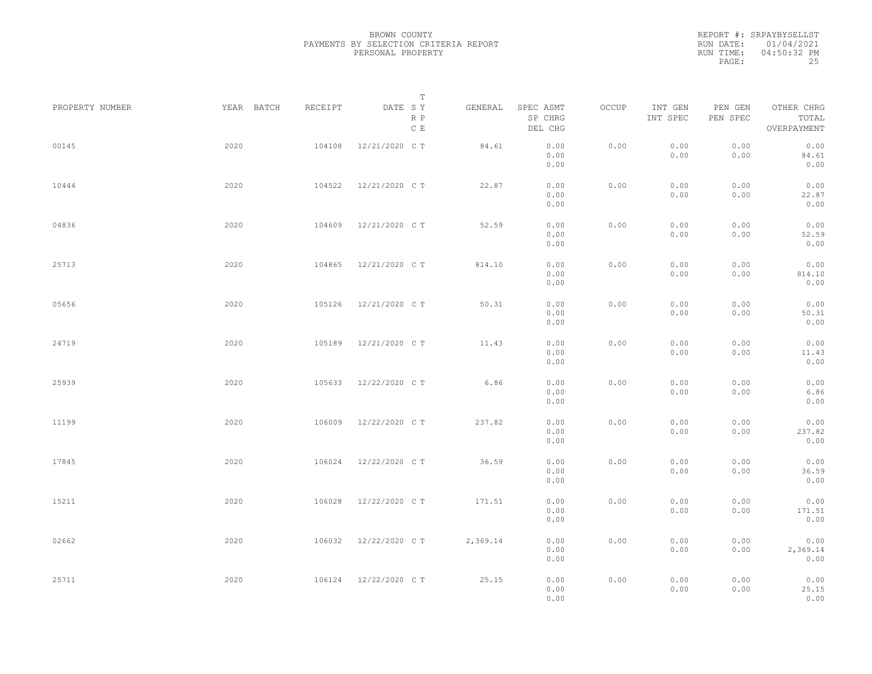|           | REPORT #: SRPAYBYSELLST |
|-----------|-------------------------|
|           | RUN DATE: 01/04/2021    |
| RUN TIME: | $04:50:32$ PM           |
| PAGE:     | 25                      |

|                 |            |         | T                     |          |                                 |       |                     |                     |                                    |  |
|-----------------|------------|---------|-----------------------|----------|---------------------------------|-------|---------------------|---------------------|------------------------------------|--|
| PROPERTY NUMBER | YEAR BATCH | RECEIPT | DATE SY<br>R P<br>C E | GENERAL  | SPEC ASMT<br>SP CHRG<br>DEL CHG | OCCUP | INT GEN<br>INT SPEC | PEN GEN<br>PEN SPEC | OTHER CHRG<br>TOTAL<br>OVERPAYMENT |  |
| 00145           | 2020       | 104108  | 12/21/2020 C T        | 84.61    | 0.00<br>0.00<br>0.00            | 0.00  | 0.00<br>0.00        | 0.00<br>0.00        | 0.00<br>84.61<br>0.00              |  |
| 10444           | 2020       | 104522  | 12/21/2020 C T        | 22.87    | 0.00<br>0.00<br>0.00            | 0.00  | 0.00<br>0.00        | 0.00<br>0.00        | 0.00<br>22.87<br>0.00              |  |
| 04836           | 2020       | 104609  | 12/21/2020 C T        | 52.59    | 0.00<br>0.00<br>0.00            | 0.00  | 0.00<br>0.00        | 0.00<br>0.00        | 0.00<br>52.59<br>0.00              |  |
| 25713           | 2020       | 104865  | 12/21/2020 C T        | 814.10   | 0.00<br>0.00<br>0.00            | 0.00  | 0.00<br>0.00        | 0.00<br>0.00        | 0.00<br>814.10<br>0.00             |  |
| 05656           | 2020       | 105126  | 12/21/2020 C T        | 50.31    | 0.00<br>0.00<br>0.00            | 0.00  | 0.00<br>0.00        | 0.00<br>0.00        | 0.00<br>50.31<br>0.00              |  |
| 24719           | 2020       | 105189  | 12/21/2020 C T        | 11.43    | 0.00<br>0.00<br>0.00            | 0.00  | 0.00<br>0.00        | 0.00<br>0.00        | 0.00<br>11.43<br>0.00              |  |
| 25939           | 2020       | 105633  | 12/22/2020 C T        | 6.86     | 0.00<br>0.00<br>0.00            | 0.00  | 0.00<br>0.00        | 0.00<br>0.00        | 0.00<br>6.86<br>0.00               |  |
| 11199           | 2020       | 106009  | 12/22/2020 C T        | 237.82   | 0.00<br>0.00<br>0.00            | 0.00  | 0.00<br>0.00        | 0.00<br>0.00        | 0.00<br>237.82<br>0.00             |  |
| 17845           | 2020       | 106024  | 12/22/2020 C T        | 36.59    | 0.00<br>0.00<br>0.00            | 0.00  | 0.00<br>0.00        | 0.00<br>0.00        | 0.00<br>36.59<br>0.00              |  |
| 15211           | 2020       | 106028  | 12/22/2020 C T        | 171.51   | 0.00<br>0.00<br>0.00            | 0.00  | 0.00<br>0.00        | 0.00<br>0.00        | 0.00<br>171.51<br>0.00             |  |
| 02662           | 2020       | 106032  | 12/22/2020 C T        | 2,369.14 | 0.00<br>0.00<br>0.00            | 0.00  | 0.00<br>0.00        | 0.00<br>0.00        | 0.00<br>2,369.14<br>0.00           |  |
| 25711           | 2020       |         | 106124 12/22/2020 CT  | 25.15    | 0.00<br>0.00<br>0.00            | 0.00  | 0.00<br>0.00        | 0.00<br>0.00        | 0.00<br>25.15<br>0.00              |  |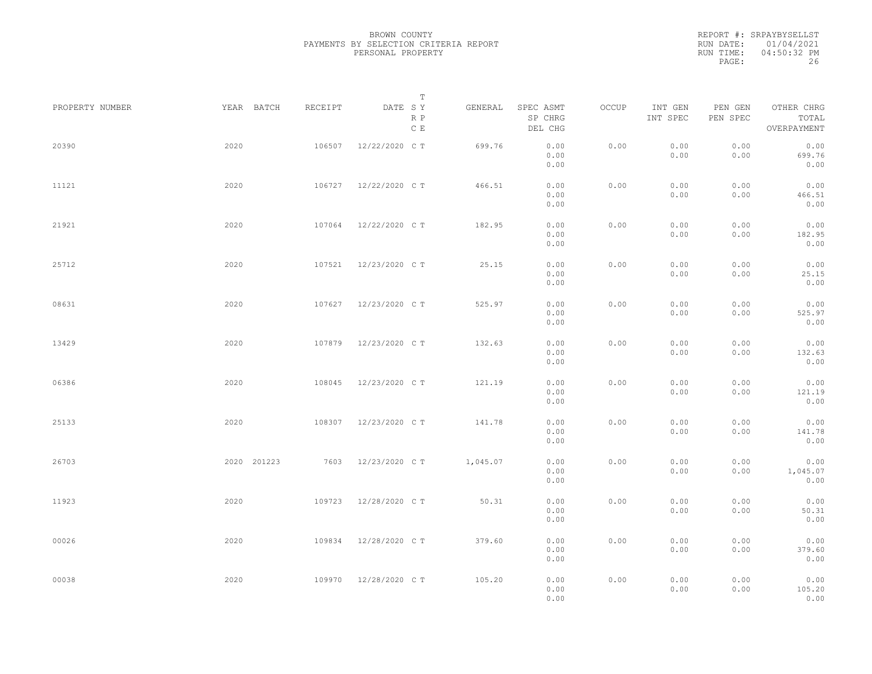|                 |             |         | $\mathbb T$                     |          |                                 |       |                     |                     |                                    |  |
|-----------------|-------------|---------|---------------------------------|----------|---------------------------------|-------|---------------------|---------------------|------------------------------------|--|
| PROPERTY NUMBER | YEAR BATCH  | RECEIPT | DATE SY<br>R P<br>$\,$ C $\,$ E | GENERAL  | SPEC ASMT<br>SP CHRG<br>DEL CHG | OCCUP | INT GEN<br>INT SPEC | PEN GEN<br>PEN SPEC | OTHER CHRG<br>TOTAL<br>OVERPAYMENT |  |
| 20390           | 2020        | 106507  | 12/22/2020 C T                  | 699.76   | 0.00<br>0.00<br>0.00            | 0.00  | 0.00<br>0.00        | 0.00<br>0.00        | 0.00<br>699.76<br>0.00             |  |
| 11121           | 2020        | 106727  | 12/22/2020 C T                  | 466.51   | 0.00<br>0.00<br>0.00            | 0.00  | 0.00<br>0.00        | 0.00<br>0.00        | 0.00<br>466.51<br>0.00             |  |
| 21921           | 2020        | 107064  | 12/22/2020 C T                  | 182.95   | 0.00<br>0.00<br>0.00            | 0.00  | 0.00<br>0.00        | 0.00<br>0.00        | 0.00<br>182.95<br>0.00             |  |
| 25712           | 2020        | 107521  | 12/23/2020 C T                  | 25.15    | 0.00<br>0.00<br>0.00            | 0.00  | 0.00<br>0.00        | 0.00<br>0.00        | 0.00<br>25.15<br>0.00              |  |
| 08631           | 2020        | 107627  | 12/23/2020 C T                  | 525.97   | 0.00<br>0.00<br>0.00            | 0.00  | 0.00<br>0.00        | 0.00<br>0.00        | 0.00<br>525.97<br>0.00             |  |
| 13429           | 2020        | 107879  | 12/23/2020 C T                  | 132.63   | 0.00<br>0.00<br>0.00            | 0.00  | 0.00<br>0.00        | 0.00<br>0.00        | 0.00<br>132.63<br>0.00             |  |
| 06386           | 2020        | 108045  | 12/23/2020 C T                  | 121.19   | 0.00<br>0.00<br>0.00            | 0.00  | 0.00<br>0.00        | 0.00<br>0.00        | 0.00<br>121.19<br>0.00             |  |
| 25133           | 2020        | 108307  | 12/23/2020 C T                  | 141.78   | 0.00<br>0.00<br>0.00            | 0.00  | 0.00<br>0.00        | 0.00<br>0.00        | 0.00<br>141.78<br>0.00             |  |
| 26703           | 2020 201223 | 7603    | 12/23/2020 C T                  | 1,045.07 | 0.00<br>0.00<br>0.00            | 0.00  | 0.00<br>0.00        | 0.00<br>0.00        | 0.00<br>1,045.07<br>0.00           |  |
| 11923           | 2020        | 109723  | 12/28/2020 C T                  | 50.31    | 0.00<br>0.00<br>0.00            | 0.00  | 0.00<br>0.00        | 0.00<br>0.00        | 0.00<br>50.31<br>0.00              |  |
| 00026           | 2020        | 109834  | 12/28/2020 C T                  | 379.60   | 0.00<br>0.00<br>0.00            | 0.00  | 0.00<br>0.00        | 0.00<br>0.00        | 0.00<br>379.60<br>0.00             |  |
| 00038           | 2020        | 109970  | 12/28/2020 C T                  | 105.20   | 0.00<br>0.00<br>0.00            | 0.00  | 0.00<br>0.00        | 0.00<br>0.00        | 0.00<br>105.20<br>0.00             |  |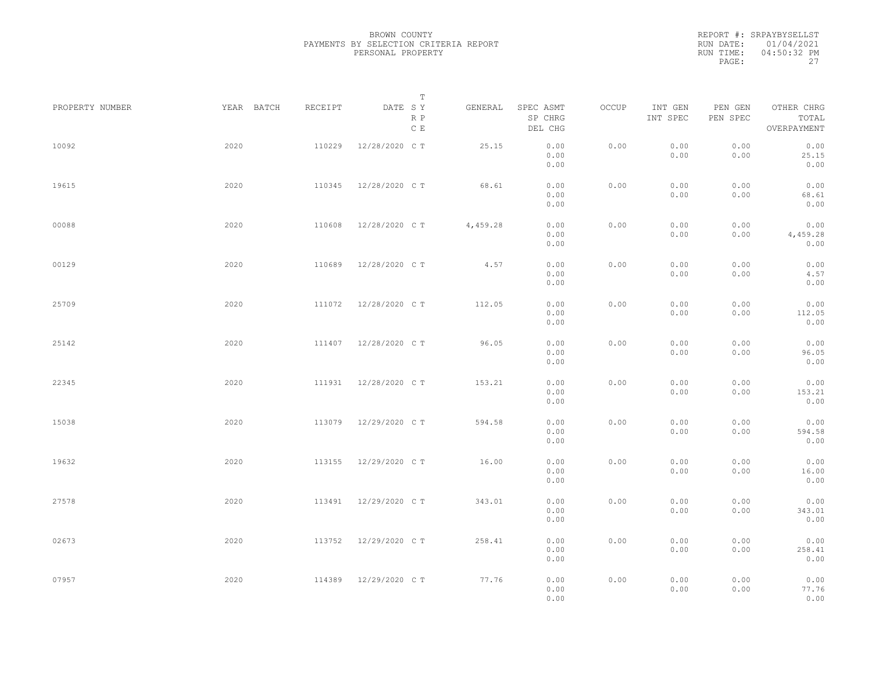|           | REPORT #: SRPAYBYSELLST |
|-----------|-------------------------|
|           | RUN DATE: 01/04/2021    |
| RUN TIME: | 04:50:32 PM             |
| PAGE:     | 27                      |

|                 |            |         | T                     |          |                                 |       |                     |                     |                                    |  |
|-----------------|------------|---------|-----------------------|----------|---------------------------------|-------|---------------------|---------------------|------------------------------------|--|
| PROPERTY NUMBER | YEAR BATCH | RECEIPT | DATE SY<br>R P<br>C E | GENERAL  | SPEC ASMT<br>SP CHRG<br>DEL CHG | OCCUP | INT GEN<br>INT SPEC | PEN GEN<br>PEN SPEC | OTHER CHRG<br>TOTAL<br>OVERPAYMENT |  |
| 10092           | 2020       | 110229  | 12/28/2020 C T        | 25.15    | 0.00<br>0.00<br>0.00            | 0.00  | 0.00<br>0.00        | 0.00<br>0.00        | 0.00<br>25.15<br>0.00              |  |
| 19615           | 2020       | 110345  | 12/28/2020 C T        | 68.61    | 0.00<br>0.00<br>0.00            | 0.00  | 0.00<br>0.00        | 0.00<br>0.00        | 0.00<br>68.61<br>0.00              |  |
| 00088           | 2020       | 110608  | 12/28/2020 C T        | 4,459.28 | 0.00<br>0.00<br>0.00            | 0.00  | 0.00<br>0.00        | 0.00<br>0.00        | 0.00<br>4,459.28<br>0.00           |  |
| 00129           | 2020       | 110689  | 12/28/2020 C T        | 4.57     | 0.00<br>0.00<br>0.00            | 0.00  | 0.00<br>0.00        | 0.00<br>0.00        | 0.00<br>4.57<br>0.00               |  |
| 25709           | 2020       | 111072  | 12/28/2020 C T        | 112.05   | 0.00<br>0.00<br>0.00            | 0.00  | 0.00<br>0.00        | 0.00<br>0.00        | 0.00<br>112.05<br>0.00             |  |
| 25142           | 2020       | 111407  | 12/28/2020 C T        | 96.05    | 0.00<br>0.00<br>0.00            | 0.00  | 0.00<br>0.00        | 0.00<br>0.00        | 0.00<br>96.05<br>0.00              |  |
| 22345           | 2020       | 111931  | 12/28/2020 C T        | 153.21   | 0.00<br>0.00<br>0.00            | 0.00  | 0.00<br>0.00        | 0.00<br>0.00        | 0.00<br>153.21<br>0.00             |  |
| 15038           | 2020       | 113079  | 12/29/2020 C T        | 594.58   | 0.00<br>0.00<br>0.00            | 0.00  | 0.00<br>0.00        | 0.00<br>0.00        | 0.00<br>594.58<br>0.00             |  |
| 19632           | 2020       | 113155  | 12/29/2020 C T        | 16.00    | 0.00<br>0.00<br>0.00            | 0.00  | 0.00<br>0.00        | 0.00<br>0.00        | 0.00<br>16.00<br>0.00              |  |
| 27578           | 2020       | 113491  | 12/29/2020 C T        | 343.01   | 0.00<br>0.00<br>0.00            | 0.00  | 0.00<br>0.00        | 0.00<br>0.00        | 0.00<br>343.01<br>0.00             |  |
| 02673           | 2020       | 113752  | 12/29/2020 C T        | 258.41   | 0.00<br>0.00<br>0.00            | 0.00  | 0.00<br>0.00        | 0.00<br>0.00        | 0.00<br>258.41<br>0.00             |  |
| 07957           | 2020       |         | 114389 12/29/2020 CT  | 77.76    | 0.00<br>0.00<br>0.00            | 0.00  | 0.00<br>0.00        | 0.00<br>0.00        | 0.00<br>77.76<br>0.00              |  |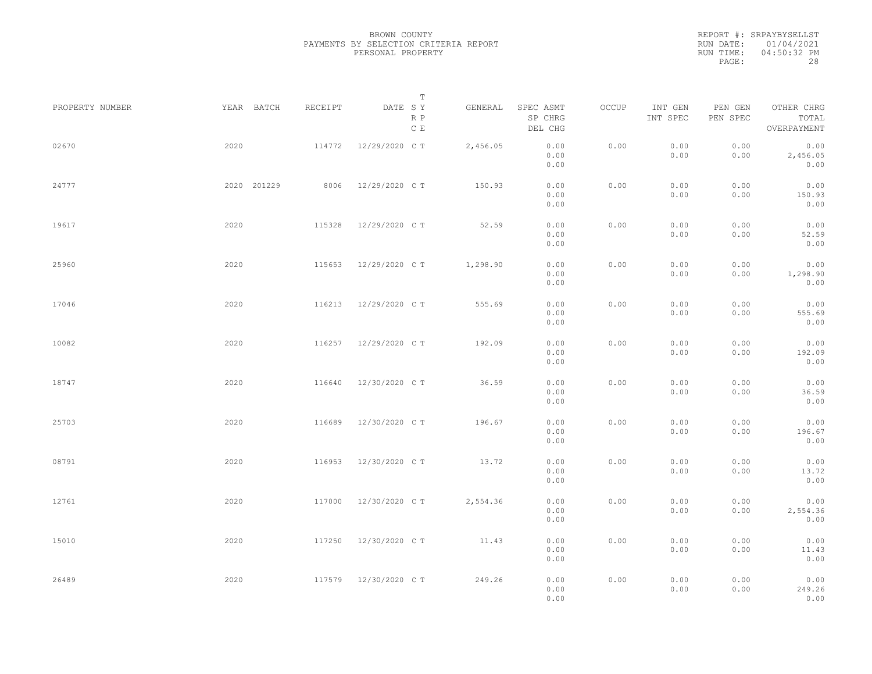REPORT #: SRPAYBYSELLST RUN DATE: 01/04/2021 RUN TIME: 04:50:32 PM PAGE: 28

|                 |             |         | $\mathbb T$                     |          |                                 |       |                     |                     |                                    |  |
|-----------------|-------------|---------|---------------------------------|----------|---------------------------------|-------|---------------------|---------------------|------------------------------------|--|
| PROPERTY NUMBER | YEAR BATCH  | RECEIPT | DATE SY<br>R P<br>$\,$ C $\,$ E | GENERAL  | SPEC ASMT<br>SP CHRG<br>DEL CHG | OCCUP | INT GEN<br>INT SPEC | PEN GEN<br>PEN SPEC | OTHER CHRG<br>TOTAL<br>OVERPAYMENT |  |
| 02670           | 2020        | 114772  | 12/29/2020 C T                  | 2,456.05 | 0.00<br>0.00<br>0.00            | 0.00  | 0.00<br>0.00        | 0.00<br>0.00        | 0.00<br>2,456.05<br>0.00           |  |
| 24777           | 2020 201229 | 8006    | 12/29/2020 C T                  | 150.93   | 0.00<br>0.00<br>0.00            | 0.00  | 0.00<br>0.00        | 0.00<br>0.00        | 0.00<br>150.93<br>0.00             |  |
| 19617           | 2020        | 115328  | 12/29/2020 C T                  | 52.59    | 0.00<br>0.00<br>0.00            | 0.00  | 0.00<br>0.00        | 0.00<br>0.00        | 0.00<br>52.59<br>0.00              |  |
| 25960           | 2020        | 115653  | 12/29/2020 C T                  | 1,298.90 | 0.00<br>0.00<br>0.00            | 0.00  | 0.00<br>0.00        | 0.00<br>0.00        | 0.00<br>1,298.90<br>0.00           |  |
| 17046           | 2020        | 116213  | 12/29/2020 C T                  | 555.69   | 0.00<br>0.00<br>0.00            | 0.00  | 0.00<br>0.00        | 0.00<br>0.00        | 0.00<br>555.69<br>0.00             |  |
| 10082           | 2020        | 116257  | 12/29/2020 C T                  | 192.09   | 0.00<br>0.00<br>0.00            | 0.00  | 0.00<br>0.00        | 0.00<br>0.00        | 0.00<br>192.09<br>0.00             |  |
| 18747           | 2020        | 116640  | 12/30/2020 C T                  | 36.59    | 0.00<br>0.00<br>0.00            | 0.00  | 0.00<br>0.00        | 0.00<br>0.00        | 0.00<br>36.59<br>0.00              |  |
| 25703           | 2020        | 116689  | 12/30/2020 C T                  | 196.67   | 0.00<br>0.00<br>0.00            | 0.00  | 0.00<br>0.00        | 0.00<br>0.00        | 0.00<br>196.67<br>0.00             |  |
| 08791           | 2020        | 116953  | 12/30/2020 C T                  | 13.72    | 0.00<br>0.00<br>0.00            | 0.00  | 0.00<br>0.00        | 0.00<br>0.00        | 0.00<br>13.72<br>0.00              |  |
| 12761           | 2020        | 117000  | 12/30/2020 C T                  | 2,554.36 | 0.00<br>0.00<br>0.00            | 0.00  | 0.00<br>0.00        | 0.00<br>0.00        | 0.00<br>2,554.36<br>0.00           |  |
| 15010           | 2020        | 117250  | 12/30/2020 C T                  | 11.43    | 0.00<br>0.00<br>0.00            | 0.00  | 0.00<br>0.00        | 0.00<br>0.00        | 0.00<br>11.43<br>0.00              |  |
| 26489           | 2020        |         | 117579 12/30/2020 CT            | 249.26   | 0.00<br>0.00<br>0.00            | 0.00  | 0.00<br>0.00        | 0.00<br>0.00        | 0.00<br>249.26<br>0.00             |  |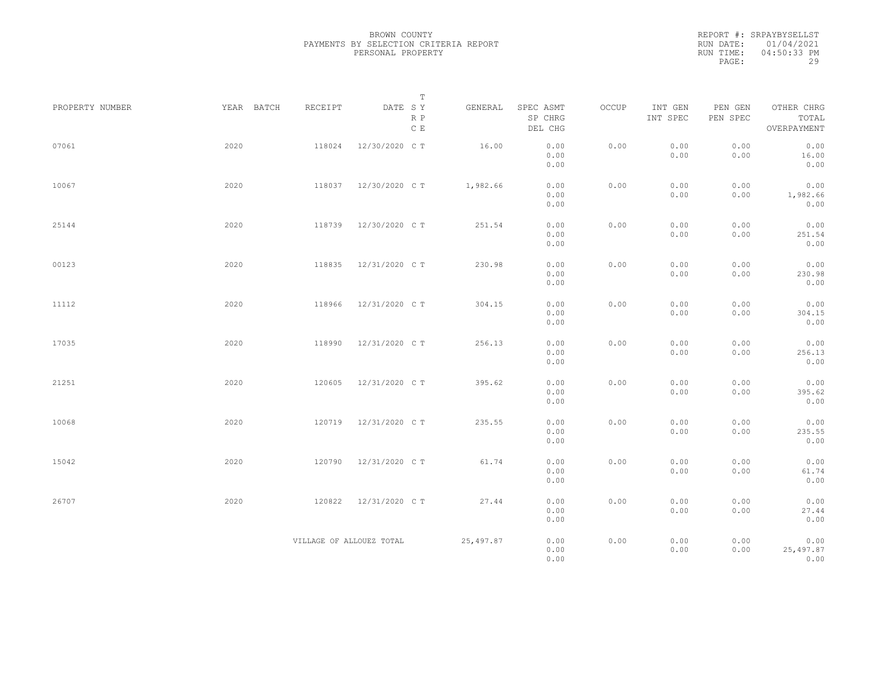|                 |            |                          | $\mathbb T$                     |           |                                 |       |                     |                     |                                    |
|-----------------|------------|--------------------------|---------------------------------|-----------|---------------------------------|-------|---------------------|---------------------|------------------------------------|
| PROPERTY NUMBER | YEAR BATCH | RECEIPT                  | DATE SY<br>R P<br>$\,$ C $\,$ E | GENERAL   | SPEC ASMT<br>SP CHRG<br>DEL CHG | OCCUP | INT GEN<br>INT SPEC | PEN GEN<br>PEN SPEC | OTHER CHRG<br>TOTAL<br>OVERPAYMENT |
| 07061           | 2020       | 118024                   | 12/30/2020 C T                  | 16.00     | 0.00<br>0.00<br>0.00            | 0.00  | 0.00<br>0.00        | 0.00<br>0.00        | 0.00<br>16.00<br>0.00              |
| 10067           | 2020       | 118037                   | 12/30/2020 C T                  | 1,982.66  | 0.00<br>0.00<br>0.00            | 0.00  | 0.00<br>0.00        | 0.00<br>0.00        | 0.00<br>1,982.66<br>0.00           |
| 25144           | 2020       | 118739                   | 12/30/2020 C T                  | 251.54    | 0.00<br>0.00<br>0.00            | 0.00  | 0.00<br>0.00        | 0.00<br>0.00        | 0.00<br>251.54<br>0.00             |
| 00123           | 2020       | 118835                   | 12/31/2020 C T                  | 230.98    | 0.00<br>0.00<br>0.00            | 0.00  | 0.00<br>0.00        | 0.00<br>0.00        | 0.00<br>230.98<br>0.00             |
| 11112           | 2020       | 118966                   | 12/31/2020 C T                  | 304.15    | 0.00<br>0.00<br>0.00            | 0.00  | 0.00<br>0.00        | 0.00<br>0.00        | 0.00<br>304.15<br>0.00             |
| 17035           | 2020       | 118990                   | 12/31/2020 C T                  | 256.13    | 0.00<br>0.00<br>0.00            | 0.00  | 0.00<br>0.00        | 0.00<br>0.00        | 0.00<br>256.13<br>0.00             |
| 21251           | 2020       | 120605                   | 12/31/2020 C T                  | 395.62    | 0.00<br>0.00<br>0.00            | 0.00  | 0.00<br>0.00        | 0.00<br>0.00        | 0.00<br>395.62<br>0.00             |
| 10068           | 2020       | 120719                   | 12/31/2020 C T                  | 235.55    | 0.00<br>0.00<br>0.00            | 0.00  | 0.00<br>0.00        | 0.00<br>0.00        | 0.00<br>235.55<br>0.00             |
| 15042           | 2020       | 120790                   | 12/31/2020 C T                  | 61.74     | 0.00<br>0.00<br>0.00            | 0.00  | 0.00<br>0.00        | 0.00<br>0.00        | 0.00<br>61.74<br>0.00              |
| 26707           | 2020       | 120822                   | 12/31/2020 C T                  | 27.44     | 0.00<br>0.00<br>0.00            | 0.00  | 0.00<br>0.00        | 0.00<br>0.00        | 0.00<br>27.44<br>0.00              |
|                 |            | VILLAGE OF ALLOUEZ TOTAL |                                 | 25,497.87 | 0.00<br>0.00<br>0.00            | 0.00  | 0.00<br>0.00        | 0.00<br>0.00        | 0.00<br>25, 497.87<br>0.00         |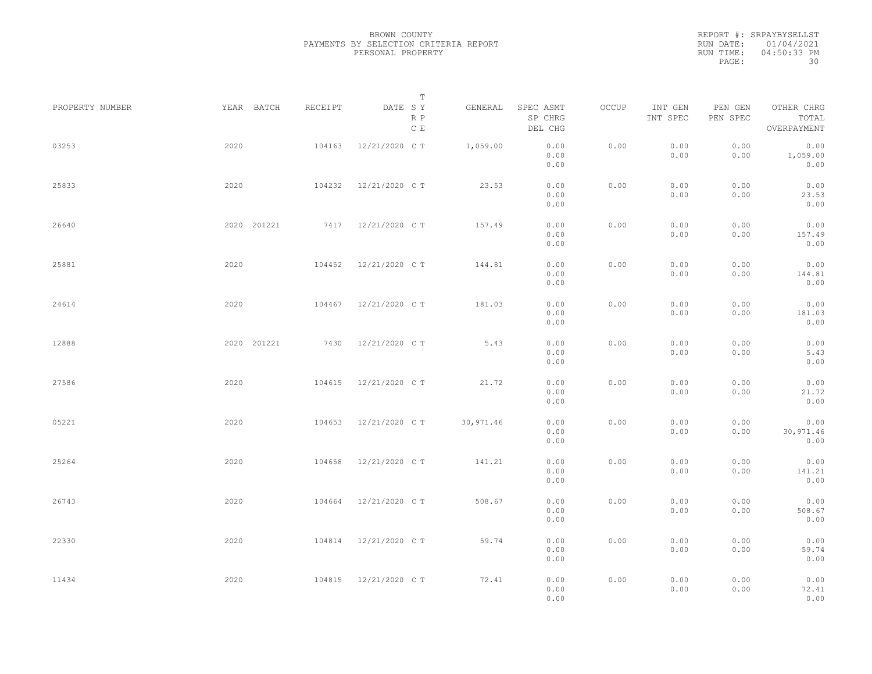|                 |      |             |         | $\mathbb T$                     |            |                                 |       |                     |                     |                                    |  |
|-----------------|------|-------------|---------|---------------------------------|------------|---------------------------------|-------|---------------------|---------------------|------------------------------------|--|
| PROPERTY NUMBER |      | YEAR BATCH  | RECEIPT | DATE SY<br>R P<br>$\,$ C $\,$ E | GENERAL    | SPEC ASMT<br>SP CHRG<br>DEL CHG | OCCUP | INT GEN<br>INT SPEC | PEN GEN<br>PEN SPEC | OTHER CHRG<br>TOTAL<br>OVERPAYMENT |  |
| 03253           | 2020 |             | 104163  | 12/21/2020 C T                  | 1,059.00   | 0.00<br>0.00<br>0.00            | 0.00  | 0.00<br>0.00        | 0.00<br>0.00        | 0.00<br>1,059.00<br>0.00           |  |
| 25833           | 2020 |             | 104232  | 12/21/2020 C T                  | 23.53      | 0.00<br>0.00<br>0.00            | 0.00  | 0.00<br>0.00        | 0.00<br>0.00        | 0.00<br>23.53<br>0.00              |  |
| 26640           |      | 2020 201221 |         | 7417 12/21/2020 CT              | 157.49     | 0.00<br>0.00<br>0.00            | 0.00  | 0.00<br>0.00        | 0.00<br>0.00        | 0.00<br>157.49<br>0.00             |  |
| 25881           | 2020 |             | 104452  | 12/21/2020 C T                  | 144.81     | 0.00<br>0.00<br>0.00            | 0.00  | 0.00<br>0.00        | 0.00<br>0.00        | 0.00<br>144.81<br>0.00             |  |
| 24614           | 2020 |             | 104467  | 12/21/2020 C T                  | 181.03     | 0.00<br>0.00<br>0.00            | 0.00  | 0.00<br>0.00        | 0.00<br>0.00        | 0.00<br>181.03<br>0.00             |  |
| 12888           |      | 2020 201221 | 7430    | 12/21/2020 C T                  | 5.43       | 0.00<br>0.00<br>0.00            | 0.00  | 0.00<br>0.00        | 0.00<br>0.00        | 0.00<br>5.43<br>0.00               |  |
| 27586           | 2020 |             | 104615  | 12/21/2020 C T                  | 21.72      | 0.00<br>0.00<br>0.00            | 0.00  | 0.00<br>0.00        | 0.00<br>0.00        | 0.00<br>21.72<br>0.00              |  |
| 05221           | 2020 |             | 104653  | 12/21/2020 C T                  | 30, 971.46 | 0.00<br>0.00<br>0.00            | 0.00  | 0.00<br>0.00        | 0.00<br>0.00        | 0.00<br>30,971.46<br>0.00          |  |
| 25264           | 2020 |             | 104658  | 12/21/2020 C T                  | 141.21     | 0.00<br>0.00<br>0.00            | 0.00  | 0.00<br>0.00        | 0.00<br>0.00        | 0.00<br>141.21<br>0.00             |  |
| 26743           | 2020 |             | 104664  | 12/21/2020 C T                  | 508.67     | 0.00<br>0.00<br>0.00            | 0.00  | 0.00<br>0.00        | 0.00<br>0.00        | 0.00<br>508.67<br>0.00             |  |
| 22330           | 2020 |             | 104814  | 12/21/2020 C T                  | 59.74      | 0.00<br>0.00<br>0.00            | 0.00  | 0.00<br>0.00        | 0.00<br>0.00        | 0.00<br>59.74<br>0.00              |  |
| 11434           | 2020 |             | 104815  | 12/21/2020 C T                  | 72.41      | 0.00<br>0.00<br>0.00            | 0.00  | 0.00<br>0.00        | 0.00<br>0.00        | 0.00<br>72.41<br>0.00              |  |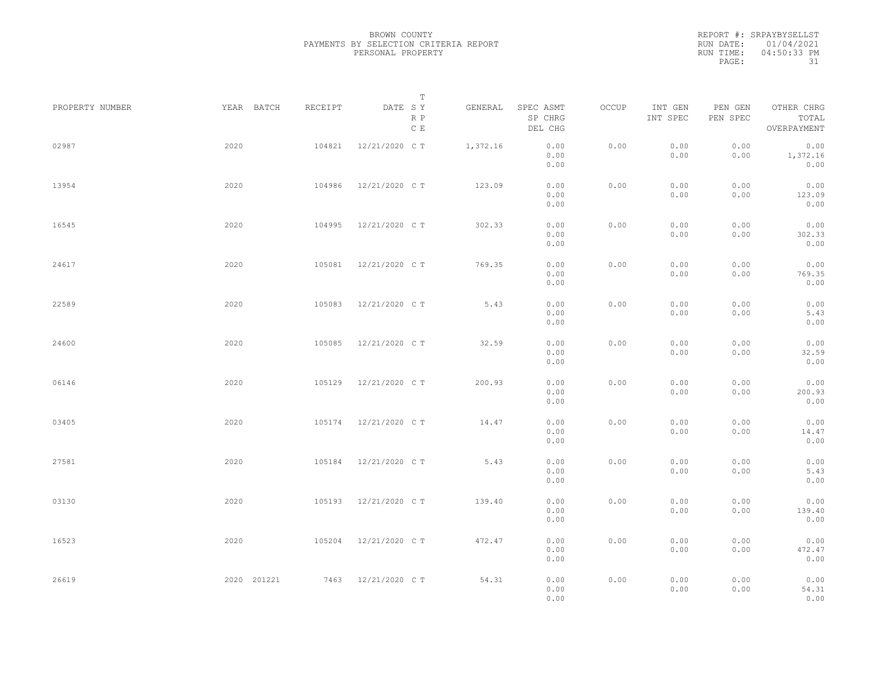|           | REPORT #: SRPAYBYSELLST |
|-----------|-------------------------|
|           | RUN DATE: 01/04/2021    |
| RUN TIME: | 04:50:33 PM             |
| PAGE:     | 31                      |

|                 |             |         | T                               |          |                                 |       |                     |                     |                                    |  |
|-----------------|-------------|---------|---------------------------------|----------|---------------------------------|-------|---------------------|---------------------|------------------------------------|--|
| PROPERTY NUMBER | YEAR BATCH  | RECEIPT | DATE SY<br>R P<br>$\,$ C $\,$ E | GENERAL  | SPEC ASMT<br>SP CHRG<br>DEL CHG | OCCUP | INT GEN<br>INT SPEC | PEN GEN<br>PEN SPEC | OTHER CHRG<br>TOTAL<br>OVERPAYMENT |  |
| 02987           | 2020        | 104821  | 12/21/2020 C T                  | 1,372.16 | 0.00<br>0.00<br>0.00            | 0.00  | 0.00<br>0.00        | 0.00<br>0.00        | 0.00<br>1,372.16<br>0.00           |  |
| 13954           | 2020        | 104986  | 12/21/2020 C T                  | 123.09   | 0.00<br>0.00<br>0.00            | 0.00  | 0.00<br>0.00        | 0.00<br>0.00        | 0.00<br>123.09<br>0.00             |  |
| 16545           | 2020        | 104995  | 12/21/2020 C T                  | 302.33   | 0.00<br>0.00<br>0.00            | 0.00  | 0.00<br>0.00        | 0.00<br>0.00        | 0.00<br>302.33<br>0.00             |  |
| 24617           | 2020        | 105081  | 12/21/2020 C T                  | 769.35   | 0.00<br>0.00<br>0.00            | 0.00  | 0.00<br>0.00        | 0.00<br>0.00        | 0.00<br>769.35<br>0.00             |  |
| 22589           | 2020        | 105083  | 12/21/2020 C T                  | 5.43     | 0.00<br>0.00<br>0.00            | 0.00  | 0.00<br>0.00        | 0.00<br>0.00        | 0.00<br>5.43<br>0.00               |  |
| 24600           | 2020        | 105085  | 12/21/2020 C T                  | 32.59    | 0.00<br>0.00<br>0.00            | 0.00  | 0.00<br>0.00        | 0.00<br>0.00        | 0.00<br>32.59<br>0.00              |  |
| 06146           | 2020        | 105129  | 12/21/2020 C T                  | 200.93   | 0.00<br>0.00<br>0.00            | 0.00  | 0.00<br>0.00        | 0.00<br>0.00        | 0.00<br>200.93<br>0.00             |  |
| 03405           | 2020        | 105174  | 12/21/2020 C T                  | 14.47    | 0.00<br>0.00<br>0.00            | 0.00  | 0.00<br>0.00        | 0.00<br>0.00        | 0.00<br>14.47<br>0.00              |  |
| 27581           | 2020        | 105184  | 12/21/2020 C T                  | 5.43     | 0.00<br>0.00<br>0.00            | 0.00  | 0.00<br>0.00        | 0.00<br>0.00        | 0.00<br>5.43<br>0.00               |  |
| 03130           | 2020        | 105193  | 12/21/2020 C T                  | 139.40   | 0.00<br>0.00<br>0.00            | 0.00  | 0.00<br>0.00        | 0.00<br>0.00        | 0.00<br>139.40<br>0.00             |  |
| 16523           | 2020        | 105204  | 12/21/2020 C T                  | 472.47   | 0.00<br>0.00<br>0.00            | 0.00  | 0.00<br>0.00        | 0.00<br>0.00        | 0.00<br>472.47<br>0.00             |  |
| 26619           | 2020 201221 |         | 7463 12/21/2020 CT              | 54.31    | 0.00<br>0.00<br>0.00            | 0.00  | 0.00<br>0.00        | 0.00<br>0.00        | 0.00<br>54.31<br>0.00              |  |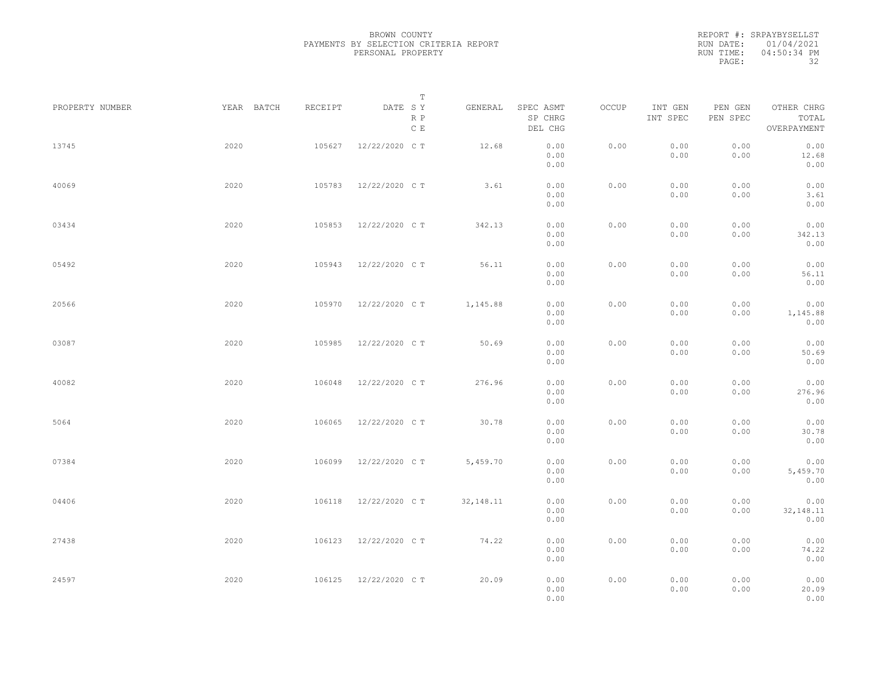|                 |            |         | $\mathbb T$           |           |                                 |       |                     |                     |                                    |  |
|-----------------|------------|---------|-----------------------|-----------|---------------------------------|-------|---------------------|---------------------|------------------------------------|--|
| PROPERTY NUMBER | YEAR BATCH | RECEIPT | DATE SY<br>R P<br>C E | GENERAL   | SPEC ASMT<br>SP CHRG<br>DEL CHG | OCCUP | INT GEN<br>INT SPEC | PEN GEN<br>PEN SPEC | OTHER CHRG<br>TOTAL<br>OVERPAYMENT |  |
| 13745           | 2020       | 105627  | 12/22/2020 C T        | 12.68     | 0.00<br>0.00<br>0.00            | 0.00  | 0.00<br>0.00        | 0.00<br>0.00        | 0.00<br>12.68<br>0.00              |  |
| 40069           | 2020       | 105783  | 12/22/2020 C T        | 3.61      | 0.00<br>0.00<br>0.00            | 0.00  | 0.00<br>0.00        | 0.00<br>0.00        | 0.00<br>3.61<br>0.00               |  |
| 03434           | 2020       | 105853  | 12/22/2020 C T        | 342.13    | 0.00<br>0.00<br>0.00            | 0.00  | 0.00<br>0.00        | 0.00<br>0.00        | 0.00<br>342.13<br>0.00             |  |
| 05492           | 2020       | 105943  | 12/22/2020 C T        | 56.11     | 0.00<br>0.00<br>0.00            | 0.00  | 0.00<br>0.00        | 0.00<br>0.00        | 0.00<br>56.11<br>0.00              |  |
| 20566           | 2020       | 105970  | 12/22/2020 C T        | 1,145.88  | 0.00<br>0.00<br>0.00            | 0.00  | 0.00<br>0.00        | 0.00<br>0.00        | 0.00<br>1,145.88<br>0.00           |  |
| 03087           | 2020       | 105985  | 12/22/2020 C T        | 50.69     | 0.00<br>0.00<br>0.00            | 0.00  | 0.00<br>0.00        | 0.00<br>0.00        | 0.00<br>50.69<br>0.00              |  |
| 40082           | 2020       | 106048  | 12/22/2020 C T        | 276.96    | 0.00<br>0.00<br>0.00            | 0.00  | 0.00<br>0.00        | 0.00<br>0.00        | 0.00<br>276.96<br>0.00             |  |
| 5064            | 2020       | 106065  | 12/22/2020 C T        | 30.78     | 0.00<br>0.00<br>0.00            | 0.00  | 0.00<br>0.00        | 0.00<br>0.00        | 0.00<br>30.78<br>0.00              |  |
| 07384           | 2020       | 106099  | 12/22/2020 C T        | 5,459.70  | 0.00<br>0.00<br>0.00            | 0.00  | 0.00<br>0.00        | 0.00<br>0.00        | 0.00<br>5,459.70<br>0.00           |  |
| 04406           | 2020       | 106118  | 12/22/2020 C T        | 32,148.11 | 0.00<br>0.00<br>0.00            | 0.00  | 0.00<br>0.00        | 0.00<br>0.00        | 0.00<br>32, 148.11<br>0.00         |  |
| 27438           | 2020       | 106123  | 12/22/2020 C T        | 74.22     | 0.00<br>0.00<br>0.00            | 0.00  | 0.00<br>0.00        | 0.00<br>0.00        | 0.00<br>74.22<br>0.00              |  |
| 24597           | 2020       | 106125  | 12/22/2020 C T        | 20.09     | 0.00<br>0.00<br>0.00            | 0.00  | 0.00<br>0.00        | 0.00<br>0.00        | 0.00<br>20.09<br>0.00              |  |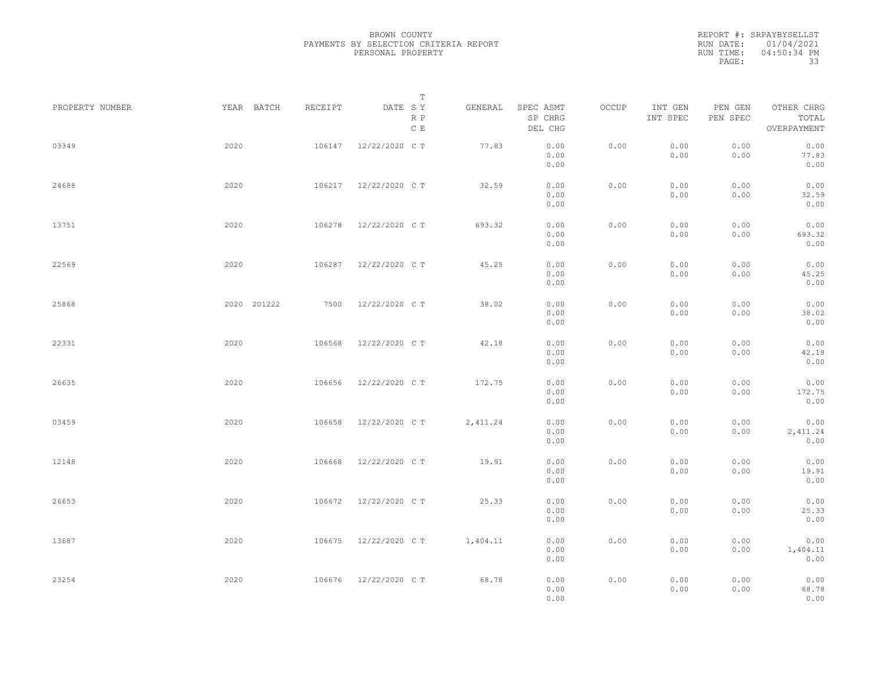|                 |             |         | $\mathbb T$           |           |                                 |       |                     |                     |                                    |  |
|-----------------|-------------|---------|-----------------------|-----------|---------------------------------|-------|---------------------|---------------------|------------------------------------|--|
| PROPERTY NUMBER | YEAR BATCH  | RECEIPT | DATE SY<br>R P<br>C E | GENERAL   | SPEC ASMT<br>SP CHRG<br>DEL CHG | OCCUP | INT GEN<br>INT SPEC | PEN GEN<br>PEN SPEC | OTHER CHRG<br>TOTAL<br>OVERPAYMENT |  |
| 03349           | 2020        | 106147  | 12/22/2020 C T        | 77.83     | 0.00<br>0.00<br>0.00            | 0.00  | 0.00<br>0.00        | 0.00<br>0.00        | 0.00<br>77.83<br>0.00              |  |
| 24688           | 2020        | 106217  | 12/22/2020 C T        | 32.59     | 0.00<br>0.00<br>0.00            | 0.00  | 0.00<br>0.00        | 0.00<br>0.00        | 0.00<br>32.59<br>0.00              |  |
| 13751           | 2020        | 106278  | 12/22/2020 C T        | 693.32    | 0.00<br>0.00<br>0.00            | 0.00  | 0.00<br>0.00        | 0.00<br>0.00        | 0.00<br>693.32<br>0.00             |  |
| 22569           | 2020        | 106287  | 12/22/2020 C T        | 45.25     | 0.00<br>0.00<br>0.00            | 0.00  | 0.00<br>0.00        | 0.00<br>0.00        | 0.00<br>45.25<br>0.00              |  |
| 25868           | 2020 201222 | 7500    | 12/22/2020 C T        | 38.02     | 0.00<br>0.00<br>0.00            | 0.00  | 0.00<br>0.00        | 0.00<br>0.00        | 0.00<br>38.02<br>0.00              |  |
| 22331           | 2020        | 106568  | 12/22/2020 C T        | 42.18     | 0.00<br>0.00<br>0.00            | 0.00  | 0.00<br>0.00        | 0.00<br>0.00        | 0.00<br>42.18<br>0.00              |  |
| 26635           | 2020        | 106656  | 12/22/2020 C T        | 172.75    | 0.00<br>0.00<br>0.00            | 0.00  | 0.00<br>0.00        | 0.00<br>0.00        | 0.00<br>172.75<br>0.00             |  |
| 03459           | 2020        | 106658  | 12/22/2020 C T        | 2, 411.24 | 0.00<br>0.00<br>0.00            | 0.00  | 0.00<br>0.00        | 0.00<br>0.00        | 0.00<br>2, 411.24<br>0.00          |  |
| 12148           | 2020        | 106668  | 12/22/2020 C T        | 19.91     | 0.00<br>0.00<br>0.00            | 0.00  | 0.00<br>0.00        | 0.00<br>0.00        | 0.00<br>19.91<br>0.00              |  |
| 26653           | 2020        | 106672  | 12/22/2020 C T        | 25.33     | 0.00<br>0.00<br>0.00            | 0.00  | 0.00<br>0.00        | 0.00<br>0.00        | 0.00<br>25.33<br>0.00              |  |
| 13687           | 2020        | 106675  | 12/22/2020 C T        | 1,404.11  | 0.00<br>0.00<br>0.00            | 0.00  | 0.00<br>0.00        | 0.00<br>0.00        | 0.00<br>1,404.11<br>0.00           |  |
| 23254           | 2020        | 106676  | 12/22/2020 C T        | 68.78     | 0.00<br>0.00<br>0.00            | 0.00  | 0.00<br>0.00        | 0.00<br>0.00        | 0.00<br>68.78<br>0.00              |  |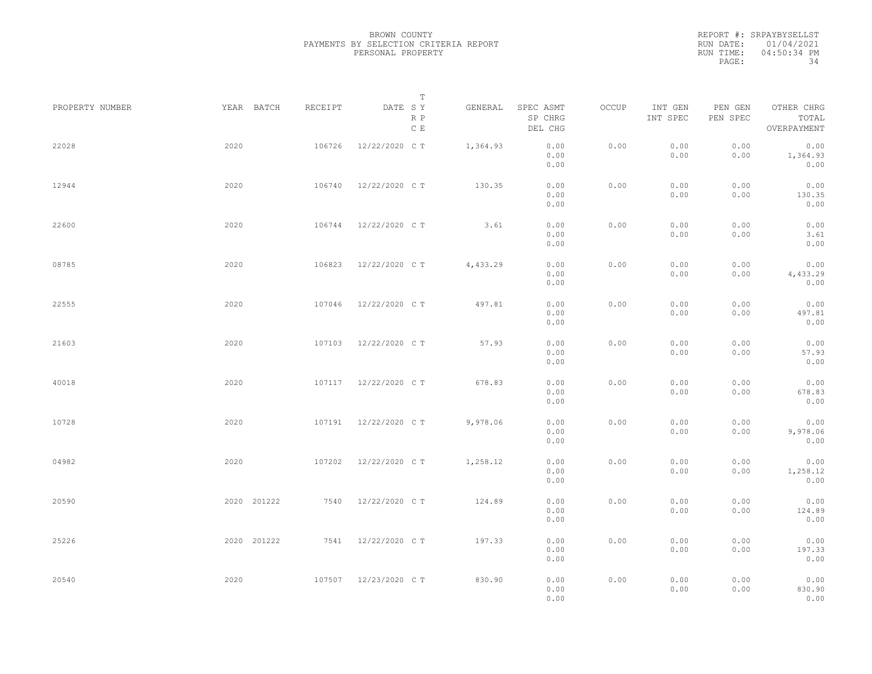|                 |             |         | $\mathbb T$           |          |                                 |       |                     |                     |                                    |  |
|-----------------|-------------|---------|-----------------------|----------|---------------------------------|-------|---------------------|---------------------|------------------------------------|--|
| PROPERTY NUMBER | YEAR BATCH  | RECEIPT | DATE SY<br>R P<br>C E | GENERAL  | SPEC ASMT<br>SP CHRG<br>DEL CHG | OCCUP | INT GEN<br>INT SPEC | PEN GEN<br>PEN SPEC | OTHER CHRG<br>TOTAL<br>OVERPAYMENT |  |
| 22028           | 2020        | 106726  | 12/22/2020 C T        | 1,364.93 | 0.00<br>0.00<br>0.00            | 0.00  | 0.00<br>0.00        | 0.00<br>0.00        | 0.00<br>1,364.93<br>0.00           |  |
| 12944           | 2020        | 106740  | 12/22/2020 C T        | 130.35   | 0.00<br>0.00<br>0.00            | 0.00  | 0.00<br>0.00        | 0.00<br>0.00        | 0.00<br>130.35<br>0.00             |  |
| 22600           | 2020        | 106744  | 12/22/2020 C T        | 3.61     | 0.00<br>0.00<br>0.00            | 0.00  | 0.00<br>0.00        | 0.00<br>0.00        | 0.00<br>3.61<br>0.00               |  |
| 08785           | 2020        | 106823  | 12/22/2020 C T        | 4,433.29 | 0.00<br>0.00<br>0.00            | 0.00  | 0.00<br>0.00        | 0.00<br>0.00        | 0.00<br>4,433.29<br>0.00           |  |
| 22555           | 2020        | 107046  | 12/22/2020 C T        | 497.81   | 0.00<br>0.00<br>0.00            | 0.00  | 0.00<br>0.00        | 0.00<br>0.00        | 0.00<br>497.81<br>0.00             |  |
| 21603           | 2020        | 107103  | 12/22/2020 C T        | 57.93    | 0.00<br>0.00<br>0.00            | 0.00  | 0.00<br>0.00        | 0.00<br>0.00        | 0.00<br>57.93<br>0.00              |  |
| 40018           | 2020        | 107117  | 12/22/2020 C T        | 678.83   | 0.00<br>0.00<br>0.00            | 0.00  | 0.00<br>0.00        | 0.00<br>0.00        | 0.00<br>678.83<br>0.00             |  |
| 10728           | 2020        | 107191  | 12/22/2020 C T        | 9,978.06 | 0.00<br>0.00<br>0.00            | 0.00  | 0.00<br>0.00        | 0.00<br>0.00        | 0.00<br>9,978.06<br>0.00           |  |
| 04982           | 2020        | 107202  | 12/22/2020 C T        | 1,258.12 | 0.00<br>0.00<br>0.00            | 0.00  | 0.00<br>0.00        | 0.00<br>0.00        | 0.00<br>1,258.12<br>0.00           |  |
| 20590           | 2020 201222 | 7540    | 12/22/2020 C T        | 124.89   | 0.00<br>0.00<br>0.00            | 0.00  | 0.00<br>0.00        | 0.00<br>0.00        | 0.00<br>124.89<br>0.00             |  |
| 25226           | 2020 201222 | 7541    | 12/22/2020 C T        | 197.33   | 0.00<br>0.00<br>0.00            | 0.00  | 0.00<br>0.00        | 0.00<br>0.00        | 0.00<br>197.33<br>0.00             |  |
| 20540           | 2020        |         | 107507 12/23/2020 CT  | 830.90   | 0.00<br>0.00<br>0.00            | 0.00  | 0.00<br>0.00        | 0.00<br>0.00        | 0.00<br>830.90<br>0.00             |  |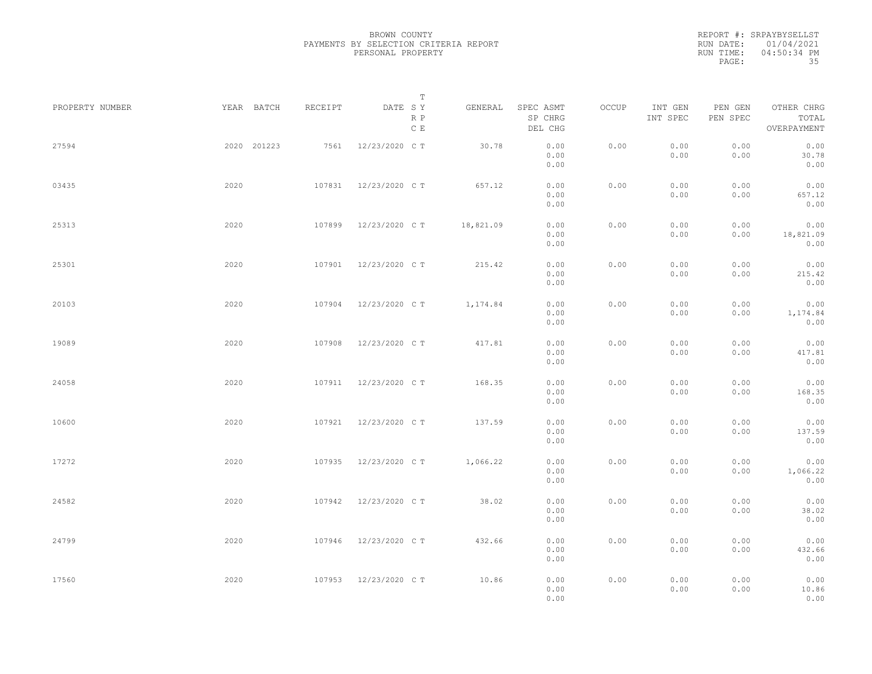|                 |             |         | $\mathbb T$                     |           |                                 |       |                     |                     |                                    |  |
|-----------------|-------------|---------|---------------------------------|-----------|---------------------------------|-------|---------------------|---------------------|------------------------------------|--|
| PROPERTY NUMBER | YEAR BATCH  | RECEIPT | DATE SY<br>R P<br>$\,$ C $\,$ E | GENERAL   | SPEC ASMT<br>SP CHRG<br>DEL CHG | OCCUP | INT GEN<br>INT SPEC | PEN GEN<br>PEN SPEC | OTHER CHRG<br>TOTAL<br>OVERPAYMENT |  |
| 27594           | 2020 201223 | 7561    | 12/23/2020 C T                  | 30.78     | 0.00<br>0.00<br>0.00            | 0.00  | 0.00<br>0.00        | 0.00<br>0.00        | 0.00<br>30.78<br>0.00              |  |
| 03435           | 2020        | 107831  | 12/23/2020 C T                  | 657.12    | 0.00<br>0.00<br>0.00            | 0.00  | 0.00<br>0.00        | 0.00<br>0.00        | 0.00<br>657.12<br>0.00             |  |
| 25313           | 2020        | 107899  | 12/23/2020 C T                  | 18,821.09 | 0.00<br>0.00<br>0.00            | 0.00  | 0.00<br>0.00        | 0.00<br>0.00        | 0.00<br>18,821.09<br>0.00          |  |
| 25301           | 2020        | 107901  | 12/23/2020 C T                  | 215.42    | 0.00<br>0.00<br>0.00            | 0.00  | 0.00<br>0.00        | 0.00<br>0.00        | 0.00<br>215.42<br>0.00             |  |
| 20103           | 2020        | 107904  | 12/23/2020 C T                  | 1,174.84  | 0.00<br>0.00<br>0.00            | 0.00  | 0.00<br>0.00        | 0.00<br>0.00        | 0.00<br>1,174.84<br>0.00           |  |
| 19089           | 2020        | 107908  | 12/23/2020 C T                  | 417.81    | 0.00<br>0.00<br>0.00            | 0.00  | 0.00<br>0.00        | 0.00<br>0.00        | 0.00<br>417.81<br>0.00             |  |
| 24058           | 2020        | 107911  | 12/23/2020 C T                  | 168.35    | 0.00<br>0.00<br>0.00            | 0.00  | 0.00<br>0.00        | 0.00<br>0.00        | 0.00<br>168.35<br>0.00             |  |
| 10600           | 2020        | 107921  | 12/23/2020 C T                  | 137.59    | 0.00<br>0.00<br>0.00            | 0.00  | 0.00<br>0.00        | 0.00<br>0.00        | 0.00<br>137.59<br>0.00             |  |
| 17272           | 2020        | 107935  | 12/23/2020 C T                  | 1,066.22  | 0.00<br>0.00<br>0.00            | 0.00  | 0.00<br>0.00        | 0.00<br>0.00        | 0.00<br>1,066.22<br>0.00           |  |
| 24582           | 2020        | 107942  | 12/23/2020 C T                  | 38.02     | 0.00<br>0.00<br>0.00            | 0.00  | 0.00<br>0.00        | 0.00<br>0.00        | 0.00<br>38.02<br>0.00              |  |
| 24799           | 2020        | 107946  | 12/23/2020 C T                  | 432.66    | 0.00<br>0.00<br>0.00            | 0.00  | 0.00<br>0.00        | 0.00<br>0.00        | 0.00<br>432.66<br>0.00             |  |
| 17560           | 2020        | 107953  | 12/23/2020 C T                  | 10.86     | 0.00<br>0.00<br>0.00            | 0.00  | 0.00<br>0.00        | 0.00<br>0.00        | 0.00<br>10.86<br>0.00              |  |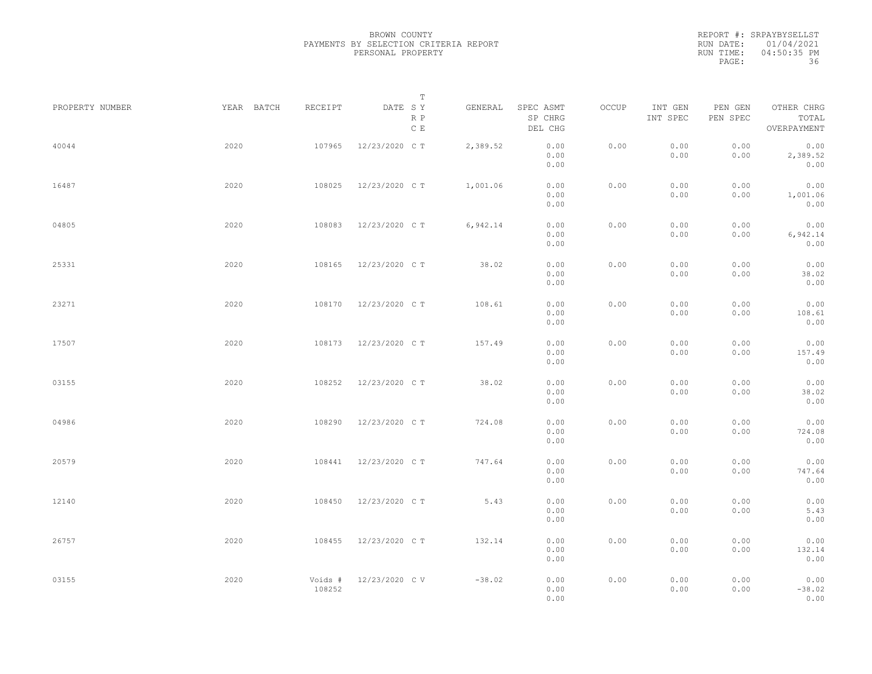|                 |            |                   | $\mathbb T$                     |          |                                 |       |                     |                     |                                    |  |
|-----------------|------------|-------------------|---------------------------------|----------|---------------------------------|-------|---------------------|---------------------|------------------------------------|--|
| PROPERTY NUMBER | YEAR BATCH | RECEIPT           | DATE SY<br>R P<br>$\,$ C $\,$ E | GENERAL  | SPEC ASMT<br>SP CHRG<br>DEL CHG | OCCUP | INT GEN<br>INT SPEC | PEN GEN<br>PEN SPEC | OTHER CHRG<br>TOTAL<br>OVERPAYMENT |  |
| 40044           | 2020       | 107965            | 12/23/2020 C T                  | 2,389.52 | 0.00<br>0.00<br>0.00            | 0.00  | 0.00<br>0.00        | 0.00<br>0.00        | 0.00<br>2,389.52<br>0.00           |  |
| 16487           | 2020       | 108025            | 12/23/2020 C T                  | 1,001.06 | 0.00<br>0.00<br>0.00            | 0.00  | 0.00<br>0.00        | 0.00<br>0.00        | 0.00<br>1,001.06<br>0.00           |  |
| 04805           | 2020       | 108083            | 12/23/2020 C T                  | 6,942.14 | 0.00<br>0.00<br>0.00            | 0.00  | 0.00<br>0.00        | 0.00<br>0.00        | 0.00<br>6,942.14<br>0.00           |  |
| 25331           | 2020       | 108165            | 12/23/2020 C T                  | 38.02    | 0.00<br>0.00<br>0.00            | 0.00  | 0.00<br>0.00        | 0.00<br>0.00        | 0.00<br>38.02<br>0.00              |  |
| 23271           | 2020       | 108170            | 12/23/2020 C T                  | 108.61   | 0.00<br>0.00<br>0.00            | 0.00  | 0.00<br>0.00        | 0.00<br>0.00        | 0.00<br>108.61<br>0.00             |  |
| 17507           | 2020       | 108173            | 12/23/2020 C T                  | 157.49   | 0.00<br>0.00<br>0.00            | 0.00  | 0.00<br>0.00        | 0.00<br>0.00        | 0.00<br>157.49<br>0.00             |  |
| 03155           | 2020       | 108252            | 12/23/2020 C T                  | 38.02    | 0.00<br>0.00<br>0.00            | 0.00  | 0.00<br>0.00        | 0.00<br>0.00        | 0.00<br>38.02<br>0.00              |  |
| 04986           | 2020       | 108290            | 12/23/2020 C T                  | 724.08   | 0.00<br>0.00<br>0.00            | 0.00  | 0.00<br>0.00        | 0.00<br>0.00        | 0.00<br>724.08<br>0.00             |  |
| 20579           | 2020       | 108441            | 12/23/2020 C T                  | 747.64   | 0.00<br>0.00<br>0.00            | 0.00  | 0.00<br>0.00        | 0.00<br>0.00        | 0.00<br>747.64<br>0.00             |  |
| 12140           | 2020       | 108450            | 12/23/2020 C T                  | 5.43     | 0.00<br>0.00<br>0.00            | 0.00  | 0.00<br>0.00        | 0.00<br>0.00        | 0.00<br>5.43<br>0.00               |  |
| 26757           | 2020       | 108455            | 12/23/2020 C T                  | 132.14   | 0.00<br>0.00<br>0.00            | 0.00  | 0.00<br>0.00        | 0.00<br>0.00        | 0.00<br>132.14<br>0.00             |  |
| 03155           | 2020       | Voids #<br>108252 | 12/23/2020 C V                  | $-38.02$ | 0.00<br>0.00<br>0.00            | 0.00  | 0.00<br>0.00        | 0.00<br>0.00        | 0.00<br>$-38.02$<br>0.00           |  |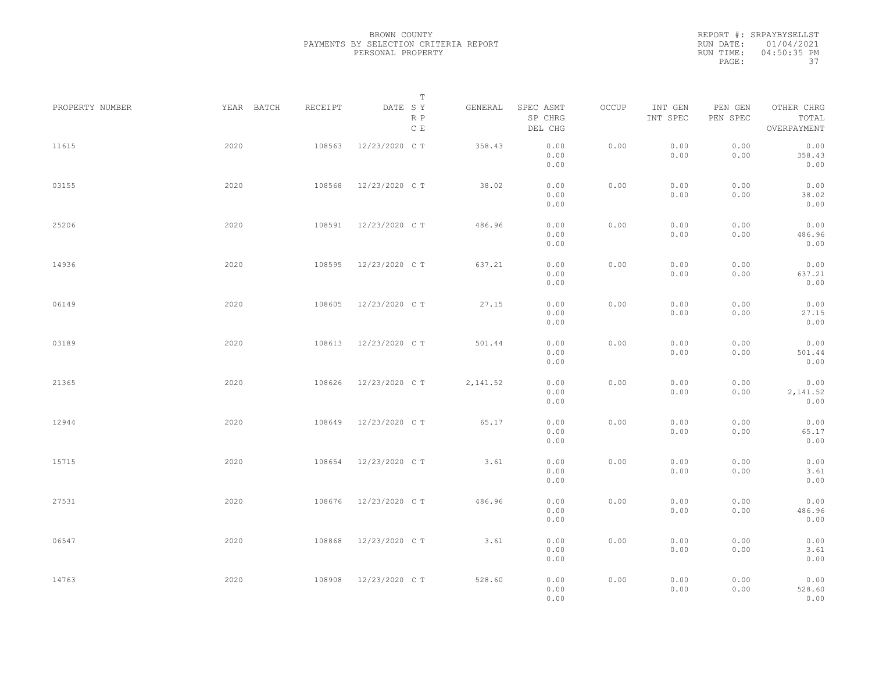|           | REPORT #: SRPAYBYSELLST |
|-----------|-------------------------|
|           | RUN DATE: 01/04/2021    |
| RUN TIME: | 04:50:35 PM             |
| PAGE:     | -37                     |

|                 |            |         | T                               |          |                                 |       |                     |                     |                                    |  |
|-----------------|------------|---------|---------------------------------|----------|---------------------------------|-------|---------------------|---------------------|------------------------------------|--|
| PROPERTY NUMBER | YEAR BATCH | RECEIPT | DATE SY<br>R P<br>$\,$ C $\,$ E | GENERAL  | SPEC ASMT<br>SP CHRG<br>DEL CHG | OCCUP | INT GEN<br>INT SPEC | PEN GEN<br>PEN SPEC | OTHER CHRG<br>TOTAL<br>OVERPAYMENT |  |
| 11615           | 2020       | 108563  | 12/23/2020 C T                  | 358.43   | 0.00<br>0.00<br>0.00            | 0.00  | 0.00<br>0.00        | 0.00<br>0.00        | 0.00<br>358.43<br>0.00             |  |
| 03155           | 2020       | 108568  | 12/23/2020 C T                  | 38.02    | 0.00<br>0.00<br>0.00            | 0.00  | 0.00<br>0.00        | 0.00<br>0.00        | 0.00<br>38.02<br>0.00              |  |
| 25206           | 2020       | 108591  | 12/23/2020 C T                  | 486.96   | 0.00<br>0.00<br>0.00            | 0.00  | 0.00<br>0.00        | 0.00<br>0.00        | 0.00<br>486.96<br>0.00             |  |
| 14936           | 2020       | 108595  | 12/23/2020 C T                  | 637.21   | 0.00<br>0.00<br>0.00            | 0.00  | 0.00<br>0.00        | 0.00<br>0.00        | 0.00<br>637.21<br>0.00             |  |
| 06149           | 2020       | 108605  | 12/23/2020 C T                  | 27.15    | 0.00<br>0.00<br>0.00            | 0.00  | 0.00<br>0.00        | 0.00<br>0.00        | 0.00<br>27.15<br>0.00              |  |
| 03189           | 2020       | 108613  | 12/23/2020 C T                  | 501.44   | 0.00<br>0.00<br>0.00            | 0.00  | 0.00<br>0.00        | 0.00<br>0.00        | 0.00<br>501.44<br>0.00             |  |
| 21365           | 2020       | 108626  | 12/23/2020 C T                  | 2,141.52 | 0.00<br>0.00<br>0.00            | 0.00  | 0.00<br>0.00        | 0.00<br>0.00        | 0.00<br>2,141.52<br>0.00           |  |
| 12944           | 2020       | 108649  | 12/23/2020 C T                  | 65.17    | 0.00<br>0.00<br>0.00            | 0.00  | 0.00<br>0.00        | 0.00<br>0.00        | 0.00<br>65.17<br>0.00              |  |
| 15715           | 2020       | 108654  | 12/23/2020 C T                  | 3.61     | 0.00<br>0.00<br>0.00            | 0.00  | 0.00<br>0.00        | 0.00<br>0.00        | 0.00<br>3.61<br>0.00               |  |
| 27531           | 2020       | 108676  | 12/23/2020 C T                  | 486.96   | 0.00<br>0.00<br>0.00            | 0.00  | 0.00<br>0.00        | 0.00<br>0.00        | 0.00<br>486.96<br>0.00             |  |
| 06547           | 2020       | 108868  | 12/23/2020 C T                  | 3.61     | 0.00<br>0.00<br>0.00            | 0.00  | 0.00<br>0.00        | 0.00<br>0.00        | 0.00<br>3.61<br>0.00               |  |
| 14763           | 2020       | 108908  | 12/23/2020 C T                  | 528.60   | 0.00<br>0.00<br>0.00            | 0.00  | 0.00<br>0.00        | 0.00<br>0.00        | 0.00<br>528.60<br>0.00             |  |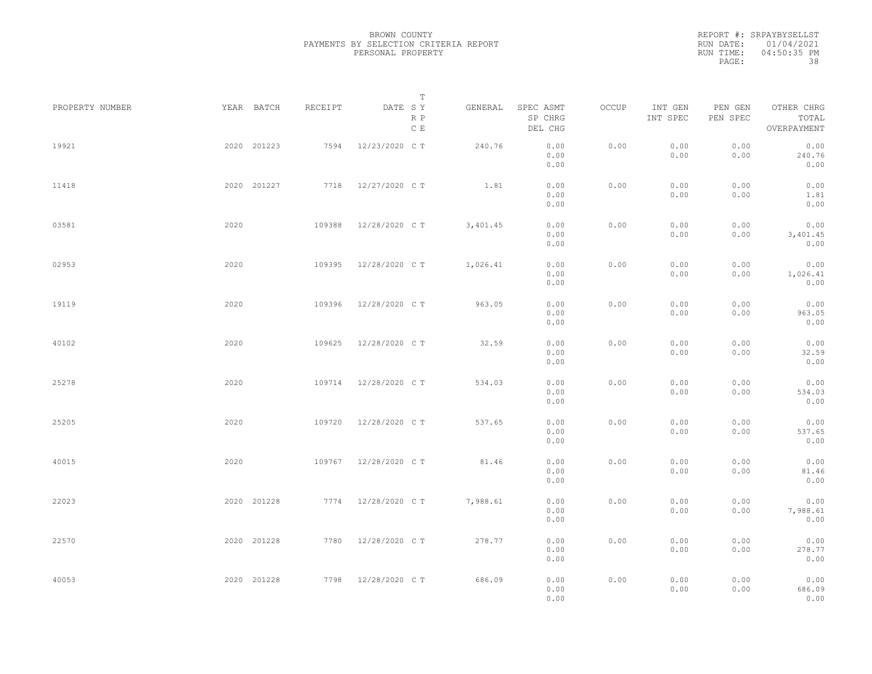REPORT #: SRPAYBYSELLST RUN DATE: 01/04/2021 RUN TIME: 04:50:35 PM PAGE: 38

|                 |      |             |         |                    | $\mathbb T$ |          |                                 |       |                     |                     |                                    |  |
|-----------------|------|-------------|---------|--------------------|-------------|----------|---------------------------------|-------|---------------------|---------------------|------------------------------------|--|
| PROPERTY NUMBER |      | YEAR BATCH  | RECEIPT | DATE SY            | R P<br>C E  | GENERAL  | SPEC ASMT<br>SP CHRG<br>DEL CHG | OCCUP | INT GEN<br>INT SPEC | PEN GEN<br>PEN SPEC | OTHER CHRG<br>TOTAL<br>OVERPAYMENT |  |
| 19921           |      | 2020 201223 | 7594    | 12/23/2020 C T     |             | 240.76   | 0.00<br>0.00<br>0.00            | 0.00  | 0.00<br>0.00        | 0.00<br>0.00        | 0.00<br>240.76<br>0.00             |  |
| 11418           |      | 2020 201227 |         | 7718 12/27/2020 CT |             | 1.81     | 0.00<br>0.00<br>0.00            | 0.00  | 0.00<br>0.00        | 0.00<br>0.00        | 0.00<br>1.81<br>0.00               |  |
| 03581           | 2020 |             | 109388  | 12/28/2020 C T     |             | 3,401.45 | 0.00<br>0.00<br>0.00            | 0.00  | 0.00<br>0.00        | 0.00<br>0.00        | 0.00<br>3,401.45<br>0.00           |  |
| 02953           | 2020 |             | 109395  | 12/28/2020 C T     |             | 1,026.41 | 0.00<br>0.00<br>0.00            | 0.00  | 0.00<br>0.00        | 0.00<br>0.00        | 0.00<br>1,026.41<br>0.00           |  |
| 19119           | 2020 |             | 109396  | 12/28/2020 C T     |             | 963.05   | 0.00<br>0.00<br>0.00            | 0.00  | 0.00<br>0.00        | 0.00<br>0.00        | 0.00<br>963.05<br>0.00             |  |
| 40102           | 2020 |             | 109625  | 12/28/2020 C T     |             | 32.59    | 0.00<br>0.00<br>0.00            | 0.00  | 0.00<br>0.00        | 0.00<br>0.00        | 0.00<br>32.59<br>0.00              |  |
| 25278           | 2020 |             | 109714  | 12/28/2020 C T     |             | 534.03   | 0.00<br>0.00<br>0.00            | 0.00  | 0.00<br>0.00        | 0.00<br>0.00        | 0.00<br>534.03<br>0.00             |  |
| 25205           | 2020 |             | 109720  | 12/28/2020 C T     |             | 537.65   | 0.00<br>0.00<br>0.00            | 0.00  | 0.00<br>0.00        | 0.00<br>0.00        | 0.00<br>537.65<br>0.00             |  |
| 40015           | 2020 |             | 109767  | 12/28/2020 C T     |             | 81.46    | 0.00<br>0.00<br>0.00            | 0.00  | 0.00<br>0.00        | 0.00<br>0.00        | 0.00<br>81.46<br>0.00              |  |
| 22023           |      | 2020 201228 |         | 7774 12/28/2020 CT |             | 7,988.61 | 0.00<br>0.00<br>0.00            | 0.00  | 0.00<br>0.00        | 0.00<br>0.00        | 0.00<br>7,988.61<br>0.00           |  |
| 22570           |      | 2020 201228 |         | 7780 12/28/2020 CT |             | 278.77   | 0.00<br>0.00<br>0.00            | 0.00  | 0.00<br>0.00        | 0.00<br>0.00        | 0.00<br>278.77<br>0.00             |  |
| 40053           |      | 2020 201228 |         | 7798 12/28/2020 CT |             | 686.09   | 0.00<br>0.00<br>0.00            | 0.00  | 0.00<br>0.00        | 0.00<br>0.00        | 0.00<br>686.09<br>0.00             |  |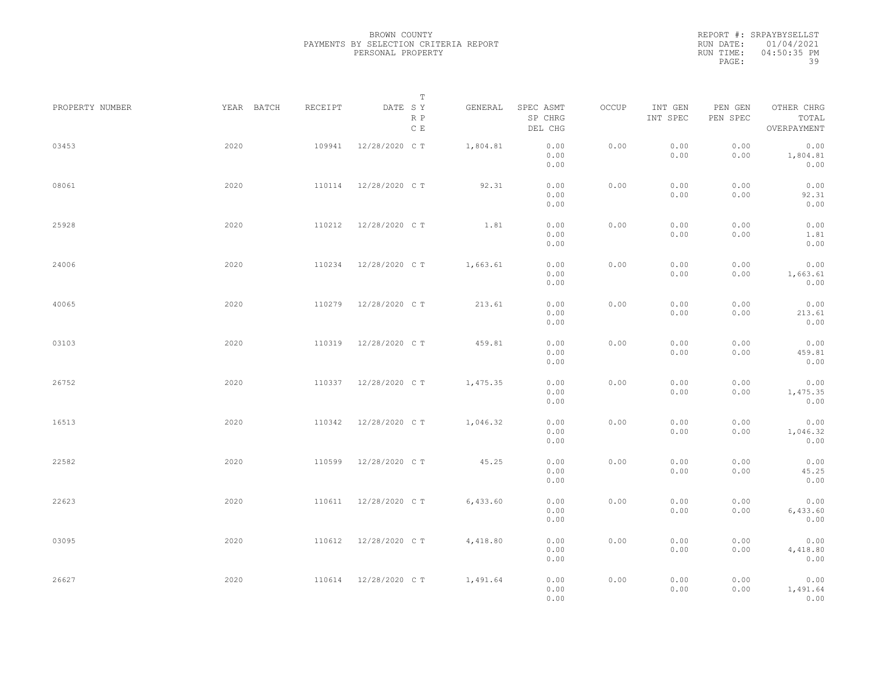|           | REPORT #: SRPAYBYSELLST |
|-----------|-------------------------|
|           | RUN DATE: 01/04/2021    |
| RUN TIME: | 04:50:35 PM             |
| PAGE:     | 39                      |

|                 |            |         | T                               |          |                                 |       |                     |                     |                                    |  |
|-----------------|------------|---------|---------------------------------|----------|---------------------------------|-------|---------------------|---------------------|------------------------------------|--|
| PROPERTY NUMBER | YEAR BATCH | RECEIPT | DATE SY<br>R P<br>$\,$ C $\,$ E | GENERAL  | SPEC ASMT<br>SP CHRG<br>DEL CHG | OCCUP | INT GEN<br>INT SPEC | PEN GEN<br>PEN SPEC | OTHER CHRG<br>TOTAL<br>OVERPAYMENT |  |
| 03453           | 2020       | 109941  | 12/28/2020 C T                  | 1,804.81 | 0.00<br>0.00<br>0.00            | 0.00  | 0.00<br>0.00        | 0.00<br>0.00        | 0.00<br>1,804.81<br>0.00           |  |
| 08061           | 2020       | 110114  | 12/28/2020 C T                  | 92.31    | 0.00<br>0.00<br>0.00            | 0.00  | 0.00<br>0.00        | 0.00<br>0.00        | 0.00<br>92.31<br>0.00              |  |
| 25928           | 2020       | 110212  | 12/28/2020 C T                  | 1.81     | 0.00<br>0.00<br>0.00            | 0.00  | 0.00<br>0.00        | 0.00<br>0.00        | 0.00<br>1.81<br>0.00               |  |
| 24006           | 2020       | 110234  | 12/28/2020 C T                  | 1,663.61 | 0.00<br>0.00<br>0.00            | 0.00  | 0.00<br>0.00        | 0.00<br>0.00        | 0.00<br>1,663.61<br>0.00           |  |
| 40065           | 2020       | 110279  | 12/28/2020 C T                  | 213.61   | 0.00<br>0.00<br>0.00            | 0.00  | 0.00<br>0.00        | 0.00<br>0.00        | 0.00<br>213.61<br>0.00             |  |
| 03103           | 2020       | 110319  | 12/28/2020 C T                  | 459.81   | 0.00<br>0.00<br>0.00            | 0.00  | 0.00<br>0.00        | 0.00<br>0.00        | 0.00<br>459.81<br>0.00             |  |
| 26752           | 2020       | 110337  | 12/28/2020 C T                  | 1,475.35 | 0.00<br>0.00<br>0.00            | 0.00  | 0.00<br>0.00        | 0.00<br>0.00        | 0.00<br>1,475.35<br>0.00           |  |
| 16513           | 2020       | 110342  | 12/28/2020 C T                  | 1,046.32 | 0.00<br>0.00<br>0.00            | 0.00  | 0.00<br>0.00        | 0.00<br>0.00        | 0.00<br>1,046.32<br>0.00           |  |
| 22582           | 2020       | 110599  | 12/28/2020 C T                  | 45.25    | 0.00<br>0.00<br>0.00            | 0.00  | 0.00<br>0.00        | 0.00<br>0.00        | 0.00<br>45.25<br>0.00              |  |
| 22623           | 2020       | 110611  | 12/28/2020 C T                  | 6,433.60 | 0.00<br>0.00<br>0.00            | 0.00  | 0.00<br>0.00        | 0.00<br>0.00        | 0.00<br>6,433.60<br>0.00           |  |
| 03095           | 2020       | 110612  | 12/28/2020 C T                  | 4,418.80 | 0.00<br>0.00<br>0.00            | 0.00  | 0.00<br>0.00        | 0.00<br>0.00        | 0.00<br>4,418.80<br>0.00           |  |
| 26627           | 2020       | 110614  | 12/28/2020 C T                  | 1,491.64 | 0.00<br>0.00<br>0.00            | 0.00  | 0.00<br>0.00        | 0.00<br>0.00        | 0.00<br>1,491.64<br>0.00           |  |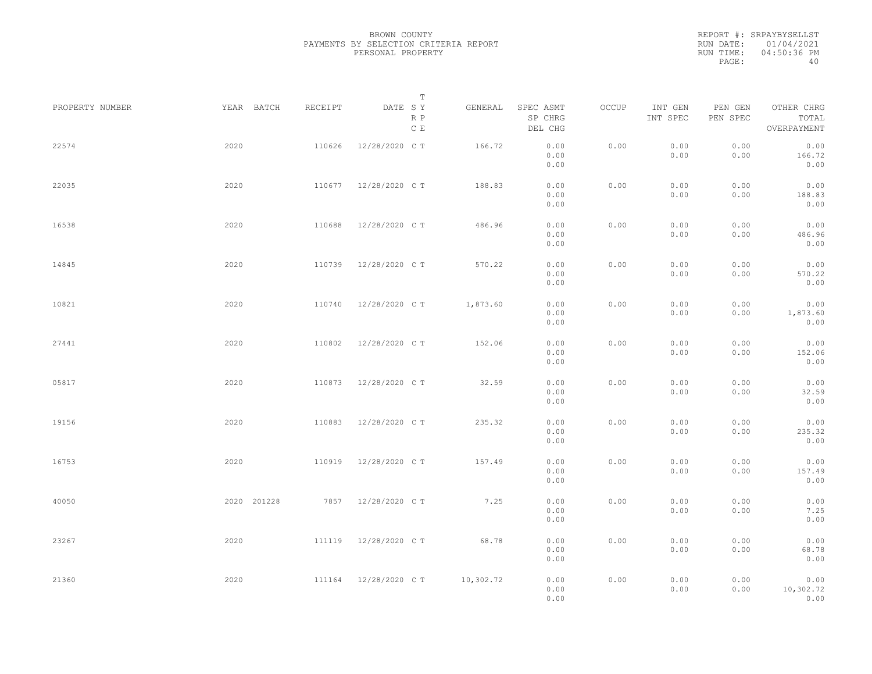|           | REPORT #: SRPAYBYSELLST |
|-----------|-------------------------|
|           | RUN DATE: 01/04/2021    |
| RUN TIME: | 04:50:36 PM             |
| PAGE:     | 40                      |

|             |            | T                    |                                                                               |                      |                                                                           |              |              |                           |                                                                            |
|-------------|------------|----------------------|-------------------------------------------------------------------------------|----------------------|---------------------------------------------------------------------------|--------------|--------------|---------------------------|----------------------------------------------------------------------------|
|             |            | R P<br>$\,$ C $\,$ E |                                                                               | SP CHRG<br>DEL CHG   |                                                                           | INT SPEC     | PEN SPEC     | TOTAL<br>OVERPAYMENT      |                                                                            |
| 2020        | 110626     | 12/28/2020 C T       | 166.72                                                                        | 0.00<br>0.00<br>0.00 | 0.00                                                                      | 0.00<br>0.00 | 0.00<br>0.00 | 0.00<br>166.72<br>0.00    |                                                                            |
| 2020        | 110677     | 12/28/2020 C T       | 188.83                                                                        | 0.00<br>0.00<br>0.00 | 0.00                                                                      | 0.00<br>0.00 | 0.00<br>0.00 | 0.00<br>188.83<br>0.00    |                                                                            |
| 2020        | 110688     | 12/28/2020 C T       | 486.96                                                                        | 0.00<br>0.00<br>0.00 | 0.00                                                                      | 0.00<br>0.00 | 0.00<br>0.00 | 0.00<br>486.96<br>0.00    |                                                                            |
| 2020        | 110739     | 12/28/2020 C T       | 570.22                                                                        | 0.00<br>0.00         | 0.00                                                                      | 0.00<br>0.00 | 0.00<br>0.00 | 0.00<br>570.22            |                                                                            |
| 2020        | 110740     | 12/28/2020 C T       | 1,873.60                                                                      | 0.00<br>0.00         | 0.00                                                                      | 0.00<br>0.00 | 0.00<br>0.00 | 0.00<br>1,873.60          |                                                                            |
| 2020        | 110802     | 12/28/2020 C T       | 152.06                                                                        | 0.00<br>0.00         | 0.00                                                                      | 0.00<br>0.00 | 0.00<br>0.00 | 0.00<br>152.06            |                                                                            |
| 2020        | 110873     | 12/28/2020 C T       | 32.59                                                                         | 0.00<br>0.00         | 0.00                                                                      | 0.00<br>0.00 | 0.00<br>0.00 | 0.00<br>32.59             |                                                                            |
| 2020        | 110883     | 12/28/2020 C T       | 235.32                                                                        | 0.00<br>0.00         | 0.00                                                                      | 0.00<br>0.00 | 0.00<br>0.00 | 0.00<br>235.32            |                                                                            |
| 2020        | 110919     | 12/28/2020 C T       | 157.49                                                                        | 0.00<br>0.00         | 0.00                                                                      | 0.00<br>0.00 | 0.00<br>0.00 | 0.00<br>157.49            |                                                                            |
| 2020 201228 |            |                      | 7.25                                                                          | 0.00<br>0.00         | 0.00                                                                      | 0.00<br>0.00 | 0.00<br>0.00 | 0.00<br>7.25              |                                                                            |
| 2020        |            |                      | 68.78                                                                         | 0.00<br>0.00         | 0.00                                                                      | 0.00<br>0.00 | 0.00<br>0.00 | 0.00<br>68.78             |                                                                            |
| 2020        |            |                      |                                                                               | 0.00<br>0.00<br>0.00 | 0.00                                                                      | 0.00<br>0.00 | 0.00<br>0.00 | 0.00<br>0.00<br>10,302.72 |                                                                            |
|             | YEAR BATCH | RECEIPT              | DATE SY<br>7857 12/28/2020 CT<br>111119 12/28/2020 CT<br>111164 12/28/2020 CT | GENERAL<br>10,302.72 | SPEC ASMT<br>0.00<br>0.00<br>0.00<br>0.00<br>0.00<br>0.00<br>0.00<br>0.00 | OCCUP        | INT GEN      | PEN GEN                   | OTHER CHRG<br>0.00<br>0.00<br>0.00<br>0.00<br>0.00<br>0.00<br>0.00<br>0.00 |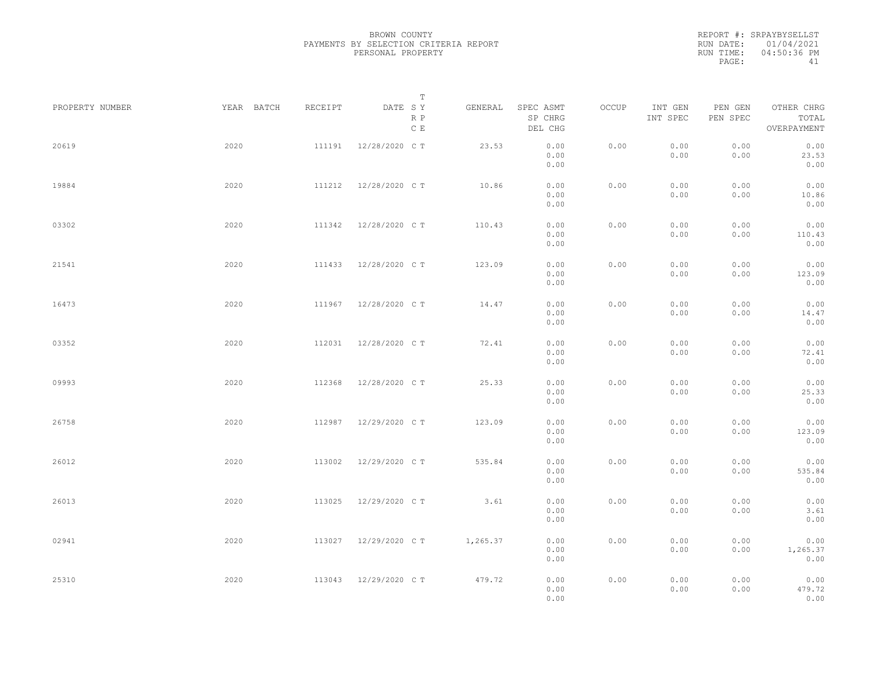|           | REPORT #: SRPAYBYSELLST |
|-----------|-------------------------|
|           | RUN DATE: 01/04/2021    |
| RUN TIME: | 04:50:36 PM             |
| PAGE:     | 41                      |

|                 |            |         | T                               |          |                                                                                                        |       |                     |                     |                                    |  |
|-----------------|------------|---------|---------------------------------|----------|--------------------------------------------------------------------------------------------------------|-------|---------------------|---------------------|------------------------------------|--|
| PROPERTY NUMBER | YEAR BATCH | RECEIPT | DATE SY<br>R P<br>$\,$ C $\,$ E | GENERAL  | SPEC ASMT<br>SP CHRG<br>DEL CHG                                                                        | OCCUP | INT GEN<br>INT SPEC | PEN GEN<br>PEN SPEC | OTHER CHRG<br>TOTAL<br>OVERPAYMENT |  |
| 20619           | 2020       | 111191  | 12/28/2020 C T                  | 23.53    | 0.00<br>0.00<br>0.00                                                                                   | 0.00  | 0.00<br>0.00        | 0.00<br>0.00        | 0.00<br>23.53<br>0.00              |  |
| 19884           | 2020       | 111212  | 12/28/2020 C T                  | 10.86    | 0.00<br>0.00<br>0.00                                                                                   | 0.00  | 0.00<br>0.00        | 0.00<br>0.00        | 0.00<br>10.86<br>0.00              |  |
| 03302           | 2020       | 111342  | 12/28/2020 C T                  | 110.43   | 0.00<br>0.00<br>0.00                                                                                   | 0.00  | 0.00<br>0.00        | 0.00<br>0.00        | 0.00<br>110.43<br>0.00             |  |
| 21541           | 2020       | 111433  | 12/28/2020 C T                  | 123.09   | 0.00<br>0.00<br>0.00                                                                                   | 0.00  | 0.00<br>0.00        | 0.00<br>0.00        | 0.00<br>123.09<br>0.00             |  |
| 16473           | 2020       | 111967  | 12/28/2020 C T                  | 14.47    | 0.00<br>0.00<br>0.00                                                                                   | 0.00  | 0.00<br>0.00        | 0.00<br>0.00        | 0.00<br>14.47<br>0.00              |  |
| 03352           | 2020       | 112031  | 12/28/2020 C T                  | 72.41    | 0.00<br>0.00<br>0.00                                                                                   | 0.00  | 0.00<br>0.00        | 0.00<br>0.00        | 0.00<br>72.41<br>0.00              |  |
| 09993           | 2020       | 112368  | 12/28/2020 C T                  | 25.33    | 0.00<br>0.00<br>0.00                                                                                   | 0.00  | 0.00<br>0.00        | 0.00<br>0.00        | 0.00<br>25.33<br>0.00              |  |
| 26758           | 2020       | 112987  | 12/29/2020 C T                  | 123.09   | 0.00<br>0.00<br>0.00                                                                                   | 0.00  | 0.00<br>0.00        | 0.00<br>0.00        | 0.00<br>123.09<br>0.00             |  |
| 26012           | 2020       | 113002  | 12/29/2020 C T                  | 535.84   | 0.00<br>0.00                                                                                           | 0.00  | 0.00<br>0.00        | 0.00<br>0.00        | 0.00<br>535.84                     |  |
| 26013           | 2020       | 113025  | 12/29/2020 C T                  | 3.61     | 0.00<br>0.00<br>0.00                                                                                   | 0.00  | 0.00<br>0.00        | 0.00<br>0.00        | 0.00<br>0.00<br>3.61               |  |
| 02941           | 2020       | 113027  | 12/29/2020 C T                  | 1,265.37 | 0.00<br>0.00<br>0.00                                                                                   | 0.00  | 0.00<br>0.00        | 0.00<br>0.00        | 0.00<br>0.00<br>1,265.37           |  |
| 25310           | 2020       | 113043  | 12/29/2020 C T                  | 479.72   | 0.00<br>$\ensuremath{\mathbf{0}}$ . $\ensuremath{\mathbf{0}}\,\ensuremath{\mathbf{0}}$<br>0.00<br>0.00 | 0.00  | 0.00<br>0.00        | 0.00<br>0.00        | 0.00<br>0.00<br>479.72<br>0.00     |  |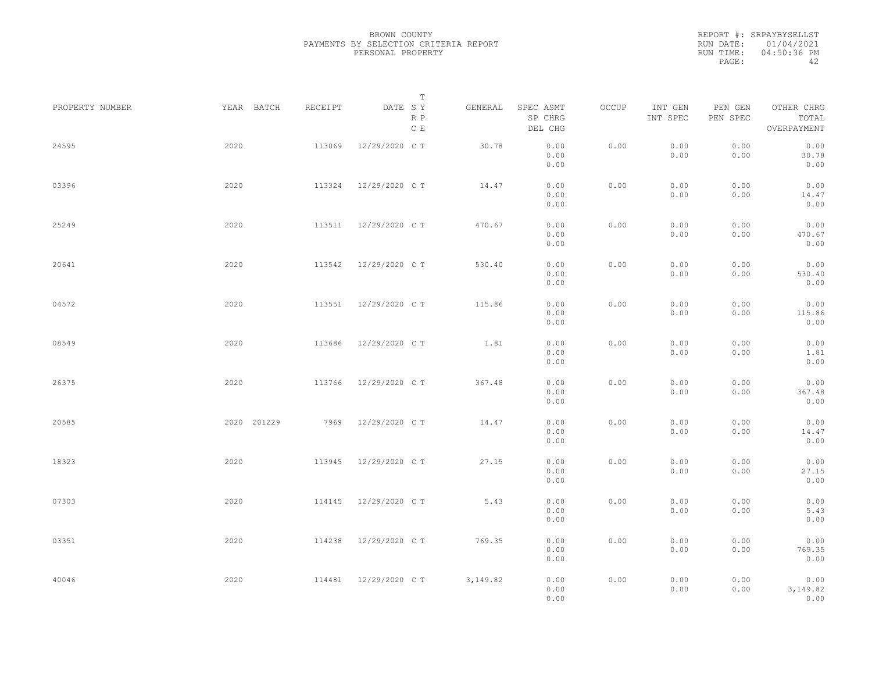|           | REPORT #: SRPAYBYSELLST |
|-----------|-------------------------|
|           | RUN DATE: 01/04/2021    |
| RUN TIME: | 04:50:36 PM             |
| PAGE:     | ΔΩ                      |

|                 |             |         | T                               |           |                                 |       |                     |                     |                                    |  |
|-----------------|-------------|---------|---------------------------------|-----------|---------------------------------|-------|---------------------|---------------------|------------------------------------|--|
| PROPERTY NUMBER | YEAR BATCH  | RECEIPT | DATE SY<br>R P<br>$\,$ C $\,$ E | GENERAL   | SPEC ASMT<br>SP CHRG<br>DEL CHG | OCCUP | INT GEN<br>INT SPEC | PEN GEN<br>PEN SPEC | OTHER CHRG<br>TOTAL<br>OVERPAYMENT |  |
| 24595           | 2020        | 113069  | 12/29/2020 C T                  | 30.78     | 0.00<br>0.00<br>0.00            | 0.00  | 0.00<br>0.00        | 0.00<br>0.00        | 0.00<br>30.78<br>0.00              |  |
| 03396           | 2020        | 113324  | 12/29/2020 C T                  | 14.47     | 0.00<br>0.00<br>0.00            | 0.00  | 0.00<br>0.00        | 0.00<br>0.00        | 0.00<br>14.47<br>0.00              |  |
| 25249           | 2020        |         | 113511 12/29/2020 CT            | 470.67    | 0.00<br>0.00<br>0.00            | 0.00  | 0.00<br>0.00        | 0.00<br>0.00        | 0.00<br>470.67<br>0.00             |  |
| 20641           | 2020        | 113542  | 12/29/2020 C T                  | 530.40    | 0.00<br>0.00<br>0.00            | 0.00  | 0.00<br>0.00        | 0.00<br>0.00        | 0.00<br>530.40<br>0.00             |  |
| 04572           | 2020        | 113551  | 12/29/2020 C T                  | 115.86    | 0.00<br>0.00<br>0.00            | 0.00  | 0.00<br>0.00        | 0.00<br>0.00        | 0.00<br>115.86<br>0.00             |  |
| 08549           | 2020        | 113686  | 12/29/2020 C T                  | 1.81      | 0.00<br>0.00<br>0.00            | 0.00  | 0.00<br>0.00        | 0.00<br>0.00        | 0.00<br>1.81<br>0.00               |  |
| 26375           | 2020        | 113766  | 12/29/2020 C T                  | 367.48    | 0.00<br>0.00<br>0.00            | 0.00  | 0.00<br>0.00        | 0.00<br>0.00        | 0.00<br>367.48<br>0.00             |  |
| 20585           | 2020 201229 | 7969    | 12/29/2020 C T                  | 14.47     | 0.00<br>0.00                    | 0.00  | 0.00<br>0.00        | 0.00<br>0.00        | 0.00<br>14.47                      |  |
| 18323           | 2020        | 113945  | 12/29/2020 C T                  | 27.15     | 0.00<br>0.00<br>0.00            | 0.00  | 0.00<br>0.00        | 0.00<br>0.00        | 0.00<br>0.00<br>27.15              |  |
| 07303           | 2020        | 114145  | 12/29/2020 C T                  | 5.43      | 0.00<br>0.00<br>0.00            | 0.00  | 0.00<br>0.00        | 0.00<br>0.00        | 0.00<br>0.00<br>5.43               |  |
| 03351           | 2020        | 114238  | 12/29/2020 C T                  | 769.35    | 0.00<br>0.00<br>0.00            | 0.00  | 0.00<br>0.00        | 0.00<br>0.00        | 0.00<br>0.00<br>769.35             |  |
| 40046           | 2020        |         | 114481 12/29/2020 CT            | 3, 149.82 | 0.00<br>0.00<br>0.00<br>0.00    | 0.00  | 0.00<br>0.00        | 0.00<br>0.00        | 0.00<br>0.00<br>3,149.82<br>0.00   |  |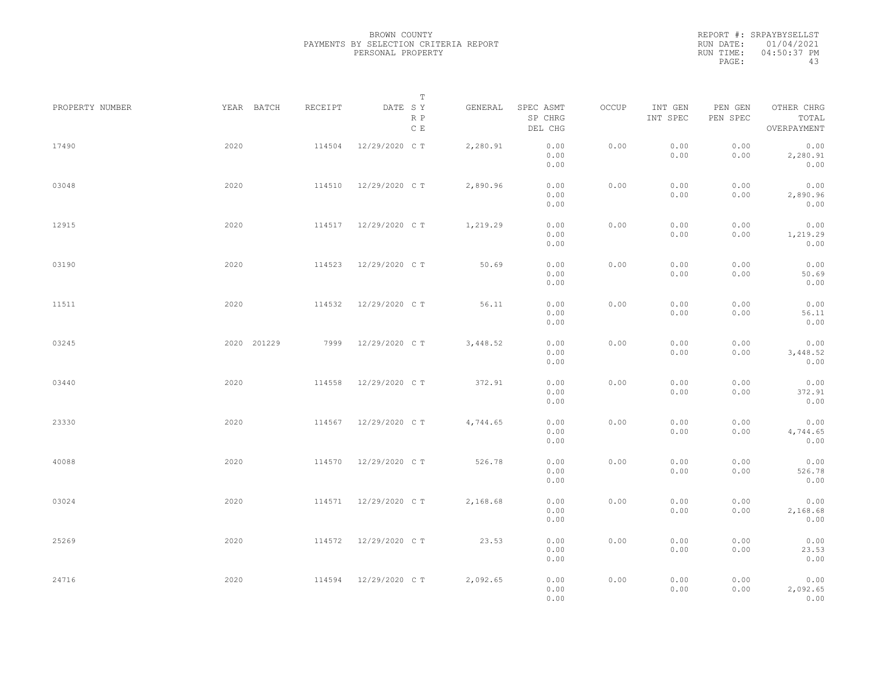REPORT #: SRPAYBYSELLST RUN DATE: 01/04/2021 RUN TIME: 04:50:37 PM PAGE: 43

|                 |             |         | $\mathbb T$           |          |                                 |       |                     |                     |                                    |  |
|-----------------|-------------|---------|-----------------------|----------|---------------------------------|-------|---------------------|---------------------|------------------------------------|--|
| PROPERTY NUMBER | YEAR BATCH  | RECEIPT | DATE SY<br>R P<br>C E | GENERAL  | SPEC ASMT<br>SP CHRG<br>DEL CHG | OCCUP | INT GEN<br>INT SPEC | PEN GEN<br>PEN SPEC | OTHER CHRG<br>TOTAL<br>OVERPAYMENT |  |
| 17490           | 2020        | 114504  | 12/29/2020 C T        | 2,280.91 | 0.00<br>0.00<br>0.00            | 0.00  | 0.00<br>0.00        | 0.00<br>0.00        | 0.00<br>2,280.91<br>0.00           |  |
| 03048           | 2020        | 114510  | 12/29/2020 C T        | 2,890.96 | 0.00<br>0.00<br>0.00            | 0.00  | 0.00<br>0.00        | 0.00<br>0.00        | 0.00<br>2,890.96<br>0.00           |  |
| 12915           | 2020        |         | 114517 12/29/2020 CT  | 1,219.29 | 0.00<br>0.00<br>0.00            | 0.00  | 0.00<br>0.00        | 0.00<br>0.00        | 0.00<br>1,219.29<br>0.00           |  |
| 03190           | 2020        | 114523  | 12/29/2020 C T        | 50.69    | 0.00<br>0.00<br>0.00            | 0.00  | 0.00<br>0.00        | 0.00<br>0.00        | 0.00<br>50.69<br>0.00              |  |
| 11511           | 2020        | 114532  | 12/29/2020 C T        | 56.11    | 0.00<br>0.00<br>0.00            | 0.00  | 0.00<br>0.00        | 0.00<br>0.00        | 0.00<br>56.11<br>0.00              |  |
| 03245           | 2020 201229 | 7999    | 12/29/2020 C T        | 3,448.52 | 0.00<br>0.00<br>0.00            | 0.00  | 0.00<br>0.00        | 0.00<br>0.00        | 0.00<br>3,448.52<br>0.00           |  |
| 03440           | 2020        | 114558  | 12/29/2020 C T        | 372.91   | 0.00<br>0.00<br>0.00            | 0.00  | 0.00<br>0.00        | 0.00<br>0.00        | 0.00<br>372.91<br>0.00             |  |
| 23330           | 2020        | 114567  | 12/29/2020 C T        | 4,744.65 | 0.00<br>0.00<br>0.00            | 0.00  | 0.00<br>0.00        | 0.00<br>0.00        | 0.00<br>4,744.65<br>0.00           |  |
| 40088           | 2020        | 114570  | 12/29/2020 C T        | 526.78   | 0.00<br>0.00<br>0.00            | 0.00  | 0.00<br>0.00        | 0.00<br>0.00        | 0.00<br>526.78<br>0.00             |  |
| 03024           | 2020        | 114571  | 12/29/2020 C T        | 2,168.68 | 0.00<br>0.00<br>0.00            | 0.00  | 0.00<br>0.00        | 0.00<br>0.00        | 0.00<br>2,168.68<br>0.00           |  |
| 25269           | 2020        |         | 114572 12/29/2020 CT  | 23.53    | 0.00<br>0.00<br>0.00            | 0.00  | 0.00<br>0.00        | 0.00<br>0.00        | 0.00<br>23.53<br>0.00              |  |
| 24716           | 2020        |         | 114594 12/29/2020 CT  | 2,092.65 | 0.00<br>0.00<br>0.00            | 0.00  | 0.00<br>0.00        | 0.00<br>0.00        | 0.00<br>2,092.65<br>0.00           |  |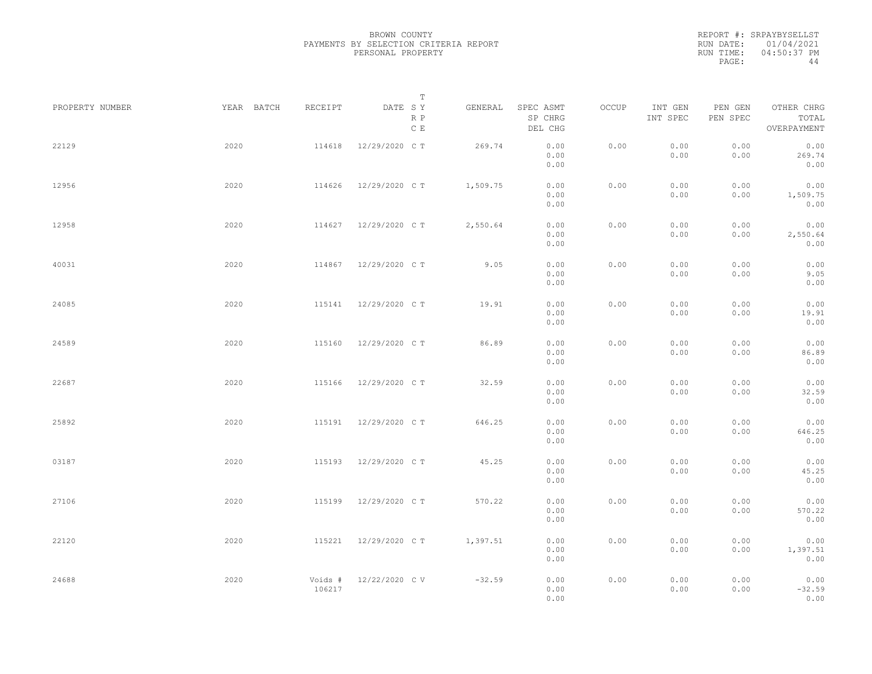REPORT #: SRPAYBYSELLST RUN DATE: 01/04/2021 RUN TIME: 04:50:37 PM PAGE: 44

|                 |            |                   | $\mathbb T$                     |          |                                 |       |                     |                     |                                    |  |
|-----------------|------------|-------------------|---------------------------------|----------|---------------------------------|-------|---------------------|---------------------|------------------------------------|--|
| PROPERTY NUMBER | YEAR BATCH | RECEIPT           | DATE SY<br>R P<br>$\,$ C $\,$ E | GENERAL  | SPEC ASMT<br>SP CHRG<br>DEL CHG | OCCUP | INT GEN<br>INT SPEC | PEN GEN<br>PEN SPEC | OTHER CHRG<br>TOTAL<br>OVERPAYMENT |  |
| 22129           | 2020       | 114618            | 12/29/2020 C T                  | 269.74   | 0.00<br>0.00<br>0.00            | 0.00  | 0.00<br>0.00        | 0.00<br>0.00        | 0.00<br>269.74<br>0.00             |  |
| 12956           | 2020       | 114626            | 12/29/2020 C T                  | 1,509.75 | 0.00<br>0.00<br>0.00            | 0.00  | 0.00<br>0.00        | 0.00<br>0.00        | 0.00<br>1,509.75<br>0.00           |  |
| 12958           | 2020       | 114627            | 12/29/2020 C T                  | 2,550.64 | 0.00<br>0.00<br>0.00            | 0.00  | 0.00<br>0.00        | 0.00<br>0.00        | 0.00<br>2,550.64<br>0.00           |  |
| 40031           | 2020       |                   | 114867 12/29/2020 CT            | 9.05     | 0.00<br>0.00<br>0.00            | 0.00  | 0.00<br>0.00        | 0.00<br>0.00        | 0.00<br>9.05<br>0.00               |  |
| 24085           | 2020       | 115141            | 12/29/2020 C T                  | 19.91    | 0.00<br>0.00<br>0.00            | 0.00  | 0.00<br>0.00        | 0.00<br>0.00        | 0.00<br>19.91<br>0.00              |  |
| 24589           | 2020       | 115160            | 12/29/2020 C T                  | 86.89    | 0.00<br>0.00<br>0.00            | 0.00  | 0.00<br>0.00        | 0.00<br>0.00        | 0.00<br>86.89<br>0.00              |  |
| 22687           | 2020       | 115166            | 12/29/2020 C T                  | 32.59    | 0.00<br>0.00<br>0.00            | 0.00  | 0.00<br>0.00        | 0.00<br>0.00        | 0.00<br>32.59<br>0.00              |  |
| 25892           | 2020       | 115191            | 12/29/2020 C T                  | 646.25   | 0.00<br>0.00<br>0.00            | 0.00  | 0.00<br>0.00        | 0.00<br>0.00        | 0.00<br>646.25<br>0.00             |  |
| 03187           | 2020       | 115193            | 12/29/2020 C T                  | 45.25    | 0.00<br>0.00<br>0.00            | 0.00  | 0.00<br>0.00        | 0.00<br>0.00        | 0.00<br>45.25<br>0.00              |  |
| 27106           | 2020       | 115199            | 12/29/2020 C T                  | 570.22   | 0.00<br>0.00<br>0.00            | 0.00  | 0.00<br>0.00        | 0.00<br>0.00        | 0.00<br>570.22<br>0.00             |  |
| 22120           | 2020       | 115221            | 12/29/2020 C T                  | 1,397.51 | 0.00<br>0.00<br>0.00            | 0.00  | 0.00<br>0.00        | 0.00<br>0.00        | 0.00<br>1,397.51<br>0.00           |  |
| 24688           | 2020       | Voids #<br>106217 | 12/22/2020 CV                   | $-32.59$ | 0.00<br>0.00<br>0.00            | 0.00  | 0.00<br>0.00        | 0.00<br>0.00        | 0.00<br>$-32.59$<br>0.00           |  |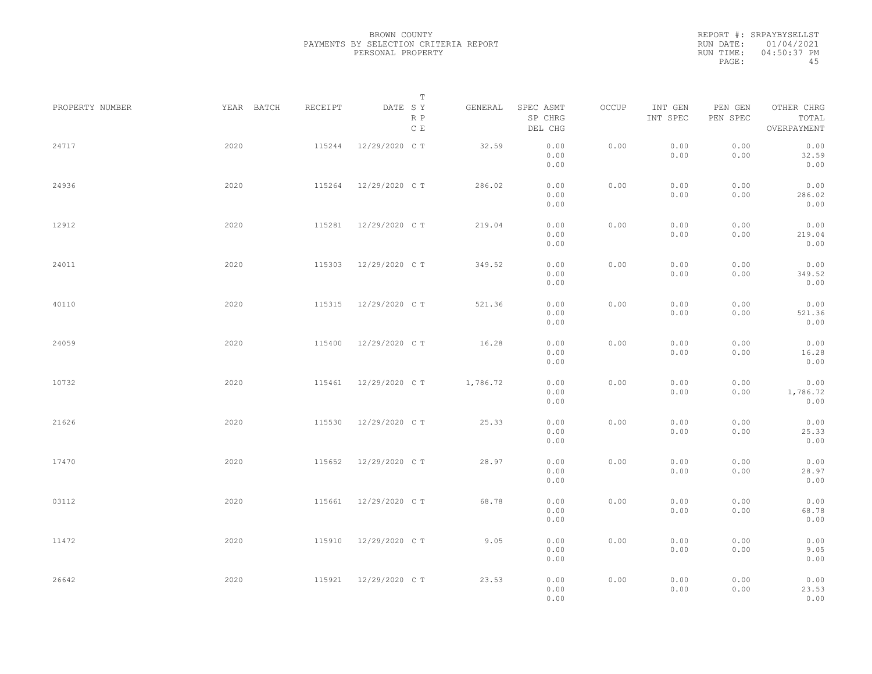REPORT #: SRPAYBYSELLST RUN DATE: 01/04/2021 RUN TIME: 04:50:37 PM PAGE: 45

|                 |            |         | $\mathbb T$                     |          |                                 |       |                     |                     |                                    |  |
|-----------------|------------|---------|---------------------------------|----------|---------------------------------|-------|---------------------|---------------------|------------------------------------|--|
| PROPERTY NUMBER | YEAR BATCH | RECEIPT | DATE SY<br>R P<br>$\,$ C $\,$ E | GENERAL  | SPEC ASMT<br>SP CHRG<br>DEL CHG | OCCUP | INT GEN<br>INT SPEC | PEN GEN<br>PEN SPEC | OTHER CHRG<br>TOTAL<br>OVERPAYMENT |  |
| 24717           | 2020       | 115244  | 12/29/2020 C T                  | 32.59    | 0.00<br>0.00<br>0.00            | 0.00  | 0.00<br>0.00        | 0.00<br>0.00        | 0.00<br>32.59<br>0.00              |  |
| 24936           | 2020       | 115264  | 12/29/2020 C T                  | 286.02   | 0.00<br>0.00<br>0.00            | 0.00  | 0.00<br>0.00        | 0.00<br>0.00        | 0.00<br>286.02<br>0.00             |  |
| 12912           | 2020       | 115281  | 12/29/2020 C T                  | 219.04   | 0.00<br>0.00<br>0.00            | 0.00  | 0.00<br>0.00        | 0.00<br>0.00        | 0.00<br>219.04<br>0.00             |  |
| 24011           | 2020       | 115303  | 12/29/2020 C T                  | 349.52   | 0.00<br>0.00<br>0.00            | 0.00  | 0.00<br>0.00        | 0.00<br>0.00        | 0.00<br>349.52<br>0.00             |  |
| 40110           | 2020       | 115315  | 12/29/2020 C T                  | 521.36   | 0.00<br>0.00<br>0.00            | 0.00  | 0.00<br>0.00        | 0.00<br>0.00        | 0.00<br>521.36<br>0.00             |  |
| 24059           | 2020       | 115400  | 12/29/2020 C T                  | 16.28    | 0.00<br>0.00<br>0.00            | 0.00  | 0.00<br>0.00        | 0.00<br>0.00        | 0.00<br>16.28<br>0.00              |  |
| 10732           | 2020       | 115461  | 12/29/2020 C T                  | 1,786.72 | 0.00<br>0.00<br>0.00            | 0.00  | 0.00<br>0.00        | 0.00<br>0.00        | 0.00<br>1,786.72<br>0.00           |  |
| 21626           | 2020       | 115530  | 12/29/2020 C T                  | 25.33    | 0.00<br>0.00<br>0.00            | 0.00  | 0.00<br>0.00        | 0.00<br>0.00        | 0.00<br>25.33<br>0.00              |  |
| 17470           | 2020       | 115652  | 12/29/2020 C T                  | 28.97    | 0.00<br>0.00<br>0.00            | 0.00  | 0.00<br>0.00        | 0.00<br>0.00        | 0.00<br>28.97<br>0.00              |  |
| 03112           | 2020       | 115661  | 12/29/2020 C T                  | 68.78    | 0.00<br>0.00<br>0.00            | 0.00  | 0.00<br>0.00        | 0.00<br>0.00        | 0.00<br>68.78<br>0.00              |  |
| 11472           | 2020       | 115910  | 12/29/2020 C T                  | 9.05     | 0.00<br>0.00<br>0.00            | 0.00  | 0.00<br>0.00        | 0.00<br>0.00        | 0.00<br>9.05<br>0.00               |  |
| 26642           | 2020       | 115921  | 12/29/2020 C T                  | 23.53    | 0.00<br>0.00<br>0.00            | 0.00  | 0.00<br>0.00        | 0.00<br>0.00        | 0.00<br>23.53<br>0.00              |  |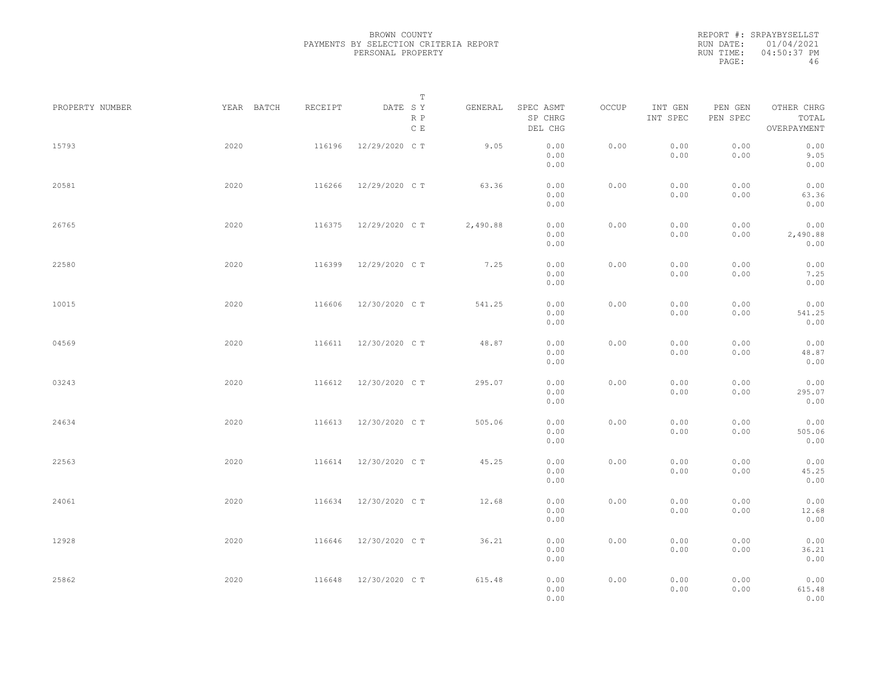REPORT #: SRPAYBYSELLST RUN DATE: 01/04/2021 RUN TIME: 04:50:37 PM PAGE: 46

|                 |            |         | $\mathbb T$           |          |                                 |       |                     |                     |                                    |
|-----------------|------------|---------|-----------------------|----------|---------------------------------|-------|---------------------|---------------------|------------------------------------|
| PROPERTY NUMBER | YEAR BATCH | RECEIPT | DATE SY<br>R P<br>C E | GENERAL  | SPEC ASMT<br>SP CHRG<br>DEL CHG | OCCUP | INT GEN<br>INT SPEC | PEN GEN<br>PEN SPEC | OTHER CHRG<br>TOTAL<br>OVERPAYMENT |
| 15793           | 2020       | 116196  | 12/29/2020 C T        | 9.05     | 0.00<br>0.00<br>0.00            | 0.00  | 0.00<br>0.00        | 0.00<br>0.00        | 0.00<br>9.05<br>0.00               |
| 20581           | 2020       | 116266  | 12/29/2020 C T        | 63.36    | 0.00<br>0.00<br>0.00            | 0.00  | 0.00<br>0.00        | 0.00<br>0.00        | 0.00<br>63.36<br>0.00              |
| 26765           | 2020       | 116375  | 12/29/2020 C T        | 2,490.88 | 0.00<br>0.00<br>0.00            | 0.00  | 0.00<br>0.00        | 0.00<br>0.00        | 0.00<br>2,490.88<br>0.00           |
| 22580           | 2020       | 116399  | 12/29/2020 C T        | 7.25     | 0.00<br>0.00<br>0.00            | 0.00  | 0.00<br>0.00        | 0.00<br>0.00        | 0.00<br>7.25<br>0.00               |
| 10015           | 2020       | 116606  | 12/30/2020 C T        | 541.25   | 0.00<br>0.00<br>0.00            | 0.00  | 0.00<br>0.00        | 0.00<br>0.00        | 0.00<br>541.25<br>0.00             |
| 04569           | 2020       | 116611  | 12/30/2020 C T        | 48.87    | 0.00<br>0.00<br>0.00            | 0.00  | 0.00<br>0.00        | 0.00<br>0.00        | 0.00<br>48.87<br>0.00              |
| 03243           | 2020       | 116612  | 12/30/2020 C T        | 295.07   | 0.00<br>0.00<br>0.00            | 0.00  | 0.00<br>0.00        | 0.00<br>0.00        | 0.00<br>295.07<br>0.00             |
| 24634           | 2020       | 116613  | 12/30/2020 C T        | 505.06   | 0.00<br>0.00<br>0.00            | 0.00  | 0.00<br>0.00        | 0.00<br>0.00        | 0.00<br>505.06<br>0.00             |
| 22563           | 2020       | 116614  | 12/30/2020 C T        | 45.25    | 0.00<br>0.00<br>0.00            | 0.00  | 0.00<br>0.00        | 0.00<br>0.00        | 0.00<br>45.25<br>0.00              |
| 24061           | 2020       | 116634  | 12/30/2020 C T        | 12.68    | 0.00<br>0.00<br>0.00            | 0.00  | 0.00<br>0.00        | 0.00<br>0.00        | 0.00<br>12.68<br>0.00              |
| 12928           | 2020       | 116646  | 12/30/2020 C T        | 36.21    | 0.00<br>0.00<br>0.00            | 0.00  | 0.00<br>0.00        | 0.00<br>0.00        | 0.00<br>36.21<br>0.00              |
| 25862           | 2020       | 116648  | 12/30/2020 C T        | 615.48   | 0.00<br>0.00<br>0.00            | 0.00  | 0.00<br>0.00        | 0.00<br>0.00        | 0.00<br>615.48<br>0.00             |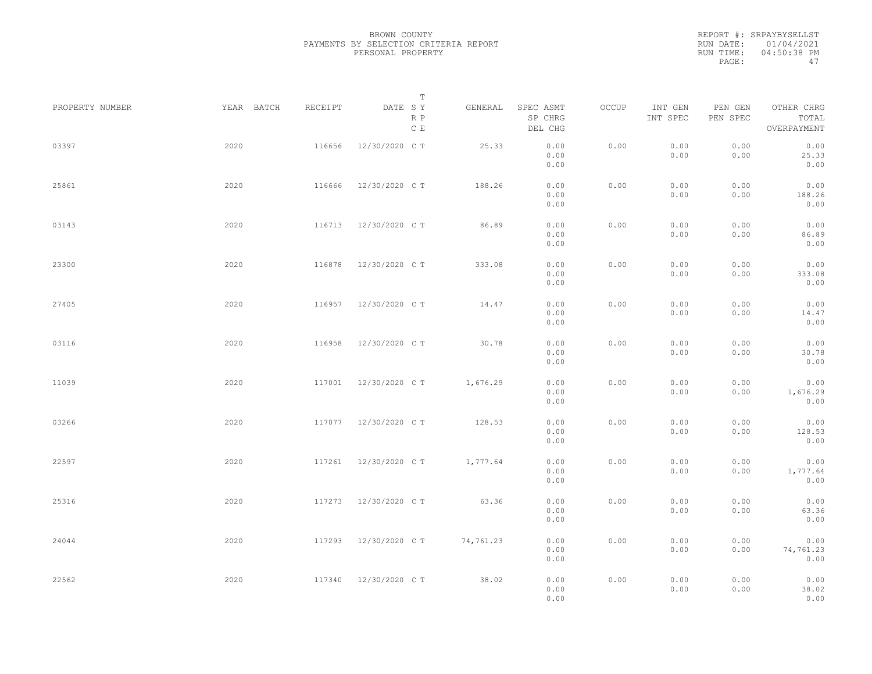|           | REPORT #: SRPAYBYSELLST |
|-----------|-------------------------|
|           | RUN DATE: 01/04/2021    |
| RUN TIME: | 04:50:38 PM             |
| PAGE:     | 47                      |

|                 |            |         | T                               |           |                                 |       |                     |                     |                                    |  |
|-----------------|------------|---------|---------------------------------|-----------|---------------------------------|-------|---------------------|---------------------|------------------------------------|--|
| PROPERTY NUMBER | YEAR BATCH | RECEIPT | DATE SY<br>R P<br>$\,$ C $\,$ E | GENERAL   | SPEC ASMT<br>SP CHRG<br>DEL CHG | OCCUP | INT GEN<br>INT SPEC | PEN GEN<br>PEN SPEC | OTHER CHRG<br>TOTAL<br>OVERPAYMENT |  |
| 03397           | 2020       | 116656  | 12/30/2020 C T                  | 25.33     | 0.00<br>0.00<br>0.00            | 0.00  | 0.00<br>0.00        | 0.00<br>0.00        | 0.00<br>25.33<br>0.00              |  |
| 25861           | 2020       | 116666  | 12/30/2020 C T                  | 188.26    | 0.00<br>0.00<br>0.00            | 0.00  | 0.00<br>0.00        | 0.00<br>0.00        | 0.00<br>188.26<br>0.00             |  |
| 03143           | 2020       |         | 116713 12/30/2020 CT            | 86.89     | 0.00<br>0.00<br>0.00            | 0.00  | 0.00<br>0.00        | 0.00<br>0.00        | 0.00<br>86.89<br>0.00              |  |
| 23300           | 2020       | 116878  | 12/30/2020 C T                  | 333.08    | 0.00<br>0.00<br>0.00            | 0.00  | 0.00<br>0.00        | 0.00<br>0.00        | 0.00<br>333.08<br>0.00             |  |
| 27405           | 2020       | 116957  | 12/30/2020 C T                  | 14.47     | 0.00<br>0.00<br>0.00            | 0.00  | 0.00<br>0.00        | 0.00<br>0.00        | 0.00<br>14.47<br>0.00              |  |
| 03116           | 2020       | 116958  | 12/30/2020 C T                  | 30.78     | 0.00<br>0.00<br>0.00            | 0.00  | 0.00<br>0.00        | 0.00<br>0.00        | 0.00<br>30.78<br>0.00              |  |
| 11039           | 2020       | 117001  | 12/30/2020 C T                  | 1,676.29  | 0.00<br>0.00<br>0.00            | 0.00  | 0.00<br>0.00        | 0.00<br>0.00        | 0.00<br>1,676.29<br>0.00           |  |
| 03266           | 2020       | 117077  | 12/30/2020 C T                  | 128.53    | 0.00<br>0.00<br>0.00            | 0.00  | 0.00<br>0.00        | 0.00<br>0.00        | 0.00<br>128.53<br>0.00             |  |
| 22597           | 2020       | 117261  | 12/30/2020 C T                  | 1,777.64  | 0.00<br>0.00<br>0.00            | 0.00  | 0.00<br>0.00        | 0.00<br>0.00        | 0.00<br>1,777.64<br>0.00           |  |
| 25316           | 2020       | 117273  | 12/30/2020 C T                  | 63.36     | 0.00<br>0.00<br>0.00            | 0.00  | 0.00<br>0.00        | 0.00<br>0.00        | 0.00<br>63.36<br>0.00              |  |
| 24044           | 2020       | 117293  | 12/30/2020 C T                  | 74,761.23 | 0.00<br>0.00<br>0.00            | 0.00  | 0.00<br>0.00        | 0.00<br>0.00        | 0.00<br>74,761.23<br>0.00          |  |
| 22562           | 2020       | 117340  | 12/30/2020 C T                  | 38.02     | 0.00<br>0.00<br>0.00            | 0.00  | 0.00<br>0.00        | 0.00<br>0.00        | 0.00<br>38.02<br>0.00              |  |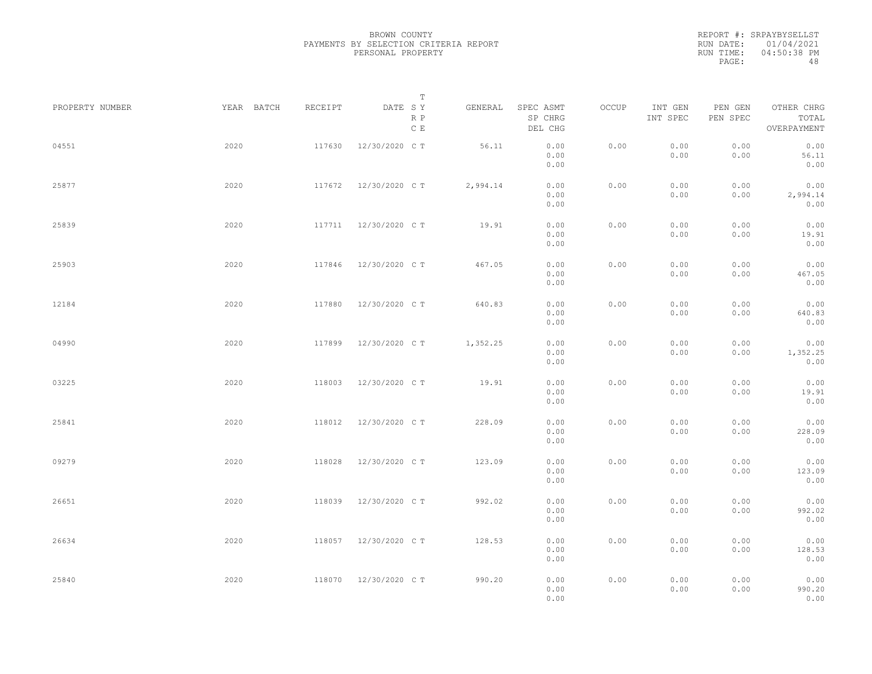|           | REPORT #: SRPAYBYSELLST |
|-----------|-------------------------|
|           | RUN DATE: 01/04/2021    |
| RUN TIME: | 04:50:38 PM             |
| PAGE:     | 48                      |

|                 |      |            |         | Т                               |          |                                 |       |                     |                     |                                    |  |
|-----------------|------|------------|---------|---------------------------------|----------|---------------------------------|-------|---------------------|---------------------|------------------------------------|--|
| PROPERTY NUMBER |      | YEAR BATCH | RECEIPT | DATE SY<br>R P<br>$\,$ C $\,$ E | GENERAL  | SPEC ASMT<br>SP CHRG<br>DEL CHG | OCCUP | INT GEN<br>INT SPEC | PEN GEN<br>PEN SPEC | OTHER CHRG<br>TOTAL<br>OVERPAYMENT |  |
| 04551           | 2020 |            | 117630  | 12/30/2020 C T                  | 56.11    | 0.00<br>0.00<br>0.00            | 0.00  | 0.00<br>0.00        | 0.00<br>0.00        | 0.00<br>56.11<br>0.00              |  |
| 25877           | 2020 |            | 117672  | 12/30/2020 C T                  | 2,994.14 | 0.00<br>0.00<br>0.00            | 0.00  | 0.00<br>0.00        | 0.00<br>0.00        | 0.00<br>2,994.14<br>0.00           |  |
| 25839           | 2020 |            |         | 117711 12/30/2020 CT            | 19.91    | 0.00<br>0.00<br>0.00            | 0.00  | 0.00<br>0.00        | 0.00<br>0.00        | 0.00<br>19.91<br>0.00              |  |
| 25903           | 2020 |            | 117846  | 12/30/2020 C T                  | 467.05   | 0.00<br>0.00<br>0.00            | 0.00  | 0.00<br>0.00        | 0.00<br>0.00        | 0.00<br>467.05<br>0.00             |  |
| 12184           | 2020 |            | 117880  | 12/30/2020 C T                  | 640.83   | 0.00<br>0.00<br>0.00            | 0.00  | 0.00<br>0.00        | 0.00<br>0.00        | 0.00<br>640.83<br>0.00             |  |
| 04990           | 2020 |            | 117899  | 12/30/2020 C T                  | 1,352.25 | 0.00<br>0.00<br>0.00            | 0.00  | 0.00<br>0.00        | 0.00<br>0.00        | 0.00<br>1,352.25<br>0.00           |  |
| 03225           | 2020 |            | 118003  | 12/30/2020 C T                  | 19.91    | 0.00<br>0.00<br>0.00            | 0.00  | 0.00<br>0.00        | 0.00<br>0.00        | 0.00<br>19.91<br>0.00              |  |
| 25841           | 2020 |            | 118012  | 12/30/2020 C T                  | 228.09   | 0.00<br>0.00<br>0.00            | 0.00  | 0.00<br>0.00        | 0.00<br>0.00        | 0.00<br>228.09<br>0.00             |  |
| 09279           | 2020 |            | 118028  | 12/30/2020 C T                  | 123.09   | 0.00<br>0.00<br>0.00            | 0.00  | 0.00<br>0.00        | 0.00<br>0.00        | 0.00<br>123.09<br>0.00             |  |
| 26651           | 2020 |            | 118039  | 12/30/2020 C T                  | 992.02   | 0.00<br>0.00<br>0.00            | 0.00  | 0.00<br>0.00        | 0.00<br>0.00        | 0.00<br>992.02<br>0.00             |  |
| 26634           | 2020 |            | 118057  | 12/30/2020 C T                  | 128.53   | 0.00<br>0.00<br>0.00            | 0.00  | 0.00<br>0.00        | 0.00<br>0.00        | 0.00<br>128.53<br>0.00             |  |
| 25840           | 2020 |            | 118070  | 12/30/2020 C T                  | 990.20   | 0.00<br>0.00<br>0.00            | 0.00  | 0.00<br>0.00        | 0.00<br>0.00        | 0.00<br>990.20<br>0.00             |  |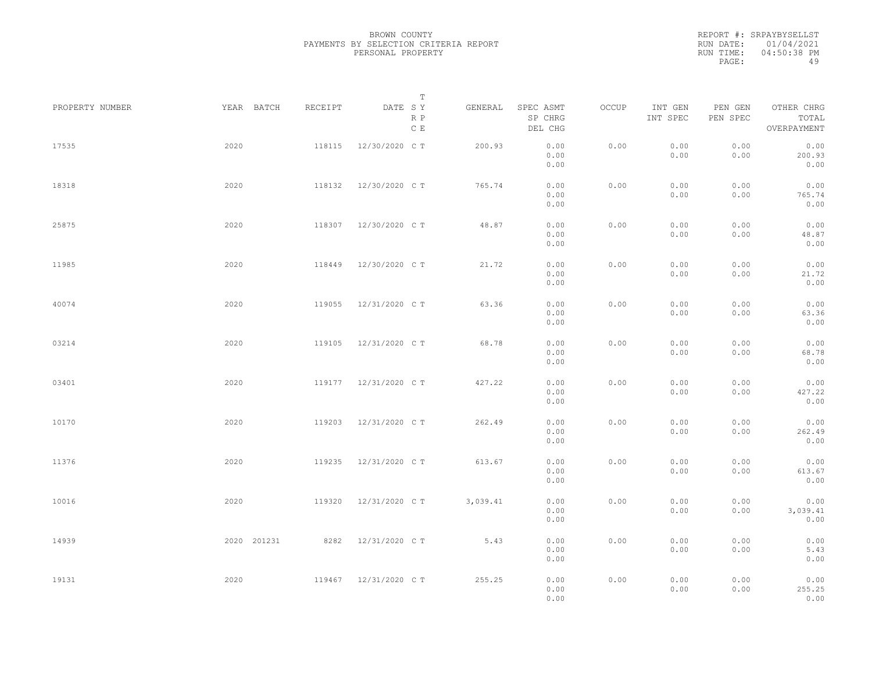|           | REPORT #: SRPAYBYSELLST |
|-----------|-------------------------|
|           | RUN DATE: 01/04/2021    |
| RUN TIME: | 04:50:38 PM             |
| PAGE:     | 49                      |

|                 |             |         | $\mathbb T$                     |          |                                 |       |                     |                     |                                    |  |
|-----------------|-------------|---------|---------------------------------|----------|---------------------------------|-------|---------------------|---------------------|------------------------------------|--|
| PROPERTY NUMBER | YEAR BATCH  | RECEIPT | DATE SY<br>R P<br>$\,$ C $\,$ E | GENERAL  | SPEC ASMT<br>SP CHRG<br>DEL CHG | OCCUP | INT GEN<br>INT SPEC | PEN GEN<br>PEN SPEC | OTHER CHRG<br>TOTAL<br>OVERPAYMENT |  |
| 17535           | 2020        | 118115  | 12/30/2020 C T                  | 200.93   | 0.00<br>0.00<br>0.00            | 0.00  | 0.00<br>0.00        | 0.00<br>0.00        | 0.00<br>200.93<br>0.00             |  |
| 18318           | 2020        | 118132  | 12/30/2020 C T                  | 765.74   | 0.00<br>0.00<br>0.00            | 0.00  | 0.00<br>0.00        | 0.00<br>0.00        | 0.00<br>765.74<br>0.00             |  |
| 25875           | 2020        | 118307  | 12/30/2020 C T                  | 48.87    | 0.00<br>0.00<br>0.00            | 0.00  | 0.00<br>0.00        | 0.00<br>0.00        | 0.00<br>48.87<br>0.00              |  |
| 11985           | 2020        | 118449  | 12/30/2020 C T                  | 21.72    | 0.00<br>0.00<br>0.00            | 0.00  | 0.00<br>0.00        | 0.00<br>0.00        | 0.00<br>21.72<br>0.00              |  |
| 40074           | 2020        | 119055  | 12/31/2020 C T                  | 63.36    | 0.00<br>0.00<br>0.00            | 0.00  | 0.00<br>0.00        | 0.00<br>0.00        | 0.00<br>63.36<br>0.00              |  |
| 03214           | 2020        | 119105  | 12/31/2020 C T                  | 68.78    | 0.00<br>0.00<br>0.00            | 0.00  | 0.00<br>0.00        | 0.00<br>0.00        | 0.00<br>68.78<br>0.00              |  |
| 03401           | 2020        | 119177  | 12/31/2020 C T                  | 427.22   | 0.00<br>0.00<br>0.00            | 0.00  | 0.00<br>0.00        | 0.00<br>0.00        | 0.00<br>427.22<br>0.00             |  |
| 10170           | 2020        | 119203  | 12/31/2020 C T                  | 262.49   | 0.00<br>0.00<br>0.00            | 0.00  | 0.00<br>0.00        | 0.00<br>0.00        | 0.00<br>262.49<br>0.00             |  |
| 11376           | 2020        | 119235  | 12/31/2020 C T                  | 613.67   | 0.00<br>0.00<br>0.00            | 0.00  | 0.00<br>0.00        | 0.00<br>0.00        | 0.00<br>613.67<br>0.00             |  |
| 10016           | 2020        | 119320  | 12/31/2020 C T                  | 3,039.41 | 0.00<br>0.00<br>0.00            | 0.00  | 0.00<br>0.00        | 0.00<br>0.00        | 0.00<br>3,039.41<br>0.00           |  |
| 14939           | 2020 201231 | 8282    | 12/31/2020 C T                  | 5.43     | 0.00<br>0.00<br>0.00            | 0.00  | 0.00<br>0.00        | 0.00<br>0.00        | 0.00<br>5.43<br>0.00               |  |
| 19131           | 2020        |         | 119467 12/31/2020 CT            | 255.25   | 0.00<br>0.00<br>0.00            | 0.00  | 0.00<br>0.00        | 0.00<br>0.00        | 0.00<br>255.25<br>0.00             |  |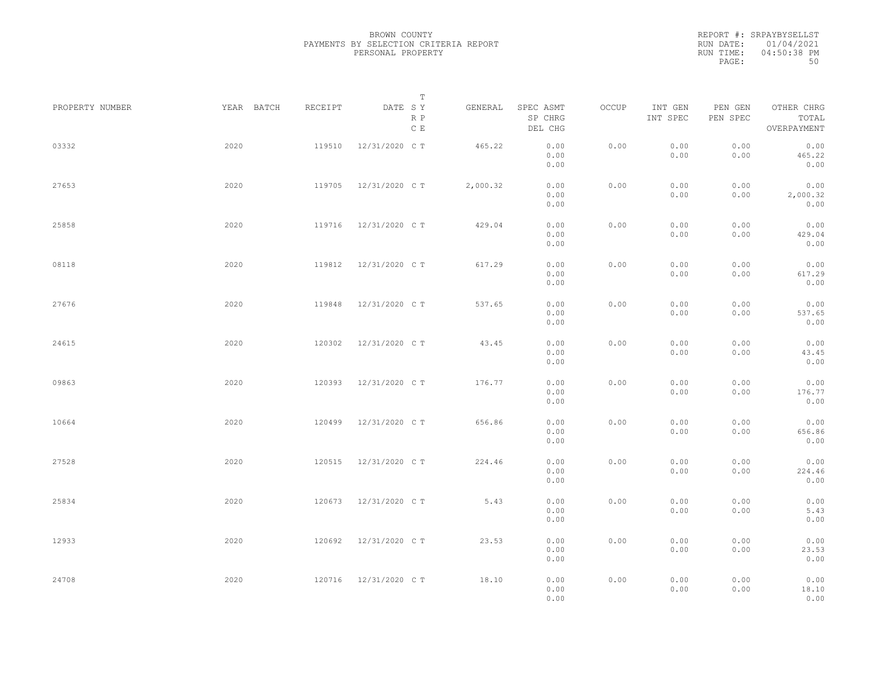REPORT #: SRPAYBYSELLST RUN DATE: 01/04/2021 RUN TIME: 04:50:38 PM PAGE: 50

|                 |            |         | $\mathbb T$           |          |                                 |       |                     |                     |                                    |  |
|-----------------|------------|---------|-----------------------|----------|---------------------------------|-------|---------------------|---------------------|------------------------------------|--|
| PROPERTY NUMBER | YEAR BATCH | RECEIPT | DATE SY<br>R P<br>C E | GENERAL  | SPEC ASMT<br>SP CHRG<br>DEL CHG | OCCUP | INT GEN<br>INT SPEC | PEN GEN<br>PEN SPEC | OTHER CHRG<br>TOTAL<br>OVERPAYMENT |  |
| 03332           | 2020       | 119510  | 12/31/2020 C T        | 465.22   | 0.00<br>0.00<br>0.00            | 0.00  | 0.00<br>0.00        | 0.00<br>0.00        | 0.00<br>465.22<br>0.00             |  |
| 27653           | 2020       | 119705  | 12/31/2020 C T        | 2,000.32 | 0.00<br>0.00<br>0.00            | 0.00  | 0.00<br>0.00        | 0.00<br>0.00        | 0.00<br>2,000.32<br>0.00           |  |
| 25858           | 2020       | 119716  | 12/31/2020 C T        | 429.04   | 0.00<br>0.00<br>0.00            | 0.00  | 0.00<br>0.00        | 0.00<br>0.00        | 0.00<br>429.04<br>0.00             |  |
| 08118           | 2020       | 119812  | 12/31/2020 C T        | 617.29   | 0.00<br>0.00<br>0.00            | 0.00  | 0.00<br>0.00        | 0.00<br>0.00        | 0.00<br>617.29<br>0.00             |  |
| 27676           | 2020       | 119848  | 12/31/2020 C T        | 537.65   | 0.00<br>0.00<br>0.00            | 0.00  | 0.00<br>0.00        | 0.00<br>0.00        | 0.00<br>537.65<br>0.00             |  |
| 24615           | 2020       | 120302  | 12/31/2020 C T        | 43.45    | 0.00<br>0.00<br>0.00            | 0.00  | 0.00<br>0.00        | 0.00<br>0.00        | 0.00<br>43.45<br>0.00              |  |
| 09863           | 2020       | 120393  | 12/31/2020 C T        | 176.77   | 0.00<br>0.00<br>0.00            | 0.00  | 0.00<br>0.00        | 0.00<br>0.00        | 0.00<br>176.77<br>0.00             |  |
| 10664           | 2020       | 120499  | 12/31/2020 C T        | 656.86   | 0.00<br>0.00<br>0.00            | 0.00  | 0.00<br>0.00        | 0.00<br>0.00        | 0.00<br>656.86<br>0.00             |  |
| 27528           | 2020       | 120515  | 12/31/2020 C T        | 224.46   | 0.00<br>0.00<br>0.00            | 0.00  | 0.00<br>0.00        | 0.00<br>0.00        | 0.00<br>224.46<br>0.00             |  |
| 25834           | 2020       | 120673  | 12/31/2020 C T        | 5.43     | 0.00<br>0.00<br>0.00            | 0.00  | 0.00<br>0.00        | 0.00<br>0.00        | 0.00<br>5.43<br>0.00               |  |
| 12933           | 2020       | 120692  | 12/31/2020 C T        | 23.53    | 0.00<br>0.00<br>0.00            | 0.00  | 0.00<br>0.00        | 0.00<br>0.00        | 0.00<br>23.53<br>0.00              |  |
| 24708           | 2020       | 120716  | 12/31/2020 C T        | 18.10    | 0.00<br>0.00<br>0.00            | 0.00  | 0.00<br>0.00        | 0.00<br>0.00        | 0.00<br>18.10<br>0.00              |  |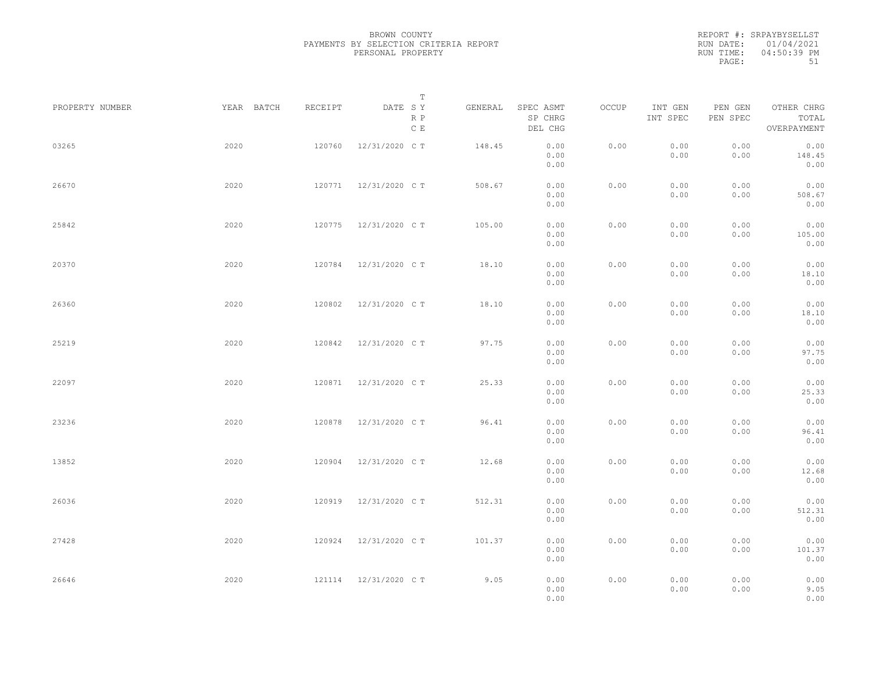|           | REPORT #: SRPAYBYSELLST |
|-----------|-------------------------|
|           | RUN DATE: 01/04/2021    |
| RUN TIME: | $04:50:39$ PM           |
| PAGE:     | 51                      |

|                 |            |         | T                     |         |                                 |       |                     |                     |                                    |  |
|-----------------|------------|---------|-----------------------|---------|---------------------------------|-------|---------------------|---------------------|------------------------------------|--|
| PROPERTY NUMBER | YEAR BATCH | RECEIPT | DATE SY<br>R P<br>C E | GENERAL | SPEC ASMT<br>SP CHRG<br>DEL CHG | OCCUP | INT GEN<br>INT SPEC | PEN GEN<br>PEN SPEC | OTHER CHRG<br>TOTAL<br>OVERPAYMENT |  |
| 03265           | 2020       | 120760  | 12/31/2020 C T        | 148.45  | 0.00<br>0.00<br>0.00            | 0.00  | 0.00<br>0.00        | 0.00<br>0.00        | 0.00<br>148.45<br>0.00             |  |
| 26670           | 2020       | 120771  | 12/31/2020 C T        | 508.67  | 0.00<br>0.00<br>0.00            | 0.00  | 0.00<br>0.00        | 0.00<br>0.00        | 0.00<br>508.67<br>0.00             |  |
| 25842           | 2020       | 120775  | 12/31/2020 C T        | 105.00  | 0.00<br>0.00<br>0.00            | 0.00  | 0.00<br>0.00        | 0.00<br>0.00        | 0.00<br>105.00<br>0.00             |  |
| 20370           | 2020       | 120784  | 12/31/2020 C T        | 18.10   | 0.00<br>0.00<br>0.00            | 0.00  | 0.00<br>0.00        | 0.00<br>0.00        | 0.00<br>18.10<br>0.00              |  |
| 26360           | 2020       | 120802  | 12/31/2020 C T        | 18.10   | 0.00<br>0.00<br>0.00            | 0.00  | 0.00<br>0.00        | 0.00<br>0.00        | 0.00<br>18.10<br>0.00              |  |
| 25219           | 2020       | 120842  | 12/31/2020 C T        | 97.75   | 0.00<br>0.00<br>0.00            | 0.00  | 0.00<br>0.00        | 0.00<br>0.00        | 0.00<br>97.75<br>0.00              |  |
| 22097           | 2020       | 120871  | 12/31/2020 C T        | 25.33   | 0.00<br>0.00<br>0.00            | 0.00  | 0.00<br>0.00        | 0.00<br>0.00        | 0.00<br>25.33<br>0.00              |  |
| 23236           | 2020       | 120878  | 12/31/2020 C T        | 96.41   | 0.00<br>0.00<br>0.00            | 0.00  | 0.00<br>0.00        | 0.00<br>0.00        | 0.00<br>96.41<br>0.00              |  |
| 13852           | 2020       | 120904  | 12/31/2020 C T        | 12.68   | 0.00<br>0.00<br>0.00            | 0.00  | 0.00<br>0.00        | 0.00<br>0.00        | 0.00<br>12.68<br>0.00              |  |
| 26036           | 2020       | 120919  | 12/31/2020 C T        | 512.31  | 0.00<br>0.00<br>0.00            | 0.00  | 0.00<br>0.00        | 0.00<br>0.00        | 0.00<br>512.31<br>0.00             |  |
| 27428           | 2020       | 120924  | 12/31/2020 C T        | 101.37  | 0.00<br>0.00<br>0.00            | 0.00  | 0.00<br>0.00        | 0.00<br>0.00        | 0.00<br>101.37<br>0.00             |  |
| 26646           | 2020       |         | 121114 12/31/2020 CT  | 9.05    | 0.00<br>0.00<br>0.00            | 0.00  | 0.00<br>0.00        | 0.00<br>0.00        | 0.00<br>9.05<br>0.00               |  |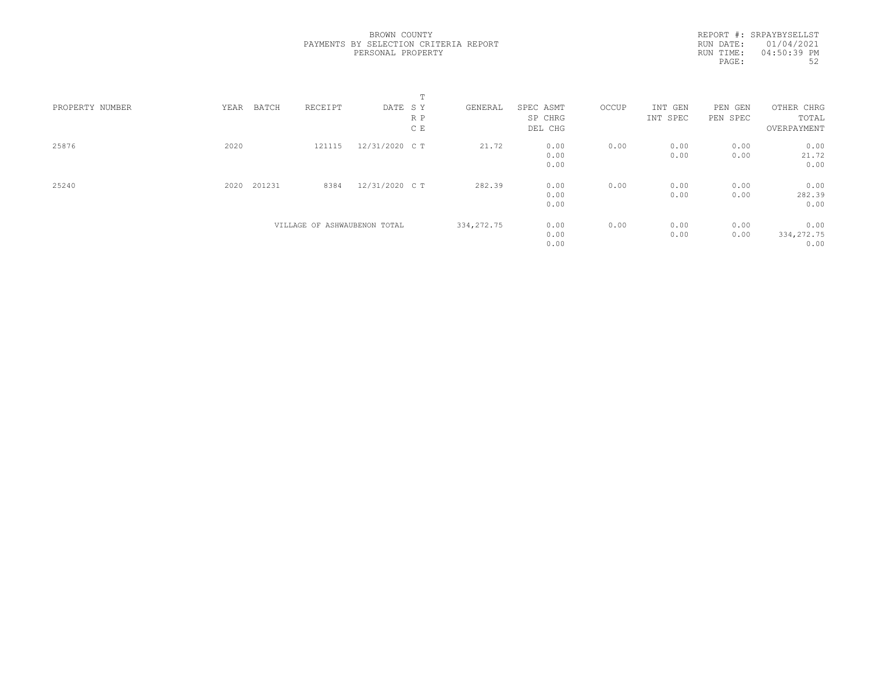REPORT #: SRPAYBYSELLST RUN DATE: 01/04/2021 RUN TIME: 04:50:39 PM PAGE: 52

|                 |      |                              |                | m.  |             |           |       |          |          |             |
|-----------------|------|------------------------------|----------------|-----|-------------|-----------|-------|----------|----------|-------------|
| PROPERTY NUMBER | YEAR | RECEIPT<br>BATCH             | DATE SY        |     | GENERAL     | SPEC ASMT | OCCUP | INT GEN  | PEN GEN  | OTHER CHRG  |
|                 |      |                              |                | R P |             | SP CHRG   |       | INT SPEC | PEN SPEC | TOTAL       |
|                 |      |                              |                | C E |             | DEL CHG   |       |          |          | OVERPAYMENT |
| 25876           | 2020 | 121115                       | 12/31/2020 C T |     | 21.72       | 0.00      | 0.00  | 0.00     | 0.00     | 0.00        |
|                 |      |                              |                |     |             | 0.00      |       | 0.00     | 0.00     | 21.72       |
|                 |      |                              |                |     |             | 0.00      |       |          |          | 0.00        |
| 25240           | 2020 | 201231<br>8384               | 12/31/2020 C T |     | 282.39      | 0.00      | 0.00  | 0.00     | 0.00     | 0.00        |
|                 |      |                              |                |     |             | 0.00      |       | 0.00     | 0.00     | 282.39      |
|                 |      |                              |                |     |             | 0.00      |       |          |          | 0.00        |
|                 |      | VILLAGE OF ASHWAUBENON TOTAL |                |     | 334, 272.75 | 0.00      | 0.00  | 0.00     | 0.00     | 0.00        |
|                 |      |                              |                |     |             | 0.00      |       | 0.00     | 0.00     | 334, 272.75 |
|                 |      |                              |                |     |             | 0.00      |       |          |          | 0.00        |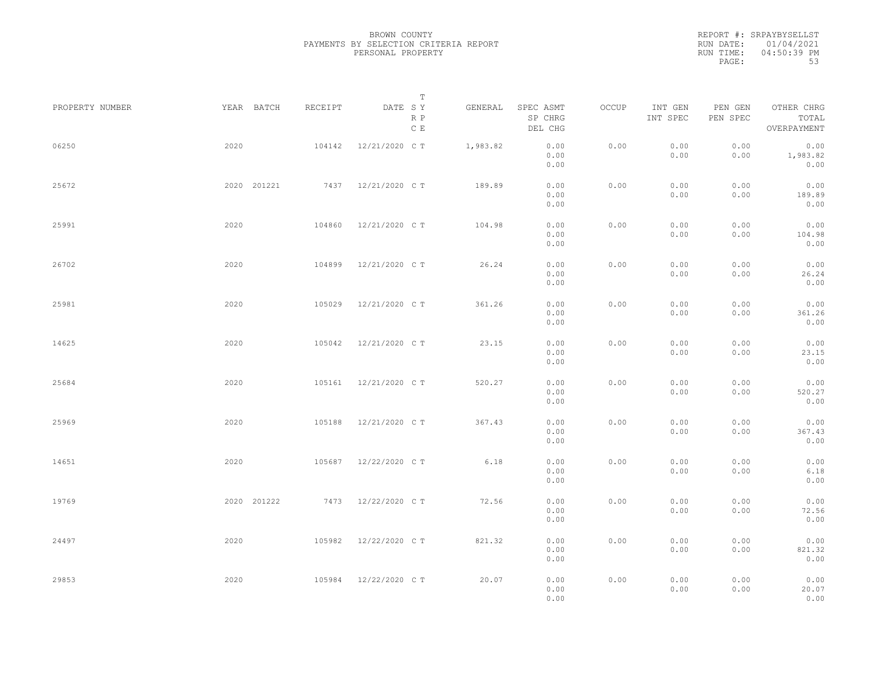REPORT #: SRPAYBYSELLST RUN DATE: 01/04/2021 RUN TIME: 04:50:39 PM PAGE: 53

|                 |             |         | $\mathbb T$                     |          |                                 |       |                     |                     |                                    |
|-----------------|-------------|---------|---------------------------------|----------|---------------------------------|-------|---------------------|---------------------|------------------------------------|
| PROPERTY NUMBER | YEAR BATCH  | RECEIPT | DATE SY<br>R P<br>$\,$ C $\,$ E | GENERAL  | SPEC ASMT<br>SP CHRG<br>DEL CHG | OCCUP | INT GEN<br>INT SPEC | PEN GEN<br>PEN SPEC | OTHER CHRG<br>TOTAL<br>OVERPAYMENT |
| 06250           | 2020        | 104142  | 12/21/2020 C T                  | 1,983.82 | 0.00<br>0.00<br>0.00            | 0.00  | 0.00<br>0.00        | 0.00<br>0.00        | 0.00<br>1,983.82<br>0.00           |
| 25672           | 2020 201221 |         | 7437 12/21/2020 CT              | 189.89   | 0.00<br>0.00<br>0.00            | 0.00  | 0.00<br>0.00        | 0.00<br>0.00        | 0.00<br>189.89<br>0.00             |
| 25991           | 2020        | 104860  | 12/21/2020 C T                  | 104.98   | 0.00<br>0.00<br>0.00            | 0.00  | 0.00<br>0.00        | 0.00<br>0.00        | 0.00<br>104.98<br>0.00             |
| 26702           | 2020        | 104899  | 12/21/2020 C T                  | 26.24    | 0.00<br>0.00<br>0.00            | 0.00  | 0.00<br>0.00        | 0.00<br>0.00        | 0.00<br>26.24<br>0.00              |
| 25981           | 2020        | 105029  | 12/21/2020 C T                  | 361.26   | 0.00<br>0.00<br>0.00            | 0.00  | 0.00<br>0.00        | 0.00<br>0.00        | 0.00<br>361.26<br>0.00             |
| 14625           | 2020        | 105042  | 12/21/2020 C T                  | 23.15    | 0.00<br>0.00<br>0.00            | 0.00  | 0.00<br>0.00        | 0.00<br>0.00        | 0.00<br>23.15<br>0.00              |
| 25684           | 2020        | 105161  | 12/21/2020 C T                  | 520.27   | 0.00<br>0.00<br>0.00            | 0.00  | 0.00<br>0.00        | 0.00<br>0.00        | 0.00<br>520.27<br>0.00             |
| 25969           | 2020        | 105188  | 12/21/2020 C T                  | 367.43   | 0.00<br>0.00<br>0.00            | 0.00  | 0.00<br>0.00        | 0.00<br>0.00        | 0.00<br>367.43<br>0.00             |
| 14651           | 2020        | 105687  | 12/22/2020 C T                  | 6.18     | 0.00<br>0.00<br>0.00            | 0.00  | 0.00<br>0.00        | 0.00<br>0.00        | 0.00<br>6.18<br>0.00               |
| 19769           | 2020 201222 |         | 7473 12/22/2020 CT              | 72.56    | 0.00<br>0.00<br>0.00            | 0.00  | 0.00<br>0.00        | 0.00<br>0.00        | 0.00<br>72.56<br>0.00              |
| 24497           | 2020        | 105982  | 12/22/2020 C T                  | 821.32   | 0.00<br>0.00<br>0.00            | 0.00  | 0.00<br>0.00        | 0.00<br>0.00        | 0.00<br>821.32<br>0.00             |
| 29853           | 2020        |         | 105984 12/22/2020 CT            | 20.07    | 0.00<br>0.00<br>0.00            | 0.00  | 0.00<br>0.00        | 0.00<br>0.00        | 0.00<br>20.07<br>0.00              |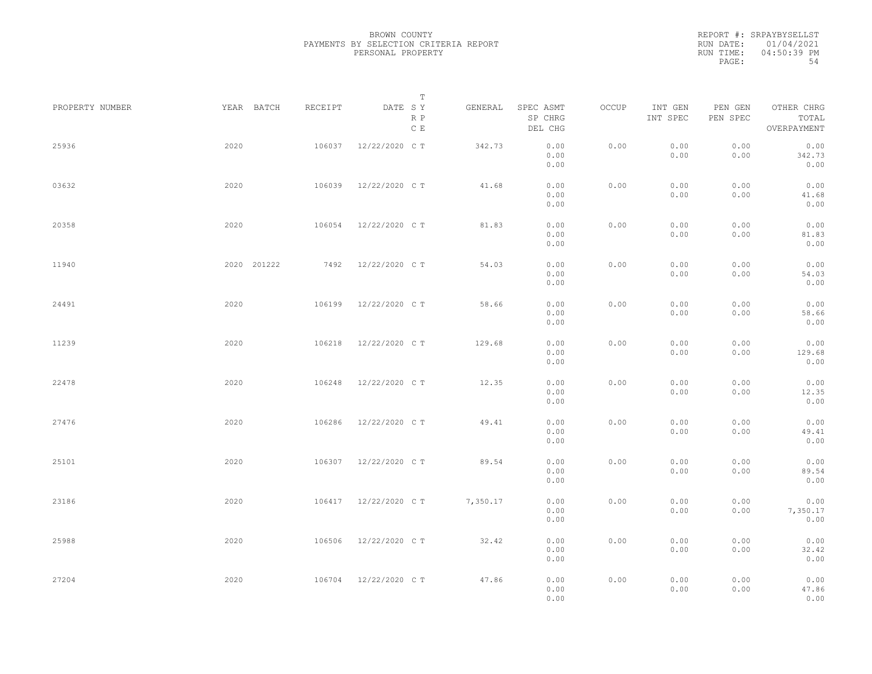|           | REPORT #: SRPAYBYSELLST |
|-----------|-------------------------|
|           | RUN DATE: 01/04/2021    |
| RUN TIME: | $04:50:39$ PM           |
| PAGE:     | 54                      |

|                 |             |         | T                               |          |                                 |       |                     |                     |                                    |  |
|-----------------|-------------|---------|---------------------------------|----------|---------------------------------|-------|---------------------|---------------------|------------------------------------|--|
| PROPERTY NUMBER | YEAR BATCH  | RECEIPT | DATE SY<br>R P<br>$\,$ C $\,$ E | GENERAL  | SPEC ASMT<br>SP CHRG<br>DEL CHG | OCCUP | INT GEN<br>INT SPEC | PEN GEN<br>PEN SPEC | OTHER CHRG<br>TOTAL<br>OVERPAYMENT |  |
| 25936           | 2020        | 106037  | 12/22/2020 C T                  | 342.73   | 0.00<br>0.00<br>0.00            | 0.00  | 0.00<br>0.00        | 0.00<br>0.00        | 0.00<br>342.73<br>0.00             |  |
| 03632           | 2020        | 106039  | 12/22/2020 C T                  | 41.68    | 0.00<br>0.00<br>0.00            | 0.00  | 0.00<br>0.00        | 0.00<br>0.00        | 0.00<br>41.68<br>0.00              |  |
| 20358           | 2020        | 106054  | 12/22/2020 C T                  | 81.83    | 0.00<br>0.00<br>0.00            | 0.00  | 0.00<br>0.00        | 0.00<br>0.00        | 0.00<br>81.83<br>0.00              |  |
| 11940           | 2020 201222 | 7492    | 12/22/2020 C T                  | 54.03    | 0.00<br>0.00<br>0.00            | 0.00  | 0.00<br>0.00        | 0.00<br>0.00        | 0.00<br>54.03<br>0.00              |  |
| 24491           | 2020        | 106199  | 12/22/2020 C T                  | 58.66    | 0.00<br>0.00<br>0.00            | 0.00  | 0.00<br>0.00        | 0.00<br>0.00        | 0.00<br>58.66<br>0.00              |  |
| 11239           | 2020        | 106218  | 12/22/2020 C T                  | 129.68   | 0.00<br>0.00<br>0.00            | 0.00  | 0.00<br>0.00        | 0.00<br>0.00        | 0.00<br>129.68<br>0.00             |  |
| 22478           | 2020        | 106248  | 12/22/2020 C T                  | 12.35    | 0.00<br>0.00<br>0.00            | 0.00  | 0.00<br>0.00        | 0.00<br>0.00        | 0.00<br>12.35<br>0.00              |  |
| 27476           | 2020        | 106286  | 12/22/2020 C T                  | 49.41    | 0.00<br>0.00<br>0.00            | 0.00  | 0.00<br>0.00        | 0.00<br>0.00        | 0.00<br>49.41<br>0.00              |  |
| 25101           | 2020        | 106307  | 12/22/2020 C T                  | 89.54    | 0.00<br>0.00<br>0.00            | 0.00  | 0.00<br>0.00        | 0.00<br>0.00        | 0.00<br>89.54<br>0.00              |  |
| 23186           | 2020        | 106417  | 12/22/2020 C T                  | 7,350.17 | 0.00<br>0.00<br>0.00            | 0.00  | 0.00<br>0.00        | 0.00<br>0.00        | 0.00<br>7,350.17<br>0.00           |  |
| 25988           | 2020        | 106506  | 12/22/2020 C T                  | 32.42    | 0.00<br>0.00<br>0.00            | 0.00  | 0.00<br>0.00        | 0.00<br>0.00        | 0.00<br>32.42<br>0.00              |  |
| 27204           | 2020        |         | 106704 12/22/2020 CT            | 47.86    | 0.00<br>0.00<br>0.00            | 0.00  | 0.00<br>0.00        | 0.00<br>0.00        | 0.00<br>47.86<br>0.00              |  |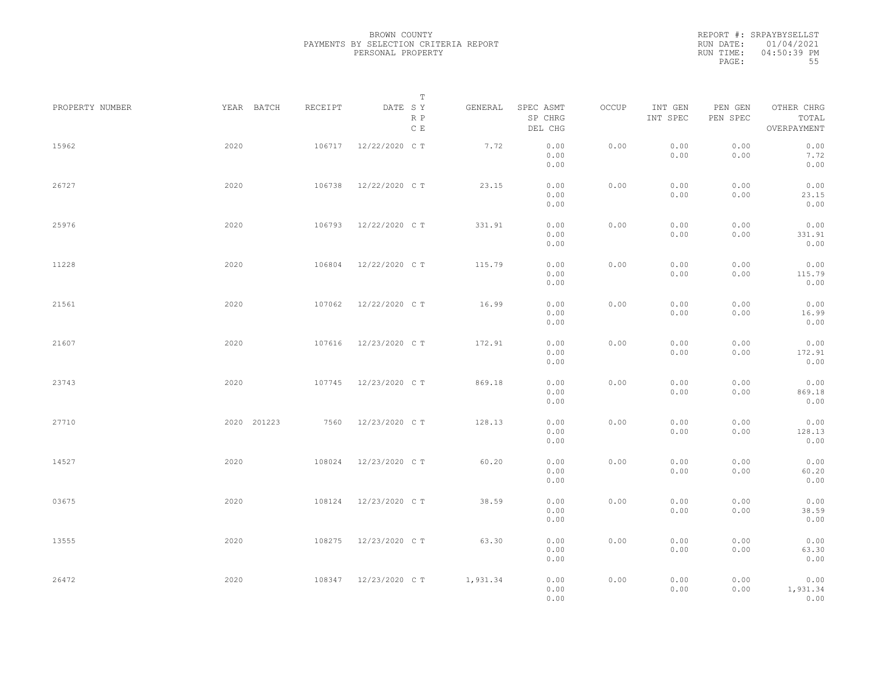|           | REPORT #: SRPAYBYSELLST |
|-----------|-------------------------|
|           | RUN DATE: 01/04/2021    |
| RUN TIME: | $04:50:39$ PM           |
| PAGE:     | 55                      |

|                 |      |             |         |                      | T              |                                 |       |                     |                     |                                    |  |
|-----------------|------|-------------|---------|----------------------|----------------|---------------------------------|-------|---------------------|---------------------|------------------------------------|--|
| PROPERTY NUMBER |      | YEAR BATCH  | RECEIPT | DATE SY<br>C E       | GENERAL<br>R P | SPEC ASMT<br>SP CHRG<br>DEL CHG | OCCUP | INT GEN<br>INT SPEC | PEN GEN<br>PEN SPEC | OTHER CHRG<br>TOTAL<br>OVERPAYMENT |  |
| 15962           | 2020 |             | 106717  | 12/22/2020 C T       | 7.72           | 0.00<br>0.00<br>0.00            | 0.00  | 0.00<br>0.00        | 0.00<br>0.00        | 0.00<br>7.72<br>0.00               |  |
| 26727           | 2020 |             | 106738  | 12/22/2020 C T       | 23.15          | 0.00<br>0.00<br>0.00            | 0.00  | 0.00<br>0.00        | 0.00<br>0.00        | 0.00<br>23.15<br>0.00              |  |
| 25976           | 2020 |             | 106793  | 12/22/2020 C T       | 331.91         | 0.00<br>0.00<br>0.00            | 0.00  | 0.00<br>0.00        | 0.00<br>0.00        | 0.00<br>331.91<br>0.00             |  |
| 11228           | 2020 |             | 106804  | 12/22/2020 C T       | 115.79         | 0.00<br>0.00<br>0.00            | 0.00  | 0.00<br>0.00        | 0.00<br>0.00        | 0.00<br>115.79<br>0.00             |  |
| 21561           | 2020 |             | 107062  | 12/22/2020 C T       | 16.99          | 0.00<br>0.00<br>0.00            | 0.00  | 0.00<br>0.00        | 0.00<br>0.00        | 0.00<br>16.99<br>0.00              |  |
| 21607           | 2020 |             | 107616  | 12/23/2020 C T       | 172.91         | 0.00<br>0.00                    | 0.00  | 0.00<br>0.00        | 0.00<br>0.00        | 0.00<br>172.91                     |  |
| 23743           | 2020 |             | 107745  | 12/23/2020 C T       | 869.18         | 0.00<br>0.00<br>0.00            | 0.00  | 0.00<br>0.00        | 0.00<br>0.00        | 0.00<br>0.00<br>869.18             |  |
| 27710           |      | 2020 201223 | 7560    | 12/23/2020 C T       | 128.13         | 0.00<br>0.00<br>0.00            | 0.00  | 0.00<br>0.00        | 0.00<br>0.00        | 0.00<br>0.00<br>128.13             |  |
| 14527           | 2020 |             | 108024  | 12/23/2020 C T       | 60.20          | 0.00<br>0.00                    | 0.00  | 0.00                | 0.00<br>0.00        | 0.00<br>0.00                       |  |
| 03675           | 2020 |             | 108124  | 12/23/2020 C T       | 38.59          | 0.00<br>0.00<br>0.00            | 0.00  | 0.00<br>0.00        | 0.00                | 60.20<br>0.00<br>0.00              |  |
|                 |      |             |         |                      |                | 0.00<br>0.00                    |       | 0.00                | 0.00                | 38.59<br>0.00                      |  |
| 13555           | 2020 |             | 108275  | 12/23/2020 C T       | 63.30          | 0.00<br>0.00<br>0.00            | 0.00  | 0.00<br>0.00        | 0.00<br>0.00        | 0.00<br>63.30<br>0.00              |  |
| 26472           | 2020 |             |         | 108347 12/23/2020 CT | 1,931.34       | 0.00<br>0.00<br>0.00            | 0.00  | 0.00<br>0.00        | 0.00<br>0.00        | 0.00<br>1,931.34<br>0.00           |  |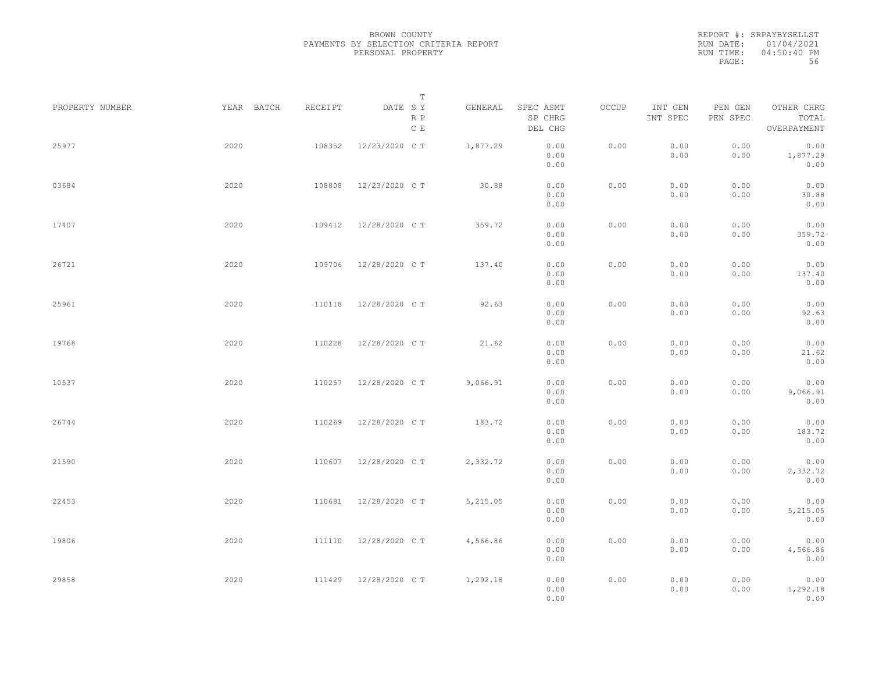|           | REPORT #: SRPAYBYSELLST |
|-----------|-------------------------|
|           | RUN DATE: 01/04/2021    |
| RUN TIME: | $04:50:40$ PM           |
| PAGE:     | 56                      |

|                 |            |         | T                               |          |                                 |       |                     |                     |                                    |  |
|-----------------|------------|---------|---------------------------------|----------|---------------------------------|-------|---------------------|---------------------|------------------------------------|--|
| PROPERTY NUMBER | YEAR BATCH | RECEIPT | DATE SY<br>R P<br>$\,$ C $\,$ E | GENERAL  | SPEC ASMT<br>SP CHRG<br>DEL CHG | OCCUP | INT GEN<br>INT SPEC | PEN GEN<br>PEN SPEC | OTHER CHRG<br>TOTAL<br>OVERPAYMENT |  |
| 25977           | 2020       | 108352  | 12/23/2020 C T                  | 1,877.29 | 0.00<br>0.00<br>0.00            | 0.00  | 0.00<br>0.00        | 0.00<br>0.00        | 0.00<br>1,877.29<br>0.00           |  |
| 03684           | 2020       | 108808  | 12/23/2020 C T                  | 30.88    | 0.00<br>0.00<br>0.00            | 0.00  | 0.00<br>0.00        | 0.00<br>0.00        | 0.00<br>30.88<br>0.00              |  |
| 17407           | 2020       | 109412  | 12/28/2020 C T                  | 359.72   | 0.00<br>0.00<br>0.00            | 0.00  | 0.00<br>0.00        | 0.00<br>0.00        | 0.00<br>359.72<br>0.00             |  |
| 26721           | 2020       | 109706  | 12/28/2020 C T                  | 137.40   | 0.00<br>0.00<br>0.00            | 0.00  | 0.00<br>0.00        | 0.00<br>0.00        | 0.00<br>137.40<br>0.00             |  |
| 25961           | 2020       | 110118  | 12/28/2020 C T                  | 92.63    | 0.00<br>0.00<br>0.00            | 0.00  | 0.00<br>0.00        | 0.00<br>0.00        | 0.00<br>92.63<br>0.00              |  |
| 19768           | 2020       | 110228  | 12/28/2020 C T                  | 21.62    | 0.00<br>0.00<br>0.00            | 0.00  | 0.00<br>0.00        | 0.00<br>0.00        | 0.00<br>21.62<br>0.00              |  |
| 10537           | 2020       | 110257  | 12/28/2020 C T                  | 9,066.91 | 0.00<br>0.00<br>0.00            | 0.00  | 0.00<br>0.00        | 0.00<br>0.00        | 0.00<br>9,066.91<br>0.00           |  |
| 26744           | 2020       | 110269  | 12/28/2020 C T                  | 183.72   | 0.00<br>0.00<br>0.00            | 0.00  | 0.00<br>0.00        | 0.00<br>0.00        | 0.00<br>183.72<br>0.00             |  |
| 21590           | 2020       | 110607  | 12/28/2020 C T                  | 2,332.72 | 0.00<br>0.00                    | 0.00  | 0.00<br>0.00        | 0.00<br>0.00        | 0.00<br>2,332.72                   |  |
| 22453           | 2020       | 110681  | 12/28/2020 C T                  | 5,215.05 | 0.00<br>0.00<br>0.00            | 0.00  | 0.00<br>0.00        | 0.00<br>0.00        | 0.00<br>0.00<br>5,215.05           |  |
| 19806           | 2020       | 111110  | 12/28/2020 C T                  | 4,566.86 | 0.00<br>0.00<br>0.00            | 0.00  | 0.00<br>0.00        | 0.00<br>0.00        | 0.00<br>0.00<br>4,566.86           |  |
| 29858           | 2020       | 111429  | 12/28/2020 C T                  | 1,292.18 | 0.00<br>0.00<br>0.00<br>0.00    | 0.00  | 0.00<br>0.00        | 0.00<br>0.00        | 0.00<br>0.00<br>1,292.18<br>0.00   |  |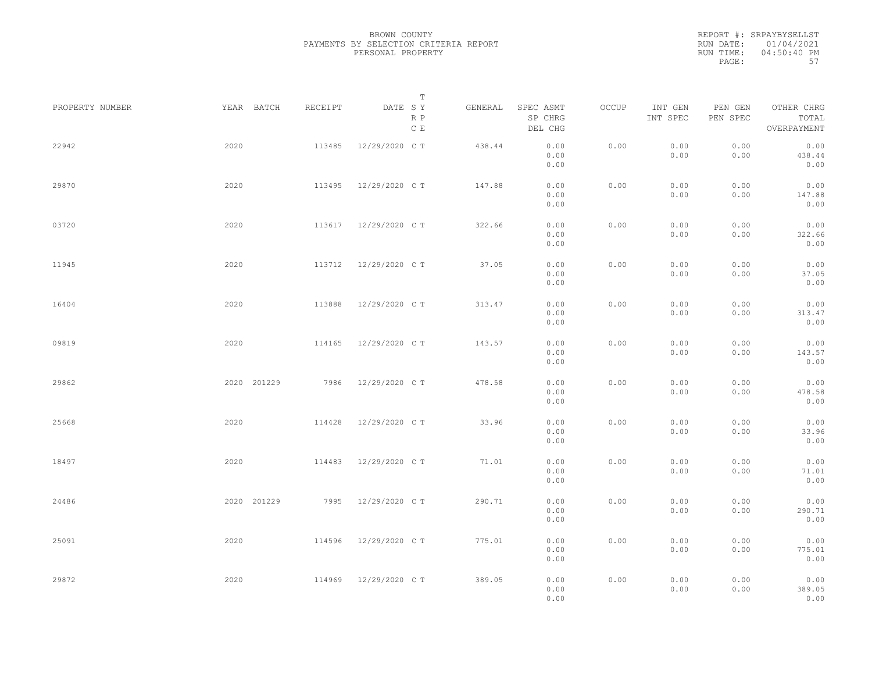|           | REPORT #: SRPAYBYSELLST |
|-----------|-------------------------|
|           | RUN DATE: 01/04/2021    |
| RUN TIME: | $04:50:40$ PM           |
| PAGE:     | 57                      |

|                 |             |         | T                               |         |                                 |       |                     |                     |                                    |  |
|-----------------|-------------|---------|---------------------------------|---------|---------------------------------|-------|---------------------|---------------------|------------------------------------|--|
| PROPERTY NUMBER | YEAR BATCH  | RECEIPT | DATE SY<br>R P<br>$\,$ C $\,$ E | GENERAL | SPEC ASMT<br>SP CHRG<br>DEL CHG | OCCUP | INT GEN<br>INT SPEC | PEN GEN<br>PEN SPEC | OTHER CHRG<br>TOTAL<br>OVERPAYMENT |  |
| 22942           | 2020        | 113485  | 12/29/2020 C T                  | 438.44  | 0.00<br>0.00<br>0.00            | 0.00  | 0.00<br>0.00        | 0.00<br>0.00        | 0.00<br>438.44<br>0.00             |  |
| 29870           | 2020        | 113495  | 12/29/2020 C T                  | 147.88  | 0.00<br>0.00<br>0.00            | 0.00  | 0.00<br>0.00        | 0.00<br>0.00        | 0.00<br>147.88<br>0.00             |  |
| 03720           | 2020        |         | 113617 12/29/2020 CT            | 322.66  | 0.00<br>0.00<br>0.00            | 0.00  | 0.00<br>0.00        | 0.00<br>0.00        | 0.00<br>322.66<br>0.00             |  |
| 11945           | 2020        | 113712  | 12/29/2020 C T                  | 37.05   | 0.00<br>0.00<br>0.00            | 0.00  | 0.00<br>0.00        | 0.00<br>0.00        | 0.00<br>37.05<br>0.00              |  |
| 16404           | 2020        | 113888  | 12/29/2020 C T                  | 313.47  | 0.00<br>0.00<br>0.00            | 0.00  | 0.00<br>0.00        | 0.00<br>0.00        | 0.00<br>313.47<br>0.00             |  |
| 09819           | 2020        | 114165  | 12/29/2020 C T                  | 143.57  | 0.00<br>0.00<br>0.00            | 0.00  | 0.00<br>0.00        | 0.00<br>0.00        | 0.00<br>143.57<br>0.00             |  |
| 29862           | 2020 201229 | 7986    | 12/29/2020 C T                  | 478.58  | 0.00<br>0.00<br>0.00            | 0.00  | 0.00<br>0.00        | 0.00<br>0.00        | 0.00<br>478.58<br>0.00             |  |
| 25668           | 2020        | 114428  | 12/29/2020 C T                  | 33.96   | 0.00<br>0.00<br>0.00            | 0.00  | 0.00<br>0.00        | 0.00<br>0.00        | 0.00<br>33.96<br>0.00              |  |
| 18497           | 2020        | 114483  | 12/29/2020 C T                  | 71.01   | 0.00<br>0.00<br>0.00            | 0.00  | 0.00<br>0.00        | 0.00<br>0.00        | 0.00<br>71.01<br>0.00              |  |
| 24486           | 2020 201229 | 7995    | 12/29/2020 C T                  | 290.71  | 0.00<br>0.00<br>0.00            | 0.00  | 0.00<br>0.00        | 0.00<br>0.00        | 0.00<br>290.71<br>0.00             |  |
| 25091           | 2020        | 114596  | 12/29/2020 C T                  | 775.01  | 0.00<br>0.00<br>0.00            | 0.00  | 0.00<br>0.00        | 0.00<br>0.00        | 0.00<br>775.01<br>0.00             |  |
| 29872           | 2020        | 114969  | 12/29/2020 C T                  | 389.05  | 0.00<br>0.00<br>0.00            | 0.00  | 0.00<br>0.00        | 0.00<br>0.00        | 0.00<br>389.05<br>0.00             |  |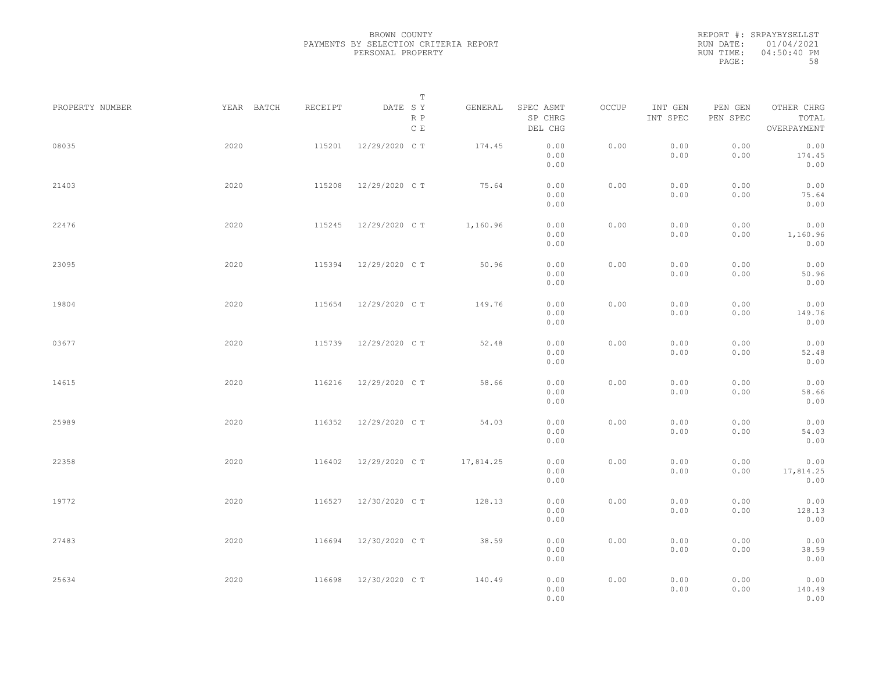|           | REPORT #: SRPAYBYSELLST |
|-----------|-------------------------|
|           | RUN DATE: 01/04/2021    |
| RUN TIME: | $04:50:40$ PM           |
| PAGE:     | 58                      |

|                 |            |         | T                               |           |                                 |       |                     |                     |                                    |  |
|-----------------|------------|---------|---------------------------------|-----------|---------------------------------|-------|---------------------|---------------------|------------------------------------|--|
| PROPERTY NUMBER | YEAR BATCH | RECEIPT | DATE SY<br>R P<br>$\,$ C $\,$ E | GENERAL   | SPEC ASMT<br>SP CHRG<br>DEL CHG | OCCUP | INT GEN<br>INT SPEC | PEN GEN<br>PEN SPEC | OTHER CHRG<br>TOTAL<br>OVERPAYMENT |  |
| 08035           | 2020       | 115201  | 12/29/2020 C T                  | 174.45    | 0.00<br>0.00<br>0.00            | 0.00  | 0.00<br>0.00        | 0.00<br>0.00        | 0.00<br>174.45<br>0.00             |  |
| 21403           | 2020       | 115208  | 12/29/2020 C T                  | 75.64     | 0.00<br>0.00<br>0.00            | 0.00  | 0.00<br>0.00        | 0.00<br>0.00        | 0.00<br>75.64<br>0.00              |  |
| 22476           | 2020       | 115245  | 12/29/2020 C T                  | 1,160.96  | 0.00<br>0.00<br>0.00            | 0.00  | 0.00<br>0.00        | 0.00<br>0.00        | 0.00<br>1,160.96<br>0.00           |  |
| 23095           | 2020       | 115394  | 12/29/2020 C T                  | 50.96     | 0.00<br>0.00<br>0.00            | 0.00  | 0.00<br>0.00        | 0.00<br>0.00        | 0.00<br>50.96<br>0.00              |  |
| 19804           | 2020       | 115654  | 12/29/2020 C T                  | 149.76    | 0.00<br>0.00<br>0.00            | 0.00  | 0.00<br>0.00        | 0.00<br>0.00        | 0.00<br>149.76<br>0.00             |  |
| 03677           | 2020       | 115739  | 12/29/2020 C T                  | 52.48     | 0.00<br>0.00<br>0.00            | 0.00  | 0.00<br>0.00        | 0.00<br>0.00        | 0.00<br>52.48<br>0.00              |  |
| 14615           | 2020       | 116216  | 12/29/2020 C T                  | 58.66     | 0.00<br>0.00<br>0.00            | 0.00  | 0.00<br>0.00        | 0.00<br>0.00        | 0.00<br>58.66<br>0.00              |  |
| 25989           | 2020       | 116352  | 12/29/2020 C T                  | 54.03     | 0.00<br>0.00<br>0.00            | 0.00  | 0.00<br>0.00        | 0.00<br>0.00        | 0.00<br>54.03<br>0.00              |  |
| 22358           | 2020       | 116402  | 12/29/2020 C T                  | 17,814.25 | 0.00<br>0.00<br>0.00            | 0.00  | 0.00<br>0.00        | 0.00<br>0.00        | 0.00<br>17,814.25<br>0.00          |  |
| 19772           | 2020       | 116527  | 12/30/2020 C T                  | 128.13    | 0.00<br>0.00<br>0.00            | 0.00  | 0.00<br>0.00        | 0.00<br>0.00        | 0.00<br>128.13<br>0.00             |  |
| 27483           | 2020       | 116694  | 12/30/2020 C T                  | 38.59     | 0.00<br>0.00<br>0.00            | 0.00  | 0.00<br>0.00        | 0.00<br>0.00        | 0.00<br>38.59<br>0.00              |  |
| 25634           | 2020       | 116698  | 12/30/2020 C T                  | 140.49    | 0.00<br>0.00<br>0.00            | 0.00  | 0.00<br>0.00        | 0.00<br>0.00        | 0.00<br>140.49<br>0.00             |  |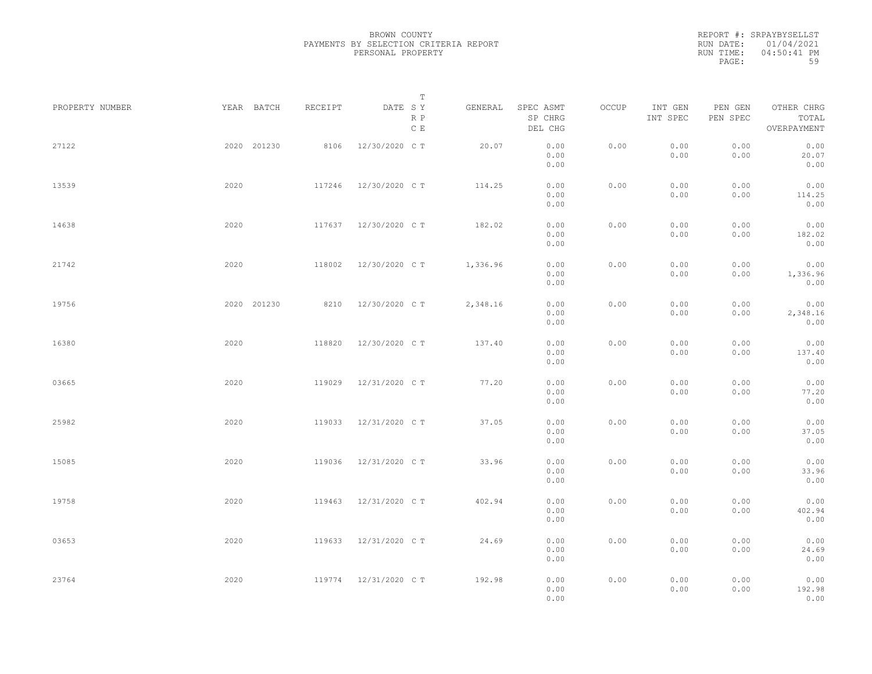|           | REPORT #: SRPAYBYSELLST |
|-----------|-------------------------|
|           | RUN DATE: $01/04/2021$  |
| RUN TIME: | $04:50:41$ PM           |
| PAGE:     | 59                      |

| PROPERTY NUMBER |      | YEAR BATCH  | RECEIPT | DATE SY<br>R P       | Т<br>GENERAL | SPEC ASMT<br>SP CHRG | OCCUP | INT GEN<br>INT SPEC | PEN GEN<br>PEN SPEC | OTHER CHRG<br>TOTAL      |  |
|-----------------|------|-------------|---------|----------------------|--------------|----------------------|-------|---------------------|---------------------|--------------------------|--|
|                 |      |             |         | $\,$ C $\,$ E        |              | DEL CHG              |       |                     |                     | OVERPAYMENT              |  |
| 27122           |      | 2020 201230 | 8106    | 12/30/2020 C T       | 20.07        | 0.00<br>0.00<br>0.00 | 0.00  | 0.00<br>0.00        | 0.00<br>0.00        | 0.00<br>20.07<br>0.00    |  |
| 13539           | 2020 |             | 117246  | 12/30/2020 C T       | 114.25       | 0.00<br>0.00<br>0.00 | 0.00  | 0.00<br>0.00        | 0.00<br>0.00        | 0.00<br>114.25<br>0.00   |  |
| 14638           | 2020 |             | 117637  | 12/30/2020 C T       | 182.02       | 0.00<br>0.00<br>0.00 | 0.00  | 0.00<br>0.00        | 0.00<br>0.00        | 0.00<br>182.02<br>0.00   |  |
| 21742           | 2020 |             | 118002  | 12/30/2020 C T       | 1,336.96     | 0.00<br>0.00<br>0.00 | 0.00  | 0.00<br>0.00        | 0.00<br>0.00        | 0.00<br>1,336.96<br>0.00 |  |
| 19756           |      | 2020 201230 | 8210    | 12/30/2020 C T       | 2,348.16     | 0.00<br>0.00<br>0.00 | 0.00  | 0.00<br>0.00        | 0.00<br>0.00        | 0.00<br>2,348.16<br>0.00 |  |
| 16380           | 2020 |             | 118820  | 12/30/2020 C T       | 137.40       | 0.00<br>0.00<br>0.00 | 0.00  | 0.00<br>0.00        | 0.00<br>0.00        | 0.00<br>137.40<br>0.00   |  |
| 03665           | 2020 |             | 119029  | 12/31/2020 C T       | 77.20        | 0.00<br>0.00<br>0.00 | 0.00  | 0.00<br>0.00        | 0.00<br>0.00        | 0.00<br>77.20<br>0.00    |  |
| 25982           | 2020 |             | 119033  | 12/31/2020 C T       | 37.05        | 0.00<br>0.00<br>0.00 | 0.00  | 0.00<br>0.00        | 0.00<br>0.00        | 0.00<br>37.05<br>0.00    |  |
| 15085           | 2020 |             | 119036  | 12/31/2020 C T       | 33.96        | 0.00<br>0.00<br>0.00 | 0.00  | 0.00<br>0.00        | 0.00<br>0.00        | 0.00<br>33.96<br>0.00    |  |
| 19758           | 2020 |             | 119463  | 12/31/2020 C T       | 402.94       | 0.00<br>0.00<br>0.00 | 0.00  | 0.00<br>0.00        | 0.00<br>0.00        | 0.00<br>402.94<br>0.00   |  |
| 03653           | 2020 |             | 119633  | 12/31/2020 C T       | 24.69        | 0.00<br>0.00<br>0.00 | 0.00  | 0.00<br>0.00        | 0.00<br>0.00        | 0.00<br>24.69<br>0.00    |  |
| 23764           | 2020 |             |         | 119774 12/31/2020 CT | 192.98       | 0.00<br>0.00<br>0.00 | 0.00  | 0.00<br>0.00        | 0.00<br>0.00        | 0.00<br>192.98<br>0.00   |  |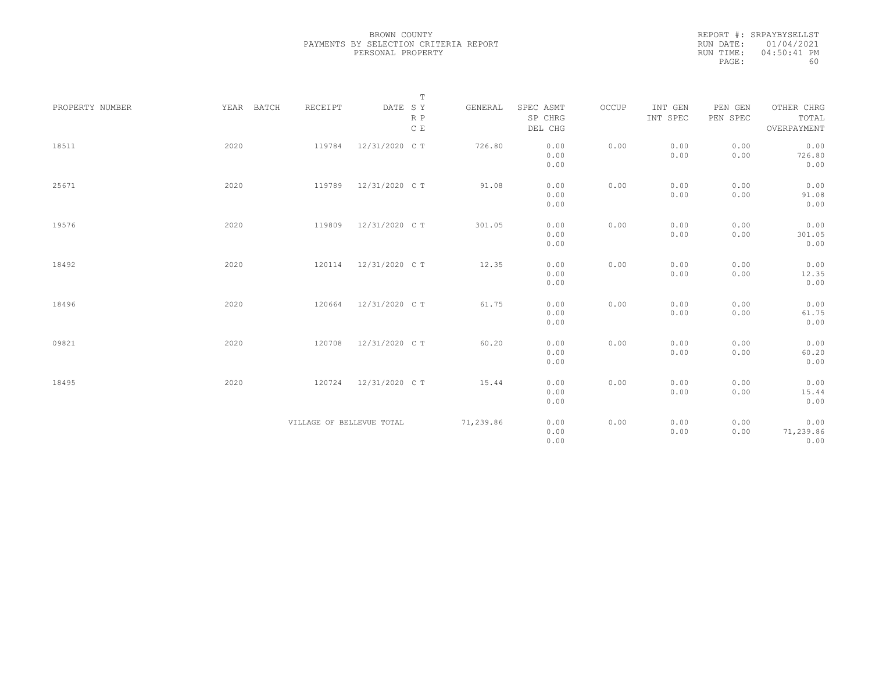|           | REPORT #: SRPAYBYSELLST |
|-----------|-------------------------|
|           | RUN DATE: 01/04/2021    |
| RUN TIME: | $04:50:41$ PM           |
| PAGE:     | 60                      |

|                 |            |                           | $\mathbb T$                                                                 |           |                      |       |                     |                     |                     |
|-----------------|------------|---------------------------|-----------------------------------------------------------------------------|-----------|----------------------|-------|---------------------|---------------------|---------------------|
| PROPERTY NUMBER | YEAR BATCH | RECEIPT                   | $\begin{tabular}{lllll} \bf{DATE} & \tt S & \tt Y \end{tabular}$<br>$R$ $P$ | GENERAL   | SPEC ASMT<br>SP CHRG | OCCUP | INT GEN<br>INT SPEC | PEN GEN<br>PEN SPEC | OTHER CHRG<br>TOTAL |
|                 |            |                           | C E                                                                         |           | DEL CHG              |       |                     |                     | OVERPAYMENT         |
| 18511           | 2020       | 119784                    | 12/31/2020 C T                                                              | 726.80    | 0.00                 | 0.00  | 0.00                | 0.00                | 0.00                |
|                 |            |                           |                                                                             |           | 0.00                 |       | 0.00                | 0.00                | 726.80              |
|                 |            |                           |                                                                             |           | 0.00                 |       |                     |                     | 0.00                |
| 25671           | 2020       | 119789                    | 12/31/2020 C T                                                              | 91.08     | 0.00                 | 0.00  | 0.00                | 0.00                | 0.00                |
|                 |            |                           |                                                                             |           | 0.00                 |       | 0.00                | 0.00                | 91.08               |
|                 |            |                           |                                                                             |           | 0.00                 |       |                     |                     | 0.00                |
| 19576           | 2020       | 119809                    | 12/31/2020 C T                                                              | 301.05    | 0.00                 | 0.00  | 0.00                | 0.00                | 0.00                |
|                 |            |                           |                                                                             |           | 0.00                 |       | 0.00                | 0.00                | 301.05              |
|                 |            |                           |                                                                             |           | 0.00                 |       |                     |                     | 0.00                |
| 18492           | 2020       | 120114                    | 12/31/2020 C T                                                              | 12.35     | 0.00                 | 0.00  | 0.00                | 0.00                | 0.00                |
|                 |            |                           |                                                                             |           | 0.00                 |       | 0.00                | 0.00                | 12.35               |
|                 |            |                           |                                                                             |           | 0.00                 |       |                     |                     | 0.00                |
| 18496           | 2020       | 120664                    | 12/31/2020 C T                                                              | 61.75     | 0.00                 | 0.00  | 0.00                | 0.00                | 0.00                |
|                 |            |                           |                                                                             |           | 0.00                 |       | 0.00                | 0.00                | 61.75               |
|                 |            |                           |                                                                             |           | 0.00                 |       |                     |                     | 0.00                |
| 09821           | 2020       | 120708                    | 12/31/2020 C T                                                              | 60.20     | 0.00                 | 0.00  | 0.00                | 0.00                | 0.00                |
|                 |            |                           |                                                                             |           | 0.00                 |       | 0.00                | 0.00                | 60.20               |
|                 |            |                           |                                                                             |           | 0.00                 |       |                     |                     | 0.00                |
| 18495           | 2020       | 120724                    | 12/31/2020 C T                                                              | 15.44     | 0.00                 | 0.00  | 0.00                | 0.00                | 0.00                |
|                 |            |                           |                                                                             |           | 0.00                 |       | 0.00                | 0.00                | 15.44               |
|                 |            |                           |                                                                             |           | 0.00                 |       |                     |                     | 0.00                |
|                 |            | VILLAGE OF BELLEVUE TOTAL |                                                                             | 71,239.86 | 0.00                 | 0.00  | 0.00                | 0.00                | 0.00                |
|                 |            |                           |                                                                             |           | 0.00                 |       | 0.00                | 0.00                | 71,239.86           |
|                 |            |                           |                                                                             |           | 0.00                 |       |                     |                     | 0.00                |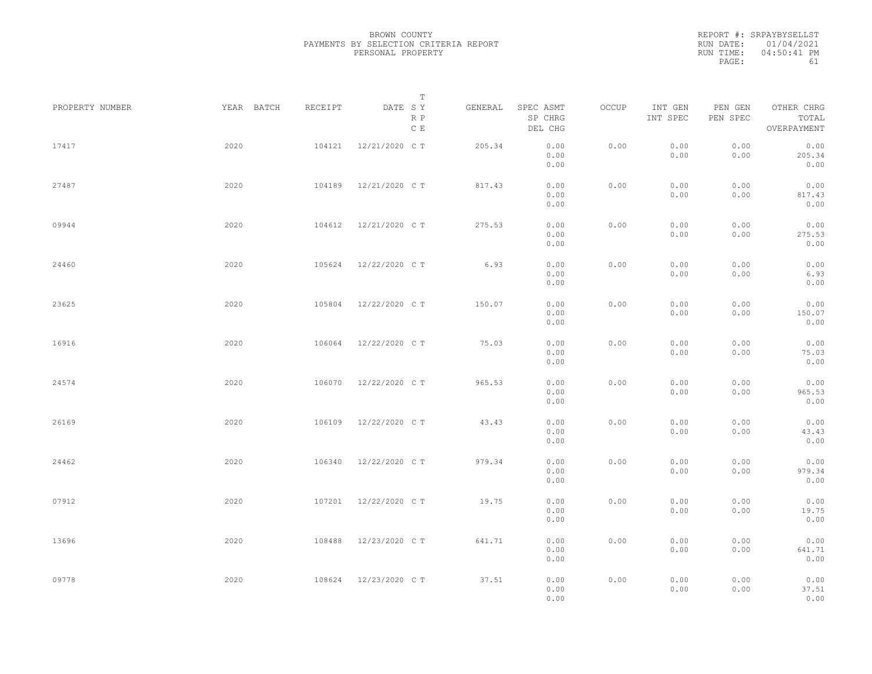|           | REPORT #: SRPAYBYSELLST |
|-----------|-------------------------|
|           | RUN DATE: 01/04/2021    |
| RUN TIME: | $04:50:41$ PM           |
| PAGE:     | 61                      |

|                 |            |         | T                     |         |                                 |       |                     |                     |                                    |  |
|-----------------|------------|---------|-----------------------|---------|---------------------------------|-------|---------------------|---------------------|------------------------------------|--|
| PROPERTY NUMBER | YEAR BATCH | RECEIPT | DATE SY<br>R P<br>C E | GENERAL | SPEC ASMT<br>SP CHRG<br>DEL CHG | OCCUP | INT GEN<br>INT SPEC | PEN GEN<br>PEN SPEC | OTHER CHRG<br>TOTAL<br>OVERPAYMENT |  |
| 17417           | 2020       | 104121  | 12/21/2020 C T        | 205.34  | 0.00<br>0.00<br>0.00            | 0.00  | 0.00<br>0.00        | 0.00<br>0.00        | 0.00<br>205.34<br>0.00             |  |
| 27487           | 2020       | 104189  | 12/21/2020 C T        | 817.43  | 0.00<br>0.00<br>0.00            | 0.00  | 0.00<br>0.00        | 0.00<br>0.00        | 0.00<br>817.43<br>0.00             |  |
| 09944           | 2020       | 104612  | 12/21/2020 C T        | 275.53  | 0.00<br>0.00<br>0.00            | 0.00  | 0.00<br>0.00        | 0.00<br>0.00        | 0.00<br>275.53<br>0.00             |  |
| 24460           | 2020       | 105624  | 12/22/2020 C T        | 6.93    | 0.00<br>0.00<br>0.00            | 0.00  | 0.00<br>0.00        | 0.00<br>0.00        | 0.00<br>6.93<br>0.00               |  |
| 23625           | 2020       | 105804  | 12/22/2020 C T        | 150.07  | 0.00<br>0.00<br>0.00            | 0.00  | 0.00<br>0.00        | 0.00<br>0.00        | 0.00<br>150.07<br>0.00             |  |
| 16916           | 2020       | 106064  | 12/22/2020 C T        | 75.03   | 0.00<br>0.00<br>0.00            | 0.00  | 0.00<br>0.00        | 0.00<br>0.00        | 0.00<br>75.03<br>0.00              |  |
| 24574           | 2020       | 106070  | 12/22/2020 C T        | 965.53  | 0.00<br>0.00<br>0.00            | 0.00  | 0.00<br>0.00        | 0.00<br>0.00        | 0.00<br>965.53<br>0.00             |  |
| 26169           | 2020       | 106109  | 12/22/2020 C T        | 43.43   | 0.00<br>0.00<br>0.00            | 0.00  | 0.00<br>0.00        | 0.00<br>0.00        | 0.00<br>43.43<br>0.00              |  |
| 24462           | 2020       | 106340  | 12/22/2020 C T        | 979.34  | 0.00<br>0.00<br>0.00            | 0.00  | 0.00<br>0.00        | 0.00<br>0.00        | 0.00<br>979.34<br>0.00             |  |
| 07912           | 2020       | 107201  | 12/22/2020 C T        | 19.75   | 0.00<br>0.00<br>0.00            | 0.00  | 0.00<br>0.00        | 0.00<br>0.00        | 0.00<br>19.75<br>0.00              |  |
| 13696           | 2020       | 108488  | 12/23/2020 C T        | 641.71  | 0.00<br>0.00<br>0.00            | 0.00  | 0.00<br>0.00        | 0.00<br>0.00        | 0.00<br>641.71<br>0.00             |  |
| 09778           | 2020       | 108624  | 12/23/2020 C T        | 37.51   | 0.00<br>0.00<br>0.00            | 0.00  | 0.00<br>0.00        | 0.00<br>0.00        | 0.00<br>37.51<br>0.00              |  |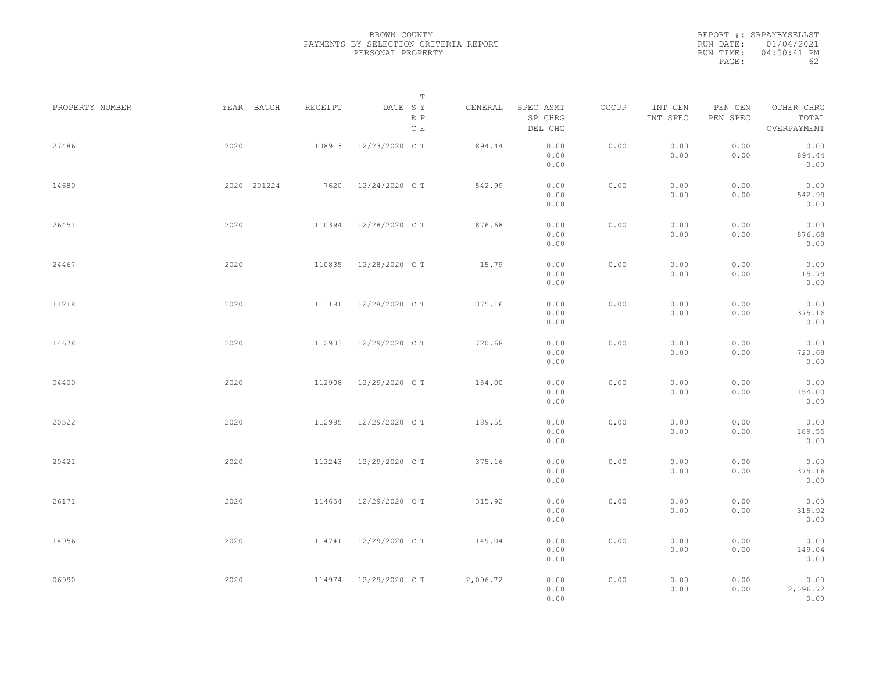REPORT #: SRPAYBYSELLST RUN DATE: 01/04/2021 RUN TIME: 04:50:41 PM PAGE: 62

|                 |             |         | $\mathbb T$                     |          |                                 |       |                     |                     |                                    |
|-----------------|-------------|---------|---------------------------------|----------|---------------------------------|-------|---------------------|---------------------|------------------------------------|
| PROPERTY NUMBER | YEAR BATCH  | RECEIPT | DATE SY<br>R P<br>$\,$ C $\,$ E | GENERAL  | SPEC ASMT<br>SP CHRG<br>DEL CHG | OCCUP | INT GEN<br>INT SPEC | PEN GEN<br>PEN SPEC | OTHER CHRG<br>TOTAL<br>OVERPAYMENT |
| 27486           | 2020        | 108913  | 12/23/2020 C T                  | 894.44   | 0.00<br>0.00<br>0.00            | 0.00  | 0.00<br>0.00        | 0.00<br>0.00        | 0.00<br>894.44<br>0.00             |
| 14680           | 2020 201224 | 7620    | 12/24/2020 C T                  | 542.99   | 0.00<br>0.00<br>0.00            | 0.00  | 0.00<br>0.00        | 0.00<br>0.00        | 0.00<br>542.99<br>0.00             |
| 26451           | 2020        | 110394  | 12/28/2020 C T                  | 876.68   | 0.00<br>0.00<br>0.00            | 0.00  | 0.00<br>0.00        | 0.00<br>0.00        | 0.00<br>876.68<br>0.00             |
| 24467           | 2020        | 110835  | 12/28/2020 C T                  | 15.79    | 0.00<br>0.00<br>0.00            | 0.00  | 0.00<br>0.00        | 0.00<br>0.00        | 0.00<br>15.79<br>0.00              |
| 11218           | 2020        | 111181  | 12/28/2020 C T                  | 375.16   | 0.00<br>0.00<br>0.00            | 0.00  | 0.00<br>0.00        | 0.00<br>0.00        | 0.00<br>375.16<br>0.00             |
| 14678           | 2020        | 112903  | 12/29/2020 C T                  | 720.68   | 0.00<br>0.00<br>0.00            | 0.00  | 0.00<br>0.00        | 0.00<br>0.00        | 0.00<br>720.68<br>0.00             |
| 04400           | 2020        | 112908  | 12/29/2020 C T                  | 154.00   | 0.00<br>0.00<br>0.00            | 0.00  | 0.00<br>0.00        | 0.00<br>0.00        | 0.00<br>154.00<br>0.00             |
| 20522           | 2020        | 112985  | 12/29/2020 C T                  | 189.55   | 0.00<br>0.00<br>0.00            | 0.00  | 0.00<br>0.00        | 0.00<br>0.00        | 0.00<br>189.55<br>0.00             |
| 20421           | 2020        | 113243  | 12/29/2020 C T                  | 375.16   | 0.00<br>0.00<br>0.00            | 0.00  | 0.00<br>0.00        | 0.00<br>0.00        | 0.00<br>375.16<br>0.00             |
| 26171           | 2020        | 114654  | 12/29/2020 C T                  | 315.92   | 0.00<br>0.00<br>0.00            | 0.00  | 0.00<br>0.00        | 0.00<br>0.00        | 0.00<br>315.92<br>0.00             |
| 14956           | 2020        |         | 114741 12/29/2020 CT            | 149.04   | 0.00<br>0.00<br>0.00            | 0.00  | 0.00<br>0.00        | 0.00<br>0.00        | 0.00<br>149.04<br>0.00             |
| 06990           | 2020        |         | 114974 12/29/2020 CT            | 2,096.72 | 0.00<br>0.00<br>0.00            | 0.00  | 0.00<br>0.00        | 0.00<br>0.00        | 0.00<br>2,096.72<br>0.00           |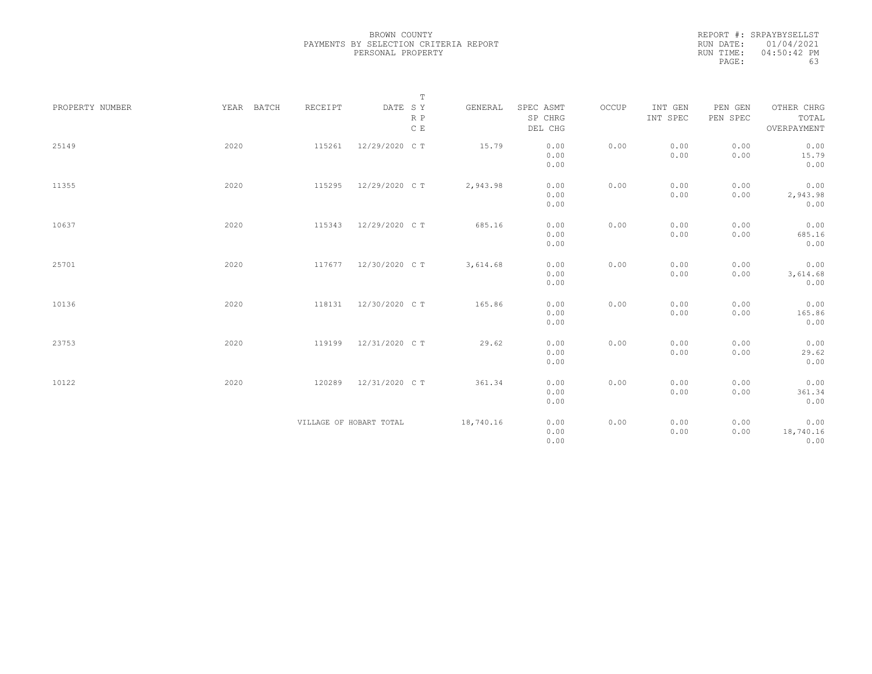| REPORT #: SRPAYBYSELLST |
|-------------------------|
| RUN DATE: 01/04/2021    |
| $04:50:42$ PM           |
| 63                      |
|                         |

|                 |            |         | $\mathbb T$                                                             |           |                      |       |                     |                     |                     |
|-----------------|------------|---------|-------------------------------------------------------------------------|-----------|----------------------|-------|---------------------|---------------------|---------------------|
| PROPERTY NUMBER | YEAR BATCH | RECEIPT | $\begin{tabular}{lllll} \bf{DATE} & \tt S & \tt Y \end{tabular}$<br>R P | GENERAL   | SPEC ASMT<br>SP CHRG | OCCUP | INT GEN<br>INT SPEC | PEN GEN<br>PEN SPEC | OTHER CHRG<br>TOTAL |
|                 |            |         | $\,$ C $\,$ E                                                           |           | DEL CHG              |       |                     |                     | OVERPAYMENT         |
| 25149           | 2020       | 115261  | 12/29/2020 C T                                                          | 15.79     | 0.00                 | 0.00  | 0.00                | 0.00                | 0.00                |
|                 |            |         |                                                                         |           | 0.00                 |       | 0.00                | 0.00                | 15.79               |
|                 |            |         |                                                                         |           | 0.00                 |       |                     |                     | 0.00                |
| 11355           | 2020       | 115295  | 12/29/2020 C T                                                          | 2,943.98  | 0.00                 | 0.00  | 0.00                | 0.00                | 0.00                |
|                 |            |         |                                                                         |           | 0.00                 |       | 0.00                | 0.00                | 2,943.98            |
|                 |            |         |                                                                         |           | 0.00                 |       |                     |                     | 0.00                |
| 10637           | 2020       | 115343  | 12/29/2020 C T                                                          | 685.16    | 0.00                 | 0.00  | 0.00                | 0.00                | 0.00                |
|                 |            |         |                                                                         |           | 0.00                 |       | 0.00                | 0.00                | 685.16              |
|                 |            |         |                                                                         |           | 0.00                 |       |                     |                     | 0.00                |
| 25701           | 2020       | 117677  | 12/30/2020 C T                                                          | 3,614.68  | 0.00                 | 0.00  | 0.00                | 0.00                | 0.00                |
|                 |            |         |                                                                         |           | 0.00                 |       | 0.00                | 0.00                | 3,614.68            |
|                 |            |         |                                                                         |           | 0.00                 |       |                     |                     | 0.00                |
| 10136           | 2020       | 118131  | 12/30/2020 C T                                                          | 165.86    | 0.00                 | 0.00  | 0.00                | 0.00                | 0.00                |
|                 |            |         |                                                                         |           | 0.00                 |       | 0.00                | 0.00                | 165.86              |
|                 |            |         |                                                                         |           | 0.00                 |       |                     |                     | 0.00                |
| 23753           | 2020       | 119199  | 12/31/2020 C T                                                          | 29.62     | 0.00                 | 0.00  | 0.00                | 0.00                | 0.00                |
|                 |            |         |                                                                         |           | 0.00                 |       | 0.00                | 0.00                | 29.62               |
|                 |            |         |                                                                         |           | 0.00                 |       |                     |                     | 0.00                |
| 10122           | 2020       | 120289  | 12/31/2020 C T                                                          | 361.34    | 0.00                 | 0.00  | 0.00                | 0.00                | 0.00                |
|                 |            |         |                                                                         |           | 0.00                 |       | 0.00                | 0.00                | 361.34              |
|                 |            |         |                                                                         |           | 0.00                 |       |                     |                     | 0.00                |
|                 |            |         | VILLAGE OF HOBART TOTAL                                                 | 18,740.16 | 0.00                 | 0.00  | 0.00                | 0.00                | 0.00                |
|                 |            |         |                                                                         |           | 0.00                 |       | 0.00                | 0.00                | 18,740.16           |
|                 |            |         |                                                                         |           | 0.00                 |       |                     |                     | 0.00                |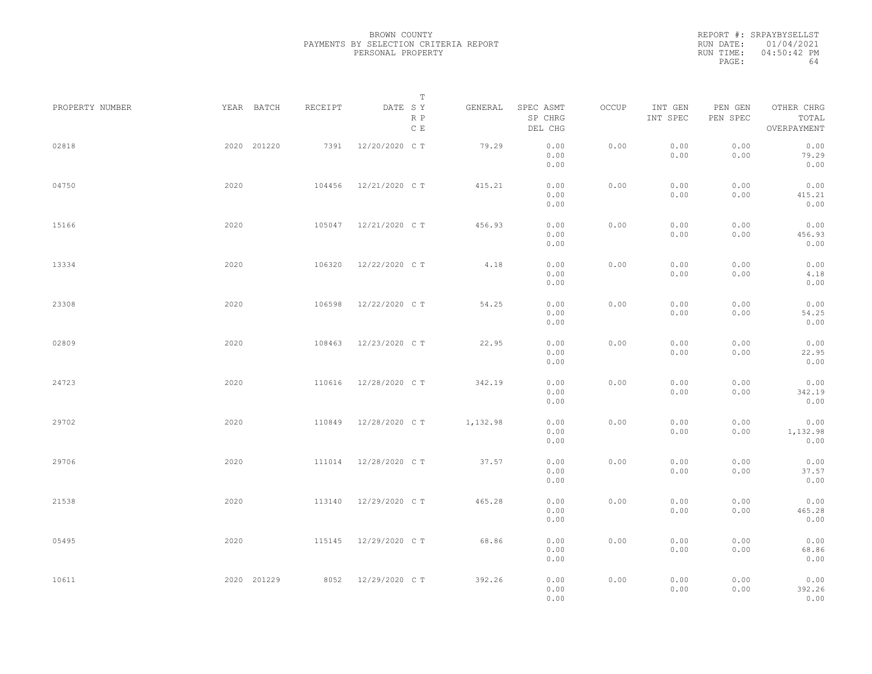REPORT #: SRPAYBYSELLST RUN DATE: 01/04/2021 RUN TIME: 04:50:42 PM PAGE: 64

|                 |      |             |         | $\mathbb T$           |          |                                 |       |                     |                     |                                    |  |
|-----------------|------|-------------|---------|-----------------------|----------|---------------------------------|-------|---------------------|---------------------|------------------------------------|--|
| PROPERTY NUMBER |      | YEAR BATCH  | RECEIPT | DATE SY<br>R P<br>C E | GENERAL  | SPEC ASMT<br>SP CHRG<br>DEL CHG | OCCUP | INT GEN<br>INT SPEC | PEN GEN<br>PEN SPEC | OTHER CHRG<br>TOTAL<br>OVERPAYMENT |  |
| 02818           |      | 2020 201220 | 7391    | 12/20/2020 C T        | 79.29    | 0.00<br>0.00<br>0.00            | 0.00  | 0.00<br>0.00        | 0.00<br>0.00        | 0.00<br>79.29<br>0.00              |  |
| 04750           | 2020 |             | 104456  | 12/21/2020 C T        | 415.21   | 0.00<br>0.00<br>0.00            | 0.00  | 0.00<br>0.00        | 0.00<br>0.00        | 0.00<br>415.21<br>0.00             |  |
| 15166           | 2020 |             | 105047  | 12/21/2020 C T        | 456.93   | 0.00<br>0.00<br>0.00            | 0.00  | 0.00<br>0.00        | 0.00<br>0.00        | 0.00<br>456.93<br>0.00             |  |
| 13334           | 2020 |             | 106320  | 12/22/2020 C T        | 4.18     | 0.00<br>0.00<br>0.00            | 0.00  | 0.00<br>0.00        | 0.00<br>0.00        | 0.00<br>4.18<br>0.00               |  |
| 23308           | 2020 |             | 106598  | 12/22/2020 C T        | 54.25    | 0.00<br>0.00<br>0.00            | 0.00  | 0.00<br>0.00        | 0.00<br>0.00        | 0.00<br>54.25<br>0.00              |  |
| 02809           | 2020 |             | 108463  | 12/23/2020 C T        | 22.95    | 0.00<br>0.00<br>0.00            | 0.00  | 0.00<br>0.00        | 0.00<br>0.00        | 0.00<br>22.95<br>0.00              |  |
| 24723           | 2020 |             | 110616  | 12/28/2020 C T        | 342.19   | 0.00<br>0.00<br>0.00            | 0.00  | 0.00<br>0.00        | 0.00<br>0.00        | 0.00<br>342.19<br>0.00             |  |
| 29702           | 2020 |             | 110849  | 12/28/2020 C T        | 1,132.98 | 0.00<br>0.00<br>0.00            | 0.00  | 0.00<br>0.00        | 0.00<br>0.00        | 0.00<br>1,132.98<br>0.00           |  |
| 29706           | 2020 |             | 111014  | 12/28/2020 C T        | 37.57    | 0.00<br>0.00<br>0.00            | 0.00  | 0.00<br>0.00        | 0.00<br>0.00        | 0.00<br>37.57<br>0.00              |  |
| 21538           | 2020 |             | 113140  | 12/29/2020 C T        | 465.28   | 0.00<br>0.00<br>0.00            | 0.00  | 0.00<br>0.00        | 0.00<br>0.00        | 0.00<br>465.28<br>0.00             |  |
| 05495           | 2020 |             | 115145  | 12/29/2020 C T        | 68.86    | 0.00<br>0.00<br>0.00            | 0.00  | 0.00<br>0.00        | 0.00<br>0.00        | 0.00<br>68.86<br>0.00              |  |
| 10611           |      | 2020 201229 |         | 8052 12/29/2020 CT    | 392.26   | 0.00<br>0.00<br>0.00            | 0.00  | 0.00<br>0.00        | 0.00<br>0.00        | 0.00<br>392.26<br>0.00             |  |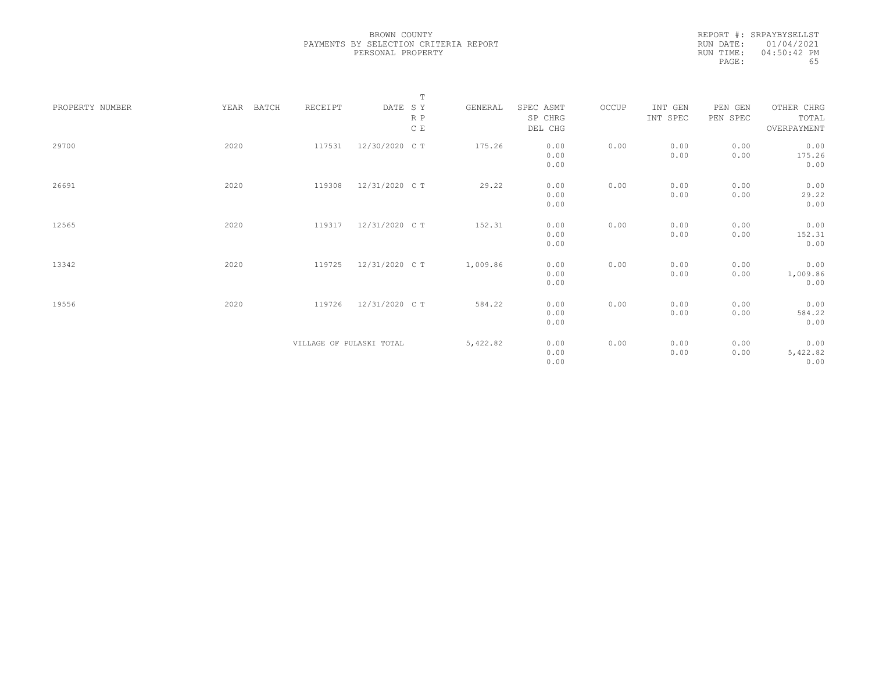REPORT #: SRPAYBYSELLST RUN DATE: 01/04/2021 RUN TIME: 04:50:42 PM PAGE: 65

|                 |               |                          |                | $\mathbb T$ |          |                                 |       |                     |                     |                                    |
|-----------------|---------------|--------------------------|----------------|-------------|----------|---------------------------------|-------|---------------------|---------------------|------------------------------------|
| PROPERTY NUMBER | YEAR<br>BATCH | RECEIPT                  | DATE SY        | R P<br>C E  | GENERAL  | SPEC ASMT<br>SP CHRG<br>DEL CHG | OCCUP | INT GEN<br>INT SPEC | PEN GEN<br>PEN SPEC | OTHER CHRG<br>TOTAL<br>OVERPAYMENT |
| 29700           | 2020          | 117531                   | 12/30/2020 C T |             | 175.26   | 0.00<br>0.00<br>0.00            | 0.00  | 0.00<br>0.00        | 0.00<br>0.00        | 0.00<br>175.26<br>0.00             |
| 26691           | 2020          | 119308                   | 12/31/2020 C T |             | 29.22    | 0.00<br>0.00<br>0.00            | 0.00  | 0.00<br>0.00        | 0.00<br>0.00        | 0.00<br>29.22<br>0.00              |
| 12565           | 2020          | 119317                   | 12/31/2020 C T |             | 152.31   | 0.00<br>0.00<br>0.00            | 0.00  | 0.00<br>0.00        | 0.00<br>0.00        | 0.00<br>152.31<br>0.00             |
| 13342           | 2020          | 119725                   | 12/31/2020 C T |             | 1,009.86 | 0.00<br>0.00<br>0.00            | 0.00  | 0.00<br>0.00        | 0.00<br>0.00        | 0.00<br>1,009.86<br>0.00           |
| 19556           | 2020          | 119726                   | 12/31/2020 C T |             | 584.22   | 0.00<br>0.00<br>0.00            | 0.00  | 0.00<br>0.00        | 0.00<br>0.00        | 0.00<br>584.22<br>0.00             |
|                 |               | VILLAGE OF PULASKI TOTAL |                |             | 5,422.82 | 0.00<br>0.00<br>0.00            | 0.00  | 0.00<br>0.00        | 0.00<br>0.00        | 0.00<br>5,422.82<br>0.00           |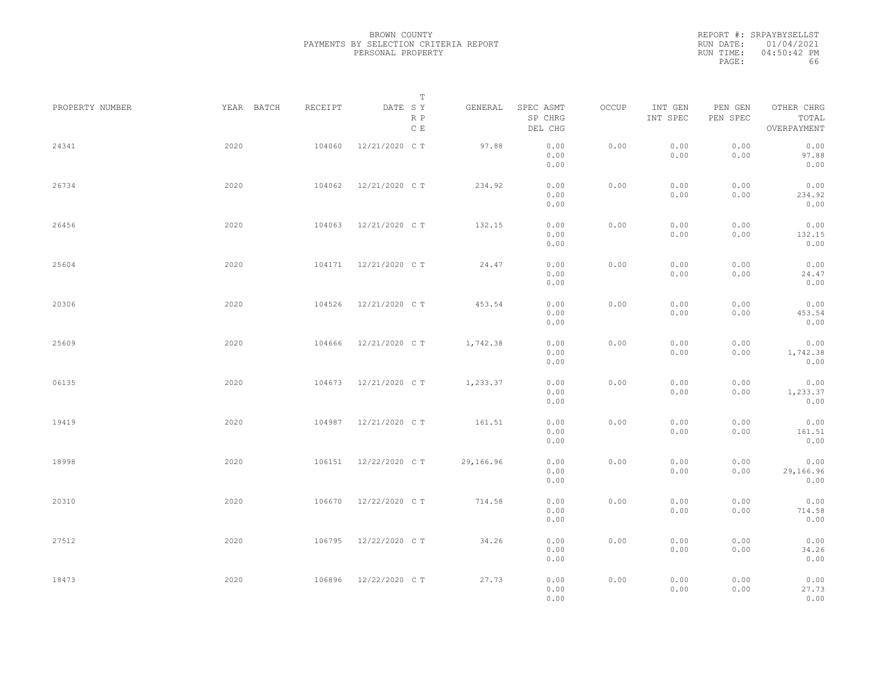|           | REPORT #: SRPAYBYSELLST |
|-----------|-------------------------|
|           | RUN DATE: 01/04/2021    |
| RUN TIME: | 04:50:42 PM             |
| PAGE:     | 66                      |

|                 |            |         | T                               |           |                                 |       |                     |                     |                                    |  |
|-----------------|------------|---------|---------------------------------|-----------|---------------------------------|-------|---------------------|---------------------|------------------------------------|--|
| PROPERTY NUMBER | YEAR BATCH | RECEIPT | DATE SY<br>R P<br>$\,$ C $\,$ E | GENERAL   | SPEC ASMT<br>SP CHRG<br>DEL CHG | OCCUP | INT GEN<br>INT SPEC | PEN GEN<br>PEN SPEC | OTHER CHRG<br>TOTAL<br>OVERPAYMENT |  |
| 24341           | 2020       | 104060  | 12/21/2020 C T                  | 97.88     | 0.00<br>0.00<br>0.00            | 0.00  | 0.00<br>0.00        | 0.00<br>0.00        | 0.00<br>97.88<br>0.00              |  |
| 26734           | 2020       | 104062  | 12/21/2020 C T                  | 234.92    | 0.00<br>0.00<br>0.00            | 0.00  | 0.00<br>0.00        | 0.00<br>0.00        | 0.00<br>234.92<br>0.00             |  |
| 26456           | 2020       | 104063  | 12/21/2020 C T                  | 132.15    | 0.00<br>0.00<br>0.00            | 0.00  | 0.00<br>0.00        | 0.00<br>0.00        | 0.00<br>132.15<br>0.00             |  |
| 25604           | 2020       | 104171  | 12/21/2020 C T                  | 24.47     | 0.00<br>0.00<br>0.00            | 0.00  | 0.00<br>0.00        | 0.00<br>0.00        | 0.00<br>24.47<br>0.00              |  |
| 20306           | 2020       | 104526  | 12/21/2020 C T                  | 453.54    | 0.00<br>0.00<br>0.00            | 0.00  | 0.00<br>0.00        | 0.00<br>0.00        | 0.00<br>453.54<br>0.00             |  |
| 25609           | 2020       | 104666  | 12/21/2020 C T                  | 1,742.38  | 0.00<br>0.00<br>0.00            | 0.00  | 0.00<br>0.00        | 0.00<br>0.00        | 0.00<br>1,742.38<br>0.00           |  |
| 06135           | 2020       | 104673  | 12/21/2020 C T                  | 1,233.37  | 0.00<br>0.00<br>0.00            | 0.00  | 0.00<br>0.00        | 0.00<br>0.00        | 0.00<br>1,233.37<br>0.00           |  |
| 19419           | 2020       | 104987  | 12/21/2020 C T                  | 161.51    | 0.00<br>0.00<br>0.00            | 0.00  | 0.00<br>0.00        | 0.00<br>0.00        | 0.00<br>161.51<br>0.00             |  |
| 18998           | 2020       | 106151  | 12/22/2020 C T                  | 29,166.96 | 0.00<br>0.00<br>0.00            | 0.00  | 0.00<br>0.00        | 0.00<br>0.00        | 0.00<br>29,166.96<br>0.00          |  |
| 20310           | 2020       | 106670  | 12/22/2020 C T                  | 714.58    | 0.00<br>0.00<br>0.00            | 0.00  | 0.00<br>0.00        | 0.00<br>0.00        | 0.00<br>714.58<br>0.00             |  |
| 27512           | 2020       | 106795  | 12/22/2020 C T                  | 34.26     | 0.00<br>0.00<br>0.00            | 0.00  | 0.00<br>0.00        | 0.00<br>0.00        | 0.00<br>34.26<br>0.00              |  |
| 18473           | 2020       | 106896  | 12/22/2020 C T                  | 27.73     | 0.00<br>0.00<br>0.00            | 0.00  | 0.00<br>0.00        | 0.00<br>0.00        | 0.00<br>27.73<br>0.00              |  |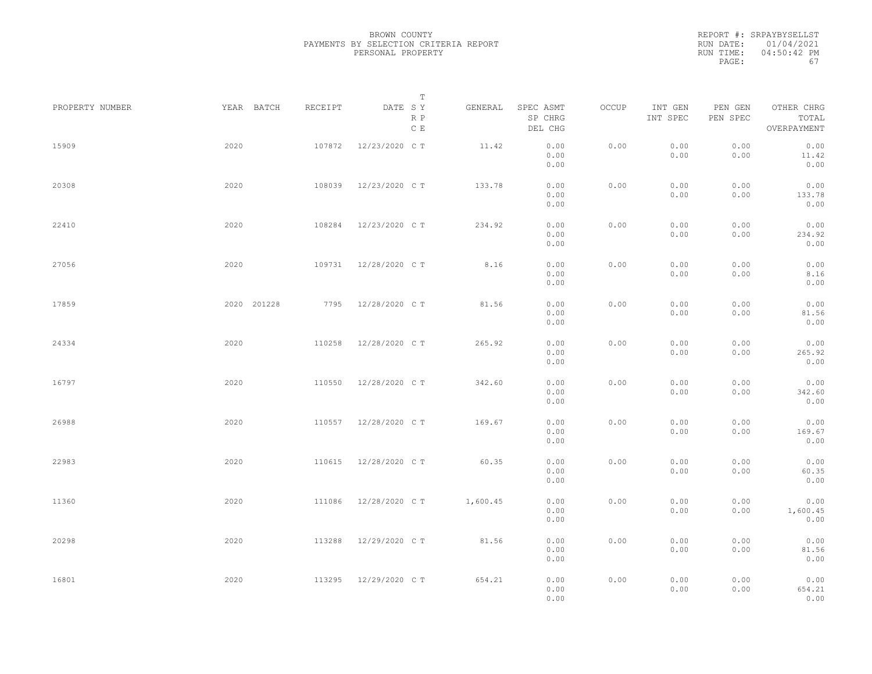REPORT #: SRPAYBYSELLST RUN DATE: 01/04/2021 RUN TIME: 04:50:42 PM PAGE: 67

|                 |             |         | $\mathbb T$           |          |                                 |       |                     |                     |                                    |  |
|-----------------|-------------|---------|-----------------------|----------|---------------------------------|-------|---------------------|---------------------|------------------------------------|--|
| PROPERTY NUMBER | YEAR BATCH  | RECEIPT | DATE SY<br>R P<br>C E | GENERAL  | SPEC ASMT<br>SP CHRG<br>DEL CHG | OCCUP | INT GEN<br>INT SPEC | PEN GEN<br>PEN SPEC | OTHER CHRG<br>TOTAL<br>OVERPAYMENT |  |
| 15909           | 2020        | 107872  | 12/23/2020 C T        | 11.42    | 0.00<br>0.00<br>0.00            | 0.00  | 0.00<br>0.00        | 0.00<br>0.00        | 0.00<br>11.42<br>0.00              |  |
| 20308           | 2020        | 108039  | 12/23/2020 C T        | 133.78   | 0.00<br>0.00<br>0.00            | 0.00  | 0.00<br>0.00        | 0.00<br>0.00        | 0.00<br>133.78<br>0.00             |  |
| 22410           | 2020        | 108284  | 12/23/2020 C T        | 234.92   | 0.00<br>0.00<br>0.00            | 0.00  | 0.00<br>0.00        | 0.00<br>0.00        | 0.00<br>234.92<br>0.00             |  |
| 27056           | 2020        | 109731  | 12/28/2020 C T        | 8.16     | 0.00<br>0.00<br>0.00            | 0.00  | 0.00<br>0.00        | 0.00<br>0.00        | 0.00<br>8.16<br>0.00               |  |
| 17859           | 2020 201228 | 7795    | 12/28/2020 C T        | 81.56    | 0.00<br>0.00<br>0.00            | 0.00  | 0.00<br>0.00        | 0.00<br>0.00        | 0.00<br>81.56<br>0.00              |  |
| 24334           | 2020        | 110258  | 12/28/2020 C T        | 265.92   | 0.00<br>0.00<br>0.00            | 0.00  | 0.00<br>0.00        | 0.00<br>0.00        | 0.00<br>265.92<br>0.00             |  |
| 16797           | 2020        | 110550  | 12/28/2020 C T        | 342.60   | 0.00<br>0.00<br>0.00            | 0.00  | 0.00<br>0.00        | 0.00<br>0.00        | 0.00<br>342.60<br>0.00             |  |
| 26988           | 2020        | 110557  | 12/28/2020 C T        | 169.67   | 0.00<br>0.00<br>0.00            | 0.00  | 0.00<br>0.00        | 0.00<br>0.00        | 0.00<br>169.67<br>0.00             |  |
| 22983           | 2020        | 110615  | 12/28/2020 C T        | 60.35    | 0.00<br>0.00<br>0.00            | 0.00  | 0.00<br>0.00        | 0.00<br>0.00        | 0.00<br>60.35<br>0.00              |  |
| 11360           | 2020        | 111086  | 12/28/2020 C T        | 1,600.45 | 0.00<br>0.00<br>0.00            | 0.00  | 0.00<br>0.00        | 0.00<br>0.00        | 0.00<br>1,600.45<br>0.00           |  |
| 20298           | 2020        | 113288  | 12/29/2020 C T        | 81.56    | 0.00<br>0.00<br>0.00            | 0.00  | 0.00<br>0.00        | 0.00<br>0.00        | 0.00<br>81.56<br>0.00              |  |
| 16801           | 2020        | 113295  | 12/29/2020 C T        | 654.21   | 0.00<br>0.00<br>0.00            | 0.00  | 0.00<br>0.00        | 0.00<br>0.00        | 0.00<br>654.21<br>0.00             |  |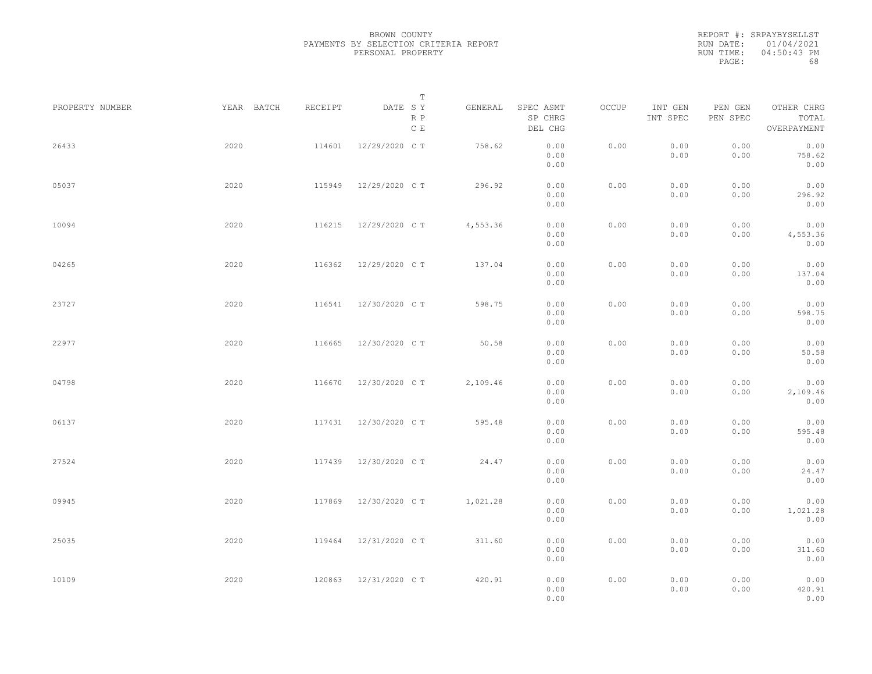|           | REPORT #: SRPAYBYSELLST |
|-----------|-------------------------|
|           | RUN DATE: 01/04/2021    |
| RUN TIME: | $04:50:43$ PM           |
| PAGE:     | 68                      |

|                 |            |         | T                     |          |                                 |       |                     |                     |                                    |  |
|-----------------|------------|---------|-----------------------|----------|---------------------------------|-------|---------------------|---------------------|------------------------------------|--|
| PROPERTY NUMBER | YEAR BATCH | RECEIPT | DATE SY<br>R P<br>C E | GENERAL  | SPEC ASMT<br>SP CHRG<br>DEL CHG | OCCUP | INT GEN<br>INT SPEC | PEN GEN<br>PEN SPEC | OTHER CHRG<br>TOTAL<br>OVERPAYMENT |  |
| 26433           | 2020       | 114601  | 12/29/2020 C T        | 758.62   | 0.00<br>0.00<br>0.00            | 0.00  | 0.00<br>0.00        | 0.00<br>0.00        | 0.00<br>758.62<br>0.00             |  |
| 05037           | 2020       | 115949  | 12/29/2020 C T        | 296.92   | 0.00<br>0.00<br>0.00            | 0.00  | 0.00<br>0.00        | 0.00<br>0.00        | 0.00<br>296.92<br>0.00             |  |
| 10094           | 2020       | 116215  | 12/29/2020 C T        | 4,553.36 | 0.00<br>0.00<br>0.00            | 0.00  | 0.00<br>0.00        | 0.00<br>0.00        | 0.00<br>4,553.36<br>0.00           |  |
| 04265           | 2020       | 116362  | 12/29/2020 C T        | 137.04   | 0.00<br>0.00<br>0.00            | 0.00  | 0.00<br>0.00        | 0.00<br>0.00        | 0.00<br>137.04<br>0.00             |  |
| 23727           | 2020       | 116541  | 12/30/2020 C T        | 598.75   | 0.00<br>0.00<br>0.00            | 0.00  | 0.00<br>0.00        | 0.00<br>0.00        | 0.00<br>598.75<br>0.00             |  |
| 22977           | 2020       | 116665  | 12/30/2020 C T        | 50.58    | 0.00<br>0.00<br>0.00            | 0.00  | 0.00<br>0.00        | 0.00<br>0.00        | 0.00<br>50.58<br>0.00              |  |
| 04798           | 2020       | 116670  | 12/30/2020 C T        | 2,109.46 | 0.00<br>0.00<br>0.00            | 0.00  | 0.00<br>0.00        | 0.00<br>0.00        | 0.00<br>2,109.46<br>0.00           |  |
| 06137           | 2020       | 117431  | 12/30/2020 C T        | 595.48   | 0.00<br>0.00<br>0.00            | 0.00  | 0.00<br>0.00        | 0.00<br>0.00        | 0.00<br>595.48<br>0.00             |  |
| 27524           | 2020       | 117439  | 12/30/2020 C T        | 24.47    | 0.00<br>0.00<br>0.00            | 0.00  | 0.00<br>0.00        | 0.00<br>0.00        | 0.00<br>24.47<br>0.00              |  |
| 09945           | 2020       | 117869  | 12/30/2020 C T        | 1,021.28 | 0.00<br>0.00<br>0.00            | 0.00  | 0.00<br>0.00        | 0.00<br>0.00        | 0.00<br>1,021.28<br>0.00           |  |
| 25035           | 2020       | 119464  | 12/31/2020 C T        | 311.60   | 0.00<br>0.00<br>0.00            | 0.00  | 0.00<br>0.00        | 0.00<br>0.00        | 0.00<br>311.60<br>0.00             |  |
| 10109           | 2020       | 120863  | 12/31/2020 C T        | 420.91   | 0.00<br>0.00<br>0.00            | 0.00  | 0.00<br>0.00        | 0.00<br>0.00        | 0.00<br>420.91<br>0.00             |  |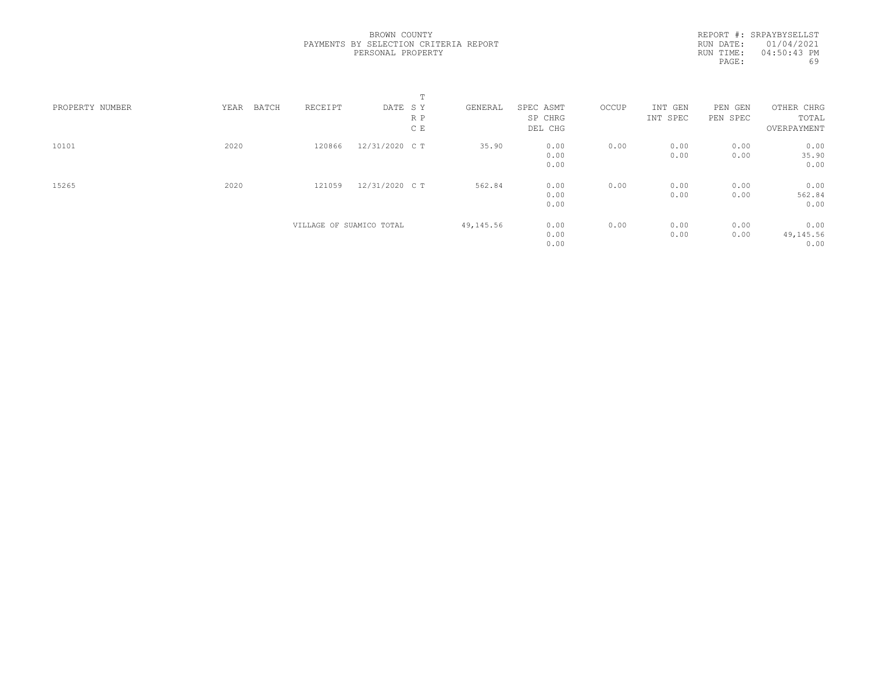REPORT #: SRPAYBYSELLST RUN DATE: 01/04/2021 RUN TIME: 04:50:43 PM PAGE: 69

|                 |               |                          |                | $\blacksquare$<br>÷. |           |           |       |          |          |             |  |
|-----------------|---------------|--------------------------|----------------|----------------------|-----------|-----------|-------|----------|----------|-------------|--|
| PROPERTY NUMBER | YEAR<br>BATCH | RECEIPT                  | DATE SY        |                      | GENERAL   | SPEC ASMT | OCCUP | INT GEN  | PEN GEN  | OTHER CHRG  |  |
|                 |               |                          |                | R P                  |           | SP CHRG   |       | INT SPEC | PEN SPEC | TOTAL       |  |
|                 |               |                          |                | C E                  |           | DEL CHG   |       |          |          | OVERPAYMENT |  |
| 10101           | 2020          | 120866                   | 12/31/2020 C T |                      | 35.90     | 0.00      | 0.00  | 0.00     | 0.00     | 0.00        |  |
|                 |               |                          |                |                      |           | 0.00      |       | 0.00     | 0.00     | 35.90       |  |
|                 |               |                          |                |                      |           | 0.00      |       |          |          | 0.00        |  |
| 15265           | 2020          | 121059                   | 12/31/2020 C T |                      | 562.84    | 0.00      | 0.00  | 0.00     | 0.00     | 0.00        |  |
|                 |               |                          |                |                      |           | 0.00      |       | 0.00     | 0.00     | 562.84      |  |
|                 |               |                          |                |                      |           | 0.00      |       |          |          | 0.00        |  |
|                 |               | VILLAGE OF SUAMICO TOTAL |                |                      | 49,145.56 | 0.00      | 0.00  | 0.00     | 0.00     | 0.00        |  |
|                 |               |                          |                |                      |           | 0.00      |       | 0.00     | 0.00     | 49,145.56   |  |
|                 |               |                          |                |                      |           | 0.00      |       |          |          | 0.00        |  |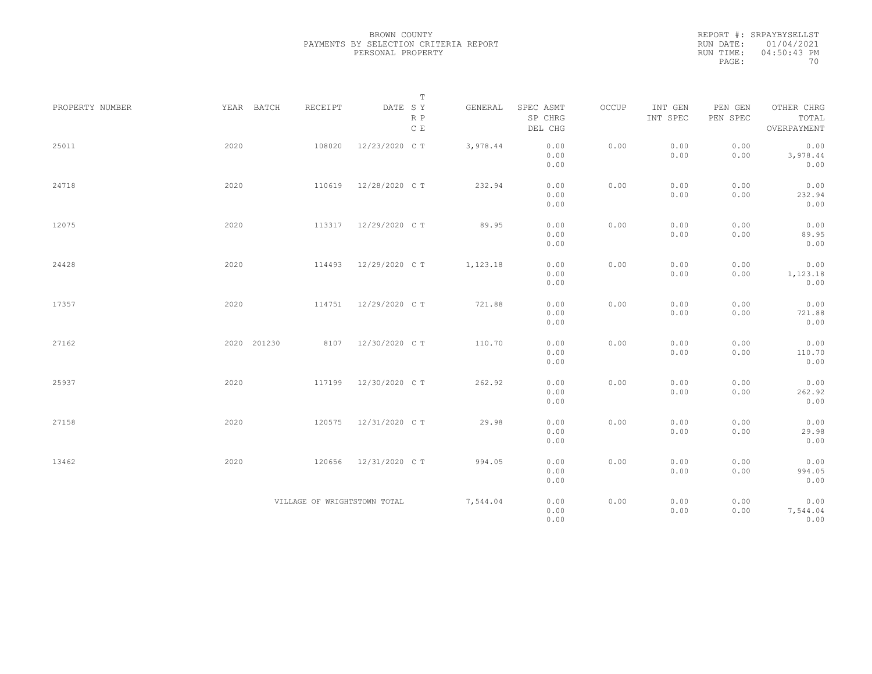REPORT #: SRPAYBYSELLST RUN DATE: 01/04/2021 RUN TIME: 04:50:43 PM PAGE: 70

|                 |             |                              | $\mathbf T$           |          |                                 |       |                     |                     |                                    |  |
|-----------------|-------------|------------------------------|-----------------------|----------|---------------------------------|-------|---------------------|---------------------|------------------------------------|--|
| PROPERTY NUMBER | YEAR BATCH  | RECEIPT                      | DATE SY<br>R P<br>C E | GENERAL  | SPEC ASMT<br>SP CHRG<br>DEL CHG | OCCUP | INT GEN<br>INT SPEC | PEN GEN<br>PEN SPEC | OTHER CHRG<br>TOTAL<br>OVERPAYMENT |  |
| 25011           | 2020        | 108020                       | 12/23/2020 C T        | 3,978.44 | 0.00<br>0.00<br>0.00            | 0.00  | 0.00<br>0.00        | 0.00<br>0.00        | 0.00<br>3,978.44<br>0.00           |  |
| 24718           | 2020        | 110619                       | 12/28/2020 C T        | 232.94   | 0.00<br>0.00<br>0.00            | 0.00  | 0.00<br>0.00        | 0.00<br>0.00        | 0.00<br>232.94<br>0.00             |  |
| 12075           | 2020        | 113317                       | 12/29/2020 C T        | 89.95    | 0.00<br>0.00<br>0.00            | 0.00  | 0.00<br>0.00        | 0.00<br>0.00        | 0.00<br>89.95<br>0.00              |  |
| 24428           | 2020        | 114493                       | 12/29/2020 C T        | 1,123.18 | 0.00<br>0.00<br>0.00            | 0.00  | 0.00<br>0.00        | 0.00<br>0.00        | 0.00<br>1,123.18<br>0.00           |  |
| 17357           | 2020        | 114751                       | 12/29/2020 C T        | 721.88   | 0.00<br>0.00<br>0.00            | 0.00  | 0.00<br>0.00        | 0.00<br>0.00        | 0.00<br>721.88<br>0.00             |  |
| 27162           | 2020 201230 |                              | 8107 12/30/2020 CT    | 110.70   | 0.00<br>0.00<br>0.00            | 0.00  | 0.00<br>0.00        | 0.00<br>0.00        | 0.00<br>110.70<br>0.00             |  |
| 25937           | 2020        | 117199                       | 12/30/2020 C T        | 262.92   | 0.00<br>0.00<br>0.00            | 0.00  | 0.00<br>0.00        | 0.00<br>0.00        | 0.00<br>262.92<br>0.00             |  |
| 27158           | 2020        | 120575                       | 12/31/2020 C T        | 29.98    | 0.00<br>0.00<br>0.00            | 0.00  | 0.00<br>0.00        | 0.00<br>0.00        | 0.00<br>29.98<br>0.00              |  |
| 13462           | 2020        | 120656                       | 12/31/2020 C T        | 994.05   | 0.00<br>0.00<br>0.00            | 0.00  | 0.00<br>0.00        | 0.00<br>0.00        | 0.00<br>994.05<br>0.00             |  |
|                 |             | VILLAGE OF WRIGHTSTOWN TOTAL |                       | 7,544.04 | 0.00<br>0.00<br>0.00            | 0.00  | 0.00<br>0.00        | 0.00<br>0.00        | 0.00<br>7,544.04<br>0.00           |  |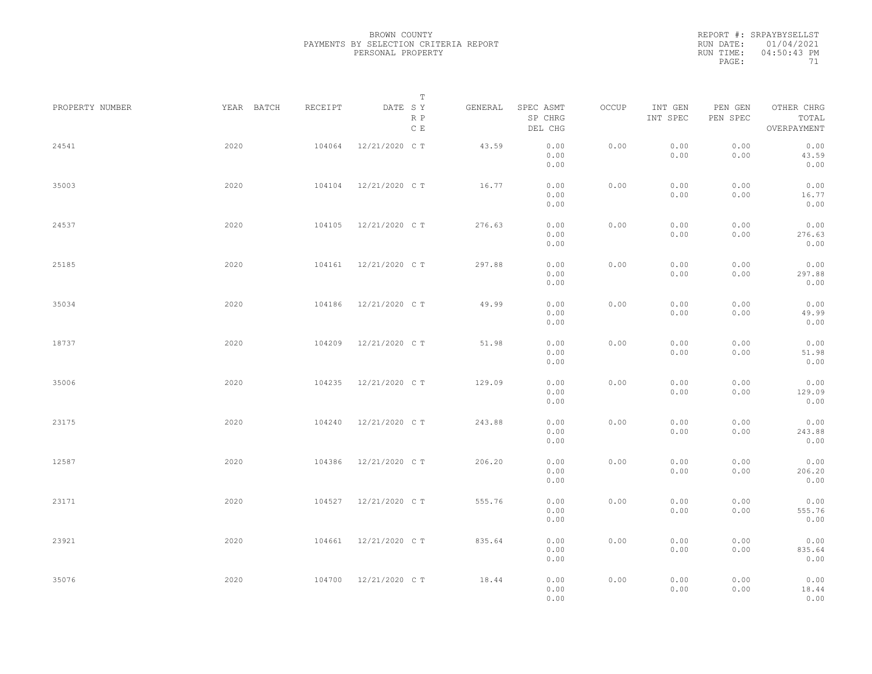REPORT #: SRPAYBYSELLST RUN DATE: 01/04/2021 RUN TIME: 04:50:43 PM PAGE: 71

|                 |            |         | $\mathbb T$           |         |                                 |       |                     |                     |                                    |  |
|-----------------|------------|---------|-----------------------|---------|---------------------------------|-------|---------------------|---------------------|------------------------------------|--|
| PROPERTY NUMBER | YEAR BATCH | RECEIPT | DATE SY<br>R P<br>C E | GENERAL | SPEC ASMT<br>SP CHRG<br>DEL CHG | OCCUP | INT GEN<br>INT SPEC | PEN GEN<br>PEN SPEC | OTHER CHRG<br>TOTAL<br>OVERPAYMENT |  |
| 24541           | 2020       | 104064  | 12/21/2020 C T        | 43.59   | 0.00<br>0.00<br>0.00            | 0.00  | 0.00<br>0.00        | 0.00<br>0.00        | 0.00<br>43.59<br>0.00              |  |
| 35003           | 2020       | 104104  | 12/21/2020 C T        | 16.77   | 0.00<br>0.00<br>0.00            | 0.00  | 0.00<br>0.00        | 0.00<br>0.00        | 0.00<br>16.77<br>0.00              |  |
| 24537           | 2020       | 104105  | 12/21/2020 C T        | 276.63  | 0.00<br>0.00<br>0.00            | 0.00  | 0.00<br>0.00        | 0.00<br>0.00        | 0.00<br>276.63<br>0.00             |  |
| 25185           | 2020       | 104161  | 12/21/2020 C T        | 297.88  | 0.00<br>0.00<br>0.00            | 0.00  | 0.00<br>0.00        | 0.00<br>0.00        | 0.00<br>297.88<br>0.00             |  |
| 35034           | 2020       | 104186  | 12/21/2020 C T        | 49.99   | 0.00<br>0.00<br>0.00            | 0.00  | 0.00<br>0.00        | 0.00<br>0.00        | 0.00<br>49.99<br>0.00              |  |
| 18737           | 2020       | 104209  | 12/21/2020 C T        | 51.98   | 0.00<br>0.00<br>0.00            | 0.00  | 0.00<br>0.00        | 0.00<br>0.00        | 0.00<br>51.98<br>0.00              |  |
| 35006           | 2020       | 104235  | 12/21/2020 C T        | 129.09  | 0.00<br>0.00<br>0.00            | 0.00  | 0.00<br>0.00        | 0.00<br>0.00        | 0.00<br>129.09<br>0.00             |  |
| 23175           | 2020       | 104240  | 12/21/2020 C T        | 243.88  | 0.00<br>0.00<br>0.00            | 0.00  | 0.00<br>0.00        | 0.00<br>0.00        | 0.00<br>243.88<br>0.00             |  |
| 12587           | 2020       | 104386  | 12/21/2020 C T        | 206.20  | 0.00<br>0.00<br>0.00            | 0.00  | 0.00<br>0.00        | 0.00<br>0.00        | 0.00<br>206.20<br>0.00             |  |
| 23171           | 2020       | 104527  | 12/21/2020 C T        | 555.76  | 0.00<br>0.00<br>0.00            | 0.00  | 0.00<br>0.00        | 0.00<br>0.00        | 0.00<br>555.76<br>0.00             |  |
| 23921           | 2020       | 104661  | 12/21/2020 C T        | 835.64  | 0.00<br>0.00<br>0.00            | 0.00  | 0.00<br>0.00        | 0.00<br>0.00        | 0.00<br>835.64<br>0.00             |  |
| 35076           | 2020       | 104700  | 12/21/2020 C T        | 18.44   | 0.00<br>0.00<br>0.00            | 0.00  | 0.00<br>0.00        | 0.00<br>0.00        | 0.00<br>18.44<br>0.00              |  |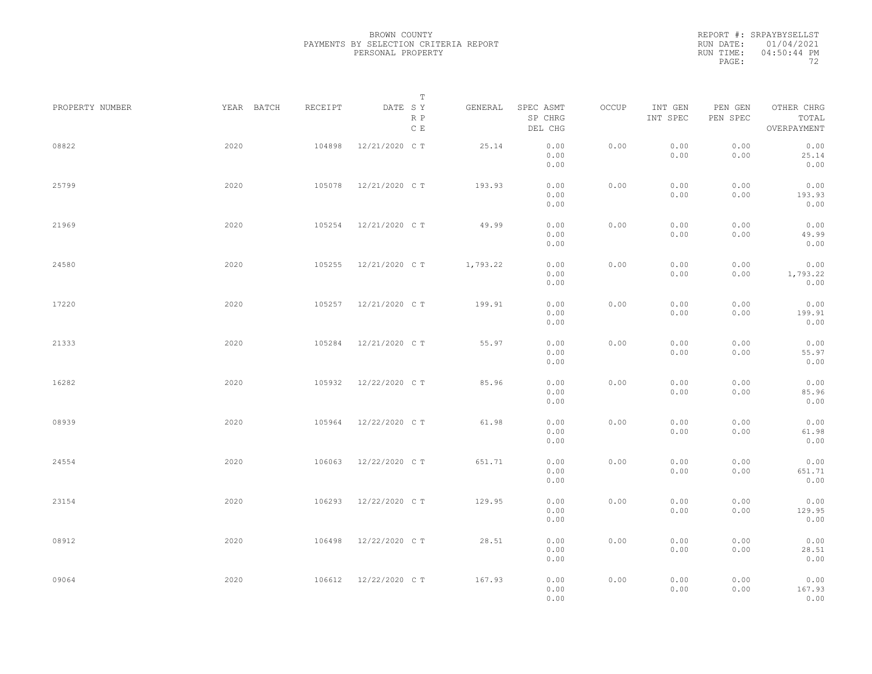REPORT #: SRPAYBYSELLST RUN DATE: 01/04/2021 RUN TIME: 04:50:44 PM PAGE: 72

|                 |            |         | $\mathbb T$           |          |                                 |       |                     |                     |                                    |  |
|-----------------|------------|---------|-----------------------|----------|---------------------------------|-------|---------------------|---------------------|------------------------------------|--|
| PROPERTY NUMBER | YEAR BATCH | RECEIPT | DATE SY<br>R P<br>C E | GENERAL  | SPEC ASMT<br>SP CHRG<br>DEL CHG | OCCUP | INT GEN<br>INT SPEC | PEN GEN<br>PEN SPEC | OTHER CHRG<br>TOTAL<br>OVERPAYMENT |  |
| 08822           | 2020       | 104898  | 12/21/2020 C T        | 25.14    | 0.00<br>0.00<br>0.00            | 0.00  | 0.00<br>0.00        | 0.00<br>0.00        | 0.00<br>25.14<br>0.00              |  |
| 25799           | 2020       | 105078  | 12/21/2020 C T        | 193.93   | 0.00<br>0.00<br>0.00            | 0.00  | 0.00<br>0.00        | 0.00<br>0.00        | 0.00<br>193.93<br>0.00             |  |
| 21969           | 2020       | 105254  | 12/21/2020 C T        | 49.99    | 0.00<br>0.00<br>0.00            | 0.00  | 0.00<br>0.00        | 0.00<br>0.00        | 0.00<br>49.99<br>0.00              |  |
| 24580           | 2020       | 105255  | 12/21/2020 C T        | 1,793.22 | 0.00<br>0.00<br>0.00            | 0.00  | 0.00<br>0.00        | 0.00<br>0.00        | 0.00<br>1,793.22<br>0.00           |  |
| 17220           | 2020       | 105257  | 12/21/2020 C T        | 199.91   | 0.00<br>0.00<br>0.00            | 0.00  | 0.00<br>0.00        | 0.00<br>0.00        | 0.00<br>199.91<br>0.00             |  |
| 21333           | 2020       | 105284  | 12/21/2020 C T        | 55.97    | 0.00<br>0.00<br>0.00            | 0.00  | 0.00<br>0.00        | 0.00<br>0.00        | 0.00<br>55.97<br>0.00              |  |
| 16282           | 2020       | 105932  | 12/22/2020 C T        | 85.96    | 0.00<br>0.00<br>0.00            | 0.00  | 0.00<br>0.00        | 0.00<br>0.00        | 0.00<br>85.96<br>0.00              |  |
| 08939           | 2020       | 105964  | 12/22/2020 C T        | 61.98    | 0.00<br>0.00<br>0.00            | 0.00  | 0.00<br>0.00        | 0.00<br>0.00        | 0.00<br>61.98<br>0.00              |  |
| 24554           | 2020       | 106063  | 12/22/2020 C T        | 651.71   | 0.00<br>0.00<br>0.00            | 0.00  | 0.00<br>0.00        | 0.00<br>0.00        | 0.00<br>651.71<br>0.00             |  |
| 23154           | 2020       | 106293  | 12/22/2020 C T        | 129.95   | 0.00<br>0.00<br>0.00            | 0.00  | 0.00<br>0.00        | 0.00<br>0.00        | 0.00<br>129.95<br>0.00             |  |
| 08912           | 2020       | 106498  | 12/22/2020 C T        | 28.51    | 0.00<br>0.00<br>0.00            | 0.00  | 0.00<br>0.00        | 0.00<br>0.00        | 0.00<br>28.51<br>0.00              |  |
| 09064           | 2020       | 106612  | 12/22/2020 C T        | 167.93   | 0.00<br>0.00<br>0.00            | 0.00  | 0.00<br>0.00        | 0.00<br>0.00        | 0.00<br>167.93<br>0.00             |  |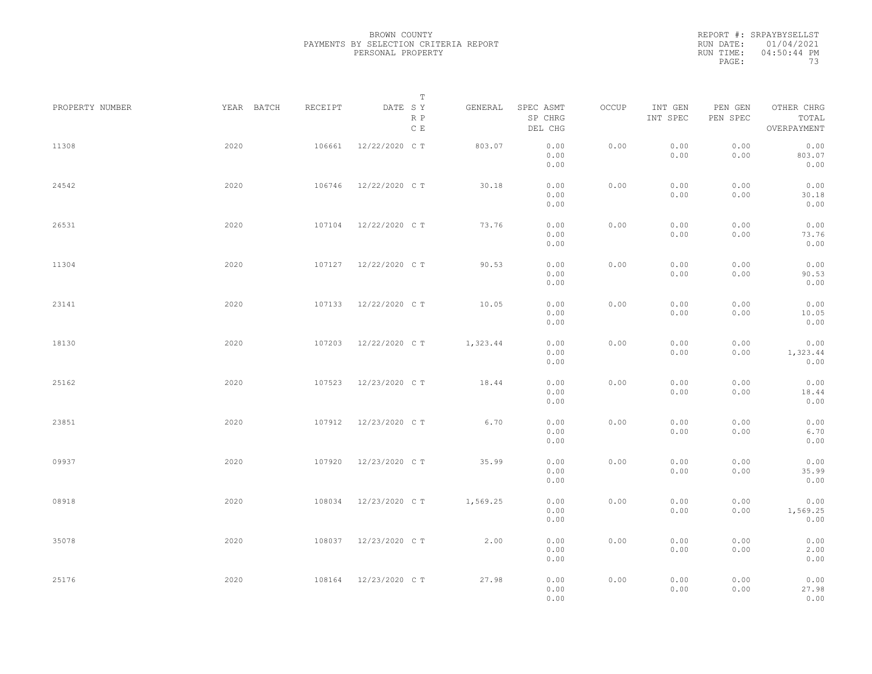REPORT #: SRPAYBYSELLST RUN DATE: 01/04/2021 RUN TIME: 04:50:44 PM PAGE: 73

|                 |            |         | $\mathbb T$           |          |                                 |       |                     |                     |                                    |  |
|-----------------|------------|---------|-----------------------|----------|---------------------------------|-------|---------------------|---------------------|------------------------------------|--|
| PROPERTY NUMBER | YEAR BATCH | RECEIPT | DATE SY<br>R P<br>C E | GENERAL  | SPEC ASMT<br>SP CHRG<br>DEL CHG | OCCUP | INT GEN<br>INT SPEC | PEN GEN<br>PEN SPEC | OTHER CHRG<br>TOTAL<br>OVERPAYMENT |  |
| 11308           | 2020       | 106661  | 12/22/2020 C T        | 803.07   | 0.00<br>0.00<br>0.00            | 0.00  | 0.00<br>0.00        | 0.00<br>0.00        | 0.00<br>803.07<br>0.00             |  |
| 24542           | 2020       | 106746  | 12/22/2020 C T        | 30.18    | 0.00<br>0.00<br>0.00            | 0.00  | 0.00<br>0.00        | 0.00<br>0.00        | 0.00<br>30.18<br>0.00              |  |
| 26531           | 2020       | 107104  | 12/22/2020 C T        | 73.76    | 0.00<br>0.00<br>0.00            | 0.00  | 0.00<br>0.00        | 0.00<br>0.00        | 0.00<br>73.76<br>0.00              |  |
| 11304           | 2020       |         | 107127 12/22/2020 CT  | 90.53    | 0.00<br>0.00<br>0.00            | 0.00  | 0.00<br>0.00        | 0.00<br>0.00        | 0.00<br>90.53<br>0.00              |  |
| 23141           | 2020       | 107133  | 12/22/2020 C T        | 10.05    | 0.00<br>0.00<br>0.00            | 0.00  | 0.00<br>0.00        | 0.00<br>0.00        | 0.00<br>10.05<br>0.00              |  |
| 18130           | 2020       | 107203  | 12/22/2020 C T        | 1,323.44 | 0.00<br>0.00<br>0.00            | 0.00  | 0.00<br>0.00        | 0.00<br>0.00        | 0.00<br>1,323.44<br>0.00           |  |
| 25162           | 2020       | 107523  | 12/23/2020 C T        | 18.44    | 0.00<br>0.00<br>0.00            | 0.00  | 0.00<br>0.00        | 0.00<br>0.00        | 0.00<br>18.44<br>0.00              |  |
| 23851           | 2020       | 107912  | 12/23/2020 C T        | 6.70     | 0.00<br>0.00<br>0.00            | 0.00  | 0.00<br>0.00        | 0.00<br>0.00        | 0.00<br>6.70<br>0.00               |  |
| 09937           | 2020       | 107920  | 12/23/2020 C T        | 35.99    | 0.00<br>0.00<br>0.00            | 0.00  | 0.00<br>0.00        | 0.00<br>0.00        | 0.00<br>35.99<br>0.00              |  |
| 08918           | 2020       | 108034  | 12/23/2020 C T        | 1,569.25 | 0.00<br>0.00<br>0.00            | 0.00  | 0.00<br>0.00        | 0.00<br>0.00        | 0.00<br>1,569.25<br>0.00           |  |
| 35078           | 2020       | 108037  | 12/23/2020 C T        | 2.00     | 0.00<br>0.00<br>0.00            | 0.00  | 0.00<br>0.00        | 0.00<br>0.00        | 0.00<br>2.00<br>0.00               |  |
| 25176           | 2020       | 108164  | 12/23/2020 C T        | 27.98    | 0.00<br>0.00<br>0.00            | 0.00  | 0.00<br>0.00        | 0.00<br>0.00        | 0.00<br>27.98<br>0.00              |  |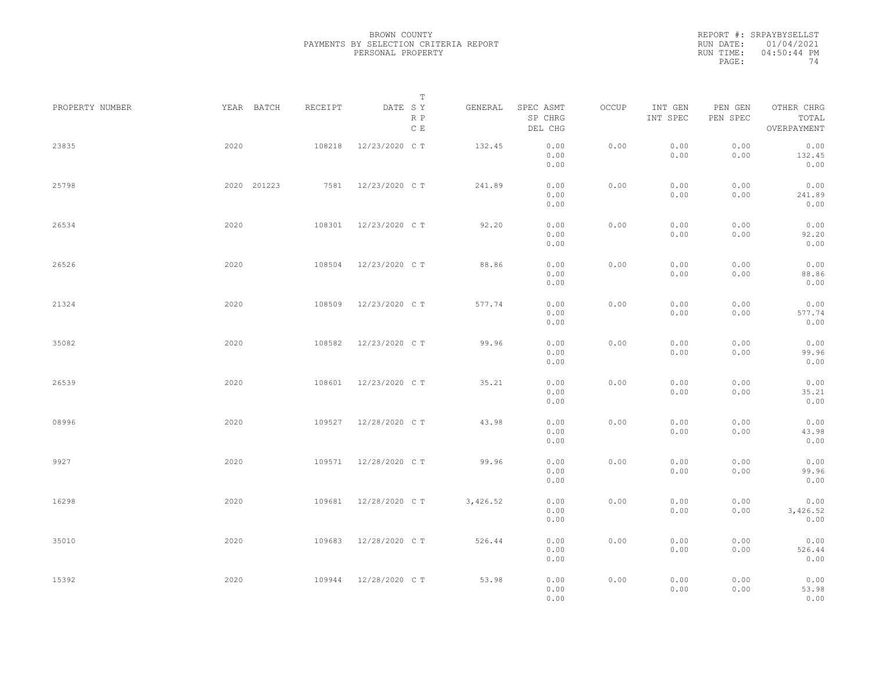|           | REPORT #: SRPAYBYSELLST |
|-----------|-------------------------|
|           | RUN DATE: 01/04/2021    |
| RUN TIME: | $04:50:44$ PM           |
| PAGE:     | 74                      |

|                 |             |         | T                     |          |                                 |       |                     |                     |                                    |  |
|-----------------|-------------|---------|-----------------------|----------|---------------------------------|-------|---------------------|---------------------|------------------------------------|--|
| PROPERTY NUMBER | YEAR BATCH  | RECEIPT | DATE SY<br>R P<br>C E | GENERAL  | SPEC ASMT<br>SP CHRG<br>DEL CHG | OCCUP | INT GEN<br>INT SPEC | PEN GEN<br>PEN SPEC | OTHER CHRG<br>TOTAL<br>OVERPAYMENT |  |
| 23835           | 2020        | 108218  | 12/23/2020 C T        | 132.45   | 0.00<br>0.00<br>0.00            | 0.00  | 0.00<br>0.00        | 0.00<br>0.00        | 0.00<br>132.45<br>0.00             |  |
| 25798           | 2020 201223 | 7581    | 12/23/2020 C T        | 241.89   | 0.00<br>0.00<br>0.00            | 0.00  | 0.00<br>0.00        | 0.00<br>0.00        | 0.00<br>241.89<br>0.00             |  |
| 26534           | 2020        | 108301  | 12/23/2020 C T        | 92.20    | 0.00<br>0.00<br>0.00            | 0.00  | 0.00<br>0.00        | 0.00<br>0.00        | 0.00<br>92.20<br>0.00              |  |
| 26526           | 2020        | 108504  | 12/23/2020 C T        | 88.86    | 0.00<br>0.00<br>0.00            | 0.00  | 0.00<br>0.00        | 0.00<br>0.00        | 0.00<br>88.86<br>0.00              |  |
| 21324           | 2020        | 108509  | 12/23/2020 C T        | 577.74   | 0.00<br>0.00<br>0.00            | 0.00  | 0.00<br>0.00        | 0.00<br>0.00        | 0.00<br>577.74<br>0.00             |  |
| 35082           | 2020        | 108582  | 12/23/2020 C T        | 99.96    | 0.00<br>0.00<br>0.00            | 0.00  | 0.00<br>0.00        | 0.00<br>0.00        | 0.00<br>99.96<br>0.00              |  |
| 26539           | 2020        | 108601  | 12/23/2020 C T        | 35.21    | 0.00<br>0.00<br>0.00            | 0.00  | 0.00<br>0.00        | 0.00<br>0.00        | 0.00<br>35.21<br>0.00              |  |
| 08996           | 2020        | 109527  | 12/28/2020 C T        | 43.98    | 0.00<br>0.00<br>0.00            | 0.00  | 0.00<br>0.00        | 0.00<br>0.00        | 0.00<br>43.98<br>0.00              |  |
| 9927            | 2020        | 109571  | 12/28/2020 C T        | 99.96    | 0.00<br>0.00                    | 0.00  | 0.00<br>0.00        | 0.00<br>0.00        | 0.00<br>99.96                      |  |
| 16298           | 2020        | 109681  | 12/28/2020 C T        | 3,426.52 | 0.00<br>0.00<br>0.00<br>0.00    | 0.00  | 0.00<br>0.00        | 0.00<br>0.00        | 0.00<br>0.00<br>3,426.52<br>0.00   |  |
| 35010           | 2020        | 109683  | 12/28/2020 C T        | 526.44   | 0.00<br>0.00                    | 0.00  | 0.00<br>0.00        | 0.00<br>0.00        | 0.00<br>526.44                     |  |
| 15392           | 2020        | 109944  | 12/28/2020 C T        | 53.98    | 0.00<br>0.00<br>0.00<br>0.00    | 0.00  | 0.00<br>0.00        | 0.00<br>0.00        | 0.00<br>0.00<br>53.98<br>0.00      |  |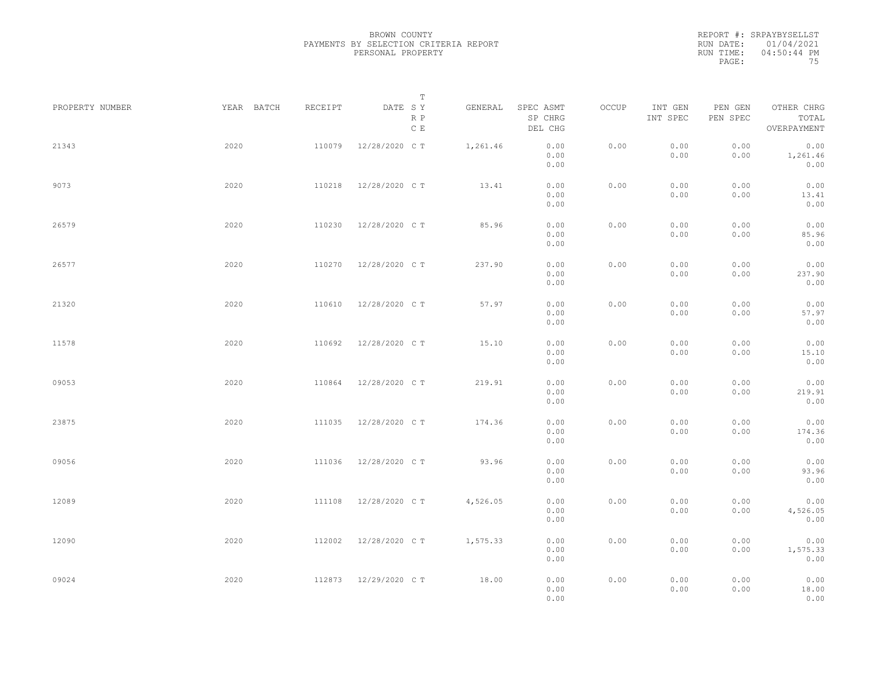| REPORT #: SRPAYBYSELLST |
|-------------------------|
| RUN DATE: 01/04/2021    |
| $04:50:44$ PM           |
| 75                      |
|                         |

| PROPERTY NUMBER | YEAR BATCH | RECEIPT | Т<br>DATE SY         | GENERAL  | SPEC ASMT            | OCCUP | INT GEN      | PEN GEN      | OTHER CHRG               |  |
|-----------------|------------|---------|----------------------|----------|----------------------|-------|--------------|--------------|--------------------------|--|
|                 |            |         | R P<br>$\,$ C $\,$ E |          | SP CHRG<br>DEL CHG   |       | INT SPEC     | PEN SPEC     | TOTAL<br>OVERPAYMENT     |  |
| 21343           | 2020       | 110079  | 12/28/2020 C T       | 1,261.46 | 0.00<br>0.00<br>0.00 | 0.00  | 0.00<br>0.00 | 0.00<br>0.00 | 0.00<br>1,261.46<br>0.00 |  |
| 9073            | 2020       | 110218  | 12/28/2020 C T       | 13.41    | 0.00<br>0.00<br>0.00 | 0.00  | 0.00<br>0.00 | 0.00<br>0.00 | 0.00<br>13.41<br>0.00    |  |
| 26579           | 2020       | 110230  | 12/28/2020 C T       | 85.96    | 0.00<br>0.00<br>0.00 | 0.00  | 0.00<br>0.00 | 0.00<br>0.00 | 0.00<br>85.96<br>0.00    |  |
| 26577           | 2020       | 110270  | 12/28/2020 C T       | 237.90   | 0.00<br>0.00<br>0.00 | 0.00  | 0.00<br>0.00 | 0.00<br>0.00 | 0.00<br>237.90<br>0.00   |  |
| 21320           | 2020       | 110610  | 12/28/2020 C T       | 57.97    | 0.00<br>0.00<br>0.00 | 0.00  | 0.00<br>0.00 | 0.00<br>0.00 | 0.00<br>57.97<br>0.00    |  |
| 11578           | 2020       | 110692  | 12/28/2020 C T       | 15.10    | 0.00<br>0.00<br>0.00 | 0.00  | 0.00<br>0.00 | 0.00<br>0.00 | 0.00<br>15.10<br>0.00    |  |
| 09053           | 2020       | 110864  | 12/28/2020 C T       | 219.91   | 0.00<br>0.00<br>0.00 | 0.00  | 0.00<br>0.00 | 0.00<br>0.00 | 0.00<br>219.91<br>0.00   |  |
| 23875           | 2020       | 111035  | 12/28/2020 C T       | 174.36   | 0.00<br>0.00<br>0.00 | 0.00  | 0.00<br>0.00 | 0.00<br>0.00 | 0.00<br>174.36<br>0.00   |  |
| 09056           | 2020       | 111036  | 12/28/2020 C T       | 93.96    | 0.00<br>0.00<br>0.00 | 0.00  | 0.00<br>0.00 | 0.00<br>0.00 | 0.00<br>93.96<br>0.00    |  |
| 12089           | 2020       | 111108  | 12/28/2020 C T       | 4,526.05 | 0.00<br>0.00<br>0.00 | 0.00  | 0.00<br>0.00 | 0.00<br>0.00 | 0.00<br>4,526.05<br>0.00 |  |
| 12090           | 2020       | 112002  | 12/28/2020 C T       | 1,575.33 | 0.00<br>0.00<br>0.00 | 0.00  | 0.00<br>0.00 | 0.00<br>0.00 | 0.00<br>1,575.33<br>0.00 |  |
| 09024           | 2020       |         | 112873 12/29/2020 CT | 18.00    | 0.00<br>0.00<br>0.00 | 0.00  | 0.00<br>0.00 | 0.00<br>0.00 | 0.00<br>18.00<br>0.00    |  |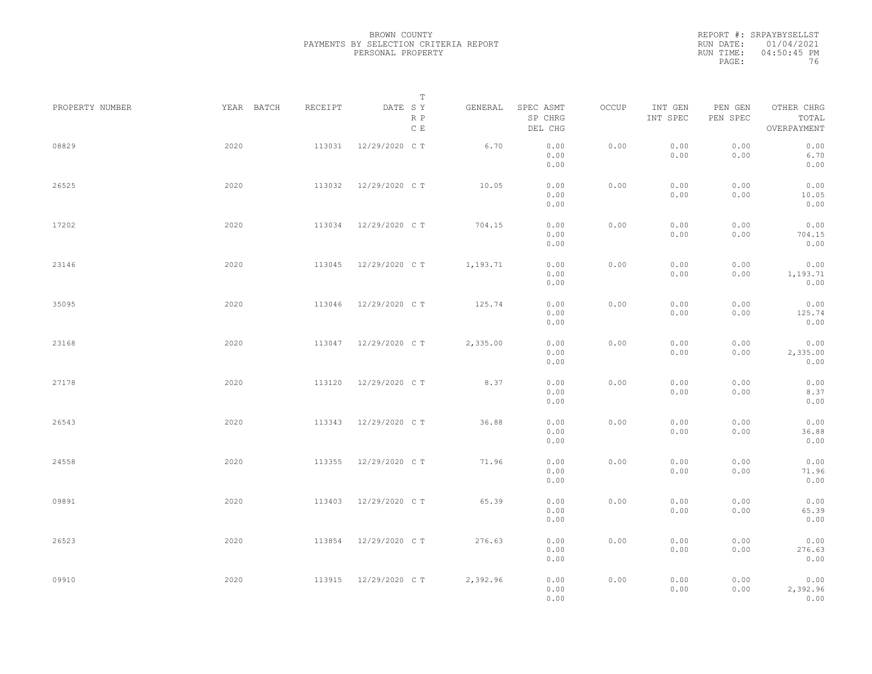|           | REPORT #: SRPAYBYSELLST |
|-----------|-------------------------|
|           | RUN DATE: 01/04/2021    |
| RUN TIME: | $04:50:45$ PM           |
| PAGE:     | 76                      |

|                 |            |         | T                               |          |                                 |       |                     |                     |                                    |  |
|-----------------|------------|---------|---------------------------------|----------|---------------------------------|-------|---------------------|---------------------|------------------------------------|--|
| PROPERTY NUMBER | YEAR BATCH | RECEIPT | DATE SY<br>R P<br>$\,$ C $\,$ E | GENERAL  | SPEC ASMT<br>SP CHRG<br>DEL CHG | OCCUP | INT GEN<br>INT SPEC | PEN GEN<br>PEN SPEC | OTHER CHRG<br>TOTAL<br>OVERPAYMENT |  |
| 08829           | 2020       | 113031  | 12/29/2020 C T                  | 6.70     | 0.00<br>0.00<br>0.00            | 0.00  | 0.00<br>0.00        | 0.00<br>0.00        | 0.00<br>6.70<br>0.00               |  |
| 26525           | 2020       | 113032  | 12/29/2020 C T                  | 10.05    | 0.00<br>0.00<br>0.00            | 0.00  | 0.00<br>0.00        | 0.00<br>0.00        | 0.00<br>10.05<br>0.00              |  |
| 17202           | 2020       | 113034  | 12/29/2020 C T                  | 704.15   | 0.00<br>0.00<br>0.00            | 0.00  | 0.00<br>0.00        | 0.00<br>0.00        | 0.00<br>704.15<br>0.00             |  |
| 23146           | 2020       | 113045  | 12/29/2020 C T                  | 1,193.71 | 0.00<br>0.00<br>0.00            | 0.00  | 0.00<br>0.00        | 0.00<br>0.00        | 0.00<br>1,193.71<br>0.00           |  |
| 35095           | 2020       | 113046  | 12/29/2020 C T                  | 125.74   | 0.00<br>0.00<br>0.00            | 0.00  | 0.00<br>0.00        | 0.00<br>0.00        | 0.00<br>125.74<br>0.00             |  |
| 23168           | 2020       | 113047  | 12/29/2020 C T                  | 2,335.00 | 0.00<br>0.00<br>0.00            | 0.00  | 0.00<br>0.00        | 0.00<br>0.00        | 0.00<br>2,335.00<br>0.00           |  |
| 27178           | 2020       | 113120  | 12/29/2020 C T                  | 8.37     | 0.00<br>0.00<br>0.00            | 0.00  | 0.00<br>0.00        | 0.00<br>0.00        | 0.00<br>8.37<br>0.00               |  |
| 26543           | 2020       | 113343  | 12/29/2020 C T                  | 36.88    | 0.00<br>0.00                    | 0.00  | 0.00<br>0.00        | 0.00<br>0.00        | 0.00<br>36.88                      |  |
| 24558           | 2020       | 113355  | 12/29/2020 C T                  | 71.96    | 0.00<br>0.00<br>0.00            | 0.00  | 0.00<br>0.00        | 0.00<br>0.00        | 0.00<br>0.00<br>71.96              |  |
| 09891           | 2020       | 113403  | 12/29/2020 C T                  | 65.39    | 0.00<br>0.00<br>0.00<br>0.00    | 0.00  | 0.00<br>0.00        | 0.00<br>0.00        | 0.00<br>0.00<br>65.39<br>0.00      |  |
| 26523           | 2020       | 113854  | 12/29/2020 C T                  | 276.63   | 0.00<br>0.00                    | 0.00  | 0.00<br>0.00        | 0.00<br>0.00        | 0.00<br>276.63                     |  |
| 09910           | 2020       | 113915  | 12/29/2020 C T                  | 2,392.96 | 0.00<br>0.00<br>0.00<br>0.00    | 0.00  | 0.00<br>0.00        | 0.00<br>0.00        | 0.00<br>0.00<br>2,392.96<br>0.00   |  |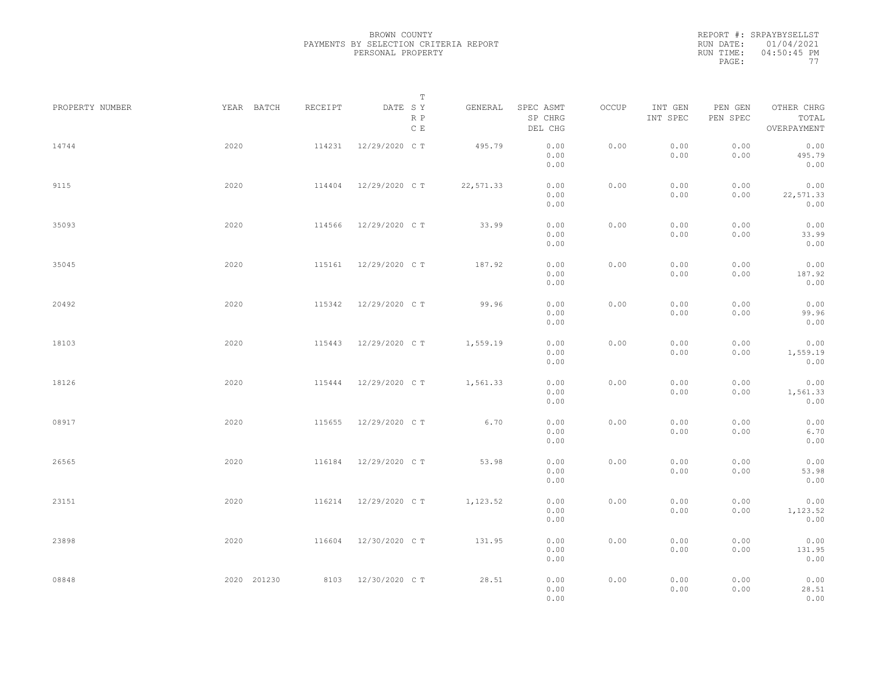|           | REPORT #: SRPAYBYSELLST |
|-----------|-------------------------|
|           | RUN DATE: 01/04/2021    |
| RUN TIME: | $04:50:45$ PM           |
| PAGE:     | 77                      |

|                 |             |         | $\mathbb T$                     |           |                                 |       |                     |                     |                                    |  |
|-----------------|-------------|---------|---------------------------------|-----------|---------------------------------|-------|---------------------|---------------------|------------------------------------|--|
| PROPERTY NUMBER | YEAR BATCH  | RECEIPT | DATE SY<br>R P<br>$\,$ C $\,$ E | GENERAL   | SPEC ASMT<br>SP CHRG<br>DEL CHG | OCCUP | INT GEN<br>INT SPEC | PEN GEN<br>PEN SPEC | OTHER CHRG<br>TOTAL<br>OVERPAYMENT |  |
| 14744           | 2020        | 114231  | 12/29/2020 C T                  | 495.79    | 0.00<br>0.00<br>0.00            | 0.00  | 0.00<br>0.00        | 0.00<br>0.00        | 0.00<br>495.79<br>0.00             |  |
| 9115            | 2020        | 114404  | 12/29/2020 C T                  | 22,571.33 | 0.00<br>0.00<br>0.00            | 0.00  | 0.00<br>0.00        | 0.00<br>0.00        | 0.00<br>22,571.33<br>0.00          |  |
| 35093           | 2020        | 114566  | 12/29/2020 C T                  | 33.99     | 0.00<br>0.00<br>0.00            | 0.00  | 0.00<br>0.00        | 0.00<br>0.00        | 0.00<br>33.99<br>0.00              |  |
| 35045           | 2020        | 115161  | 12/29/2020 C T                  | 187.92    | 0.00<br>0.00<br>0.00            | 0.00  | 0.00<br>0.00        | 0.00<br>0.00        | 0.00<br>187.92<br>0.00             |  |
| 20492           | 2020        | 115342  | 12/29/2020 C T                  | 99.96     | 0.00<br>0.00<br>0.00            | 0.00  | 0.00<br>0.00        | 0.00<br>0.00        | 0.00<br>99.96<br>0.00              |  |
| 18103           | 2020        | 115443  | 12/29/2020 C T                  | 1,559.19  | 0.00<br>0.00<br>0.00            | 0.00  | 0.00<br>0.00        | 0.00<br>0.00        | 0.00<br>1,559.19<br>0.00           |  |
| 18126           | 2020        | 115444  | 12/29/2020 C T                  | 1,561.33  | 0.00<br>0.00<br>0.00            | 0.00  | 0.00<br>0.00        | 0.00<br>0.00        | 0.00<br>1,561.33<br>0.00           |  |
| 08917           | 2020        | 115655  | 12/29/2020 C T                  | 6.70      | 0.00<br>0.00<br>0.00            | 0.00  | 0.00<br>0.00        | 0.00<br>0.00        | 0.00<br>6.70<br>0.00               |  |
| 26565           | 2020        | 116184  | 12/29/2020 C T                  | 53.98     | 0.00<br>0.00<br>0.00            | 0.00  | 0.00<br>0.00        | 0.00<br>0.00        | 0.00<br>53.98<br>0.00              |  |
| 23151           | 2020        | 116214  | 12/29/2020 C T                  | 1,123.52  | 0.00<br>0.00<br>0.00            | 0.00  | 0.00<br>0.00        | 0.00<br>0.00        | 0.00<br>1,123.52<br>0.00           |  |
| 23898           | 2020        | 116604  | 12/30/2020 C T                  | 131.95    | 0.00<br>0.00<br>0.00            | 0.00  | 0.00<br>0.00        | 0.00<br>0.00        | 0.00<br>131.95<br>0.00             |  |
| 08848           | 2020 201230 |         | 8103 12/30/2020 CT              | 28.51     | 0.00<br>0.00<br>0.00            | 0.00  | 0.00<br>0.00        | 0.00<br>0.00        | 0.00<br>28.51<br>0.00              |  |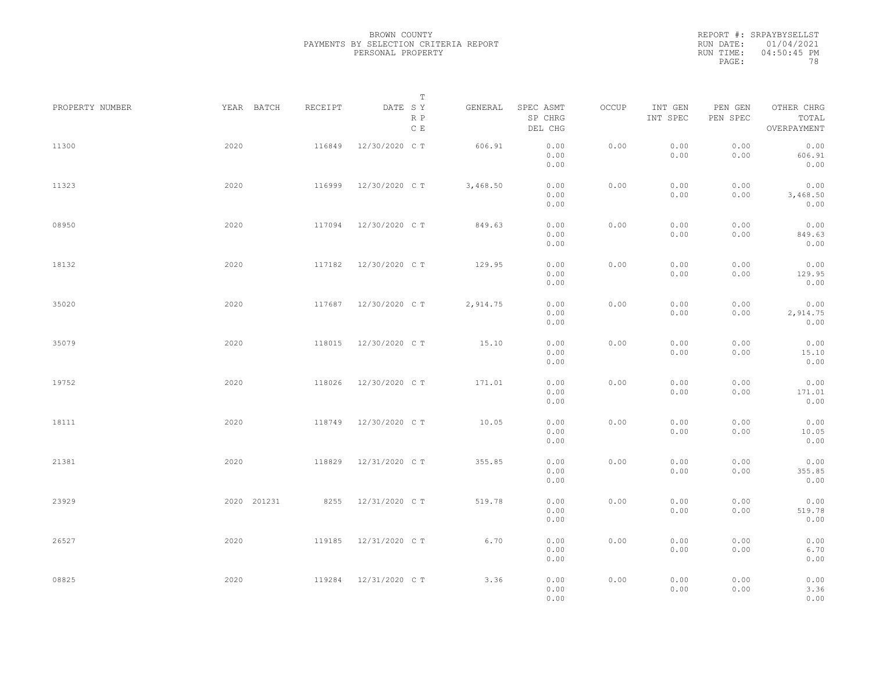|           | REPORT #: SRPAYBYSELLST |
|-----------|-------------------------|
|           | RUN DATE: 01/04/2021    |
| RUN TIME: | 04:50:45 PM             |
| PAGE:     | 78                      |

|                 |             |         | $\mathbb T$                     |          |                                 |       |                     |                     |                                    |  |
|-----------------|-------------|---------|---------------------------------|----------|---------------------------------|-------|---------------------|---------------------|------------------------------------|--|
| PROPERTY NUMBER | YEAR BATCH  | RECEIPT | DATE SY<br>R P<br>$\,$ C $\,$ E | GENERAL  | SPEC ASMT<br>SP CHRG<br>DEL CHG | OCCUP | INT GEN<br>INT SPEC | PEN GEN<br>PEN SPEC | OTHER CHRG<br>TOTAL<br>OVERPAYMENT |  |
| 11300           | 2020        | 116849  | 12/30/2020 C T                  | 606.91   | 0.00<br>0.00<br>0.00            | 0.00  | 0.00<br>0.00        | 0.00<br>0.00        | 0.00<br>606.91<br>0.00             |  |
| 11323           | 2020        | 116999  | 12/30/2020 C T                  | 3,468.50 | 0.00<br>0.00<br>0.00            | 0.00  | 0.00<br>0.00        | 0.00<br>0.00        | 0.00<br>3,468.50<br>0.00           |  |
| 08950           | 2020        | 117094  | 12/30/2020 C T                  | 849.63   | 0.00<br>0.00<br>0.00            | 0.00  | 0.00<br>0.00        | 0.00<br>0.00        | 0.00<br>849.63<br>0.00             |  |
| 18132           | 2020        | 117182  | 12/30/2020 C T                  | 129.95   | 0.00<br>0.00<br>0.00            | 0.00  | 0.00<br>0.00        | 0.00<br>0.00        | 0.00<br>129.95<br>0.00             |  |
| 35020           | 2020        | 117687  | 12/30/2020 C T                  | 2,914.75 | 0.00<br>0.00<br>0.00            | 0.00  | 0.00<br>0.00        | 0.00<br>0.00        | 0.00<br>2,914.75<br>0.00           |  |
| 35079           | 2020        | 118015  | 12/30/2020 C T                  | 15.10    | 0.00<br>0.00<br>0.00            | 0.00  | 0.00<br>0.00        | 0.00<br>0.00        | 0.00<br>15.10<br>0.00              |  |
| 19752           | 2020        | 118026  | 12/30/2020 C T                  | 171.01   | 0.00<br>0.00<br>0.00            | 0.00  | 0.00<br>0.00        | 0.00<br>0.00        | 0.00<br>171.01<br>0.00             |  |
| 18111           | 2020        | 118749  | 12/30/2020 C T                  | 10.05    | 0.00<br>0.00<br>0.00            | 0.00  | 0.00<br>0.00        | 0.00<br>0.00        | 0.00<br>10.05<br>0.00              |  |
| 21381           | 2020        | 118829  | 12/31/2020 C T                  | 355.85   | 0.00<br>0.00<br>0.00            | 0.00  | 0.00<br>0.00        | 0.00<br>0.00        | 0.00<br>355.85<br>0.00             |  |
| 23929           | 2020 201231 | 8255    | 12/31/2020 C T                  | 519.78   | 0.00<br>0.00<br>0.00            | 0.00  | 0.00<br>0.00        | 0.00<br>0.00        | 0.00<br>519.78<br>0.00             |  |
| 26527           | 2020        | 119185  | 12/31/2020 C T                  | 6.70     | 0.00<br>0.00<br>0.00            | 0.00  | 0.00<br>0.00        | 0.00<br>0.00        | 0.00<br>6.70<br>0.00               |  |
| 08825           | 2020        | 119284  | 12/31/2020 C T                  | 3.36     | 0.00<br>0.00<br>0.00            | 0.00  | 0.00<br>0.00        | 0.00<br>0.00        | 0.00<br>3.36<br>0.00               |  |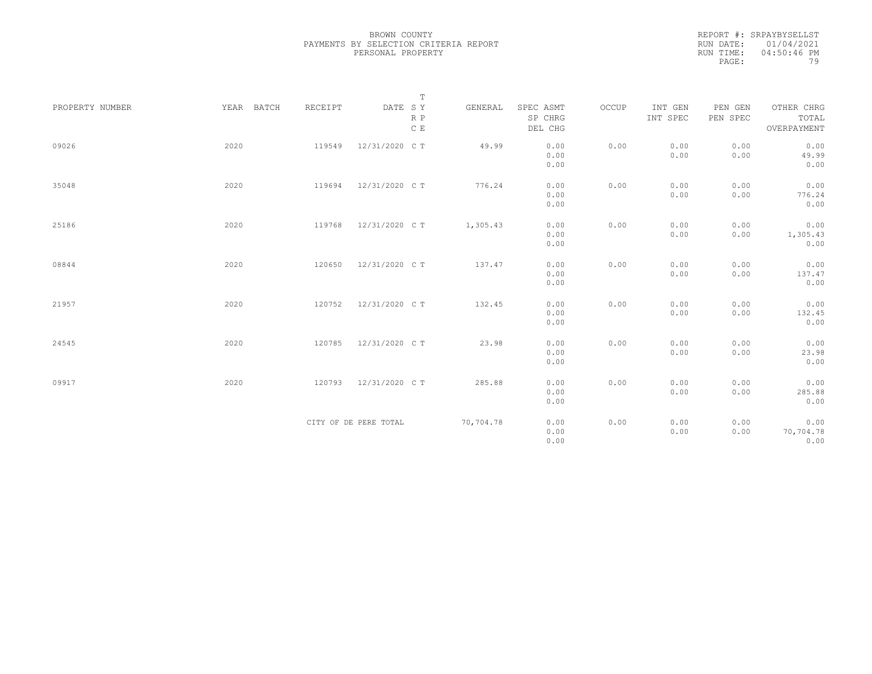|           | REPORT #: SRPAYBYSELLST |
|-----------|-------------------------|
|           | RUN DATE: 01/04/2021    |
| RUN TIME: | 04:50:46 PM             |
| PAGE:     | 79                      |

|                 |            |         | $\mathbb T$           |           |                      |       |                     |                     |                     |
|-----------------|------------|---------|-----------------------|-----------|----------------------|-------|---------------------|---------------------|---------------------|
| PROPERTY NUMBER | YEAR BATCH | RECEIPT | DATE SY<br>R P        | GENERAL   | SPEC ASMT<br>SP CHRG | OCCUP | INT GEN<br>INT SPEC | PEN GEN<br>PEN SPEC | OTHER CHRG<br>TOTAL |
|                 |            |         | C E                   |           | DEL CHG              |       |                     |                     | OVERPAYMENT         |
| 09026           | 2020       | 119549  | 12/31/2020 C T        | 49.99     | 0.00                 | 0.00  | 0.00                | 0.00                | 0.00                |
|                 |            |         |                       |           | 0.00                 |       | 0.00                | 0.00                | 49.99               |
|                 |            |         |                       |           | 0.00                 |       |                     |                     | 0.00                |
| 35048           | 2020       | 119694  | 12/31/2020 C T        | 776.24    | 0.00                 | 0.00  | 0.00                | 0.00                | 0.00                |
|                 |            |         |                       |           | 0.00                 |       | 0.00                | 0.00                | 776.24              |
|                 |            |         |                       |           | 0.00                 |       |                     |                     | 0.00                |
| 25186           | 2020       | 119768  | 12/31/2020 C T        | 1,305.43  | 0.00                 | 0.00  | 0.00                | 0.00                | 0.00                |
|                 |            |         |                       |           | 0.00                 |       | 0.00                | 0.00                | 1,305.43            |
|                 |            |         |                       |           | 0.00                 |       |                     |                     | 0.00                |
| 08844           | 2020       | 120650  | 12/31/2020 C T        | 137.47    | 0.00                 | 0.00  | 0.00                | 0.00                | 0.00                |
|                 |            |         |                       |           | 0.00                 |       | 0.00                | 0.00                | 137.47              |
|                 |            |         |                       |           | 0.00                 |       |                     |                     | 0.00                |
| 21957           | 2020       | 120752  | 12/31/2020 C T        | 132.45    | 0.00                 | 0.00  | 0.00                | 0.00                | 0.00                |
|                 |            |         |                       |           | 0.00                 |       | 0.00                | 0.00                | 132.45              |
|                 |            |         |                       |           | 0.00                 |       |                     |                     | 0.00                |
| 24545           | 2020       | 120785  | 12/31/2020 C T        | 23.98     | 0.00                 | 0.00  | 0.00                | 0.00                | 0.00                |
|                 |            |         |                       |           | 0.00                 |       | 0.00                | 0.00                | 23.98               |
|                 |            |         |                       |           | 0.00                 |       |                     |                     | 0.00                |
| 09917           | 2020       | 120793  | 12/31/2020 C T        | 285.88    | 0.00                 | 0.00  | 0.00                | 0.00                | 0.00                |
|                 |            |         |                       |           | 0.00                 |       | 0.00                | 0.00                | 285.88              |
|                 |            |         |                       |           | 0.00                 |       |                     |                     | 0.00                |
|                 |            |         | CITY OF DE PERE TOTAL | 70,704.78 | 0.00                 | 0.00  | 0.00                | 0.00                | 0.00                |
|                 |            |         |                       |           | 0.00                 |       | 0.00                | 0.00                | 70,704.78           |
|                 |            |         |                       |           | 0.00                 |       |                     |                     | 0.00                |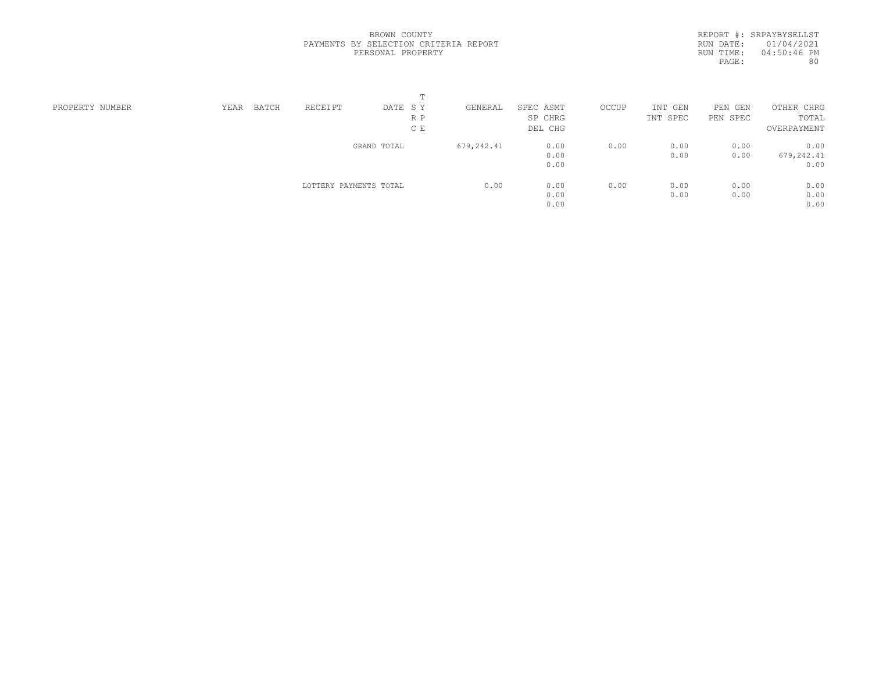REPORT #: SRPAYBYSELLST RUN DATE: 01/04/2021 RUN TIME: 04:50:46 PM PAGE: 80

| PROPERTY NUMBER | YEAR | BATCH | RECEIPT                | DATE SY     | GENERAL    | SPEC ASMT | OCCUP | INT<br>GEN | PEN GEN  | OTHER CHRG  |  |
|-----------------|------|-------|------------------------|-------------|------------|-----------|-------|------------|----------|-------------|--|
|                 |      |       |                        | R P         |            | SP CHRG   |       | INT SPEC   | PEN SPEC | TOTAL       |  |
|                 |      |       |                        | C E         |            | DEL CHG   |       |            |          | OVERPAYMENT |  |
|                 |      |       |                        | GRAND TOTAL | 679,242.41 | 0.00      | 0.00  | 0.00       | 0.00     | 0.00        |  |
|                 |      |       |                        |             |            | 0.00      |       | 0.00       | 0.00     | 679,242.41  |  |
|                 |      |       |                        |             |            | 0.00      |       |            |          | 0.00        |  |
|                 |      |       | LOTTERY PAYMENTS TOTAL |             | 0.00       | 0.00      | 0.00  | 0.00       | 0.00     | 0.00        |  |
|                 |      |       |                        |             |            | 0.00      |       | 0.00       | 0.00     | 0.00        |  |
|                 |      |       |                        |             |            | 0.00      |       |            |          | 0.00        |  |